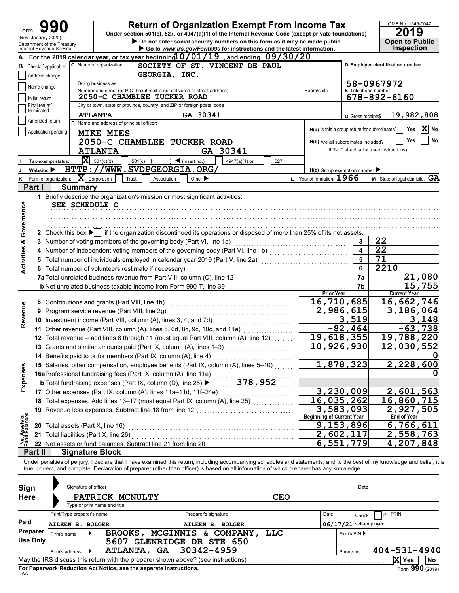| Form                           | (Rev. January 2020)            |                                                        |                                                                                                 | <b>Return of Organization Exempt From Income Tax</b><br>Under section 501(c), 527, or 4947(a)(1) of the Internal Revenue Code (except private foundations)<br>Do not enter social security numbers on this form as it may be made public.                                                                                |                                                           |                              | OMB No. 1545-0047<br>19<br><b>Open to Public</b> |  |
|--------------------------------|--------------------------------|--------------------------------------------------------|-------------------------------------------------------------------------------------------------|--------------------------------------------------------------------------------------------------------------------------------------------------------------------------------------------------------------------------------------------------------------------------------------------------------------------------|-----------------------------------------------------------|------------------------------|--------------------------------------------------|--|
|                                |                                | Department of the Treasury<br>Internal Revenue Service |                                                                                                 | Go to www.irs.gov/Form990 for instructions and the latest information.                                                                                                                                                                                                                                                   |                                                           |                              | <b>Inspection</b>                                |  |
|                                |                                |                                                        | C Name of organization                                                                          | For the 2019 calendar year, or tax year beginning $0/01/19$ , and ending $09/30/20$<br>SOCIETY OF ST. VINCENT DE PAUL                                                                                                                                                                                                    |                                                           |                              |                                                  |  |
|                                |                                | <b>B</b> Check if applicable:                          | D Employer identification number                                                                |                                                                                                                                                                                                                                                                                                                          |                                                           |                              |                                                  |  |
|                                | Address change                 |                                                        | GEORGIA, INC.                                                                                   |                                                                                                                                                                                                                                                                                                                          |                                                           |                              |                                                  |  |
|                                | Name change                    |                                                        | Doing business as<br>Number and street (or P.O. box if mail is not delivered to street address) |                                                                                                                                                                                                                                                                                                                          | Room/suite                                                | <b>E</b> Telephone number    | 58-0967972                                       |  |
|                                | Initial return                 |                                                        | 2050-C CHAMBLEE TUCKER ROAD                                                                     |                                                                                                                                                                                                                                                                                                                          |                                                           |                              | 678-892-6160                                     |  |
|                                | Final return/                  |                                                        | City or town, state or province, country, and ZIP or foreign postal code                        |                                                                                                                                                                                                                                                                                                                          |                                                           |                              |                                                  |  |
|                                | terminated                     |                                                        | <b>ATLANTA</b>                                                                                  | GA 30341                                                                                                                                                                                                                                                                                                                 |                                                           | G Gross receipts\$           | 19,982,808                                       |  |
|                                | Amended return                 |                                                        | F Name and address of principal officer:                                                        |                                                                                                                                                                                                                                                                                                                          |                                                           |                              |                                                  |  |
|                                |                                | Application pending                                    | <b>MIKE MIES</b>                                                                                |                                                                                                                                                                                                                                                                                                                          | H(a) Is this a group return for subordinates <sup>1</sup> |                              | $ {\bf X} $<br>Yes<br>No                         |  |
|                                |                                |                                                        | 2050-C CHAMBLEE TUCKER ROAD                                                                     |                                                                                                                                                                                                                                                                                                                          | H(b) Are all subordinates included?                       |                              | No<br>Yes                                        |  |
|                                |                                |                                                        | <b>ATLANTA</b>                                                                                  | GA 30341                                                                                                                                                                                                                                                                                                                 |                                                           |                              | If "No," attach a list. (see instructions)       |  |
|                                |                                | Tax-exempt status:                                     | $\mathbf{X}$ 501(c)(3)<br>501(c)                                                                | $\blacktriangleleft$ (insert no.)<br>4947(a)(1) or<br>527                                                                                                                                                                                                                                                                |                                                           |                              |                                                  |  |
|                                | Website: $\blacktriangleright$ |                                                        | HTTP://WWW.SVDPGEORGIA.ORG/                                                                     |                                                                                                                                                                                                                                                                                                                          | $H(c)$ Group exemption number                             |                              |                                                  |  |
| κ                              |                                | Form of organization:                                  | $ \mathbf{X} $ Corporation<br>Trust<br>Association                                              | Other $\blacktriangleright$                                                                                                                                                                                                                                                                                              | L Year of formation: 1966                                 |                              | <b>M</b> State of legal domicile: $GA$           |  |
|                                | Part I                         | <b>Summary</b>                                         |                                                                                                 |                                                                                                                                                                                                                                                                                                                          |                                                           |                              |                                                  |  |
| Governance                     |                                | SEE SCHEDULE O                                         | 1 Briefly describe the organization's mission or most significant activities:                   |                                                                                                                                                                                                                                                                                                                          |                                                           |                              |                                                  |  |
|                                |                                |                                                        |                                                                                                 | 2 Check this box $\blacktriangleright$ if the organization discontinued its operations or disposed of more than 25% of its net assets.                                                                                                                                                                                   |                                                           |                              |                                                  |  |
| <b>Activities &amp;</b>        |                                |                                                        | 3 Number of voting members of the governing body (Part VI, line 1a)                             |                                                                                                                                                                                                                                                                                                                          |                                                           | 3<br>$\overline{\mathbf{A}}$ | 22<br>$\overline{22}$                            |  |
|                                |                                |                                                        |                                                                                                 | 4 Number of independent voting members of the governing body (Part VI, line 1b) [[[[[[[[[[[[[[[[[[[[[[[[[[[[[                                                                                                                                                                                                            |                                                           | 5                            | 71                                               |  |
|                                |                                |                                                        |                                                                                                 | 5 Total number of individuals employed in calendar year 2019 (Part V, line 2a) [11] [11] Total number of individuals employed in calendary year 2019 (Part V, line 2a)                                                                                                                                                   |                                                           | 6                            | $\overline{22}10$                                |  |
|                                |                                |                                                        | 6 Total number of volunteers (estimate if necessary)                                            |                                                                                                                                                                                                                                                                                                                          |                                                           |                              |                                                  |  |
|                                |                                |                                                        | 7a Total unrelated business revenue from Part VIII, column (C), line 12                         |                                                                                                                                                                                                                                                                                                                          |                                                           | 7a                           | 21,080                                           |  |
|                                |                                |                                                        |                                                                                                 |                                                                                                                                                                                                                                                                                                                          | <b>Prior Year</b>                                         | 7b                           | 15,755<br><b>Current Year</b>                    |  |
|                                |                                |                                                        |                                                                                                 |                                                                                                                                                                                                                                                                                                                          | 16,710,685                                                |                              | 16,662,746                                       |  |
| Revenue                        |                                |                                                        | 9 Program service revenue (Part VIII, line 2g)                                                  |                                                                                                                                                                                                                                                                                                                          | 2,986,615                                                 |                              | 3,186,064                                        |  |
|                                |                                |                                                        | 10 Investment income (Part VIII, column (A), lines 3, 4, and 7d)                                |                                                                                                                                                                                                                                                                                                                          |                                                           | 3,519                        | 3,148                                            |  |
|                                |                                |                                                        | 11 Other revenue (Part VIII, column (A), lines 5, 6d, 8c, 9c, 10c, and 11e)                     |                                                                                                                                                                                                                                                                                                                          |                                                           | $-82, 464$                   | $-63,738$                                        |  |
|                                |                                |                                                        |                                                                                                 | .<br>12 Total revenue - add lines 8 through 11 (must equal Part VIII, column (A), line 12)                                                                                                                                                                                                                               | 19,618,355                                                |                              | 19,788,220                                       |  |
|                                |                                |                                                        | 13 Grants and similar amounts paid (Part IX, column (A), lines 1-3)                             |                                                                                                                                                                                                                                                                                                                          | 10,926,930                                                |                              | 12,030,552                                       |  |
|                                |                                |                                                        | 14 Benefits paid to or for members (Part IX, column (A), line 4)                                |                                                                                                                                                                                                                                                                                                                          |                                                           |                              |                                                  |  |
|                                |                                |                                                        |                                                                                                 | 15 Salaries, other compensation, employee benefits (Part IX, column (A), lines 5-10)                                                                                                                                                                                                                                     |                                                           | 1,878,323                    | 2,228,600                                        |  |
| Expenses                       |                                |                                                        | 16aProfessional fundraising fees (Part IX, column (A), line 11e)                                |                                                                                                                                                                                                                                                                                                                          |                                                           |                              |                                                  |  |
|                                |                                |                                                        | <b>b</b> Total fundraising expenses (Part IX, column (D), line 25) ▶                            | 378,952                                                                                                                                                                                                                                                                                                                  |                                                           |                              |                                                  |  |
|                                |                                |                                                        | 17 Other expenses (Part IX, column (A), lines 11a-11d, 11f-24e)                                 |                                                                                                                                                                                                                                                                                                                          |                                                           | 3,230,009                    | 2,601,563                                        |  |
|                                |                                |                                                        |                                                                                                 | 18 Total expenses. Add lines 13-17 (must equal Part IX, column (A), line 25)                                                                                                                                                                                                                                             | 16,035,262                                                |                              | 16,860,715                                       |  |
|                                |                                |                                                        | 19 Revenue less expenses. Subtract line 18 from line 12                                         |                                                                                                                                                                                                                                                                                                                          |                                                           | 3,583,093                    | 2,927,505                                        |  |
|                                |                                |                                                        |                                                                                                 |                                                                                                                                                                                                                                                                                                                          | <b>Beginning of Current Year</b>                          |                              | <b>End of Year</b>                               |  |
|                                |                                | 20 Total assets (Part X, line 16)                      |                                                                                                 |                                                                                                                                                                                                                                                                                                                          |                                                           | 9,153,896                    | 6,766,611                                        |  |
|                                |                                | 21 Total liabilities (Part X, line 26)                 |                                                                                                 |                                                                                                                                                                                                                                                                                                                          |                                                           | 2,602,117                    | 2,558,763                                        |  |
| Net Assets or<br>Fund Balances |                                |                                                        | 22 Net assets or fund balances. Subtract line 21 from line 20                                   |                                                                                                                                                                                                                                                                                                                          |                                                           | 6,551,779                    | 4,207,848                                        |  |
|                                | Part II                        | <b>Signature Block</b>                                 |                                                                                                 |                                                                                                                                                                                                                                                                                                                          |                                                           |                              |                                                  |  |
|                                |                                |                                                        |                                                                                                 | Under penalties of perjury, I declare that I have examined this return, including accompanying schedules and statements, and to the best of my knowledge and belief, it is<br>true, correct, and complete. Declaration of preparer (other than officer) is based on all information of which preparer has any knowledge. |                                                           |                              |                                                  |  |
|                                |                                | Signature of officer                                   |                                                                                                 |                                                                                                                                                                                                                                                                                                                          |                                                           | Date                         |                                                  |  |
| Sign<br><b>Here</b>            |                                |                                                        | PATRICK MCNULTY                                                                                 | <b>CEO</b>                                                                                                                                                                                                                                                                                                               |                                                           |                              |                                                  |  |
|                                |                                |                                                        | Type or print name and title                                                                    |                                                                                                                                                                                                                                                                                                                          |                                                           |                              |                                                  |  |
|                                |                                | Print/Type preparer's name                             |                                                                                                 | Preparer's signature                                                                                                                                                                                                                                                                                                     | Date                                                      | Check                        | <b>PTIN</b><br>if                                |  |
| Paid                           |                                | <b>AILEEN B. BOLGER</b>                                |                                                                                                 | AILEEN B. BOLGER                                                                                                                                                                                                                                                                                                         |                                                           | $06/17/21$ self-employed     |                                                  |  |
|                                | Preparer                       |                                                        | BROOKS,                                                                                         | MCGINNIS & COMPANY,<br><b>TTC</b>                                                                                                                                                                                                                                                                                        |                                                           |                              |                                                  |  |
|                                | <b>Use Only</b>                | Firm's name                                            | 5607 GLENRIDGE DR STE 650                                                                       |                                                                                                                                                                                                                                                                                                                          |                                                           | Firm's EIN ▶                 |                                                  |  |
|                                |                                |                                                        | ATLANTA, GA                                                                                     | 30342-4959                                                                                                                                                                                                                                                                                                               |                                                           | Phone no.                    | $404 - 531 - 4940$                               |  |
|                                |                                | Firm's address                                         | May the IRS discuss this return with the preparer shown above? (see instructions)               |                                                                                                                                                                                                                                                                                                                          |                                                           |                              | X Yes<br>No                                      |  |

| Sign<br><b>Here</b> |                            | Signature of officer | PATRICK MCNULTY<br>Type or print name and title                    |                 |                                                                                   | CEO |      |              | Date                     |       |                    |
|---------------------|----------------------------|----------------------|--------------------------------------------------------------------|-----------------|-----------------------------------------------------------------------------------|-----|------|--------------|--------------------------|-------|--------------------|
|                     | Print/Type preparer's name |                      |                                                                    |                 | Preparer's signature                                                              |     | Date |              | Check                    | PTIN  |                    |
| Paid                | AILEEN B. BOLGER           |                      |                                                                    |                 | AILEEN B. BOLGER                                                                  |     |      |              | $06/17/21$ self-employed |       |                    |
| Preparer            | Firm's name                |                      | <b>BROOKS.</b>                                                     | <b>MCGINNIS</b> | COMPANY,<br>δc.                                                                   | LLC |      | Firm's $EIN$ |                          |       |                    |
| <b>Use Only</b>     |                            |                      | 5607                                                               |                 | <b>GLENRIDGE DR STE 650</b>                                                       |     |      |              |                          |       |                    |
|                     | Firm's address             |                      | <b>ATLANTA,</b>                                                    | <b>GA</b>       | 30342-4959                                                                        |     |      | Phone no.    |                          |       | $404 - 531 - 4940$ |
|                     |                            |                      |                                                                    |                 | May the IRS discuss this return with the preparer shown above? (see instructions) |     |      |              |                          | X Yes | <b>No</b>          |
|                     |                            |                      | For Paperwork Reduction Act Notice, see the separate instructions. |                 |                                                                                   |     |      |              |                          |       | Form 990 (2019)    |

DAA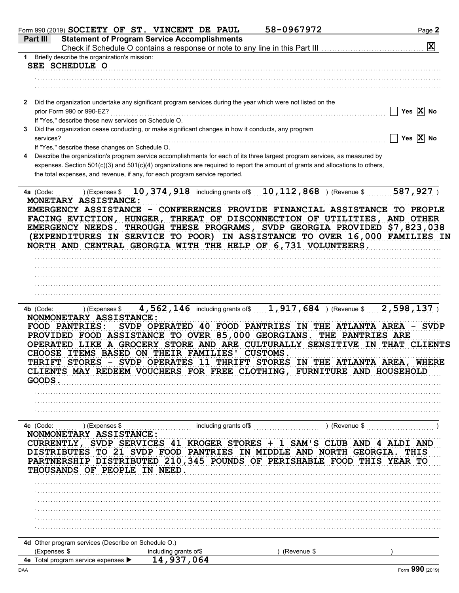|   | Form 990 (2019) SOCIETY OF ST. VINCENT DE PAUL                                                                                                                                                                                                                                                                                                                                                                                        |                                                     | 58-0967972                         | Page 2                                                                                                                                                    |
|---|---------------------------------------------------------------------------------------------------------------------------------------------------------------------------------------------------------------------------------------------------------------------------------------------------------------------------------------------------------------------------------------------------------------------------------------|-----------------------------------------------------|------------------------------------|-----------------------------------------------------------------------------------------------------------------------------------------------------------|
|   | Part III                                                                                                                                                                                                                                                                                                                                                                                                                              | <b>Statement of Program Service Accomplishments</b> |                                    |                                                                                                                                                           |
|   |                                                                                                                                                                                                                                                                                                                                                                                                                                       |                                                     |                                    | $\mathbf{x}$                                                                                                                                              |
|   | 1 Briefly describe the organization's mission:                                                                                                                                                                                                                                                                                                                                                                                        |                                                     |                                    |                                                                                                                                                           |
|   | SEE SCHEDULE O                                                                                                                                                                                                                                                                                                                                                                                                                        |                                                     |                                    |                                                                                                                                                           |
|   |                                                                                                                                                                                                                                                                                                                                                                                                                                       |                                                     |                                    |                                                                                                                                                           |
|   |                                                                                                                                                                                                                                                                                                                                                                                                                                       |                                                     |                                    |                                                                                                                                                           |
|   |                                                                                                                                                                                                                                                                                                                                                                                                                                       |                                                     |                                    |                                                                                                                                                           |
|   | 2 Did the organization undertake any significant program services during the year which were not listed on the                                                                                                                                                                                                                                                                                                                        |                                                     |                                    | Yes $X$ No                                                                                                                                                |
|   | prior Form 990 or 990-EZ?<br>If "Yes," describe these new services on Schedule O.                                                                                                                                                                                                                                                                                                                                                     |                                                     |                                    |                                                                                                                                                           |
| 3 | Did the organization cease conducting, or make significant changes in how it conducts, any program                                                                                                                                                                                                                                                                                                                                    |                                                     |                                    |                                                                                                                                                           |
|   | services?                                                                                                                                                                                                                                                                                                                                                                                                                             |                                                     |                                    | Yes $X$ No                                                                                                                                                |
|   | If "Yes," describe these changes on Schedule O.                                                                                                                                                                                                                                                                                                                                                                                       |                                                     |                                    |                                                                                                                                                           |
| 4 | Describe the organization's program service accomplishments for each of its three largest program services, as measured by                                                                                                                                                                                                                                                                                                            |                                                     |                                    |                                                                                                                                                           |
|   | expenses. Section 501(c)(3) and 501(c)(4) organizations are required to report the amount of grants and allocations to others,                                                                                                                                                                                                                                                                                                        |                                                     |                                    |                                                                                                                                                           |
|   | the total expenses, and revenue, if any, for each program service reported.                                                                                                                                                                                                                                                                                                                                                           |                                                     |                                    |                                                                                                                                                           |
|   |                                                                                                                                                                                                                                                                                                                                                                                                                                       |                                                     |                                    |                                                                                                                                                           |
|   | 4a (Code:                                                                                                                                                                                                                                                                                                                                                                                                                             |                                                     |                                    | (Expenses \$ 10, 374, 918 including grants of $\boxed{10,112,868}$ ) (Revenue \$ $\boxed{587,927}$ )                                                      |
|   | MONETARY ASSISTANCE:                                                                                                                                                                                                                                                                                                                                                                                                                  |                                                     |                                    |                                                                                                                                                           |
|   | EMERGENCY ASSISTANCE - CONFERENCES PROVIDE FINANCIAL ASSISTANCE TO PEOPLE                                                                                                                                                                                                                                                                                                                                                             |                                                     |                                    |                                                                                                                                                           |
|   | FACING EVICTION, HUNGER, THREAT OF DISCONNECTION OF UTILITIES, AND OTHER                                                                                                                                                                                                                                                                                                                                                              |                                                     |                                    |                                                                                                                                                           |
|   | EMERGENCY NEEDS. THROUGH THESE PROGRAMS, SVDP GEORGIA PROVIDED \$7,823,038                                                                                                                                                                                                                                                                                                                                                            |                                                     |                                    |                                                                                                                                                           |
|   | (EXPENDITURES IN SERVICE TO POOR) IN ASSISTANCE TO OVER 16,000 FAMILIES IN                                                                                                                                                                                                                                                                                                                                                            |                                                     |                                    |                                                                                                                                                           |
|   | NORTH AND CENTRAL GEORGIA WITH THE HELP OF 6,731 VOLUNTEERS.                                                                                                                                                                                                                                                                                                                                                                          |                                                     |                                    |                                                                                                                                                           |
|   |                                                                                                                                                                                                                                                                                                                                                                                                                                       |                                                     |                                    |                                                                                                                                                           |
|   |                                                                                                                                                                                                                                                                                                                                                                                                                                       |                                                     |                                    |                                                                                                                                                           |
|   |                                                                                                                                                                                                                                                                                                                                                                                                                                       |                                                     |                                    |                                                                                                                                                           |
|   |                                                                                                                                                                                                                                                                                                                                                                                                                                       |                                                     |                                    |                                                                                                                                                           |
|   |                                                                                                                                                                                                                                                                                                                                                                                                                                       |                                                     |                                    |                                                                                                                                                           |
|   | 4b (Code:<br>NONMONETARY ASSISTANCE:<br><b>FOOD PANTRIES:</b><br>PROVIDED FOOD ASSISTANCE TO OVER 85,000 GEORGIANS. THE PANTRIES ARE<br>OPERATED LIKE A GROCERY STORE AND ARE CULTURALLY SENSITIVE IN THAT CLIENTS<br>CHOOSE ITEMS BASED ON THEIR FAMILIES' CUSTOMS.<br>THRIFT STORES - SVDP OPERATES 11 THRIFT STORES IN THE ATLANTA AREA, WHERE<br>CLIENTS MAY REDEEM VOUCHERS FOR FREE CLOTHING, FURNITURE AND HOUSEHOLD<br>GOODS. |                                                     |                                    | ) (Expenses \$ 4,562,146 including grants of \$ 1,917,684 ) (Revenue \$ $\sqrt{2,598,137}$ )<br>SVDP OPERATED 40 FOOD PANTRIES IN THE ATLANTA AREA - SVDP |
|   | 4c (Code:<br>) (Expenses \$                                                                                                                                                                                                                                                                                                                                                                                                           |                                                     | including grants of\$ (Revenue \$) |                                                                                                                                                           |
|   | NONMONETARY ASSISTANCE:                                                                                                                                                                                                                                                                                                                                                                                                               |                                                     |                                    |                                                                                                                                                           |
|   | CURRENTLY, SVDP SERVICES 41 KROGER STORES + 1 SAM'S CLUB AND 4 ALDI AND                                                                                                                                                                                                                                                                                                                                                               |                                                     |                                    |                                                                                                                                                           |
|   | DISTRIBUTES TO 21 SVDP FOOD PANTRIES IN MIDDLE AND NORTH GEORGIA. THIS                                                                                                                                                                                                                                                                                                                                                                |                                                     |                                    |                                                                                                                                                           |
|   | PARTNERSHIP DISTRIBUTED 210,345 POUNDS OF PERISHABLE FOOD THIS YEAR TO                                                                                                                                                                                                                                                                                                                                                                |                                                     |                                    |                                                                                                                                                           |
|   | THOUSANDS OF PEOPLE IN NEED.                                                                                                                                                                                                                                                                                                                                                                                                          |                                                     |                                    |                                                                                                                                                           |
|   |                                                                                                                                                                                                                                                                                                                                                                                                                                       |                                                     |                                    |                                                                                                                                                           |
|   |                                                                                                                                                                                                                                                                                                                                                                                                                                       |                                                     |                                    |                                                                                                                                                           |
|   |                                                                                                                                                                                                                                                                                                                                                                                                                                       |                                                     |                                    |                                                                                                                                                           |
|   |                                                                                                                                                                                                                                                                                                                                                                                                                                       |                                                     |                                    |                                                                                                                                                           |
|   |                                                                                                                                                                                                                                                                                                                                                                                                                                       |                                                     |                                    |                                                                                                                                                           |
|   |                                                                                                                                                                                                                                                                                                                                                                                                                                       |                                                     |                                    |                                                                                                                                                           |
|   | 4d Other program services (Describe on Schedule O.)                                                                                                                                                                                                                                                                                                                                                                                   |                                                     |                                    |                                                                                                                                                           |
|   | (Expenses \$                                                                                                                                                                                                                                                                                                                                                                                                                          | including grants of\$                               | ) (Revenue \$                      |                                                                                                                                                           |
|   | 4e Total program service expenses ▶                                                                                                                                                                                                                                                                                                                                                                                                   | 14,937,064                                          |                                    |                                                                                                                                                           |
|   |                                                                                                                                                                                                                                                                                                                                                                                                                                       |                                                     |                                    |                                                                                                                                                           |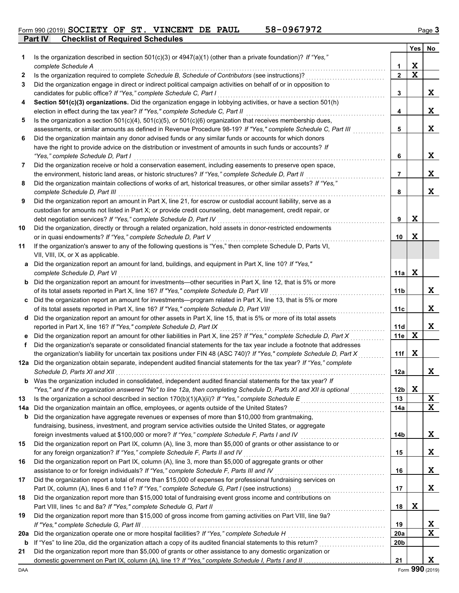**Part IV Checklist of Required Schedules**

|--|

|     |                                                                                                                                                                                                               |                 | Yes | No |
|-----|---------------------------------------------------------------------------------------------------------------------------------------------------------------------------------------------------------------|-----------------|-----|----|
| 1   | Is the organization described in section $501(c)(3)$ or $4947(a)(1)$ (other than a private foundation)? If "Yes,"                                                                                             |                 |     |    |
|     | complete Schedule A                                                                                                                                                                                           | $\mathbf 1$     | X   |    |
| 2   | Is the organization required to complete Schedule B, Schedule of Contributors (see instructions)?                                                                                                             | $\overline{2}$  | X   |    |
| 3   | Did the organization engage in direct or indirect political campaign activities on behalf of or in opposition to                                                                                              |                 |     |    |
|     | candidates for public office? If "Yes," complete Schedule C, Part I                                                                                                                                           | 3               |     | X  |
| 4   | Section 501(c)(3) organizations. Did the organization engage in lobbying activities, or have a section 501(h)                                                                                                 |                 |     |    |
|     | election in effect during the tax year? If "Yes," complete Schedule C, Part II                                                                                                                                | 4               |     | X  |
| 5   | Is the organization a section $501(c)(4)$ , $501(c)(5)$ , or $501(c)(6)$ organization that receives membership dues,                                                                                          |                 |     |    |
|     | assessments, or similar amounts as defined in Revenue Procedure 98-19? If "Yes," complete Schedule C, Part III                                                                                                | 5               |     | X  |
| 6   | Did the organization maintain any donor advised funds or any similar funds or accounts for which donors                                                                                                       |                 |     |    |
|     | have the right to provide advice on the distribution or investment of amounts in such funds or accounts? If                                                                                                   |                 |     |    |
|     | "Yes," complete Schedule D, Part I                                                                                                                                                                            | 6               |     | X  |
| 7   | Did the organization receive or hold a conservation easement, including easements to preserve open space,                                                                                                     |                 |     |    |
|     | the environment, historic land areas, or historic structures? If "Yes," complete Schedule D, Part II                                                                                                          | 7               |     | X  |
| 8   | Did the organization maintain collections of works of art, historical treasures, or other similar assets? If "Yes,"                                                                                           |                 |     |    |
|     | complete Schedule D, Part III                                                                                                                                                                                 | 8               |     | X  |
| 9   | Did the organization report an amount in Part X, line 21, for escrow or custodial account liability, serve as a                                                                                               |                 |     |    |
|     | custodian for amounts not listed in Part X; or provide credit counseling, debt management, credit repair, or                                                                                                  | 9               | X   |    |
| 10  | debt negotiation services? If "Yes," complete Schedule D, Part IV<br>Did the organization, directly or through a related organization, hold assets in donor-restricted endowments                             |                 |     |    |
|     | or in quasi endowments? If "Yes," complete Schedule D, Part V                                                                                                                                                 | 10              | X   |    |
| 11  | If the organization's answer to any of the following questions is "Yes," then complete Schedule D, Parts VI,                                                                                                  |                 |     |    |
|     | VII, VIII, IX, or X as applicable.                                                                                                                                                                            |                 |     |    |
| a   | Did the organization report an amount for land, buildings, and equipment in Part X, line 10? If "Yes,"                                                                                                        |                 |     |    |
|     | complete Schedule D, Part VI                                                                                                                                                                                  | 11a             | X   |    |
|     | <b>b</b> Did the organization report an amount for investments—other securities in Part X, line 12, that is 5% or more                                                                                        |                 |     |    |
|     | of its total assets reported in Part X, line 16? If "Yes," complete Schedule D, Part VII                                                                                                                      | 11 <sub>b</sub> |     | X. |
| c   | Did the organization report an amount for investments—program related in Part X, line 13, that is 5% or more                                                                                                  |                 |     |    |
|     | of its total assets reported in Part X, line 16? If "Yes," complete Schedule D, Part VIII [[[[[[[[[[[[[[[[[[[[                                                                                                | 11c             |     | X. |
| d   | Did the organization report an amount for other assets in Part X, line 15, that is 5% or more of its total assets                                                                                             |                 |     |    |
|     | reported in Part X, line 16? If "Yes," complete Schedule D, Part IX                                                                                                                                           | 11d             |     | X  |
| е   | Did the organization report an amount for other liabilities in Part X, line 25? If "Yes," complete Schedule D, Part X                                                                                         | 11e             | X   |    |
| f   | Did the organization's separate or consolidated financial statements for the tax year include a footnote that addresses                                                                                       |                 |     |    |
|     | the organization's liability for uncertain tax positions under FIN 48 (ASC 740)? If "Yes," complete Schedule D, Part X                                                                                        | 11f             | X   |    |
| 12a | Did the organization obtain separate, independent audited financial statements for the tax year? If "Yes," complete                                                                                           |                 |     |    |
|     |                                                                                                                                                                                                               | 12a             |     | X  |
| b   | Was the organization included in consolidated, independent audited financial statements for the tax year? If                                                                                                  |                 |     |    |
|     | "Yes," and if the organization answered "No" to line 12a, then completing Schedule D, Parts XI and XII is optional                                                                                            | 12 <sub>b</sub> | X   |    |
| 13  |                                                                                                                                                                                                               | 13              |     | X  |
| 14a | Did the organization maintain an office, employees, or agents outside of the United States?                                                                                                                   | 14a             |     | X  |
| b   | Did the organization have aggregate revenues or expenses of more than \$10,000 from grantmaking,<br>fundraising, business, investment, and program service activities outside the United States, or aggregate |                 |     |    |
|     | foreign investments valued at \$100,000 or more? If "Yes," complete Schedule F, Parts I and IV [[[[[[[[[[[[[[[                                                                                                | 14b             |     | X  |
| 15  | Did the organization report on Part IX, column (A), line 3, more than \$5,000 of grants or other assistance to or                                                                                             |                 |     |    |
|     | for any foreign organization? If "Yes," complete Schedule F, Parts II and IV                                                                                                                                  | 15              |     | X  |
| 16  | Did the organization report on Part IX, column (A), line 3, more than \$5,000 of aggregate grants or other                                                                                                    |                 |     |    |
|     | assistance to or for foreign individuals? If "Yes," complete Schedule F, Parts III and IV                                                                                                                     | 16              |     | X  |
| 17  | Did the organization report a total of more than \$15,000 of expenses for professional fundraising services on                                                                                                |                 |     |    |
|     | Part IX, column (A), lines 6 and 11e? If "Yes," complete Schedule G, Part I (see instructions) [[[[[[[[[[[[[[                                                                                                 | 17              |     | X  |
| 18  | Did the organization report more than \$15,000 total of fundraising event gross income and contributions on                                                                                                   |                 |     |    |
|     | Part VIII, lines 1c and 8a? If "Yes," complete Schedule G, Part II                                                                                                                                            | 18              | X   |    |
| 19  | Did the organization report more than \$15,000 of gross income from gaming activities on Part VIII, line 9a?                                                                                                  |                 |     |    |
|     |                                                                                                                                                                                                               | 19              |     | X  |
| 20a |                                                                                                                                                                                                               | <b>20a</b>      |     | X  |
| b   |                                                                                                                                                                                                               | 20b             |     |    |
| 21  | Did the organization report more than \$5,000 of grants or other assistance to any domestic organization or                                                                                                   |                 |     |    |
|     |                                                                                                                                                                                                               | 21              |     | X  |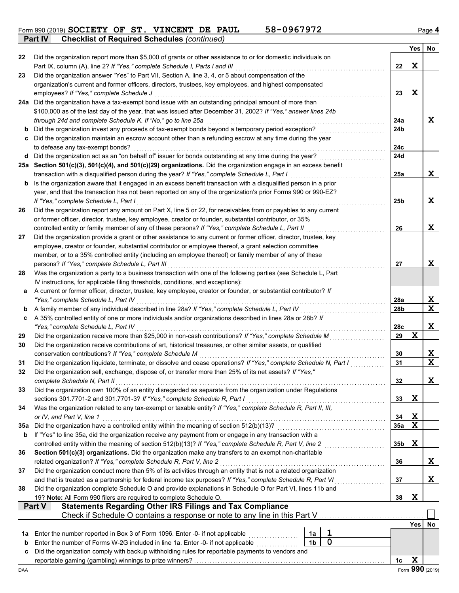|         |                                                                                                                                                                                             |                |             |                                                                                                                                                                                                                                      | <b>Yes</b>  | No              |
|---------|---------------------------------------------------------------------------------------------------------------------------------------------------------------------------------------------|----------------|-------------|--------------------------------------------------------------------------------------------------------------------------------------------------------------------------------------------------------------------------------------|-------------|-----------------|
| 22      | Did the organization report more than \$5,000 of grants or other assistance to or for domestic individuals on                                                                               |                |             |                                                                                                                                                                                                                                      |             |                 |
|         | Part IX, column (A), line 2? If "Yes," complete Schedule I, Parts I and III                                                                                                                 |                |             | 22                                                                                                                                                                                                                                   | X           |                 |
| 23      | Did the organization answer "Yes" to Part VII, Section A, line 3, 4, or 5 about compensation of the                                                                                         |                |             |                                                                                                                                                                                                                                      |             |                 |
|         | organization's current and former officers, directors, trustees, key employees, and highest compensated                                                                                     |                |             |                                                                                                                                                                                                                                      |             |                 |
|         | employees? If "Yes," complete Schedule J                                                                                                                                                    |                |             | 23                                                                                                                                                                                                                                   | X           |                 |
|         | 24a Did the organization have a tax-exempt bond issue with an outstanding principal amount of more than                                                                                     |                |             |                                                                                                                                                                                                                                      |             |                 |
|         | \$100,000 as of the last day of the year, that was issued after December 31, 2002? If "Yes," answer lines 24b                                                                               |                |             |                                                                                                                                                                                                                                      |             |                 |
|         | through 24d and complete Schedule K. If "No," go to line 25a<br>Did the organization invest any proceeds of tax-exempt bonds beyond a temporary period exception?                           |                |             | 24a<br>24 <sub>b</sub>                                                                                                                                                                                                               |             | X               |
| b<br>c  | Did the organization maintain an escrow account other than a refunding escrow at any time during the year                                                                                   |                |             |                                                                                                                                                                                                                                      |             |                 |
|         | to defease any tax-exempt bonds?                                                                                                                                                            |                |             | 24c                                                                                                                                                                                                                                  |             |                 |
|         | d Did the organization act as an "on behalf of" issuer for bonds outstanding at any time during the year?                                                                                   |                |             | 24d                                                                                                                                                                                                                                  |             |                 |
|         | 25a Section 501(c)(3), 501(c)(4), and 501(c)(29) organizations. Did the organization engage in an excess benefit                                                                            |                |             |                                                                                                                                                                                                                                      |             |                 |
|         | transaction with a disqualified person during the year? If "Yes," complete Schedule L, Part I                                                                                               |                |             | 25a                                                                                                                                                                                                                                  |             | X               |
|         | <b>b</b> Is the organization aware that it engaged in an excess benefit transaction with a disqualified person in a prior                                                                   |                |             |                                                                                                                                                                                                                                      |             |                 |
|         | year, and that the transaction has not been reported on any of the organization's prior Forms 990 or 990-EZ?                                                                                |                |             |                                                                                                                                                                                                                                      |             |                 |
|         | If "Yes." complete Schedule L. Part I                                                                                                                                                       |                |             | 25 <sub>b</sub>                                                                                                                                                                                                                      |             | X               |
| 26      | Did the organization report any amount on Part X, line 5 or 22, for receivables from or payables to any current                                                                             |                |             |                                                                                                                                                                                                                                      |             |                 |
|         | or former officer, director, trustee, key employee, creator or founder, substantial contributor, or 35%                                                                                     |                |             |                                                                                                                                                                                                                                      |             |                 |
|         | controlled entity or family member of any of these persons? If "Yes," complete Schedule L, Part II                                                                                          |                |             | 26                                                                                                                                                                                                                                   |             | X               |
| 27      | Did the organization provide a grant or other assistance to any current or former officer, director, trustee, key                                                                           |                |             |                                                                                                                                                                                                                                      |             |                 |
|         | employee, creator or founder, substantial contributor or employee thereof, a grant selection committee                                                                                      |                |             |                                                                                                                                                                                                                                      |             |                 |
|         | member, or to a 35% controlled entity (including an employee thereof) or family member of any of these                                                                                      |                |             |                                                                                                                                                                                                                                      |             |                 |
|         | persons? If "Yes," complete Schedule L, Part III<br>Was the organization a party to a business transaction with one of the following parties (see Schedule L, Part                          |                |             | 27                                                                                                                                                                                                                                   |             | X               |
| 28      | IV instructions, for applicable filing thresholds, conditions, and exceptions):                                                                                                             |                |             |                                                                                                                                                                                                                                      |             |                 |
| а       | A current or former officer, director, trustee, key employee, creator or founder, or substantial contributor? If                                                                            |                |             |                                                                                                                                                                                                                                      |             |                 |
|         | "Yes," complete Schedule L, Part IV                                                                                                                                                         |                |             | 28a                                                                                                                                                                                                                                  |             | X               |
| b       | A family member of any individual described in line 28a? If "Yes," complete Schedule L, Part IV                                                                                             |                |             | 28 <sub>b</sub>                                                                                                                                                                                                                      |             | $\mathbf x$     |
| c       | A 35% controlled entity of one or more individuals and/or organizations described in lines 28a or 28b? If                                                                                   |                |             |                                                                                                                                                                                                                                      |             |                 |
|         | "Yes," complete Schedule L, Part IV                                                                                                                                                         |                |             | 28c                                                                                                                                                                                                                                  |             | X               |
| 29      | Did the organization receive more than \$25,000 in non-cash contributions? If "Yes," complete Schedule M                                                                                    |                |             | 29                                                                                                                                                                                                                                   | $\mathbf x$ |                 |
| 30      | Did the organization receive contributions of art, historical treasures, or other similar assets, or qualified                                                                              |                |             |                                                                                                                                                                                                                                      |             |                 |
|         | conservation contributions? If "Yes," complete Schedule M                                                                                                                                   |                |             | 30                                                                                                                                                                                                                                   |             | X               |
| 31      | Did the organization liquidate, terminate, or dissolve and cease operations? If "Yes," complete Schedule N, Part I                                                                          |                |             | 31                                                                                                                                                                                                                                   |             | $\mathbf x$     |
| 32      | Did the organization sell, exchange, dispose of, or transfer more than 25% of its net assets? If "Yes,"                                                                                     |                |             |                                                                                                                                                                                                                                      |             |                 |
|         | complete Schedule N, Part II                                                                                                                                                                |                |             | 32                                                                                                                                                                                                                                   |             | X               |
| 33      | Did the organization own 100% of an entity disregarded as separate from the organization under Regulations                                                                                  |                |             |                                                                                                                                                                                                                                      |             |                 |
| 34      | sections 301.7701-2 and 301.7701-3? If "Yes," complete Schedule R, Part I<br>Was the organization related to any tax-exempt or taxable entity? If "Yes," complete Schedule R, Part II, III, |                |             | 33                                                                                                                                                                                                                                   | X           |                 |
|         | or IV, and Part V, line 1                                                                                                                                                                   |                |             | 34                                                                                                                                                                                                                                   | X           |                 |
| 35a     | Did the organization have a controlled entity within the meaning of section 512(b)(13)?                                                                                                     |                |             | 35a                                                                                                                                                                                                                                  | $\mathbf x$ |                 |
| b       | If "Yes" to line 35a, did the organization receive any payment from or engage in any transaction with a                                                                                     |                |             |                                                                                                                                                                                                                                      |             |                 |
|         |                                                                                                                                                                                             |                |             | 35 <sub>b</sub>                                                                                                                                                                                                                      | X           |                 |
| 36      | Section 501(c)(3) organizations. Did the organization make any transfers to an exempt non-charitable                                                                                        |                |             |                                                                                                                                                                                                                                      |             |                 |
|         | related organization? If "Yes," complete Schedule R, Part V, line 2                                                                                                                         |                |             | 36                                                                                                                                                                                                                                   |             | X               |
| 37      | Did the organization conduct more than 5% of its activities through an entity that is not a related organization                                                                            |                |             |                                                                                                                                                                                                                                      |             |                 |
|         | and that is treated as a partnership for federal income tax purposes? If "Yes," complete Schedule R, Part VI                                                                                |                |             | 37<br>and a complete state of the state of the state of the state of the state of the state of the state of the state of the state of the state of the state of the state of the state of the state of the state of the state of the |             | X               |
| 38      | Did the organization complete Schedule O and provide explanations in Schedule O for Part VI, lines 11b and                                                                                  |                |             |                                                                                                                                                                                                                                      |             |                 |
|         | 19? Note: All Form 990 filers are required to complete Schedule O.                                                                                                                          |                |             | 38                                                                                                                                                                                                                                   | X           |                 |
|         | <b>Statements Regarding Other IRS Filings and Tax Compliance</b><br><b>Part V</b>                                                                                                           |                |             |                                                                                                                                                                                                                                      |             |                 |
|         | Check if Schedule O contains a response or note to any line in this Part V                                                                                                                  |                |             |                                                                                                                                                                                                                                      |             |                 |
|         | Enter the number reported in Box 3 of Form 1096. Enter -0- if not applicable                                                                                                                | 1a             | 1           |                                                                                                                                                                                                                                      | <b>Yes</b>  | No              |
| 1a<br>b | Enter the number of Forms W-2G included in line 1a. Enter -0- if not applicable                                                                                                             | 1 <sub>b</sub> | $\mathbf 0$ |                                                                                                                                                                                                                                      |             |                 |
| c       | Did the organization comply with backup withholding rules for reportable payments to vendors and                                                                                            |                |             |                                                                                                                                                                                                                                      |             |                 |
|         |                                                                                                                                                                                             |                |             | 1c                                                                                                                                                                                                                                   | $\mathbf x$ |                 |
| DAA     |                                                                                                                                                                                             |                |             |                                                                                                                                                                                                                                      |             | Form 990 (2019) |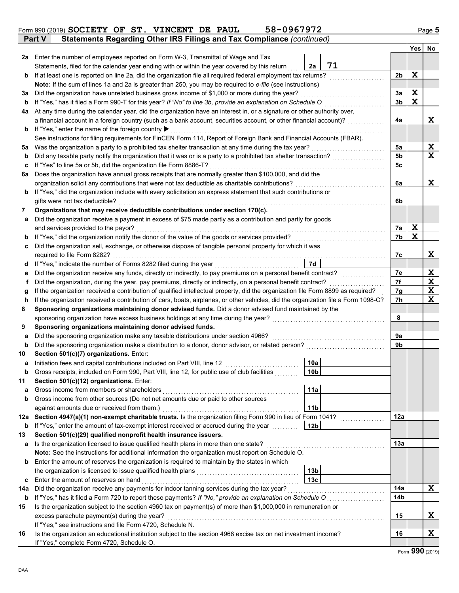|        | Statements Regarding Other IRS Filings and Tax Compliance (continued)<br><b>Part V</b>                                                                                                                      |                 |    |          |       |             |  |  |
|--------|-------------------------------------------------------------------------------------------------------------------------------------------------------------------------------------------------------------|-----------------|----|----------|-------|-------------|--|--|
|        |                                                                                                                                                                                                             |                 |    |          | Yes l | No          |  |  |
| 2a     | Enter the number of employees reported on Form W-3, Transmittal of Wage and Tax                                                                                                                             |                 |    |          |       |             |  |  |
|        | Statements, filed for the calendar year ending with or within the year covered by this return                                                                                                               | 2a              | 71 |          |       |             |  |  |
| b      | If at least one is reported on line 2a, did the organization file all required federal employment tax returns?                                                                                              |                 |    | 2b       | X     |             |  |  |
|        | Note: If the sum of lines 1a and 2a is greater than 250, you may be required to e-file (see instructions)                                                                                                   |                 |    |          |       |             |  |  |
| За     | Did the organization have unrelated business gross income of \$1,000 or more during the year?                                                                                                               |                 |    | 3a       | Χ     |             |  |  |
| b      | If "Yes," has it filed a Form 990-T for this year? If "No" to line 3b, provide an explanation on Schedule O                                                                                                 |                 |    | 3b       | X     |             |  |  |
| 4a     | At any time during the calendar year, did the organization have an interest in, or a signature or other authority over,                                                                                     |                 |    |          |       |             |  |  |
|        | a financial account in a foreign country (such as a bank account, securities account, or other financial account)?                                                                                          |                 |    | 4a       |       | X           |  |  |
| b      | If "Yes," enter the name of the foreign country ▶                                                                                                                                                           |                 |    |          |       |             |  |  |
|        | See instructions for filing requirements for FinCEN Form 114, Report of Foreign Bank and Financial Accounts (FBAR).                                                                                         |                 |    |          |       |             |  |  |
| 5a     | Was the organization a party to a prohibited tax shelter transaction at any time during the tax year?                                                                                                       |                 |    | 5a       |       | X           |  |  |
| b      | Did any taxable party notify the organization that it was or is a party to a prohibited tax shelter transaction?                                                                                            |                 |    | 5b       |       | $\mathbf x$ |  |  |
| c      | If "Yes" to line 5a or 5b, did the organization file Form 8886-T?                                                                                                                                           |                 |    | 5с       |       |             |  |  |
| 6а     | Does the organization have annual gross receipts that are normally greater than \$100,000, and did the                                                                                                      |                 |    |          |       |             |  |  |
|        | organization solicit any contributions that were not tax deductible as charitable contributions?                                                                                                            |                 |    | 6a       |       | X           |  |  |
| b      | If "Yes," did the organization include with every solicitation an express statement that such contributions or                                                                                              |                 |    |          |       |             |  |  |
|        | gifts were not tax deductible?                                                                                                                                                                              |                 |    | 6b       |       |             |  |  |
| 7      | Organizations that may receive deductible contributions under section 170(c).                                                                                                                               |                 |    |          |       |             |  |  |
| a      | Did the organization receive a payment in excess of \$75 made partly as a contribution and partly for goods                                                                                                 |                 |    |          | Χ     |             |  |  |
|        | and services provided to the payor?                                                                                                                                                                         |                 |    | 7a<br>7b | X     |             |  |  |
| b      | If "Yes," did the organization notify the donor of the value of the goods or services provided?<br>Did the organization sell, exchange, or otherwise dispose of tangible personal property for which it was |                 |    |          |       |             |  |  |
| c      |                                                                                                                                                                                                             |                 |    | 7c       |       | X           |  |  |
|        | required to file Form 8282?<br>If "Yes," indicate the number of Forms 8282 filed during the year                                                                                                            | 7d              |    |          |       |             |  |  |
| d<br>е | Did the organization receive any funds, directly or indirectly, to pay premiums on a personal benefit contract?                                                                                             |                 |    | 7e       |       | X           |  |  |
| f      | Did the organization, during the year, pay premiums, directly or indirectly, on a personal benefit contract?                                                                                                |                 |    | 7f       |       | X           |  |  |
|        | If the organization received a contribution of qualified intellectual property, did the organization file Form 8899 as required?                                                                            |                 |    | 7g       |       | X           |  |  |
|        | g<br>If the organization received a contribution of cars, boats, airplanes, or other vehicles, did the organization file a Form 1098-C?<br>h                                                                |                 |    |          |       |             |  |  |
| 8      | Sponsoring organizations maintaining donor advised funds. Did a donor advised fund maintained by the                                                                                                        |                 |    | 7h       |       | $\mathbf x$ |  |  |
|        | sponsoring organization have excess business holdings at any time during the year?                                                                                                                          |                 |    | 8        |       |             |  |  |
| 9      | Sponsoring organizations maintaining donor advised funds.                                                                                                                                                   |                 |    |          |       |             |  |  |
| a      | Did the sponsoring organization make any taxable distributions under section 4966?                                                                                                                          |                 |    | 9a       |       |             |  |  |
| b      | Did the sponsoring organization make a distribution to a donor, donor advisor, or related person?                                                                                                           |                 |    | 9b       |       |             |  |  |
| 10     | Section 501(c)(7) organizations. Enter:                                                                                                                                                                     |                 |    |          |       |             |  |  |
| а      | Initiation fees and capital contributions included on Part VIII, line 12                                                                                                                                    | 10a             |    |          |       |             |  |  |
|        | Gross receipts, included on Form 990, Part VIII, line 12, for public use of club facilities                                                                                                                 | 10 <sub>b</sub> |    |          |       |             |  |  |
| 11     | Section 501(c)(12) organizations. Enter:                                                                                                                                                                    |                 |    |          |       |             |  |  |
| a      | Gross income from members or shareholders                                                                                                                                                                   | 11a             |    |          |       |             |  |  |
| b      | Gross income from other sources (Do not net amounts due or paid to other sources                                                                                                                            |                 |    |          |       |             |  |  |
|        | against amounts due or received from them.)                                                                                                                                                                 | 11 <sub>b</sub> |    |          |       |             |  |  |
| 12a    | Section 4947(a)(1) non-exempt charitable trusts. Is the organization filing Form 990 in lieu of Form 1041?                                                                                                  |                 |    | 12a      |       |             |  |  |
| b      | If "Yes," enter the amount of tax-exempt interest received or accrued during the year                                                                                                                       | 12 <sub>b</sub> |    |          |       |             |  |  |
| 13     | Section 501(c)(29) qualified nonprofit health insurance issuers.                                                                                                                                            |                 |    |          |       |             |  |  |
| а      | Is the organization licensed to issue qualified health plans in more than one state?                                                                                                                        |                 |    | 13a      |       |             |  |  |
|        | Note: See the instructions for additional information the organization must report on Schedule O.                                                                                                           |                 |    |          |       |             |  |  |
| b      | Enter the amount of reserves the organization is required to maintain by the states in which                                                                                                                |                 |    |          |       |             |  |  |
|        | the organization is licensed to issue qualified health plans                                                                                                                                                | 13 <sub>b</sub> |    |          |       |             |  |  |
| c      | Enter the amount of reserves on hand                                                                                                                                                                        | 13 <sub>c</sub> |    |          |       |             |  |  |
| 14a    | Did the organization receive any payments for indoor tanning services during the tax year?                                                                                                                  |                 |    | 14a      |       | X           |  |  |
| b      | If "Yes," has it filed a Form 720 to report these payments? If "No," provide an explanation on Schedule O                                                                                                   |                 |    | 14b      |       |             |  |  |
| 15     | Is the organization subject to the section 4960 tax on payment(s) of more than \$1,000,000 in remuneration or                                                                                               |                 |    |          |       |             |  |  |
|        | excess parachute payment(s) during the year?                                                                                                                                                                |                 |    | 15       |       | X           |  |  |
|        | If "Yes," see instructions and file Form 4720, Schedule N.                                                                                                                                                  |                 |    |          |       |             |  |  |
| 16     | Is the organization an educational institution subject to the section 4968 excise tax on net investment income?                                                                                             |                 |    | 16       |       | X           |  |  |
|        | If "Yes," complete Form 4720, Schedule O.                                                                                                                                                                   |                 |    |          |       |             |  |  |

|--|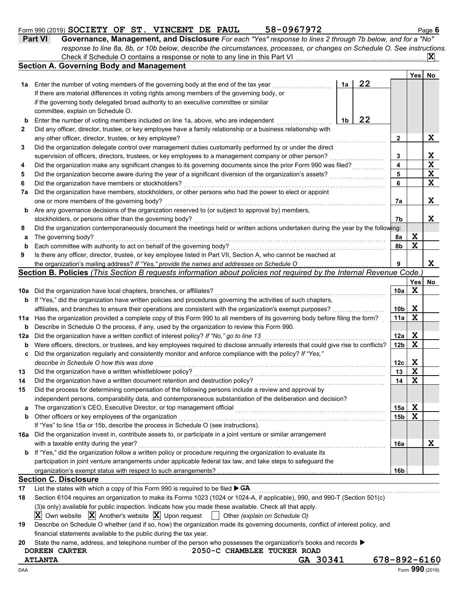| <b>Part VI</b> | Governance, Management, and Disclosure For each "Yes" response to lines 2 through 7b below, and for a "No"                |
|----------------|---------------------------------------------------------------------------------------------------------------------------|
|                | response to line 8a, 8b, or 10b below, describe the circumstances, processes, or changes on Schedule O. See instructions. |
|                | $ \mathbf{X} $                                                                                                            |
|                | <b>Section A. Governing Body and Management</b>                                                                           |

|          |                                                                                                                                     |    |    |                 | <b>Yes</b> |             |  |  |  |  |
|----------|-------------------------------------------------------------------------------------------------------------------------------------|----|----|-----------------|------------|-------------|--|--|--|--|
| 1а       | Enter the number of voting members of the governing body at the end of the tax year                                                 | 1a | 22 |                 |            | No          |  |  |  |  |
|          | If there are material differences in voting rights among members of the governing body, or                                          |    |    |                 |            |             |  |  |  |  |
|          | if the governing body delegated broad authority to an executive committee or similar                                                |    |    |                 |            |             |  |  |  |  |
|          | committee, explain on Schedule O.                                                                                                   |    |    |                 |            |             |  |  |  |  |
| b        | 22<br>Enter the number of voting members included on line 1a, above, who are independent<br>1b                                      |    |    |                 |            |             |  |  |  |  |
| 2        | Did any officer, director, trustee, or key employee have a family relationship or a business relationship with                      |    |    |                 |            |             |  |  |  |  |
|          | any other officer, director, trustee, or key employee?                                                                              |    |    | 2               |            | X           |  |  |  |  |
| 3        | Did the organization delegate control over management duties customarily performed by or under the direct                           |    |    |                 |            |             |  |  |  |  |
|          | supervision of officers, directors, trustees, or key employees to a management company or other person?                             |    |    | 3               |            | X           |  |  |  |  |
| 4        | Did the organization make any significant changes to its governing documents since the prior Form 990 was filed?                    |    |    | 4               |            | $\mathbf x$ |  |  |  |  |
| 5        | Did the organization become aware during the year of a significant diversion of the organization's assets?                          |    |    | 5               |            | X           |  |  |  |  |
| 6        | Did the organization have members or stockholders?                                                                                  |    |    | 6               |            | $\mathbf x$ |  |  |  |  |
| 7a       | Did the organization have members, stockholders, or other persons who had the power to elect or appoint                             |    |    |                 |            |             |  |  |  |  |
|          | one or more members of the governing body?                                                                                          |    |    | 7a              |            | X           |  |  |  |  |
| b        | Are any governance decisions of the organization reserved to (or subject to approval by) members,                                   |    |    |                 |            |             |  |  |  |  |
|          | stockholders, or persons other than the governing body?                                                                             |    |    | 7b              |            | X           |  |  |  |  |
| 8        | Did the organization contemporaneously document the meetings held or written actions undertaken during the year by the following:   |    |    |                 |            |             |  |  |  |  |
| a        | The governing body?                                                                                                                 |    |    | 8a              | X          |             |  |  |  |  |
| b        | Each committee with authority to act on behalf of the governing body?                                                               |    |    | 8b              | X          |             |  |  |  |  |
| 9        | Is there any officer, director, trustee, or key employee listed in Part VII, Section A, who cannot be reached at                    |    |    |                 |            |             |  |  |  |  |
|          |                                                                                                                                     |    |    | 9               |            | X           |  |  |  |  |
|          | Section B. Policies (This Section B requests information about policies not required by the Internal Revenue Code.)                 |    |    |                 |            |             |  |  |  |  |
|          |                                                                                                                                     |    |    |                 | <b>Yes</b> | No          |  |  |  |  |
| 10a      | Did the organization have local chapters, branches, or affiliates?                                                                  |    |    | 10a             | X          |             |  |  |  |  |
| b        | If "Yes," did the organization have written policies and procedures governing the activities of such chapters,                      |    |    |                 |            |             |  |  |  |  |
|          | affiliates, and branches to ensure their operations are consistent with the organization's exempt purposes?                         |    |    | 10 <sub>b</sub> | X          |             |  |  |  |  |
| 11a      | Has the organization provided a complete copy of this Form 990 to all members of its governing body before filing the form?         |    |    | 11a             | X          |             |  |  |  |  |
| b        | Describe in Schedule O the process, if any, used by the organization to review this Form 990.                                       |    |    |                 |            |             |  |  |  |  |
| 12a      | Did the organization have a written conflict of interest policy? If "No," go to line 13                                             |    |    | 12a             | X          |             |  |  |  |  |
| b        | Were officers, directors, or trustees, and key employees required to disclose annually interests that could give rise to conflicts? |    |    | 12 <sub>b</sub> | X          |             |  |  |  |  |
| c        | Did the organization regularly and consistently monitor and enforce compliance with the policy? If "Yes,"                           |    |    |                 |            |             |  |  |  |  |
|          | describe in Schedule O how this was done                                                                                            |    |    | 12c             | X          |             |  |  |  |  |
| 13       | Did the organization have a written whistleblower policy?                                                                           |    |    | 13              | X          |             |  |  |  |  |
| 14       | Did the organization have a written document retention and destruction policy?                                                      |    |    | 14              | X          |             |  |  |  |  |
| 15       | Did the process for determining compensation of the following persons include a review and approval by                              |    |    |                 |            |             |  |  |  |  |
|          | independent persons, comparability data, and contemporaneous substantiation of the deliberation and decision?                       |    |    |                 |            |             |  |  |  |  |
| a        |                                                                                                                                     |    |    | 15a             | X          |             |  |  |  |  |
| b        | Other officers or key employees of the organization                                                                                 |    |    | 15 <sub>b</sub> | X          |             |  |  |  |  |
|          | If "Yes" to line 15a or 15b, describe the process in Schedule O (see instructions).                                                 |    |    |                 |            |             |  |  |  |  |
| 16a      | Did the organization invest in, contribute assets to, or participate in a joint venture or similar arrangement                      |    |    |                 |            |             |  |  |  |  |
|          | with a taxable entity during the year?                                                                                              |    |    | 16a             |            | X           |  |  |  |  |
| b        | If "Yes," did the organization follow a written policy or procedure requiring the organization to evaluate its                      |    |    |                 |            |             |  |  |  |  |
|          | participation in joint venture arrangements under applicable federal tax law, and take steps to safeguard the                       |    |    |                 |            |             |  |  |  |  |
|          | <b>Section C. Disclosure</b>                                                                                                        |    |    | 16 <sub>b</sub> |            |             |  |  |  |  |
|          | List the states with which a copy of this Form 990 is required to be filed $\triangleright$ GA                                      |    |    |                 |            |             |  |  |  |  |
| 17<br>18 | Section 6104 requires an organization to make its Forms 1023 (1024 or 1024-A, if applicable), 990, and 990-T (Section 501(c)        |    |    |                 |            |             |  |  |  |  |
|          | (3)s only) available for public inspection. Indicate how you made these available. Check all that apply.                            |    |    |                 |            |             |  |  |  |  |
|          |                                                                                                                                     |    |    |                 |            |             |  |  |  |  |

 $\overline{\textbf{X}}$  Own website  $\overline{\textbf{X}}$  Another's website  $\overline{\textbf{X}}$  Upon request  $\begin{bmatrix} \overline{\textbf{X}} & \text{Other (explain on Schedule O)} \end{bmatrix}$ 

**19** Describe on Schedule O whether (and if so, how) the organization made its governing documents, conflict of interest policy, and financial statements available to the public during the tax year.

**20** State the name, address, and telephone number of the person who possesses the organization's books and records  $\blacktriangleright$ 

**DOREEN CARTER 2050-C CHAMBLEE TUCKER ROAD ATLANTA GA 30341 678-892-6160**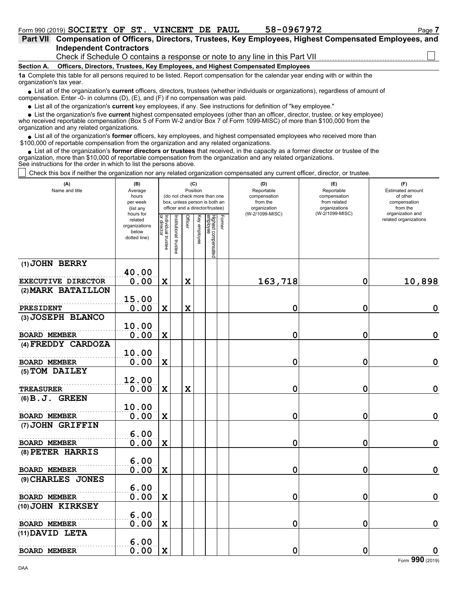| Part VII Compensation of Officers, Directors, Trustees, Key Employees, Highest Compensated Employees, and |  |
|-----------------------------------------------------------------------------------------------------------|--|
| <b>Independent Contractors</b>                                                                            |  |
| Chaele if Cahadula O contains a response ar note to apuling in this Dart $1/11$                           |  |

Check if Schedule O contains a response or note to any line in this Part VII

**Section A. Officers, Directors, Trustees, Key Employees, and Highest Compensated Employees**

**1a** Complete this table for all persons required to be listed. Report compensation for the calendar year ending with or within the organization's tax year.

■ List all of the organization's **current** officers, directors, trustees (whether individuals or organizations), regardless of amount of compensation. Enter -0- in columns (D), (E), and (F) if no compensation was paid.

List all of the organization's **current** key employees, if any. See instructions for definition of "key employee."

■ List all of the organization's **current** key employees, if any. See instructions for definition of "key employee."<br>■ List the organization's five **current** highest compensated employees (other than an officer, director,

who received reportable compensation (Box 5 of Form W-2 and/or Box 7 of Form 1099-MISC) of more than \$100,000 from the organization and any related organizations.

• List all of the organization's **former** officers, key employees, and highest compensated employees who received more than<br>00,000 of reportable compensation from the organization and any related erganizations. \$100,000 of reportable compensation from the organization and any related organizations.

• List all of the organization's **former directors or trustees** that received, in the capacity as a former director or trustee of the anization more than \$10,000 of reportable compensation from the organization and any rel organization, more than \$10,000 of reportable compensation from the organization and any related organizations. See instructions for the order in which to list the persons above.

Check this box if neither the organization nor any related organization compensated any current officer, director, or trustee.

| (A)<br>Name and title     | (B)<br>Average<br>hours<br>per week<br>(list any               |                                   | (C)<br>Position<br>(do not check more than one<br>box, unless person is both an<br>officer and a director/trustee) |             |              |                                           | (D)<br>Reportable<br>compensation<br>from the<br>organization | (E)<br>Reportable<br>compensation<br>from related<br>organizations<br>(W-2/1099-MISC) | (F)<br>Estimated amount<br>of other<br>compensation<br>from the<br>organization and |
|---------------------------|----------------------------------------------------------------|-----------------------------------|--------------------------------------------------------------------------------------------------------------------|-------------|--------------|-------------------------------------------|---------------------------------------------------------------|---------------------------------------------------------------------------------------|-------------------------------------------------------------------------------------|
|                           | hours for<br>related<br>organizations<br>below<br>dotted line) | Individual trustee<br>or director | Institutional trustee                                                                                              | Officer     | Key employee | Highest compensated<br>employee<br>Former | (W-2/1099-MISC)                                               |                                                                                       | related organizations                                                               |
| (1) JOHN BERRY            | 40.00                                                          |                                   |                                                                                                                    |             |              |                                           |                                                               |                                                                                       |                                                                                     |
| <b>EXECUTIVE DIRECTOR</b> | 0.00                                                           | $\mathbf X$                       |                                                                                                                    | $\mathbf x$ |              |                                           | 163,718                                                       | $\mathbf 0$                                                                           | 10,898                                                                              |
| (2) MARK BATAILLON        |                                                                |                                   |                                                                                                                    |             |              |                                           |                                                               |                                                                                       |                                                                                     |
|                           | 15.00                                                          |                                   |                                                                                                                    |             |              |                                           |                                                               |                                                                                       |                                                                                     |
| PRESIDENT                 | 0.00                                                           | $\mathbf X$                       |                                                                                                                    | X           |              |                                           | 0                                                             | 0                                                                                     | $\mathbf 0$                                                                         |
| (3) JOSEPH BLANCO         |                                                                |                                   |                                                                                                                    |             |              |                                           |                                                               |                                                                                       |                                                                                     |
| <b>BOARD MEMBER</b>       | 10.00                                                          |                                   |                                                                                                                    |             |              |                                           | 0                                                             | 0                                                                                     | $\mathbf 0$                                                                         |
| (4) FREDDY CARDOZA        | 0.00                                                           | X                                 |                                                                                                                    |             |              |                                           |                                                               |                                                                                       |                                                                                     |
|                           | 10.00                                                          |                                   |                                                                                                                    |             |              |                                           |                                                               |                                                                                       |                                                                                     |
| <b>BOARD MEMBER</b>       | 0.00                                                           | $\mathbf x$                       |                                                                                                                    |             |              |                                           | 0                                                             | 0                                                                                     | $\mathbf 0$                                                                         |
| (5) TOM DAILEY            |                                                                |                                   |                                                                                                                    |             |              |                                           |                                                               |                                                                                       |                                                                                     |
|                           | 12.00                                                          |                                   |                                                                                                                    |             |              |                                           |                                                               |                                                                                       |                                                                                     |
| <b>TREASURER</b>          | 0.00                                                           | $\mathbf x$                       |                                                                                                                    | $\mathbf x$ |              |                                           | $\mathbf 0$                                                   | 0                                                                                     | $\mathbf 0$                                                                         |
| $(6) B. J.$ GREEN         |                                                                |                                   |                                                                                                                    |             |              |                                           |                                                               |                                                                                       |                                                                                     |
| <b>BOARD MEMBER</b>       | 10.00<br>0.00                                                  | $\mathbf x$                       |                                                                                                                    |             |              |                                           | 0                                                             | $\mathbf 0$                                                                           | $\mathbf 0$                                                                         |
| (7) JOHN GRIFFIN          |                                                                |                                   |                                                                                                                    |             |              |                                           |                                                               |                                                                                       |                                                                                     |
|                           | 6.00                                                           |                                   |                                                                                                                    |             |              |                                           |                                                               |                                                                                       |                                                                                     |
| <b>BOARD MEMBER</b>       | 0.00                                                           | $\mathbf x$                       |                                                                                                                    |             |              |                                           | 0                                                             | 0                                                                                     | $\mathbf 0$                                                                         |
| (8) PETER HARRIS          |                                                                |                                   |                                                                                                                    |             |              |                                           |                                                               |                                                                                       |                                                                                     |
|                           | 6.00                                                           |                                   |                                                                                                                    |             |              |                                           |                                                               |                                                                                       |                                                                                     |
| <b>BOARD MEMBER</b>       | 0.00                                                           | $\mathbf x$                       |                                                                                                                    |             |              |                                           | 0                                                             | 0                                                                                     | $\mathbf 0$                                                                         |
| (9) CHARLES JONES         | 6.00                                                           |                                   |                                                                                                                    |             |              |                                           |                                                               |                                                                                       |                                                                                     |
| <b>BOARD MEMBER</b>       | 0.00                                                           | $\mathbf X$                       |                                                                                                                    |             |              |                                           | 0                                                             | $\mathbf 0$                                                                           | $\mathbf 0$                                                                         |
| (10) JOHN KIRKSEY         |                                                                |                                   |                                                                                                                    |             |              |                                           |                                                               |                                                                                       |                                                                                     |
|                           | 6.00                                                           |                                   |                                                                                                                    |             |              |                                           |                                                               |                                                                                       |                                                                                     |
| <b>BOARD MEMBER</b>       | 0.00                                                           | $\mathbf x$                       |                                                                                                                    |             |              |                                           | $\mathbf 0$                                                   | 0                                                                                     | $\mathbf 0$                                                                         |
| (11) DAVID LETA           |                                                                |                                   |                                                                                                                    |             |              |                                           |                                                               |                                                                                       |                                                                                     |
|                           | 6.00                                                           |                                   |                                                                                                                    |             |              |                                           |                                                               |                                                                                       |                                                                                     |
| <b>BOARD MEMBER</b>       | 0.00                                                           | $\mathbf X$                       |                                                                                                                    |             |              |                                           | 0                                                             | 0                                                                                     | $\mathbf 0$                                                                         |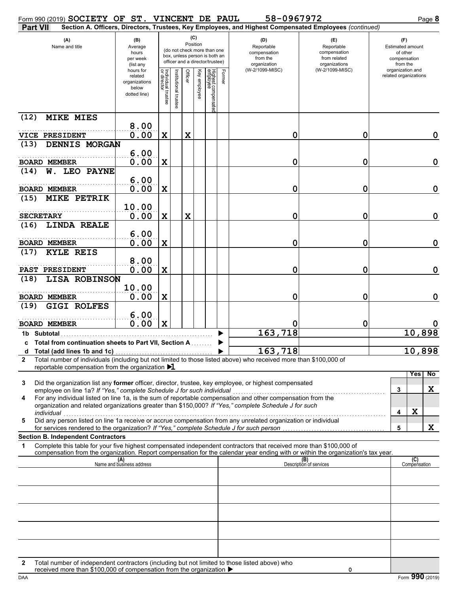| Form 990 (2019) SOCIETY OF ST. VINCENT DE PAUL                                                                                                                                                                            |                                                                |                                   |                       |         |              |                                                                                                 |        | 58-0967972                                                                                             |                                                                    | Page 8                                                                 |
|---------------------------------------------------------------------------------------------------------------------------------------------------------------------------------------------------------------------------|----------------------------------------------------------------|-----------------------------------|-----------------------|---------|--------------|-------------------------------------------------------------------------------------------------|--------|--------------------------------------------------------------------------------------------------------|--------------------------------------------------------------------|------------------------------------------------------------------------|
| <b>Part VII</b>                                                                                                                                                                                                           |                                                                |                                   |                       |         |              |                                                                                                 |        | Section A. Officers, Directors, Trustees, Key Employees, and Highest Compensated Employees (continued) |                                                                    |                                                                        |
| (A)<br>Name and title                                                                                                                                                                                                     | (B)<br>Average<br>hours<br>per week<br>(list any               |                                   |                       | (C)     | Position     | (do not check more than one<br>box, unless person is both an<br>officer and a director/trustee) |        | (D)<br>Reportable<br>compensation<br>from the<br>organization                                          | (E)<br>Reportable<br>compensation<br>from related<br>organizations | (F)<br><b>Estimated amount</b><br>of other<br>compensation<br>from the |
|                                                                                                                                                                                                                           | hours for<br>related<br>organizations<br>below<br>dotted line) | Individual trustee<br>or director | Institutional trustee | Officer | Key employee | Highest compensatec<br>employee                                                                 | Former | (W-2/1099-MISC)                                                                                        | (W-2/1099-MISC)                                                    | organization and<br>related organizations                              |
| (12)<br><b>MIKE MIES</b>                                                                                                                                                                                                  |                                                                |                                   |                       |         |              |                                                                                                 |        |                                                                                                        |                                                                    |                                                                        |
| VICE PRESIDENT                                                                                                                                                                                                            | 8.00<br>0.00                                                   | $\mathbf X$                       |                       | X       |              |                                                                                                 |        | 0                                                                                                      | 0                                                                  | 0                                                                      |
| DENNIS MORGAN<br>(13)                                                                                                                                                                                                     |                                                                |                                   |                       |         |              |                                                                                                 |        |                                                                                                        |                                                                    |                                                                        |
|                                                                                                                                                                                                                           | 6.00                                                           |                                   |                       |         |              |                                                                                                 |        |                                                                                                        |                                                                    |                                                                        |
| <b>BOARD MEMBER</b><br>LEO PAYNE<br>(14)<br>W.                                                                                                                                                                            | 0.00                                                           | $\mathbf X$                       |                       |         |              |                                                                                                 |        | 0                                                                                                      | 0                                                                  | $\mathbf 0$                                                            |
| <b>BOARD MEMBER</b>                                                                                                                                                                                                       | 6.00<br>0.00                                                   | $\mathbf X$                       |                       |         |              |                                                                                                 |        | 0                                                                                                      | 0                                                                  | $\mathbf 0$                                                            |
| (15)<br><b>MIKE PETRIK</b>                                                                                                                                                                                                |                                                                |                                   |                       |         |              |                                                                                                 |        |                                                                                                        |                                                                    |                                                                        |
| <b>SECRETARY</b>                                                                                                                                                                                                          | 10.00<br>0.00                                                  | $\mathbf X$                       |                       | X       |              |                                                                                                 |        | 0                                                                                                      | 0                                                                  | $\mathbf 0$                                                            |
| (16)<br><b>LINDA REALE</b>                                                                                                                                                                                                | 6.00                                                           |                                   |                       |         |              |                                                                                                 |        |                                                                                                        |                                                                    |                                                                        |
| <b>BOARD MEMBER</b><br>(17)<br><b>KYLE REIS</b>                                                                                                                                                                           | 0.00                                                           | $\mathbf X$                       |                       |         |              |                                                                                                 |        | 0                                                                                                      | 0                                                                  | $\mathbf 0$                                                            |
|                                                                                                                                                                                                                           | 8.00                                                           |                                   |                       |         |              |                                                                                                 |        |                                                                                                        |                                                                    |                                                                        |
| PAST PRESIDENT                                                                                                                                                                                                            | 0.00                                                           | $\mathbf X$                       |                       |         |              |                                                                                                 |        | 0                                                                                                      | 0                                                                  | 0                                                                      |
| (18)<br>LISA ROBINSON                                                                                                                                                                                                     | 10.00                                                          |                                   |                       |         |              |                                                                                                 |        |                                                                                                        |                                                                    |                                                                        |
| <b>BOARD MEMBER</b>                                                                                                                                                                                                       | 0.00                                                           | $\mathbf X$                       |                       |         |              |                                                                                                 |        | 0                                                                                                      | 0                                                                  | 0                                                                      |
| <b>GIGI ROLFES</b><br>(19)                                                                                                                                                                                                |                                                                |                                   |                       |         |              |                                                                                                 |        |                                                                                                        |                                                                    |                                                                        |
| <b>BOARD MEMBER</b>                                                                                                                                                                                                       | 6.00<br>0.00                                                   | $\mathbf x$                       |                       |         |              |                                                                                                 |        |                                                                                                        | 0                                                                  |                                                                        |
| 1b Subtotal                                                                                                                                                                                                               |                                                                |                                   |                       |         |              |                                                                                                 |        | 163,718                                                                                                |                                                                    | 10,898                                                                 |
| c Total from continuation sheets to Part VII, Section A                                                                                                                                                                   |                                                                |                                   |                       |         |              |                                                                                                 |        |                                                                                                        |                                                                    |                                                                        |
| Total (add lines 1b and 1c)<br>d<br>Total number of individuals (including but not limited to those listed above) who received more than \$100,000 of                                                                     |                                                                |                                   |                       |         |              |                                                                                                 |        | 163,718                                                                                                |                                                                    | 10,898                                                                 |
| 2<br>reportable compensation from the organization $\blacktriangleright$ 1                                                                                                                                                |                                                                |                                   |                       |         |              |                                                                                                 |        |                                                                                                        |                                                                    |                                                                        |
| Did the organization list any former officer, director, trustee, key employee, or highest compensated<br>3                                                                                                                |                                                                |                                   |                       |         |              |                                                                                                 |        |                                                                                                        |                                                                    | Yes<br>No                                                              |
| employee on line 1a? If "Yes," complete Schedule J for such individual                                                                                                                                                    |                                                                |                                   |                       |         |              |                                                                                                 |        |                                                                                                        |                                                                    | X<br>3                                                                 |
| For any individual listed on line 1a, is the sum of reportable compensation and other compensation from the<br>4<br>organization and related organizations greater than \$150,000? If "Yes," complete Schedule J for such |                                                                |                                   |                       |         |              |                                                                                                 |        |                                                                                                        |                                                                    | X                                                                      |
| individual<br>marviadar<br>Did any person listed on line 1a receive or accrue compensation from any unrelated organization or individual<br>5                                                                             |                                                                |                                   |                       |         |              |                                                                                                 |        |                                                                                                        |                                                                    | 4                                                                      |
| for services rendered to the organization? If "Yes," complete Schedule J for such person<br><b>Section B. Independent Contractors</b>                                                                                     |                                                                |                                   |                       |         |              |                                                                                                 |        |                                                                                                        |                                                                    | X<br>5                                                                 |
| Complete this table for your five highest compensated independent contractors that received more than \$100,000 of<br>1                                                                                                   |                                                                |                                   |                       |         |              |                                                                                                 |        |                                                                                                        |                                                                    |                                                                        |
| compensation from the organization. Report compensation for the calendar year ending with or within the organization's tax year.                                                                                          | (A)<br>Name and business address                               |                                   |                       |         |              |                                                                                                 |        |                                                                                                        | (B)<br>Description of services                                     |                                                                        |
|                                                                                                                                                                                                                           |                                                                |                                   |                       |         |              |                                                                                                 |        |                                                                                                        |                                                                    | (C)<br>Compensation                                                    |
|                                                                                                                                                                                                                           |                                                                |                                   |                       |         |              |                                                                                                 |        |                                                                                                        |                                                                    |                                                                        |
|                                                                                                                                                                                                                           |                                                                |                                   |                       |         |              |                                                                                                 |        |                                                                                                        |                                                                    |                                                                        |
|                                                                                                                                                                                                                           |                                                                |                                   |                       |         |              |                                                                                                 |        |                                                                                                        |                                                                    |                                                                        |
|                                                                                                                                                                                                                           |                                                                |                                   |                       |         |              |                                                                                                 |        |                                                                                                        |                                                                    |                                                                        |
|                                                                                                                                                                                                                           |                                                                |                                   |                       |         |              |                                                                                                 |        |                                                                                                        |                                                                    |                                                                        |
|                                                                                                                                                                                                                           |                                                                |                                   |                       |         |              |                                                                                                 |        |                                                                                                        |                                                                    |                                                                        |
| Total number of independent contractors (including but not limited to those listed above) who<br>$\mathbf{2}$                                                                                                             |                                                                |                                   |                       |         |              |                                                                                                 |        |                                                                                                        |                                                                    |                                                                        |
| received more than \$100,000 of compensation from the organization $\blacktriangleright$                                                                                                                                  |                                                                |                                   |                       |         |              |                                                                                                 |        |                                                                                                        |                                                                    |                                                                        |

| received more than \$100,000 of compensation from the organization ▶ |  |
|----------------------------------------------------------------------|--|
|                                                                      |  |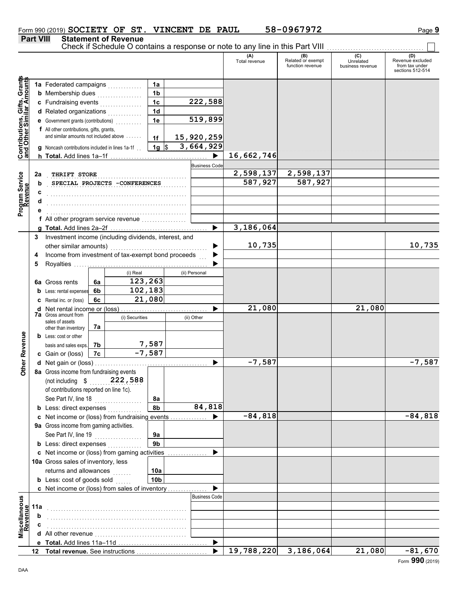$\Box$ 

### **Part VIII Statement of Revenue**

Check if Schedule O contains a response or note to any line in this Part VIII ................................

|                                                                  |     |                                                                                 |    |                                              |                        |                      | (A)<br>Total revenue | (B)<br>Related or exempt<br>function revenue | (C)<br>Unrelated<br>business revenue | (D)<br>Revenue excluded<br>from tax under<br>sections 512-514 |
|------------------------------------------------------------------|-----|---------------------------------------------------------------------------------|----|----------------------------------------------|------------------------|----------------------|----------------------|----------------------------------------------|--------------------------------------|---------------------------------------------------------------|
| <b>Contributions, Gifts, Grants</b><br>and Other Similar Amounts |     | 1a Federated campaigns                                                          |    |                                              | 1a                     |                      |                      |                                              |                                      |                                                               |
|                                                                  |     | <b>b</b> Membership dues                                                        |    | .                                            | 1 <sub>b</sub>         |                      |                      |                                              |                                      |                                                               |
|                                                                  |     | c Fundraising events                                                            |    | <u> 1986 - Johann Stoff, Amerikaansk kon</u> | 1 <sub>c</sub>         | 222,588              |                      |                                              |                                      |                                                               |
|                                                                  |     | d Related organizations                                                         |    |                                              | 1 <sub>d</sub>         |                      |                      |                                              |                                      |                                                               |
|                                                                  |     | <b>e</b> Government grants (contributions)                                      |    |                                              | 1e                     | 519,899              |                      |                                              |                                      |                                                               |
|                                                                  |     | f All other contributions, gifts, grants,                                       |    |                                              |                        |                      |                      |                                              |                                      |                                                               |
|                                                                  |     | and similar amounts not included above                                          |    |                                              | 1f                     | 15,920,259           |                      |                                              |                                      |                                                               |
|                                                                  |     | <b>g</b> Noncash contributions included in lines 1a-1f                          |    |                                              | $1g \sqrt{3}$          | 3,664,929            |                      |                                              |                                      |                                                               |
|                                                                  |     |                                                                                 |    |                                              |                        | ▶                    | 16,662,746           |                                              |                                      |                                                               |
|                                                                  |     |                                                                                 |    |                                              |                        | <b>Business Code</b> |                      |                                              |                                      |                                                               |
|                                                                  | 2a  | THRIFT STORE                                                                    |    |                                              |                        |                      | 2,598,137            | 2,598,137                                    |                                      |                                                               |
|                                                                  | b   |                                                                                 |    | SPECIAL PROJECTS -CONFERENCES                |                        |                      | 587,927              | 587,927                                      |                                      |                                                               |
| Program Service<br>Revenue                                       | с   |                                                                                 |    |                                              |                        |                      |                      |                                              |                                      |                                                               |
|                                                                  |     |                                                                                 |    |                                              |                        |                      |                      |                                              |                                      |                                                               |
|                                                                  |     |                                                                                 |    |                                              |                        |                      |                      |                                              |                                      |                                                               |
|                                                                  |     | f All other program service revenue                                             |    |                                              |                        |                      |                      |                                              |                                      |                                                               |
|                                                                  |     |                                                                                 |    |                                              |                        |                      | 3,186,064            |                                              |                                      |                                                               |
|                                                                  | 3   | Investment income (including dividends, interest, and                           |    |                                              |                        |                      |                      |                                              |                                      |                                                               |
|                                                                  |     | other similar amounts)                                                          |    |                                              |                        |                      | 10,735               |                                              |                                      | 10,735                                                        |
|                                                                  | 4   | Income from investment of tax-exempt bond proceeds                              |    |                                              |                        |                      |                      |                                              |                                      |                                                               |
|                                                                  | 5   |                                                                                 |    |                                              |                        |                      |                      |                                              |                                      |                                                               |
|                                                                  |     |                                                                                 |    | (i) Real                                     |                        | (ii) Personal        |                      |                                              |                                      |                                                               |
|                                                                  |     | <b>6a</b> Gross rents                                                           | 6a | 123,263                                      |                        |                      |                      |                                              |                                      |                                                               |
|                                                                  |     | Less: rental expenses                                                           | 6b | 102,183                                      |                        |                      |                      |                                              |                                      |                                                               |
|                                                                  |     | Rental inc. or (loss)                                                           | 6c |                                              | 21,080                 |                      |                      |                                              |                                      |                                                               |
|                                                                  | d   | Net rental income or (loss)                                                     |    |                                              |                        |                      | 21,080               |                                              | 21,080                               |                                                               |
|                                                                  |     | <b>7a</b> Gross amount from                                                     |    | (i) Securities                               |                        | (ii) Other           |                      |                                              |                                      |                                                               |
|                                                                  |     | sales of assets                                                                 | 7a |                                              |                        |                      |                      |                                              |                                      |                                                               |
|                                                                  |     | other than inventory<br><b>b</b> Less: cost or other                            |    |                                              |                        |                      |                      |                                              |                                      |                                                               |
|                                                                  |     | basis and sales exps.                                                           | 7b |                                              | 7,587                  |                      |                      |                                              |                                      |                                                               |
|                                                                  |     | c Gain or (loss)                                                                | 7c |                                              | $-7,587$               |                      |                      |                                              |                                      |                                                               |
| Other Revenue                                                    |     |                                                                                 |    |                                              |                        |                      | $-7,587$             |                                              |                                      | $-7,587$                                                      |
|                                                                  |     | 8a Gross income from fundraising events                                         |    |                                              |                        |                      |                      |                                              |                                      |                                                               |
|                                                                  |     |                                                                                 |    |                                              |                        |                      |                      |                                              |                                      |                                                               |
|                                                                  |     | (not including $$$ 222, 588<br>of contributions reported on line 1c).           |    |                                              |                        |                      |                      |                                              |                                      |                                                               |
|                                                                  |     | See Part IV, line 18                                                            |    |                                              | 8a                     |                      |                      |                                              |                                      |                                                               |
|                                                                  |     | <b>b</b> Less: direct expenses                                                  |    |                                              | 8b                     | 84,818               |                      |                                              |                                      |                                                               |
|                                                                  |     | c Net income or (loss) from fundraising events                                  |    |                                              |                        |                      | $-84,818$            |                                              |                                      | $-84,818$                                                     |
|                                                                  |     | 9a Gross income from gaming activities.                                         |    |                                              |                        |                      |                      |                                              |                                      |                                                               |
|                                                                  |     |                                                                                 |    |                                              |                        |                      |                      |                                              |                                      |                                                               |
|                                                                  |     | See Part IV, line 19                                                            |    | <u> 1999 - Jan Barat, polit</u> ik           | 9a<br>9 <sub>b</sub>   |                      |                      |                                              |                                      |                                                               |
|                                                                  |     | <b>b</b> Less: direct expenses<br>c Net income or (loss) from gaming activities |    |                                              |                        |                      |                      |                                              |                                      |                                                               |
|                                                                  |     | 10a Gross sales of inventory, less                                              |    |                                              |                        |                      |                      |                                              |                                      |                                                               |
|                                                                  |     | returns and allowances                                                          |    |                                              |                        |                      |                      |                                              |                                      |                                                               |
|                                                                  |     |                                                                                 |    |                                              | 10a<br>10 <sub>b</sub> |                      |                      |                                              |                                      |                                                               |
|                                                                  |     | <b>b</b> Less: cost of goods sold                                               |    |                                              |                        |                      |                      |                                              |                                      |                                                               |
|                                                                  |     | c Net income or (loss) from sales of inventory                                  |    |                                              |                        | <b>Business Code</b> |                      |                                              |                                      |                                                               |
| Miscellaneous<br>Revenue                                         |     |                                                                                 |    |                                              |                        |                      |                      |                                              |                                      |                                                               |
|                                                                  | 11a |                                                                                 |    |                                              |                        |                      |                      |                                              |                                      |                                                               |
|                                                                  | b   |                                                                                 |    |                                              |                        |                      |                      |                                              |                                      |                                                               |
|                                                                  |     |                                                                                 |    |                                              |                        |                      |                      |                                              |                                      |                                                               |
|                                                                  |     |                                                                                 |    |                                              |                        |                      |                      |                                              |                                      |                                                               |
|                                                                  |     |                                                                                 |    |                                              |                        |                      | 19,788,220           | 3,186,064                                    | 21,080                               |                                                               |
|                                                                  | 12  | Total revenue. See instructions                                                 |    |                                              |                        |                      |                      |                                              |                                      | $-81,670$<br>000                                              |

DAA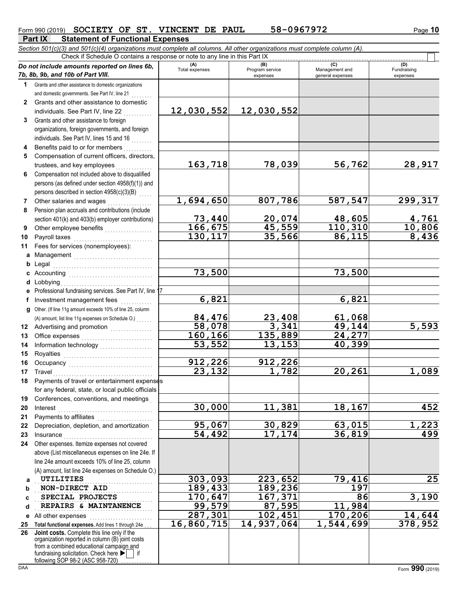(D)<br>Fundraising expenses

**73,440 20,074 48,605 4,761**

**30,000 11,381 18,167 452**

**95,067 30,829 63,015 1,223**

**287,301 102,451 170,206 14,644**

**73,500 73,500**

**6,821 6,821**

**84,476 23,408 61,068**

**160,166 135,889 24,277 53,552 13,153 40,399**

**912,226 912,226**

<u>45,559 110,310 10,806</u><br>35,566 86,115 8,436

**58,078 3,341 49,144 5,593**

**54,492 17,174 36,819 499**

**16,860,715 14,937,064 1,544,699 378,952**

**23,132 1,782 20,261 1,089**

# **Part IX Statement of Functional Expenses**

*Section 501(c)(3) and 501(c)(4) organizations must complete all columns. All other organizations must complete column (A). Do not include amounts reported on lines 6b, 7b, 8b, 9b, and 10b of Part VIII.* **1 2 3 4 5 6 7 8** Grants and other assistance to domestic organizations and domestic governments. See Part IV, line 21 Grants and other assistance to domestic individuals. See Part IV, line 22 Grants and other assistance to foreign organizations, foreign governments, and foreign individuals. See Part IV, lines 15 and 16 Benefits paid to or for members . . . . . . . . . . Compensation of current officers, directors, trustees, and key employees . . . . . . . Compensation not included above to disqualified persons (as defined under section 4958(f)(1)) and persons described in section 4958(c)(3)(B) Other salaries and wages .................. Pension plan accruals and contributions (include **(A) (B)** (B) (B) (C) (C) (A) (D)<br>Total expenses Program service Management and Fundrai expenses and general expenses Check if Schedule O contains a response or note to any line in this Part IX **12,030,552 12,030,552 163,718 78,039 56,762 28,917 1,694,650 807,786 587,547 299,317**

**130,117** 

- **9** section 401(k) and 403(b) employer contributions) Other employee benefits . . . . . . . . . . . . . . . . . .
- **10 11** Payroll taxes Fees for services (nonemployees):
- **a** Management .............................. **b** Legal **c** Accounting . . . . . . . . . . . . . . . . . . . . . . . . . . . . . . . . Legal . . . . . . . . . . . . . . . . . . . . . . . . . . . . . . . . . . . . . .
- **d** Lobbying . . . . . . . . . . . . . . . . . . . . . . . . . . . . . . . . . . . **e f g** Other. (If line 11g amount exceeds 10% of line 25, column Professional fundraising services. See Part IV, line 17 Investment management fees ............. (A) amount, list line 11g expenses on Schedule O.) . . . . . . .
- **12** Advertising and promotion **. . . . . . . . . . . .** . . **13 14 15 16** Office expenses . . . . . . . . . . . . . . . . . . . . . . . . . . . Information technology . . . . . . . . . . . . . . . . . . . . Royalties . . . . . . . . . . . . . . . . . . . . . . . . . . . . . . . . . . Occupancy . . . . . . . . . . . . . . . . . . . . . . . . . . . . . . . .
- **17 18 19 20 21** Travel . . . . . . . . . . . . . . . . . . . . . . . . . . . . . . . . . . . . . . Payments of travel or entertainment expenses for any federal, state, or local public officials Conferences, conventions, and meetings . Interest . . . . . . . . . . . . . . . . . . . . . . . . . . . . . . . . . . . . Payments to affiliates . . . . . . . . . . . . . . .
- **22 23 24** Depreciation, depletion, and amortization . Insurance . . . . . . . . . . . . . . . . . . . . . . . . . . . . . . . . . . Other expenses. Itemize expenses not covered above (List miscellaneous expenses on line 24e. If line 24e amount exceeds 10% of line 25, column
- **a b c d** (A) amount, list line 24e expenses on Schedule O.) UTILITIES **NON-DIRECT AID 189,433 189,236 197 SPECIAL PROJECTS** 170,647 167,371 86 3,190 **REPAIRS & MAINTANENCE 99,579** 87,595 11,984 **UTILITIES 303,093 223,652 79,416 25**
- **e** All other expenses . . . . . . . . . . . . . . . . . . . . . . . . **25 Total functional expenses.** Add lines 1 through 24e . . .

**26** fundraising solicitation. Check here  $\blacktriangleright$  | if organization reported in column (B) joint costs from a combined educational campaign and following SOP 98-2 (ASC 958-720) **Joint costs.** Complete this line only if the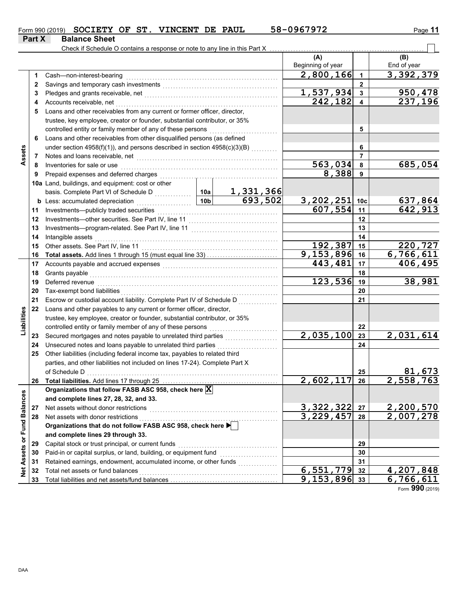|               | Form 990 (2019) SOCIETY OF ST. VINCENT DE PAUL |  |  | 58-0967972 | Page 11 |
|---------------|------------------------------------------------|--|--|------------|---------|
| <b>Part X</b> | <b>Balance Sheet</b>                           |  |  |            |         |

|                             |    | Check if Schedule O contains a response or note to any line in this Part X    |                 |                                                                                                                       |                           |                      |                        |
|-----------------------------|----|-------------------------------------------------------------------------------|-----------------|-----------------------------------------------------------------------------------------------------------------------|---------------------------|----------------------|------------------------|
|                             |    |                                                                               |                 |                                                                                                                       | (A)                       |                      | (B)                    |
|                             |    |                                                                               |                 |                                                                                                                       | Beginning of year         |                      | End of year            |
|                             | 1. | Cash-non-interest-bearing                                                     |                 |                                                                                                                       | 2,800,166                 | $\blacktriangleleft$ | 3,392,379              |
|                             | 2  |                                                                               |                 |                                                                                                                       |                           | $\mathbf{2}$         |                        |
|                             | 3  |                                                                               |                 |                                                                                                                       | 1,537,934                 | 3                    | 950,478                |
|                             | 4  | Accounts receivable, net                                                      |                 |                                                                                                                       | 242,182                   | 4                    | 237,196                |
|                             | 5  | Loans and other receivables from any current or former officer, director,     |                 |                                                                                                                       |                           |                      |                        |
|                             |    | trustee, key employee, creator or founder, substantial contributor, or 35%    |                 |                                                                                                                       |                           |                      |                        |
|                             |    | controlled entity or family member of any of these persons                    |                 |                                                                                                                       |                           | 5                    |                        |
|                             | 6  | Loans and other receivables from other disqualified persons (as defined       |                 |                                                                                                                       |                           |                      |                        |
|                             |    | under section $4958(f)(1)$ , and persons described in section $4958(c)(3)(B)$ |                 |                                                                                                                       |                           | 6                    |                        |
| Assets                      | 7  | Notes and loans receivable, net                                               |                 |                                                                                                                       |                           | 7                    |                        |
|                             | 8  | Inventories for sale or use                                                   |                 |                                                                                                                       | 563,034                   | 8                    | 685,054                |
|                             | 9  | Prepaid expenses and deferred charges                                         |                 |                                                                                                                       | 8,388                     | 9                    |                        |
|                             |    | 10a Land, buildings, and equipment: cost or other                             |                 |                                                                                                                       |                           |                      |                        |
|                             |    | basis. Complete Part VI of Schedule D                                         | 10a             | 1,331,366                                                                                                             |                           |                      |                        |
|                             |    | <b>b</b> Less: accumulated depreciation                                       | 10 <sub>b</sub> | 693,502                                                                                                               | 3,202,251                 | 10 <sub>c</sub>      | 637,864                |
|                             | 11 | Investments-publicly traded securities                                        |                 |                                                                                                                       | 607,554                   | 11                   | 642,913                |
|                             | 12 | Investments-other securities. See Part IV, line 11                            |                 |                                                                                                                       |                           | 12                   |                        |
|                             | 13 |                                                                               |                 |                                                                                                                       |                           | 13                   |                        |
|                             | 14 | Intangible assets                                                             |                 |                                                                                                                       |                           | 14                   |                        |
|                             | 15 |                                                                               |                 |                                                                                                                       | 192,387                   | 15                   | 220,727                |
|                             | 16 |                                                                               |                 |                                                                                                                       | 9,153,896                 | 16                   | 6,766,611              |
|                             | 17 |                                                                               |                 |                                                                                                                       | 443,481                   | 17                   | 406,495                |
|                             | 18 | Grants payable                                                                |                 |                                                                                                                       |                           | 18                   |                        |
|                             | 19 | Deferred revenue                                                              |                 |                                                                                                                       | 123,536                   | 19                   | 38,981                 |
|                             | 20 | Tax-exempt bond liabilities                                                   |                 |                                                                                                                       |                           | 20                   |                        |
|                             | 21 | Escrow or custodial account liability. Complete Part IV of Schedule D         |                 |                                                                                                                       |                           | 21                   |                        |
|                             | 22 | Loans and other payables to any current or former officer, director,          |                 |                                                                                                                       |                           |                      |                        |
| Liabilities                 |    | trustee, key employee, creator or founder, substantial contributor, or 35%    |                 |                                                                                                                       |                           |                      |                        |
|                             |    | controlled entity or family member of any of these persons                    |                 | <u> 1999 - Johann Stoff, Amerikaansk kanton en ferskelende om de formannelse om de formannelse om de formannelse </u> |                           | 22                   |                        |
|                             | 23 | Secured mortgages and notes payable to unrelated third parties                |                 |                                                                                                                       | 2,035,100                 | 23                   | 2,031,614              |
|                             | 24 | Unsecured notes and loans payable to unrelated third parties                  |                 |                                                                                                                       |                           | 24                   |                        |
|                             | 25 | Other liabilities (including federal income tax, payables to related third    |                 |                                                                                                                       |                           |                      |                        |
|                             |    | parties, and other liabilities not included on lines 17-24). Complete Part X  |                 |                                                                                                                       |                           |                      |                        |
|                             |    | of Schedule D<br>$\begin{array}{ccc}\n\hline\n\end{array}$                    |                 |                                                                                                                       |                           | 25                   | 81,673                 |
|                             | 26 | Total liabilities. Add lines 17 through 25                                    |                 |                                                                                                                       | 2,602,117                 | 26                   | <u>2,558,763</u>       |
|                             |    | Organizations that follow FASB ASC 958, check here X                          |                 |                                                                                                                       |                           |                      |                        |
|                             |    | and complete lines 27, 28, 32, and 33.                                        |                 |                                                                                                                       |                           |                      |                        |
|                             | 27 | Net assets without donor restrictions                                         |                 |                                                                                                                       | 3,322,322                 | 27                   |                        |
|                             | 28 | Net assets with donor restrictions                                            |                 |                                                                                                                       | 3,229,457                 | 28                   | 2,200,570<br>2,007,278 |
|                             |    | Organizations that do not follow FASB ASC 958, check here                     |                 |                                                                                                                       |                           |                      |                        |
|                             |    | and complete lines 29 through 33.                                             |                 |                                                                                                                       |                           |                      |                        |
|                             | 29 | Capital stock or trust principal, or current funds                            |                 |                                                                                                                       |                           | 29                   |                        |
|                             | 30 | Paid-in or capital surplus, or land, building, or equipment fund              |                 |                                                                                                                       |                           | 30                   |                        |
|                             | 31 | Retained earnings, endowment, accumulated income, or other funds              |                 |                                                                                                                       |                           | 31                   |                        |
| Net Assets or Fund Balances | 32 | Total net assets or fund balances                                             |                 |                                                                                                                       | $\overline{6}$ , 551, 779 | 32                   | 4,207,848              |
|                             | 33 |                                                                               |                 |                                                                                                                       | $\overline{9}$ , 153, 896 | 33                   | 6,766,611              |

Form **990** (2019)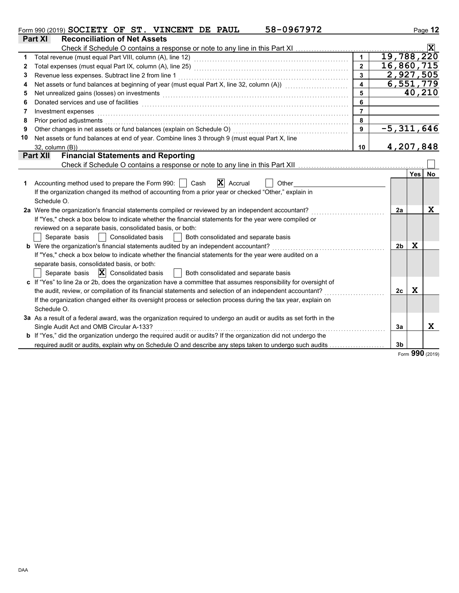|              | 58-0967972<br>Form 990 (2019) SOCIETY OF ST. VINCENT DE PAUL                                                                                                                                                                   |                         |              |             | Page 12        |
|--------------|--------------------------------------------------------------------------------------------------------------------------------------------------------------------------------------------------------------------------------|-------------------------|--------------|-------------|----------------|
|              | <b>Part XI</b><br><b>Reconciliation of Net Assets</b>                                                                                                                                                                          |                         |              |             |                |
|              | Check if Schedule O contains a response or note to any line in this Part XI                                                                                                                                                    |                         |              |             | $ \mathbf{x} $ |
| 1            |                                                                                                                                                                                                                                |                         | 19,788,220   |             |                |
| $\mathbf{2}$ |                                                                                                                                                                                                                                | $\overline{2}$          | 16,860,715   |             |                |
| 3            | Revenue less expenses. Subtract line 2 from line 1                                                                                                                                                                             | $\overline{\mathbf{3}}$ | 2,927,505    |             |                |
| 4            | Net assets or fund balances at beginning of year (must equal Part X, line 32, column (A)) [[[[[[[[[[[[[[[[[[[                                                                                                                  | $\overline{4}$          | 6,551,779    |             |                |
| 5            | Net unrealized gains (losses) on investments                                                                                                                                                                                   | 5                       |              | 40,210      |                |
| 6            |                                                                                                                                                                                                                                | 6                       |              |             |                |
| 7            | Investment expenses                                                                                                                                                                                                            | $\overline{7}$          |              |             |                |
| 8            | Prior period adjustments with an account of the contract of the contract of the contract of the contract of the contract of the contract of the contract of the contract of the contract of the contract of the contract of th | 8                       |              |             |                |
| 9            | Other changes in net assets or fund balances (explain on Schedule O)                                                                                                                                                           | $\mathbf{9}$            | $-5,311,646$ |             |                |
| 10           | Net assets or fund balances at end of year. Combine lines 3 through 9 (must equal Part X, line                                                                                                                                 |                         |              |             |                |
|              | 32, column (B))                                                                                                                                                                                                                | 10                      | 4,207,848    |             |                |
|              | <b>Financial Statements and Reporting</b><br><b>Part XII</b>                                                                                                                                                                   |                         |              |             |                |
|              |                                                                                                                                                                                                                                |                         |              |             |                |
|              |                                                                                                                                                                                                                                |                         |              | Yes         | No             |
| 1            | $ \mathbf{X} $ Accrual<br>Accounting method used to prepare the Form 990:     Cash<br>Other                                                                                                                                    |                         |              |             |                |
|              | If the organization changed its method of accounting from a prior year or checked "Other," explain in                                                                                                                          |                         |              |             |                |
|              | Schedule O.                                                                                                                                                                                                                    |                         |              |             |                |
|              | 2a Were the organization's financial statements compiled or reviewed by an independent accountant?                                                                                                                             |                         | 2a           |             | $\mathbf x$    |
|              | If "Yes," check a box below to indicate whether the financial statements for the year were compiled or                                                                                                                         |                         |              |             |                |
|              | reviewed on a separate basis, consolidated basis, or both:                                                                                                                                                                     |                         |              |             |                |
|              | Separate basis<br><b>Consolidated basis</b><br>Both consolidated and separate basis                                                                                                                                            |                         |              |             |                |
|              | <b>b</b> Were the organization's financial statements audited by an independent accountant?                                                                                                                                    |                         | 2b           | $\mathbf x$ |                |
|              | If "Yes," check a box below to indicate whether the financial statements for the year were audited on a                                                                                                                        |                         |              |             |                |
|              | separate basis, consolidated basis, or both:                                                                                                                                                                                   |                         |              |             |                |
|              | Separate basis $\ \mathbf{X}\ $ Consolidated basis<br>Both consolidated and separate basis                                                                                                                                     |                         |              |             |                |
|              | c If "Yes" to line 2a or 2b, does the organization have a committee that assumes responsibility for oversight of                                                                                                               |                         |              |             |                |
|              | the audit, review, or compilation of its financial statements and selection of an independent accountant?                                                                                                                      |                         | 2c           | X           |                |
|              | If the organization changed either its oversight process or selection process during the tax year, explain on                                                                                                                  |                         |              |             |                |
|              | Schedule O.                                                                                                                                                                                                                    |                         |              |             |                |
|              | 3a As a result of a federal award, was the organization required to undergo an audit or audits as set forth in the                                                                                                             |                         |              |             |                |
|              | Single Audit Act and OMB Circular A-133?                                                                                                                                                                                       |                         | 3a           |             | x              |
|              | b If "Yes," did the organization undergo the required audit or audits? If the organization did not undergo the                                                                                                                 |                         |              |             |                |
|              | required audit or audits, explain why on Schedule O and describe any steps taken to undergo such audits                                                                                                                        |                         | 3b           |             |                |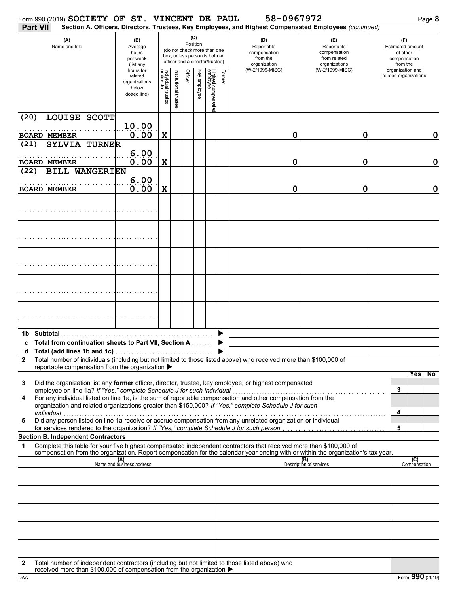|              |                     | Form 990 (2019) SOCIETY OF ST. VINCENT DE PAUL                                           |                                                               |                                   |                       |         |                 |                                                                                                 |        | 58-0967972                                                                                                                                                                                                                                             |                                                                                       | Page 8                                                                                     |
|--------------|---------------------|------------------------------------------------------------------------------------------|---------------------------------------------------------------|-----------------------------------|-----------------------|---------|-----------------|-------------------------------------------------------------------------------------------------|--------|--------------------------------------------------------------------------------------------------------------------------------------------------------------------------------------------------------------------------------------------------------|---------------------------------------------------------------------------------------|--------------------------------------------------------------------------------------------|
|              | <b>Part VII</b>     |                                                                                          |                                                               |                                   |                       |         |                 |                                                                                                 |        | Section A. Officers, Directors, Trustees, Key Employees, and Highest Compensated Employees (continued)                                                                                                                                                 |                                                                                       |                                                                                            |
|              |                     | (A)<br>Name and title                                                                    | (B)<br>Average<br>hours<br>per week<br>(list any<br>hours for |                                   |                       |         | (C)<br>Position | (do not check more than one<br>box, unless person is both an<br>officer and a director/trustee) |        | (D)<br>Reportable<br>compensation<br>from the<br>organization<br>(W-2/1099-MISC)                                                                                                                                                                       | (E)<br>Reportable<br>compensation<br>from related<br>organizations<br>(W-2/1099-MISC) | (F)<br><b>Estimated amount</b><br>of other<br>compensation<br>from the<br>organization and |
|              |                     |                                                                                          | related<br>organizations<br>below<br>dotted line)             | Individual trustee<br>or director | Institutional trustee | Officer | Key employee    | Highest compensated<br>employee                                                                 | Former |                                                                                                                                                                                                                                                        |                                                                                       | related organizations                                                                      |
| (20)         |                     | LOUISE SCOTT                                                                             | 10.00                                                         |                                   |                       |         |                 |                                                                                                 |        |                                                                                                                                                                                                                                                        |                                                                                       |                                                                                            |
|              | <b>BOARD MEMBER</b> |                                                                                          | 0.00                                                          | X                                 |                       |         |                 |                                                                                                 |        | 0                                                                                                                                                                                                                                                      | 0                                                                                     | 0                                                                                          |
| (21)         |                     | <b>SYLVIA TURNER</b>                                                                     |                                                               |                                   |                       |         |                 |                                                                                                 |        |                                                                                                                                                                                                                                                        |                                                                                       |                                                                                            |
|              | <b>BOARD MEMBER</b> |                                                                                          | 6.00<br>0.00                                                  | X                                 |                       |         |                 |                                                                                                 |        | 0                                                                                                                                                                                                                                                      | 0                                                                                     | 0                                                                                          |
| (22)         |                     | <b>BILL WANGERIEN</b>                                                                    |                                                               |                                   |                       |         |                 |                                                                                                 |        |                                                                                                                                                                                                                                                        |                                                                                       |                                                                                            |
|              | <b>BOARD MEMBER</b> |                                                                                          | 6.00<br>0.00                                                  | X                                 |                       |         |                 |                                                                                                 |        | 0                                                                                                                                                                                                                                                      | 0                                                                                     | 0                                                                                          |
|              |                     |                                                                                          |                                                               |                                   |                       |         |                 |                                                                                                 |        |                                                                                                                                                                                                                                                        |                                                                                       |                                                                                            |
|              |                     |                                                                                          |                                                               |                                   |                       |         |                 |                                                                                                 |        |                                                                                                                                                                                                                                                        |                                                                                       |                                                                                            |
|              |                     |                                                                                          |                                                               |                                   |                       |         |                 |                                                                                                 |        |                                                                                                                                                                                                                                                        |                                                                                       |                                                                                            |
|              |                     |                                                                                          |                                                               |                                   |                       |         |                 |                                                                                                 |        |                                                                                                                                                                                                                                                        |                                                                                       |                                                                                            |
|              |                     |                                                                                          |                                                               |                                   |                       |         |                 |                                                                                                 |        |                                                                                                                                                                                                                                                        |                                                                                       |                                                                                            |
|              | 1b Subtotal         |                                                                                          |                                                               |                                   |                       |         |                 |                                                                                                 |        |                                                                                                                                                                                                                                                        |                                                                                       |                                                                                            |
| a            |                     | c Total from continuation sheets to Part VII, Section A<br>Total (add lines 1b and 1c)   |                                                               |                                   |                       |         |                 |                                                                                                 |        |                                                                                                                                                                                                                                                        |                                                                                       |                                                                                            |
| $\mathbf{2}$ |                     |                                                                                          |                                                               |                                   |                       |         |                 |                                                                                                 |        | Total number of individuals (including but not limited to those listed above) who received more than \$100,000 of                                                                                                                                      |                                                                                       |                                                                                            |
|              |                     | reportable compensation from the organization ▶                                          |                                                               |                                   |                       |         |                 |                                                                                                 |        |                                                                                                                                                                                                                                                        |                                                                                       | Yes<br>No                                                                                  |
| 3            |                     | employee on line 1a? If "Yes," complete Schedule J for such individual                   |                                                               |                                   |                       |         |                 |                                                                                                 |        | Did the organization list any former officer, director, trustee, key employee, or highest compensated                                                                                                                                                  |                                                                                       | 3                                                                                          |
| 4            | individual          |                                                                                          |                                                               |                                   |                       |         |                 |                                                                                                 |        | For any individual listed on line 1a, is the sum of reportable compensation and other compensation from the<br>organization and related organizations greater than \$150,000? If "Yes," complete Schedule J for such                                   |                                                                                       | 4                                                                                          |
| 5            |                     | for services rendered to the organization? If "Yes," complete Schedule J for such person |                                                               |                                   |                       |         |                 |                                                                                                 |        | Did any person listed on line 1a receive or accrue compensation from any unrelated organization or individual                                                                                                                                          |                                                                                       | 5                                                                                          |
|              |                     | <b>Section B. Independent Contractors</b>                                                |                                                               |                                   |                       |         |                 |                                                                                                 |        |                                                                                                                                                                                                                                                        |                                                                                       |                                                                                            |
| 1            |                     |                                                                                          |                                                               |                                   |                       |         |                 |                                                                                                 |        | Complete this table for your five highest compensated independent contractors that received more than \$100,000 of<br>compensation from the organization. Report compensation for the calendar year ending with or within the organization's tax year. |                                                                                       |                                                                                            |
|              |                     |                                                                                          | (A)<br>Name and business address                              |                                   |                       |         |                 |                                                                                                 |        |                                                                                                                                                                                                                                                        | (B)<br>Description of services                                                        | (C)<br>Compensation                                                                        |
|              |                     |                                                                                          |                                                               |                                   |                       |         |                 |                                                                                                 |        |                                                                                                                                                                                                                                                        |                                                                                       |                                                                                            |
|              |                     |                                                                                          |                                                               |                                   |                       |         |                 |                                                                                                 |        |                                                                                                                                                                                                                                                        |                                                                                       |                                                                                            |
|              |                     |                                                                                          |                                                               |                                   |                       |         |                 |                                                                                                 |        |                                                                                                                                                                                                                                                        |                                                                                       |                                                                                            |
|              |                     |                                                                                          |                                                               |                                   |                       |         |                 |                                                                                                 |        |                                                                                                                                                                                                                                                        |                                                                                       |                                                                                            |
| 2            |                     | $\sim$ and more than $$100,000$ of compensation from the organization                    |                                                               |                                   |                       |         |                 |                                                                                                 |        | Total number of independent contractors (including but not limited to those listed above) who                                                                                                                                                          |                                                                                       |                                                                                            |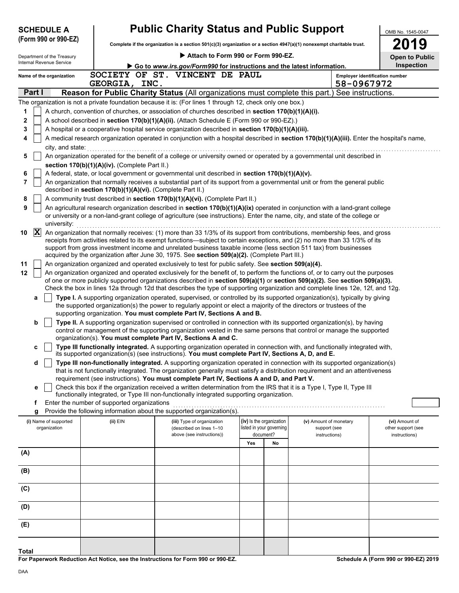| <b>SCHEDULE A</b>                     |                                                            | <b>Public Charity Status and Public Support</b>                                                                                                                                                                                                                                                                                                                                 |                                                                   |                                                         | OMB No. 1545-0047                                     |
|---------------------------------------|------------------------------------------------------------|---------------------------------------------------------------------------------------------------------------------------------------------------------------------------------------------------------------------------------------------------------------------------------------------------------------------------------------------------------------------------------|-------------------------------------------------------------------|---------------------------------------------------------|-------------------------------------------------------|
| (Form 990 or 990-EZ)                  |                                                            | Complete if the organization is a section $501(c)(3)$ organization or a section $4947(a)(1)$ nonexempt charitable trust.                                                                                                                                                                                                                                                        |                                                                   |                                                         | 19                                                    |
| Department of the Treasury            |                                                            | Attach to Form 990 or Form 990-EZ.                                                                                                                                                                                                                                                                                                                                              |                                                                   |                                                         | <b>Open to Public</b>                                 |
| Internal Revenue Service              |                                                            | Go to www.irs.gov/Form990 for instructions and the latest information.                                                                                                                                                                                                                                                                                                          |                                                                   |                                                         | <b>Inspection</b>                                     |
| Name of the organization              |                                                            | SOCIETY OF ST. VINCENT DE PAUL                                                                                                                                                                                                                                                                                                                                                  |                                                                   |                                                         | <b>Employer identification number</b>                 |
| Part I                                | GEORGIA, INC.                                              | Reason for Public Charity Status (All organizations must complete this part.) See instructions.                                                                                                                                                                                                                                                                                 |                                                                   | 58-0967972                                              |                                                       |
|                                       |                                                            | The organization is not a private foundation because it is: (For lines 1 through 12, check only one box.)                                                                                                                                                                                                                                                                       |                                                                   |                                                         |                                                       |
| 1                                     |                                                            | A church, convention of churches, or association of churches described in section 170(b)(1)(A)(i).                                                                                                                                                                                                                                                                              |                                                                   |                                                         |                                                       |
| 2                                     |                                                            | A school described in section 170(b)(1)(A)(ii). (Attach Schedule E (Form 990 or 990-EZ).)                                                                                                                                                                                                                                                                                       |                                                                   |                                                         |                                                       |
| 3                                     |                                                            | A hospital or a cooperative hospital service organization described in section 170(b)(1)(A)(iii).                                                                                                                                                                                                                                                                               |                                                                   |                                                         |                                                       |
| 4                                     |                                                            | A medical research organization operated in conjunction with a hospital described in section 170(b)(1)(A)(iii). Enter the hospital's name,                                                                                                                                                                                                                                      |                                                                   |                                                         |                                                       |
| city, and state:                      |                                                            |                                                                                                                                                                                                                                                                                                                                                                                 |                                                                   |                                                         |                                                       |
| 5                                     |                                                            | An organization operated for the benefit of a college or university owned or operated by a governmental unit described in                                                                                                                                                                                                                                                       |                                                                   |                                                         |                                                       |
| 6                                     | section 170(b)(1)(A)(iv). (Complete Part II.)              | A federal, state, or local government or governmental unit described in section 170(b)(1)(A)(v).                                                                                                                                                                                                                                                                                |                                                                   |                                                         |                                                       |
| 7                                     | described in section 170(b)(1)(A)(vi). (Complete Part II.) | An organization that normally receives a substantial part of its support from a governmental unit or from the general public                                                                                                                                                                                                                                                    |                                                                   |                                                         |                                                       |
| 8                                     |                                                            | A community trust described in section 170(b)(1)(A)(vi). (Complete Part II.)                                                                                                                                                                                                                                                                                                    |                                                                   |                                                         |                                                       |
| 9                                     |                                                            | An agricultural research organization described in section 170(b)(1)(A)(ix) operated in conjunction with a land-grant college<br>or university or a non-land-grant college of agriculture (see instructions). Enter the name, city, and state of the college or                                                                                                                 |                                                                   |                                                         |                                                       |
| university:<br>$ \mathbf{X} $<br>10   |                                                            | An organization that normally receives: (1) more than 33 1/3% of its support from contributions, membership fees, and gross<br>receipts from activities related to its exempt functions—subject to certain exceptions, and (2) no more than 33 1/3% of its<br>support from gross investment income and unrelated business taxable income (less section 511 tax) from businesses |                                                                   |                                                         |                                                       |
| 11                                    |                                                            | acquired by the organization after June 30, 1975. See section 509(a)(2). (Complete Part III.)                                                                                                                                                                                                                                                                                   |                                                                   |                                                         |                                                       |
| 12                                    |                                                            | An organization organized and operated exclusively to test for public safety. See section 509(a)(4).<br>An organization organized and operated exclusively for the benefit of, to perform the functions of, or to carry out the purposes                                                                                                                                        |                                                                   |                                                         |                                                       |
|                                       |                                                            | of one or more publicly supported organizations described in section 509(a)(1) or section 509(a)(2). See section 509(a)(3).<br>Check the box in lines 12a through 12d that describes the type of supporting organization and complete lines 12e, 12f, and 12g.                                                                                                                  |                                                                   |                                                         |                                                       |
| а                                     |                                                            | Type I. A supporting organization operated, supervised, or controlled by its supported organization(s), typically by giving<br>the supported organization(s) the power to regularly appoint or elect a majority of the directors or trustees of the                                                                                                                             |                                                                   |                                                         |                                                       |
|                                       |                                                            | supporting organization. You must complete Part IV, Sections A and B.                                                                                                                                                                                                                                                                                                           |                                                                   |                                                         |                                                       |
| b                                     |                                                            | Type II. A supporting organization supervised or controlled in connection with its supported organization(s), by having<br>control or management of the supporting organization vested in the same persons that control or manage the supported<br>organization(s). You must complete Part IV, Sections A and C.                                                                |                                                                   |                                                         |                                                       |
| c                                     |                                                            | Type III functionally integrated. A supporting organization operated in connection with, and functionally integrated with,<br>its supported organization(s) (see instructions). You must complete Part IV, Sections A, D, and E.                                                                                                                                                |                                                                   |                                                         |                                                       |
| d                                     |                                                            | Type III non-functionally integrated. A supporting organization operated in connection with its supported organization(s)<br>that is not functionally integrated. The organization generally must satisfy a distribution requirement and an attentiveness                                                                                                                       |                                                                   |                                                         |                                                       |
|                                       |                                                            | requirement (see instructions). You must complete Part IV, Sections A and D, and Part V.                                                                                                                                                                                                                                                                                        |                                                                   |                                                         |                                                       |
| е                                     |                                                            | Check this box if the organization received a written determination from the IRS that it is a Type I, Type II, Type III<br>functionally integrated, or Type III non-functionally integrated supporting organization.                                                                                                                                                            |                                                                   |                                                         |                                                       |
| f                                     | Enter the number of supported organizations                |                                                                                                                                                                                                                                                                                                                                                                                 |                                                                   |                                                         |                                                       |
| g                                     |                                                            | Provide the following information about the supported organization(s).                                                                                                                                                                                                                                                                                                          |                                                                   |                                                         |                                                       |
| (i) Name of supported<br>organization | (ii) EIN                                                   | (iii) Type of organization<br>(described on lines 1-10<br>above (see instructions))                                                                                                                                                                                                                                                                                             | (iv) Is the organization<br>listed in your governing<br>document? | (v) Amount of monetary<br>support (see<br>instructions) | (vi) Amount of<br>other support (see<br>instructions) |
|                                       |                                                            |                                                                                                                                                                                                                                                                                                                                                                                 | Yes<br>No                                                         |                                                         |                                                       |
| (A)                                   |                                                            |                                                                                                                                                                                                                                                                                                                                                                                 |                                                                   |                                                         |                                                       |
| (B)                                   |                                                            |                                                                                                                                                                                                                                                                                                                                                                                 |                                                                   |                                                         |                                                       |
| (C)                                   |                                                            |                                                                                                                                                                                                                                                                                                                                                                                 |                                                                   |                                                         |                                                       |
| (D)                                   |                                                            |                                                                                                                                                                                                                                                                                                                                                                                 |                                                                   |                                                         |                                                       |
| (E)                                   |                                                            |                                                                                                                                                                                                                                                                                                                                                                                 |                                                                   |                                                         |                                                       |
|                                       |                                                            |                                                                                                                                                                                                                                                                                                                                                                                 |                                                                   |                                                         |                                                       |
| <b>Total</b>                          |                                                            |                                                                                                                                                                                                                                                                                                                                                                                 |                                                                   |                                                         |                                                       |

**For Paperwork Reduction Act Notice, see the Instructions for Form 990 or 990-EZ.**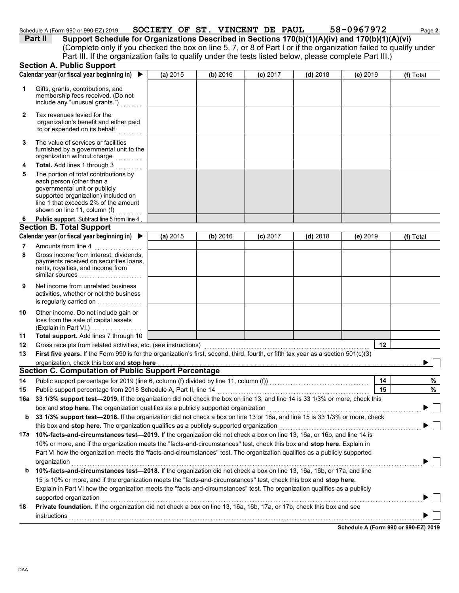| er 990 or 990-EZ) 2019 ا ہ<br>Schedule<br>$\mathbf{A}$ | <b>SOCIETY</b> | OF<br>ST | <b>VINCENT</b> | <b>PAUL</b><br>DE | $\cdot$ |
|--------------------------------------------------------|----------------|----------|----------------|-------------------|---------|
|                                                        |                |          |                |                   |         |

ь

|              | Schedule A (Form 990 or 990-EZ) 2019                                                                                                                                                                                         |          | SOCIETY OF ST. VINCENT DE PAUL |            |            | 58-0967972 | Page 2      |
|--------------|------------------------------------------------------------------------------------------------------------------------------------------------------------------------------------------------------------------------------|----------|--------------------------------|------------|------------|------------|-------------|
| Part II      | Support Schedule for Organizations Described in Sections 170(b)(1)(A)(iv) and 170(b)(1)(A)(vi)                                                                                                                               |          |                                |            |            |            |             |
|              | (Complete only if you checked the box on line 5, 7, or 8 of Part I or if the organization failed to qualify under<br>Part III. If the organization fails to qualify under the tests listed below, please complete Part III.) |          |                                |            |            |            |             |
|              | <b>Section A. Public Support</b>                                                                                                                                                                                             |          |                                |            |            |            |             |
|              | Calendar year (or fiscal year beginning in)                                                                                                                                                                                  | (a) 2015 | (b) 2016                       | $(c)$ 2017 | $(d)$ 2018 | (e) 2019   | $(f)$ Total |
|              | Gifts, grants, contributions, and<br>membership fees received. (Do not<br>include any "unusual grants.")                                                                                                                     |          |                                |            |            |            |             |
| $\mathbf{2}$ | Tax revenues levied for the<br>organization's benefit and either paid<br>to or expended on its behalf                                                                                                                        |          |                                |            |            |            |             |
|              |                                                                                                                                                                                                                              |          |                                |            |            |            |             |

- The value of services or facilities **3** furnished by a governmental unit to the organization without charge
- governmental unit or publicly line 1 that exceeds 2% of the amount supported organization) included on each person (other than a The portion of total contributions by **Total.** Add lines 1 through 3 **4 5** shown on line 11, column (f) . . . . . . . . . .
- Public support. Subtract line 5 from line 4 **6**

### **Section B. Total Support**

|   | Calendar year (or fiscal year beginning in) $\blacktriangleright$                                                                        | (a) $2015$ | (b) 2016 | $(c)$ 2017 | (d) $2018$ | (e) 2019 | $(f)$ Total |
|---|------------------------------------------------------------------------------------------------------------------------------------------|------------|----------|------------|------------|----------|-------------|
|   | Amounts from line 4                                                                                                                      |            |          |            |            |          |             |
| 8 | Gross income from interest, dividends,<br>payments received on securities loans,<br>rents, royalties, and income from<br>similar sources |            |          |            |            |          |             |
| 9 | Net income from unrelated business<br>activities, whether or not the business<br>is regularly carried on                                 |            |          |            |            |          |             |

| 10 | Other income. Do not include gain or |
|----|--------------------------------------|
|    | loss from the sale of capital assets |
|    | (Explain in Part VI.)                |

**Total support.** Add lines 7 through 10 **11**

| 12 Gross receipts from related activities, etc. (see instructions) [10] [10] Cross receipts from relation relations                                                                                                            |  |
|--------------------------------------------------------------------------------------------------------------------------------------------------------------------------------------------------------------------------------|--|
| 13 First five years. If the Form 990 is for the organization's first, second, third, fourth, or fifth tax year as a section 501(c)(3)                                                                                          |  |
| organization, check this box and stop here measured and state in the state of the state of the state of the state of the state of the state of the state of the state of the state of the state of the state of the state of t |  |
| Section C. Computation of Public Support Percentage                                                                                                                                                                            |  |

| 14  | Public support percentage for 2019 (line 6, column (f) divided by line 11, column (f))                                         | 14 | % |  |  |  |  |
|-----|--------------------------------------------------------------------------------------------------------------------------------|----|---|--|--|--|--|
| 15  | Public support percentage from 2018 Schedule A, Part II, line 14                                                               | 15 | % |  |  |  |  |
| 16a | 33 1/3% support test-2019. If the organization did not check the box on line 13, and line 14 is 33 1/3% or more, check this    |    |   |  |  |  |  |
|     | box and stop here. The organization qualifies as a publicly supported organization                                             |    |   |  |  |  |  |
| b   | 33 1/3% support test-2018. If the organization did not check a box on line 13 or 16a, and line 15 is 33 1/3% or more, check    |    |   |  |  |  |  |
|     | this box and <b>stop here.</b> The organization qualifies as a publicly supported organization                                 |    |   |  |  |  |  |
| 17a | 10%-facts-and-circumstances test-2019. If the organization did not check a box on line 13, 16a, or 16b, and line 14 is         |    |   |  |  |  |  |
|     | 10% or more, and if the organization meets the "facts-and-circumstances" test, check this box and <b>stop here.</b> Explain in |    |   |  |  |  |  |
|     | Part VI how the organization meets the "facts-and-circumstances" test. The organization qualifies as a publicly supported      |    |   |  |  |  |  |
|     | organization                                                                                                                   |    |   |  |  |  |  |
| b   | 10%-facts-and-circumstances test-2018. If the organization did not check a box on line 13, 16a, 16b, or 17a, and line          |    |   |  |  |  |  |
|     | 15 is 10% or more, and if the organization meets the "facts-and-circumstances" test, check this box and stop here.             |    |   |  |  |  |  |
|     | Explain in Part VI how the organization meets the "facts-and-circumstances" test. The organization qualifies as a publicly     |    |   |  |  |  |  |
|     | supported organization                                                                                                         |    |   |  |  |  |  |
| 18  | Private foundation. If the organization did not check a box on line 13, 16a, 16b, 17a, or 17b, check this box and see          |    |   |  |  |  |  |
|     | instructions                                                                                                                   |    |   |  |  |  |  |
|     |                                                                                                                                |    |   |  |  |  |  |

DAA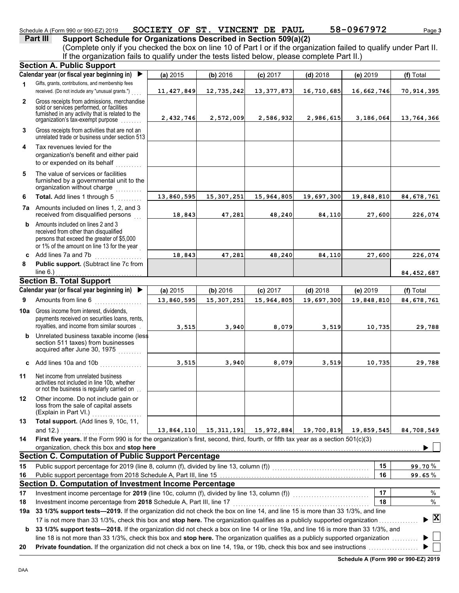### Schedule A (Form 990 or 990-EZ) 2019 **SOCIETY OF ST. VINCENT DE PAUL 58-0967972** Page 3

**Part III** Support Schedule for Organizations Described in Section 509(a)(2) (Complete only if you checked the box on line 10 of Part I or if the organization failed to qualify under Part II. If the organization fails to qualify under the tests listed below, please complete Part II.)

|              | <b>Section A. Public Support</b>                                                                                                                                                  |            |              |              |            |            |                                    |
|--------------|-----------------------------------------------------------------------------------------------------------------------------------------------------------------------------------|------------|--------------|--------------|------------|------------|------------------------------------|
|              | Calendar year (or fiscal year beginning in)<br>▶                                                                                                                                  | (a) 2015   | (b) 2016     | $(c)$ 2017   | $(d)$ 2018 | (e) 2019   | (f) Total                          |
| 1            | Gifts, grants, contributions, and membership fees<br>received. (Do not include any "unusual grants.")                                                                             | 11,427,849 | 12,735,242   | 13, 377, 873 | 16,710,685 | 16,662,746 | 70, 914, 395                       |
| $\mathbf{2}$ | Gross receipts from admissions, merchandise<br>sold or services performed, or facilities<br>furnished in any activity that is related to the<br>organization's tax-exempt purpose | 2,432,746  | 2,572,009    | 2,586,932    | 2,986,615  | 3,186,064  | 13,764,366                         |
| 3            | Gross receipts from activities that are not an<br>unrelated trade or business under section 513                                                                                   |            |              |              |            |            |                                    |
| 4            | Tax revenues levied for the<br>organization's benefit and either paid<br>to or expended on its behalf                                                                             |            |              |              |            |            |                                    |
| 5            | The value of services or facilities<br>furnished by a governmental unit to the<br>organization without charge                                                                     |            |              |              |            |            |                                    |
| 6            | Total. Add lines 1 through 5                                                                                                                                                      | 13,860,595 | 15, 307, 251 | 15,964,805   | 19,697,300 | 19,848,810 | 84, 678, 761                       |
|              | <b>7a</b> Amounts included on lines 1, 2, and 3<br>received from disqualified persons                                                                                             | 18,843     | 47,281       | 48,240       | 84,110     | 27,600     | 226,074                            |
| b            | Amounts included on lines 2 and 3<br>received from other than disqualified<br>persons that exceed the greater of \$5,000<br>or 1% of the amount on line 13 for the year           |            |              |              |            |            |                                    |
| c            | Add lines 7a and 7b                                                                                                                                                               | 18,843     | 47,281       | 48,240       | 84,110     | 27,600     | 226,074                            |
| 8            | Public support. (Subtract line 7c from                                                                                                                                            |            |              |              |            |            |                                    |
|              | line $6.$ )                                                                                                                                                                       |            |              |              |            |            | 84, 452, 687                       |
|              | <b>Section B. Total Support</b>                                                                                                                                                   |            |              |              |            |            |                                    |
|              | Calendar year (or fiscal year beginning in)<br>▶                                                                                                                                  | (a) 2015   | (b) 2016     | $(c)$ 2017   | $(d)$ 2018 | (e) 2019   | (f) Total                          |
| 9            | Amounts from line 6                                                                                                                                                               | 13,860,595 | 15, 307, 251 | 15,964,805   | 19,697,300 | 19,848,810 | 84, 678, 761                       |
| 10a          | Gross income from interest, dividends,<br>payments received on securities loans, rents,<br>royalties, and income from similar sources                                             | 3,515      | 3,940        | 8,079        | 3,519      | 10,735     | 29,788                             |
| b            | Unrelated business taxable income (less<br>section 511 taxes) from businesses<br>acquired after June 30, 1975                                                                     |            |              |              |            |            |                                    |
|              | c Add lines 10a and 10b<br>and a straight and a straight.                                                                                                                         | 3,515      | 3,940        | 8,079        | 3,519      | 10,735     | 29,788                             |
| 11           | Net income from unrelated business<br>activities not included in line 10b, whether<br>or not the business is regularly carried on                                                 |            |              |              |            |            |                                    |
| 12           | Other income. Do not include gain or<br>loss from the sale of capital assets<br>(Explain in Part VI.)                                                                             |            |              |              |            |            |                                    |
| 13           | Total support. (Add lines 9, 10c, 11,                                                                                                                                             |            |              |              |            |            |                                    |
| 14           | and 12.)<br>First five years. If the Form 990 is for the organization's first, second, third, fourth, or fifth tax year as a section 501(c)(3)                                    | 13,864,110 | 15,311,191   | 15,972,884   | 19,700,819 | 19,859,545 | 84,708,549                         |
|              | organization, check this box and stop here                                                                                                                                        |            |              |              |            |            |                                    |
|              | <b>Section C. Computation of Public Support Percentage</b>                                                                                                                        |            |              |              |            |            |                                    |
| 15           | Public support percentage for 2019 (line 8, column (f), divided by line 13, column (f)) [[[[[[[[[[[[[[[[[[[[[                                                                     |            |              |              |            | 15         | 99.70%                             |
| 16           |                                                                                                                                                                                   |            |              |              |            | 16         | 99.65%                             |
|              | Section D. Computation of Investment Income Percentage                                                                                                                            |            |              |              |            |            |                                    |
| 17           | Investment income percentage for 2019 (line 10c, column (f), divided by line 13, column (f)) [[[[[[[[[[[[[[[[                                                                     |            |              |              |            | 17         | %                                  |
| 18           | Investment income percentage from 2018 Schedule A, Part III, line 17                                                                                                              |            |              |              |            | 18         | %                                  |
| 19a          | 33 1/3% support tests-2019. If the organization did not check the box on line 14, and line 15 is more than 33 1/3%, and line                                                      |            |              |              |            |            |                                    |
|              | 17 is not more than 33 1/3%, check this box and stop here. The organization qualifies as a publicly supported organization                                                        |            |              |              |            |            | $\blacktriangleright$ $\mathbf{X}$ |
| b            | 33 1/3% support tests—2018. If the organization did not check a box on line 14 or line 19a, and line 16 is more than 33 1/3%, and                                                 |            |              |              |            |            |                                    |
|              | line 18 is not more than 33 1/3%, check this box and stop here. The organization qualifies as a publicly supported organization                                                   |            |              |              |            |            |                                    |
| 20           |                                                                                                                                                                                   |            |              |              |            |            |                                    |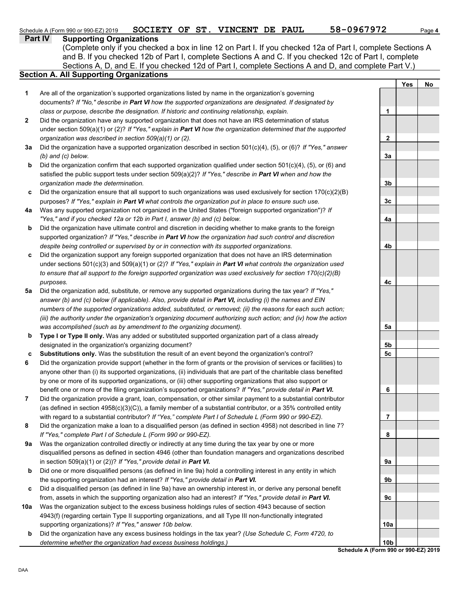|     | <b>Part IV</b><br><b>Supporting Organizations</b>                                                                                                                                        |                                      |            |    |
|-----|------------------------------------------------------------------------------------------------------------------------------------------------------------------------------------------|--------------------------------------|------------|----|
|     | (Complete only if you checked a box in line 12 on Part I. If you checked 12a of Part I, complete Sections A                                                                              |                                      |            |    |
|     | and B. If you checked 12b of Part I, complete Sections A and C. If you checked 12c of Part I, complete                                                                                   |                                      |            |    |
|     | Sections A, D, and E. If you checked 12d of Part I, complete Sections A and D, and complete Part V.)                                                                                     |                                      |            |    |
|     | <b>Section A. All Supporting Organizations</b>                                                                                                                                           |                                      |            |    |
|     |                                                                                                                                                                                          |                                      | <b>Yes</b> | No |
| 1   | Are all of the organization's supported organizations listed by name in the organization's governing                                                                                     |                                      |            |    |
|     | documents? If "No," describe in Part VI how the supported organizations are designated. If designated by                                                                                 |                                      |            |    |
|     | class or purpose, describe the designation. If historic and continuing relationship, explain.                                                                                            | 1                                    |            |    |
| 2   | Did the organization have any supported organization that does not have an IRS determination of status                                                                                   |                                      |            |    |
|     | under section 509(a)(1) or (2)? If "Yes," explain in Part VI how the organization determined that the supported                                                                          |                                      |            |    |
|     | organization was described in section 509(a)(1) or (2).                                                                                                                                  | 2                                    |            |    |
| За  | Did the organization have a supported organization described in section 501(c)(4), (5), or (6)? If "Yes," answer                                                                         |                                      |            |    |
|     | (b) and (c) below.                                                                                                                                                                       | 3a                                   |            |    |
| b   | Did the organization confirm that each supported organization qualified under section $501(c)(4)$ , (5), or (6) and                                                                      |                                      |            |    |
|     | satisfied the public support tests under section $509(a)(2)?$ If "Yes," describe in Part VI when and how the                                                                             |                                      |            |    |
|     | organization made the determination.                                                                                                                                                     | 3 <sub>b</sub>                       |            |    |
| c   | Did the organization ensure that all support to such organizations was used exclusively for section $170(c)(2)(B)$                                                                       |                                      |            |    |
|     | purposes? If "Yes," explain in Part VI what controls the organization put in place to ensure such use.                                                                                   | 3 <sub>c</sub>                       |            |    |
| 4a  | Was any supported organization not organized in the United States ("foreign supported organization")? If                                                                                 |                                      |            |    |
|     | "Yes," and if you checked 12a or 12b in Part I, answer (b) and (c) below.                                                                                                                | 4a                                   |            |    |
| b   | Did the organization have ultimate control and discretion in deciding whether to make grants to the foreign                                                                              |                                      |            |    |
|     | supported organization? If "Yes," describe in Part VI how the organization had such control and discretion                                                                               |                                      |            |    |
|     | despite being controlled or supervised by or in connection with its supported organizations.                                                                                             | 4b                                   |            |    |
| c   | Did the organization support any foreign supported organization that does not have an IRS determination                                                                                  |                                      |            |    |
|     | under sections $501(c)(3)$ and $509(a)(1)$ or (2)? If "Yes," explain in Part VI what controls the organization used                                                                      |                                      |            |    |
|     | to ensure that all support to the foreign supported organization was used exclusively for section $170(c)(2)(B)$                                                                         |                                      |            |    |
|     | purposes.                                                                                                                                                                                | 4с                                   |            |    |
| 5a  | Did the organization add, substitute, or remove any supported organizations during the tax year? If "Yes,"                                                                               |                                      |            |    |
|     | answer (b) and (c) below (if applicable). Also, provide detail in Part VI, including (i) the names and EIN                                                                               |                                      |            |    |
|     | numbers of the supported organizations added, substituted, or removed; (ii) the reasons for each such action;                                                                            |                                      |            |    |
|     | (iii) the authority under the organization's organizing document authorizing such action; and (iv) how the action<br>was accomplished (such as by amendment to the organizing document). |                                      |            |    |
|     | Type I or Type II only. Was any added or substituted supported organization part of a class already                                                                                      | 5a                                   |            |    |
| b   | designated in the organization's organizing document?                                                                                                                                    | 5b                                   |            |    |
| c   | Substitutions only. Was the substitution the result of an event beyond the organization's control?                                                                                       | 5c                                   |            |    |
| 6   | Did the organization provide support (whether in the form of grants or the provision of services or facilities) to                                                                       |                                      |            |    |
|     | anyone other than (i) its supported organizations, (ii) individuals that are part of the charitable class benefited                                                                      |                                      |            |    |
|     | by one or more of its supported organizations, or (iii) other supporting organizations that also support or                                                                              |                                      |            |    |
|     | benefit one or more of the filing organization's supported organizations? If "Yes," provide detail in Part VI.                                                                           | 6                                    |            |    |
| 7   | Did the organization provide a grant, loan, compensation, or other similar payment to a substantial contributor                                                                          |                                      |            |    |
|     | (as defined in section $4958(c)(3)(C)$ ), a family member of a substantial contributor, or a 35% controlled entity                                                                       |                                      |            |    |
|     | with regard to a substantial contributor? If "Yes," complete Part I of Schedule L (Form 990 or 990-EZ).                                                                                  | 7                                    |            |    |
| 8   | Did the organization make a loan to a disqualified person (as defined in section 4958) not described in line 7?                                                                          |                                      |            |    |
|     | If "Yes," complete Part I of Schedule L (Form 990 or 990-EZ).                                                                                                                            | 8                                    |            |    |
| 9a  | Was the organization controlled directly or indirectly at any time during the tax year by one or more                                                                                    |                                      |            |    |
|     | disqualified persons as defined in section 4946 (other than foundation managers and organizations described                                                                              |                                      |            |    |
|     | in section $509(a)(1)$ or (2))? If "Yes," provide detail in Part VI.                                                                                                                     | 9а                                   |            |    |
| b   | Did one or more disqualified persons (as defined in line 9a) hold a controlling interest in any entity in which                                                                          |                                      |            |    |
|     | the supporting organization had an interest? If "Yes," provide detail in Part VI.                                                                                                        | 9b                                   |            |    |
| c   | Did a disqualified person (as defined in line 9a) have an ownership interest in, or derive any personal benefit                                                                          |                                      |            |    |
|     | from, assets in which the supporting organization also had an interest? If "Yes," provide detail in Part VI.                                                                             | 9c                                   |            |    |
| 10a | Was the organization subject to the excess business holdings rules of section 4943 because of section                                                                                    |                                      |            |    |
|     | 4943(f) (regarding certain Type II supporting organizations, and all Type III non-functionally integrated                                                                                |                                      |            |    |
|     | supporting organizations)? If "Yes," answer 10b below.                                                                                                                                   | 10a                                  |            |    |
| b   | Did the organization have any excess business holdings in the tax year? (Use Schedule C, Form 4720, to                                                                                   |                                      |            |    |
|     | determine whether the organization had excess business holdings.)                                                                                                                        | 10 <sub>b</sub>                      |            |    |
|     |                                                                                                                                                                                          | Schedule A (Form 990 or 990-EZ) 2019 |            |    |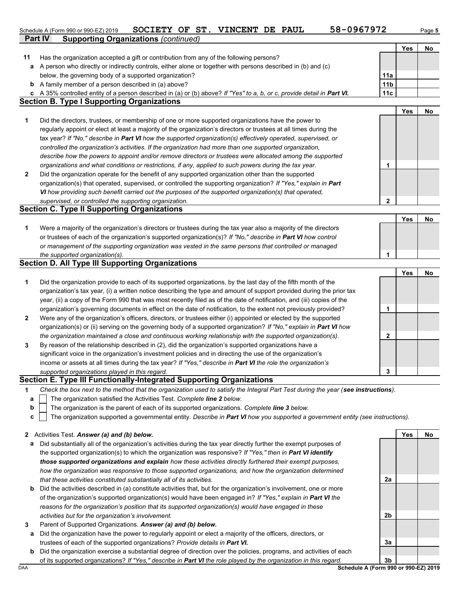|    | 58-0967972<br>SOCIETY OF ST. VINCENT DE PAUL<br>Schedule A (Form 990 or 990-EZ) 2019                                              |                 |     | Page 5 |
|----|-----------------------------------------------------------------------------------------------------------------------------------|-----------------|-----|--------|
|    | <b>Supporting Organizations (continued)</b><br><b>Part IV</b>                                                                     |                 |     |        |
|    |                                                                                                                                   |                 | Yes | No     |
| 11 | Has the organization accepted a gift or contribution from any of the following persons?                                           |                 |     |        |
| a  | A person who directly or indirectly controls, either alone or together with persons described in (b) and (c)                      |                 |     |        |
|    | below, the governing body of a supported organization?                                                                            | 11a             |     |        |
|    | <b>b</b> A family member of a person described in (a) above?                                                                      | 11 <sub>b</sub> |     |        |
|    | c A 35% controlled entity of a person described in (a) or (b) above? If "Yes" to a, b, or c, provide detail in Part VI.           | 11c             |     |        |
|    | <b>Section B. Type I Supporting Organizations</b>                                                                                 |                 |     |        |
|    |                                                                                                                                   |                 | Yes | No     |
| 1  | Did the directors, trustees, or membership of one or more supported organizations have the power to                               |                 |     |        |
|    | regularly appoint or elect at least a majority of the organization's directors or trustees at all times during the                |                 |     |        |
|    | tax year? If "No," describe in Part VI how the supported organization(s) effectively operated, supervised, or                     |                 |     |        |
|    | controlled the organization's activities. If the organization had more than one supported organization,                           |                 |     |        |
|    | describe how the powers to appoint and/or remove directors or trustees were allocated among the supported                         |                 |     |        |
|    | organizations and what conditions or restrictions, if any, applied to such powers during the tax year.                            | 1               |     |        |
| 2  | Did the organization operate for the benefit of any supported organization other than the supported                               |                 |     |        |
|    | organization(s) that operated, supervised, or controlled the supporting organization? If "Yes," explain in Part                   |                 |     |        |
|    | VI how providing such benefit carried out the purposes of the supported organization(s) that operated,                            |                 |     |        |
|    | supervised, or controlled the supporting organization.                                                                            | $\mathbf 2$     |     |        |
|    | <b>Section C. Type II Supporting Organizations</b>                                                                                |                 |     |        |
|    |                                                                                                                                   |                 | Yes | No     |
| 1  | Were a majority of the organization's directors or trustees during the tax year also a majority of the directors                  |                 |     |        |
|    | or trustees of each of the organization's supported organization(s)? If "No," describe in Part VI how control                     |                 |     |        |
|    | or management of the supporting organization was vested in the same persons that controlled or managed                            |                 |     |        |
|    | the supported organization(s).                                                                                                    | 1               |     |        |
|    | <b>Section D. All Type III Supporting Organizations</b>                                                                           |                 |     |        |
|    |                                                                                                                                   |                 | Yes | No     |
| 1  | Did the organization provide to each of its supported organizations, by the last day of the fifth month of the                    |                 |     |        |
|    | organization's tax year, (i) a written notice describing the type and amount of support provided during the prior tax             |                 |     |        |
|    | year, (ii) a copy of the Form 990 that was most recently filed as of the date of notification, and (iii) copies of the            |                 |     |        |
|    | organization's governing documents in effect on the date of notification, to the extent not previously provided?                  | 1               |     |        |
| 2  | Were any of the organization's officers, directors, or trustees either (i) appointed or elected by the supported                  |                 |     |        |
|    | organization(s) or (ii) serving on the governing body of a supported organization? If "No," explain in Part VI how                |                 |     |        |
|    | the organization maintained a close and continuous working relationship with the supported organization(s).                       | $\mathbf{2}$    |     |        |
| 3  | By reason of the relationship described in (2), did the organization's supported organizations have a                             |                 |     |        |
|    | significant voice in the organization's investment policies and in directing the use of the organization's                        |                 |     |        |
|    | income or assets at all times during the tax year? If "Yes," describe in Part VI the role the organization's                      |                 |     |        |
|    | supported organizations played in this regard.                                                                                    | 3               |     |        |
|    | Section E. Type III Functionally-Integrated Supporting Organizations                                                              |                 |     |        |
| 1  | Check the box next to the method that the organization used to satisfy the Integral Part Test during the year (see instructions). |                 |     |        |
|    | $\Box$ The organization satisfied the Activities Test. Complete $\lim_{n \to \infty} 2$ below                                     |                 |     |        |

- The organization satisfied the Activities Test. *Complete line 2 below.* **a**
- The organization is the parent of each of its supported organizations. *Complete line 3 below.* **b**
- The organization supported a governmental entity. *Describe in Part VI how you supported a government entity (see instructions).* **c**

|  | 2 Activities Test. Answer (a) and (b) below. |  |  |  |  |  |  |
|--|----------------------------------------------|--|--|--|--|--|--|
|--|----------------------------------------------|--|--|--|--|--|--|

- **a** Did substantially all of the organization's activities during the tax year directly further the exempt purposes of the supported organization(s) to which the organization was responsive? *If "Yes," then in Part VI identify those supported organizations and explain how these activities directly furthered their exempt purposes, how the organization was responsive to those supported organizations, and how the organization determined that these activities constituted substantially all of its activities.*
- **b** Did the activities described in (a) constitute activities that, but for the organization's involvement, one or more of the organization's supported organization(s) would have been engaged in? *If "Yes," explain in Part VI the reasons for the organization's position that its supported organization(s) would have engaged in these activities but for the organization's involvement.*
- **3** Parent of Supported Organizations. *Answer (a) and (b) below.*
- **a** Did the organization have the power to regularly appoint or elect a majority of the officers, directors, or trustees of each of the supported organizations? *Provide details in Part VI.*
- **b** Did the organization exercise a substantial degree of direction over the policies, programs, and activities of each of its supported organizations? *If "Yes," describe in Part VI the role played by the organization in this regard.*

**3a**

**2a**

**2b**

**Yes No**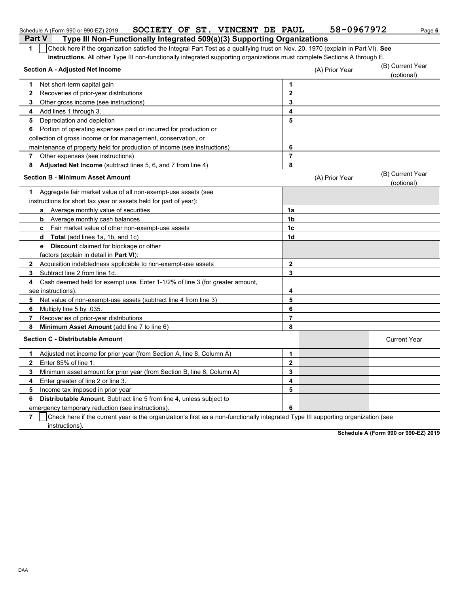|              | SOCIETY OF ST. VINCENT DE PAUL<br>Schedule A (Form 990 or 990-EZ) 2019                                                              |                  | 58-0967972     | Page 6                         |
|--------------|-------------------------------------------------------------------------------------------------------------------------------------|------------------|----------------|--------------------------------|
|              | Type III Non-Functionally Integrated 509(a)(3) Supporting Organizations<br><b>Part V</b>                                            |                  |                |                                |
| $\mathbf 1$  | Check here if the organization satisfied the Integral Part Test as a qualifying trust on Nov. 20, 1970 (explain in Part VI). See    |                  |                |                                |
|              | instructions. All other Type III non-functionally integrated supporting organizations must complete Sections A through E.           |                  |                |                                |
|              | <b>Section A - Adjusted Net Income</b>                                                                                              |                  | (A) Prior Year | (B) Current Year<br>(optional) |
| 1            | Net short-term capital gain                                                                                                         | $\mathbf 1$      |                |                                |
| $\mathbf{2}$ | Recoveries of prior-year distributions                                                                                              | $\mathbf{2}$     |                |                                |
| 3            | Other gross income (see instructions)                                                                                               | 3                |                |                                |
| 4            | Add lines 1 through 3.                                                                                                              | 4                |                |                                |
| 5            | Depreciation and depletion                                                                                                          | 5                |                |                                |
| 6            | Portion of operating expenses paid or incurred for production or                                                                    |                  |                |                                |
|              | collection of gross income or for management, conservation, or                                                                      |                  |                |                                |
|              | maintenance of property held for production of income (see instructions)                                                            | 6                |                |                                |
| 7            | Other expenses (see instructions)                                                                                                   | $\overline{7}$   |                |                                |
| 8            | <b>Adjusted Net Income</b> (subtract lines 5, 6, and 7 from line 4)                                                                 | 8                |                |                                |
|              | <b>Section B - Minimum Asset Amount</b>                                                                                             |                  | (A) Prior Year | (B) Current Year<br>(optional) |
| 1.           | Aggregate fair market value of all non-exempt-use assets (see                                                                       |                  |                |                                |
|              | instructions for short tax year or assets held for part of year):                                                                   |                  |                |                                |
|              | <b>a</b> Average monthly value of securities                                                                                        | 1a               |                |                                |
|              | Average monthly cash balances<br>b                                                                                                  | 1 <sub>b</sub>   |                |                                |
|              | c Fair market value of other non-exempt-use assets                                                                                  | 1 <sub>c</sub>   |                |                                |
|              | <b>Total</b> (add lines 1a, 1b, and 1c)<br>d                                                                                        | 1d               |                |                                |
|              | e Discount claimed for blockage or other                                                                                            |                  |                |                                |
|              | factors (explain in detail in Part VI):                                                                                             |                  |                |                                |
| $\mathbf{2}$ | Acquisition indebtedness applicable to non-exempt-use assets                                                                        | $\mathbf{2}$     |                |                                |
| 3            | Subtract line 2 from line 1d.                                                                                                       | 3                |                |                                |
| 4            | Cash deemed held for exempt use. Enter 1-1/2% of line 3 (for greater amount,                                                        |                  |                |                                |
|              | see instructions)                                                                                                                   | 4                |                |                                |
| 5            | Net value of non-exempt-use assets (subtract line 4 from line 3)                                                                    | 5                |                |                                |
| 6            | Multiply line 5 by .035.                                                                                                            | 6                |                |                                |
| 7            | Recoveries of prior-year distributions                                                                                              | $\overline{7}$   |                |                                |
| 8            | Minimum Asset Amount (add line 7 to line 6)                                                                                         | 8                |                |                                |
|              | <b>Section C - Distributable Amount</b>                                                                                             |                  |                | <b>Current Year</b>            |
| 1            | Adjusted net income for prior year (from Section A, line 8, Column A)                                                               | $\mathbf 1$      |                |                                |
| $\mathbf{2}$ | Enter 85% of line 1.                                                                                                                | $\mathbf{2}$     |                |                                |
| 3            | Minimum asset amount for prior year (from Section B, line 8, Column A)                                                              | 3                |                |                                |
| 4            | Enter greater of line 2 or line 3.                                                                                                  | $\boldsymbol{4}$ |                |                                |
| 5            | Income tax imposed in prior year                                                                                                    | 5                |                |                                |
| 6            | <b>Distributable Amount.</b> Subtract line 5 from line 4, unless subject to                                                         |                  |                |                                |
|              | emergency temporary reduction (see instructions).                                                                                   | 6                |                |                                |
| -            | $\mathbf{r}$ and $\mathbf{r}$ and $\mathbf{r}$ and $\mathbf{r}$ and $\mathbf{r}$ and $\mathbf{r}$ and $\mathbf{r}$ and $\mathbf{r}$ | $\sim$           |                |                                |

**7**  $\mid$  Check here if the current year is the organization's first as a non-functionally integrated Type III supporting organization (see instructions).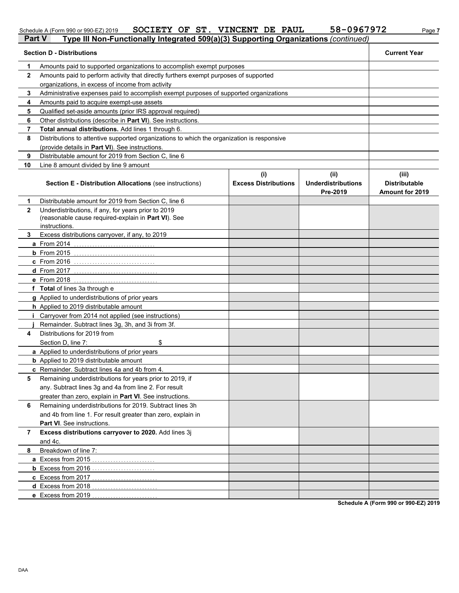### Schedule A (Form 990 or 990-EZ) 2019 **SOCIETY OF ST. VINCENT DE PAUL 58-0967972** Page 7

| <b>Part V</b> | Type III Non-Functionally Integrated 509(a)(3) Supporting Organizations (continued)                                                                                           |                                    |                                               |                                                         |
|---------------|-------------------------------------------------------------------------------------------------------------------------------------------------------------------------------|------------------------------------|-----------------------------------------------|---------------------------------------------------------|
|               | <b>Section D - Distributions</b>                                                                                                                                              |                                    |                                               | <b>Current Year</b>                                     |
| 1             | Amounts paid to supported organizations to accomplish exempt purposes                                                                                                         |                                    |                                               |                                                         |
| 2             | Amounts paid to perform activity that directly furthers exempt purposes of supported                                                                                          |                                    |                                               |                                                         |
|               | organizations, in excess of income from activity                                                                                                                              |                                    |                                               |                                                         |
| 3             | Administrative expenses paid to accomplish exempt purposes of supported organizations                                                                                         |                                    |                                               |                                                         |
| 4             | Amounts paid to acquire exempt-use assets                                                                                                                                     |                                    |                                               |                                                         |
| 5             | Qualified set-aside amounts (prior IRS approval required)                                                                                                                     |                                    |                                               |                                                         |
| 6             | Other distributions (describe in Part VI). See instructions.                                                                                                                  |                                    |                                               |                                                         |
| 7             | Total annual distributions. Add lines 1 through 6.                                                                                                                            |                                    |                                               |                                                         |
| 8             | Distributions to attentive supported organizations to which the organization is responsive                                                                                    |                                    |                                               |                                                         |
|               | (provide details in Part VI). See instructions.                                                                                                                               |                                    |                                               |                                                         |
| 9             | Distributable amount for 2019 from Section C, line 6                                                                                                                          |                                    |                                               |                                                         |
| 10            | Line 8 amount divided by line 9 amount                                                                                                                                        |                                    |                                               |                                                         |
|               | <b>Section E - Distribution Allocations (see instructions)</b>                                                                                                                | (i)<br><b>Excess Distributions</b> | (ii)<br><b>Underdistributions</b><br>Pre-2019 | (iii)<br><b>Distributable</b><br><b>Amount for 2019</b> |
| 1             | Distributable amount for 2019 from Section C, line 6                                                                                                                          |                                    |                                               |                                                         |
| $\mathbf{2}$  | Underdistributions, if any, for years prior to 2019<br>(reasonable cause required-explain in Part VI). See<br>instructions.                                                   |                                    |                                               |                                                         |
| 3             | Excess distributions carryover, if any, to 2019                                                                                                                               |                                    |                                               |                                                         |
|               | <b>a</b> From 2014                                                                                                                                                            |                                    |                                               |                                                         |
|               | $b$ From 2015                                                                                                                                                                 |                                    |                                               |                                                         |
|               | <b>c</b> From 2016                                                                                                                                                            |                                    |                                               |                                                         |
|               | <b>d</b> From 2017                                                                                                                                                            |                                    |                                               |                                                         |
|               | e From 2018                                                                                                                                                                   |                                    |                                               |                                                         |
|               | f Total of lines 3a through e                                                                                                                                                 |                                    |                                               |                                                         |
|               | g Applied to underdistributions of prior years                                                                                                                                |                                    |                                               |                                                         |
|               | h Applied to 2019 distributable amount                                                                                                                                        |                                    |                                               |                                                         |
|               | Carryover from 2014 not applied (see instructions)                                                                                                                            |                                    |                                               |                                                         |
|               | Remainder. Subtract lines 3g, 3h, and 3i from 3f.                                                                                                                             |                                    |                                               |                                                         |
| 4             | Distributions for 2019 from                                                                                                                                                   |                                    |                                               |                                                         |
|               | \$<br>Section D, line 7:                                                                                                                                                      |                                    |                                               |                                                         |
|               | a Applied to underdistributions of prior years                                                                                                                                |                                    |                                               |                                                         |
|               | <b>b</b> Applied to 2019 distributable amount                                                                                                                                 |                                    |                                               |                                                         |
|               | c Remainder. Subtract lines 4a and 4b from 4.                                                                                                                                 |                                    |                                               |                                                         |
| 5             | Remaining underdistributions for years prior to 2019, if<br>any. Subtract lines 3g and 4a from line 2. For result<br>greater than zero, explain in Part VI. See instructions. |                                    |                                               |                                                         |
| 6             | Remaining underdistributions for 2019. Subtract lines 3h<br>and 4b from line 1. For result greater than zero, explain in                                                      |                                    |                                               |                                                         |
|               | Part VI. See instructions.                                                                                                                                                    |                                    |                                               |                                                         |
| 7             | Excess distributions carryover to 2020. Add lines 3j<br>and 4c.                                                                                                               |                                    |                                               |                                                         |
| 8             | Breakdown of line 7:                                                                                                                                                          |                                    |                                               |                                                         |
|               | a Excess from 2015                                                                                                                                                            |                                    |                                               |                                                         |
|               | <b>b</b> Excess from 2016                                                                                                                                                     |                                    |                                               |                                                         |
|               | c Excess from 2017                                                                                                                                                            |                                    |                                               |                                                         |
|               | d Excess from 2018                                                                                                                                                            |                                    |                                               |                                                         |
|               | e Excess from 2019                                                                                                                                                            |                                    |                                               |                                                         |
|               |                                                                                                                                                                               |                                    |                                               |                                                         |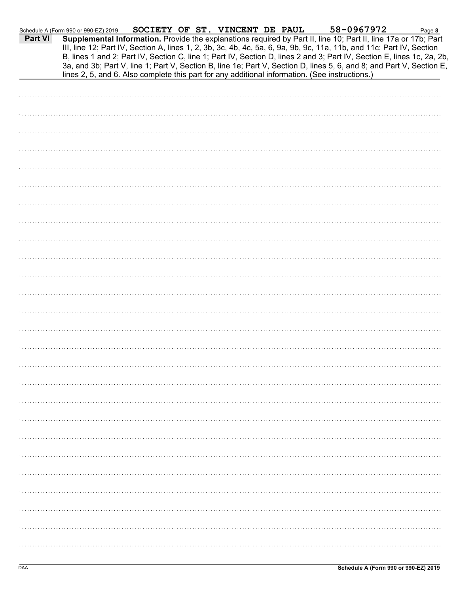|                | Schedule A (Form 990 or 990-EZ) 2019 |  | SOCIETY OF ST. VINCENT DE PAUL | 58-0967972                                                                                                                                                                                                                              | Page 8 |
|----------------|--------------------------------------|--|--------------------------------|-----------------------------------------------------------------------------------------------------------------------------------------------------------------------------------------------------------------------------------------|--------|
| <b>Part VI</b> |                                      |  |                                | Supplemental Information. Provide the explanations required by Part II, line 10; Part II, line 17a or 17b; Part<br>III, line 12; Part IV, Section A, lines 1, 2, 3b, 3c, 4b, 4c, 5a, 6, 9a, 9b, 9c, 11a, 11b, and 11c; Part IV, Section |        |
|                |                                      |  |                                | B, lines 1 and 2; Part IV, Section C, line 1; Part IV, Section D, lines 2 and 3; Part IV, Section E, lines 1c, 2a, 2b,                                                                                                                  |        |
|                |                                      |  |                                | 3a, and 3b; Part V, line 1; Part V, Section B, line 1e; Part V, Section D, lines 5, 6, and 8; and Part V, Section E,<br>lines 2, 5, and 6. Also complete this part for any additional information. (See instructions.)                  |        |
|                |                                      |  |                                |                                                                                                                                                                                                                                         |        |
|                |                                      |  |                                |                                                                                                                                                                                                                                         |        |
|                |                                      |  |                                |                                                                                                                                                                                                                                         |        |
|                |                                      |  |                                |                                                                                                                                                                                                                                         |        |
|                |                                      |  |                                |                                                                                                                                                                                                                                         |        |
|                |                                      |  |                                |                                                                                                                                                                                                                                         |        |
|                |                                      |  |                                |                                                                                                                                                                                                                                         |        |
|                |                                      |  |                                |                                                                                                                                                                                                                                         |        |
|                |                                      |  |                                |                                                                                                                                                                                                                                         |        |
|                |                                      |  |                                |                                                                                                                                                                                                                                         |        |
|                |                                      |  |                                |                                                                                                                                                                                                                                         |        |
|                |                                      |  |                                |                                                                                                                                                                                                                                         |        |
|                |                                      |  |                                |                                                                                                                                                                                                                                         |        |
|                |                                      |  |                                |                                                                                                                                                                                                                                         |        |
|                |                                      |  |                                |                                                                                                                                                                                                                                         |        |
|                |                                      |  |                                |                                                                                                                                                                                                                                         |        |
|                |                                      |  |                                |                                                                                                                                                                                                                                         |        |
|                |                                      |  |                                |                                                                                                                                                                                                                                         |        |
|                |                                      |  |                                |                                                                                                                                                                                                                                         |        |
|                |                                      |  |                                |                                                                                                                                                                                                                                         |        |
|                |                                      |  |                                |                                                                                                                                                                                                                                         |        |
|                |                                      |  |                                |                                                                                                                                                                                                                                         |        |
|                |                                      |  |                                |                                                                                                                                                                                                                                         |        |
|                |                                      |  |                                |                                                                                                                                                                                                                                         |        |
|                |                                      |  |                                |                                                                                                                                                                                                                                         |        |
|                |                                      |  |                                |                                                                                                                                                                                                                                         |        |
|                |                                      |  |                                |                                                                                                                                                                                                                                         |        |
|                |                                      |  |                                |                                                                                                                                                                                                                                         |        |
|                |                                      |  |                                |                                                                                                                                                                                                                                         |        |
|                |                                      |  |                                |                                                                                                                                                                                                                                         |        |
|                |                                      |  |                                |                                                                                                                                                                                                                                         |        |
|                |                                      |  |                                |                                                                                                                                                                                                                                         |        |
|                |                                      |  |                                |                                                                                                                                                                                                                                         |        |
|                |                                      |  |                                |                                                                                                                                                                                                                                         |        |
|                |                                      |  |                                |                                                                                                                                                                                                                                         |        |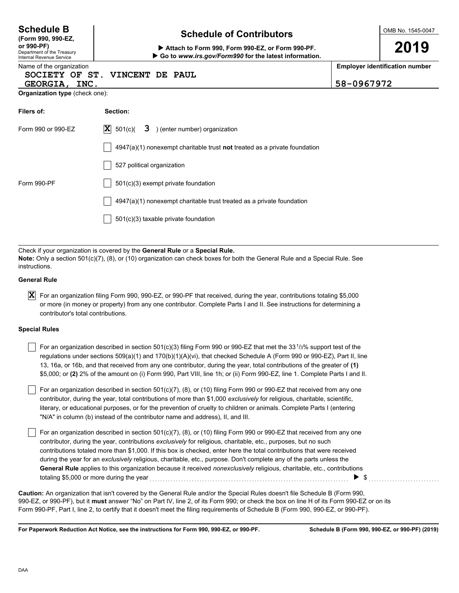| <b>Schedule B</b><br>(Form 990, 990-EZ,<br>or 990-PF)<br>Department of the Treasury                                                                                                                                                                                                      | <b>Schedule of Contributors</b><br>Attach to Form 990, Form 990-EZ, or Form 990-PF.<br>Go to www.irs.gov/Form990 for the latest information. |                                       | OMB No. 1545-0047<br>2019 |  |  |  |
|------------------------------------------------------------------------------------------------------------------------------------------------------------------------------------------------------------------------------------------------------------------------------------------|----------------------------------------------------------------------------------------------------------------------------------------------|---------------------------------------|---------------------------|--|--|--|
| <b>Internal Revenue Service</b><br>Name of the organization<br>SOCIETY OF ST. VINCENT DE PAUL<br>GEORGIA, INC.                                                                                                                                                                           | 58-0967972                                                                                                                                   | <b>Employer identification number</b> |                           |  |  |  |
| Organization type (check one):                                                                                                                                                                                                                                                           |                                                                                                                                              |                                       |                           |  |  |  |
| Filers of:                                                                                                                                                                                                                                                                               | Section:                                                                                                                                     |                                       |                           |  |  |  |
| Form 990 or 990-EZ                                                                                                                                                                                                                                                                       | $ \mathbf{X} $ 501(c)(<br>3 ) (enter number) organization                                                                                    |                                       |                           |  |  |  |
|                                                                                                                                                                                                                                                                                          | $4947(a)(1)$ nonexempt charitable trust <b>not</b> treated as a private foundation                                                           |                                       |                           |  |  |  |
|                                                                                                                                                                                                                                                                                          | 527 political organization                                                                                                                   |                                       |                           |  |  |  |
| Form 990-PF                                                                                                                                                                                                                                                                              | 501(c)(3) exempt private foundation                                                                                                          |                                       |                           |  |  |  |
|                                                                                                                                                                                                                                                                                          | 4947(a)(1) nonexempt charitable trust treated as a private foundation                                                                        |                                       |                           |  |  |  |
|                                                                                                                                                                                                                                                                                          | 501(c)(3) taxable private foundation                                                                                                         |                                       |                           |  |  |  |
|                                                                                                                                                                                                                                                                                          |                                                                                                                                              |                                       |                           |  |  |  |
| Check if your organization is covered by the General Rule or a Special Rule.<br>Note: Only a section 501(c)(7), (8), or (10) organization can check boxes for both the General Rule and a Special Rule. See<br>instructions.                                                             |                                                                                                                                              |                                       |                           |  |  |  |
| <b>General Rule</b>                                                                                                                                                                                                                                                                      |                                                                                                                                              |                                       |                           |  |  |  |
| X<br>For an organization filing Form 990, 990-EZ, or 990-PF that received, during the year, contributions totaling \$5,000<br>or more (in money or property) from any one contributor. Complete Parts I and II. See instructions for determining a<br>contributor's total contributions. |                                                                                                                                              |                                       |                           |  |  |  |

#### **Special Rules**

| For an organization described in section 501(c)(3) filing Form 990 or 990-EZ that met the 33 $1/3\%$ support test of the    |
|-----------------------------------------------------------------------------------------------------------------------------|
| regulations under sections $509(a)(1)$ and $170(b)(1)(A)(vi)$ , that checked Schedule A (Form 990 or 990-EZ), Part II, line |
| 13, 16a, or 16b, and that received from any one contributor, during the year, total contributions of the greater of (1)     |
| \$5,000; or (2) 2% of the amount on (i) Form 990, Part VIII, line 1h; or (ii) Form 990-EZ, line 1. Complete Parts I and II. |

literary, or educational purposes, or for the prevention of cruelty to children or animals. Complete Parts I (entering For an organization described in section 501(c)(7), (8), or (10) filing Form 990 or 990-EZ that received from any one contributor, during the year, total contributions of more than \$1,000 *exclusively* for religious, charitable, scientific, "N/A" in column (b) instead of the contributor name and address), II, and III.

For an organization described in section 501(c)(7), (8), or (10) filing Form 990 or 990-EZ that received from any one contributor, during the year, contributions *exclusively* for religious, charitable, etc., purposes, but no such contributions totaled more than \$1,000. If this box is checked, enter here the total contributions that were received during the year for an *exclusively* religious, charitable, etc., purpose. Don't complete any of the parts unless the **General Rule** applies to this organization because it received *nonexclusively* religious, charitable, etc., contributions totaling \$5,000 or more during the year . . . . . . . . . . . . . . . . . . . . . . . . . . . . . . . . . . . . . . . . . . . . . . . . . . . . . . . . . . . . . . . . . . . . . . . . . . . . \$ . . . . . . . . . . . . . . . . . . . . . . . . . . .

990-EZ, or 990-PF), but it **must** answer "No" on Part IV, line 2, of its Form 990; or check the box on line H of its Form 990-EZ or on its Form 990-PF, Part I, line 2, to certify that it doesn't meet the filing requirements of Schedule B (Form 990, 990-EZ, or 990-PF). **Caution:** An organization that isn't covered by the General Rule and/or the Special Rules doesn't file Schedule B (Form 990,

**For Paperwork Reduction Act Notice, see the instructions for Form 990, 990-EZ, or 990-PF.**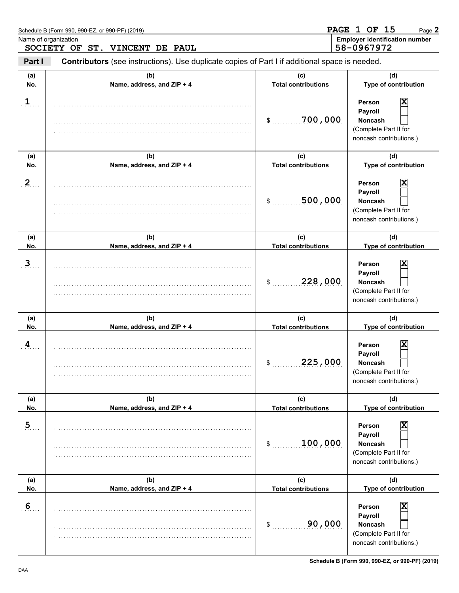|                | Schedule B (Form 990, 990-EZ, or 990-PF) (2019)<br>Name of organization<br>SOCIETY OF ST. VINCENT DE PAUL |                                            | <b>PAGE 1 OF 15</b><br>Page 2<br><b>Employer identification number</b><br>58-0967972         |
|----------------|-----------------------------------------------------------------------------------------------------------|--------------------------------------------|----------------------------------------------------------------------------------------------|
| Part I         | Contributors (see instructions). Use duplicate copies of Part I if additional space is needed.            |                                            |                                                                                              |
| (a)<br>No.     | (b)<br>Name, address, and ZIP + 4                                                                         | (c)<br><b>Total contributions</b>          | (d)<br>Type of contribution                                                                  |
| 1              |                                                                                                           | 700,000<br>\$                              | х<br>Person<br>Payroll<br><b>Noncash</b><br>(Complete Part II for<br>noncash contributions.) |
| (a)<br>No.     | (b)<br>Name, address, and ZIP + 4                                                                         | (c)<br><b>Total contributions</b>          | (d)<br>Type of contribution                                                                  |
| $\mathbf{2}$   |                                                                                                           | 500,000<br>\$                              | х<br>Person<br>Payroll<br><b>Noncash</b><br>(Complete Part II for<br>noncash contributions.) |
| (a)<br>No.     | (b)<br>Name, address, and ZIP + 4                                                                         | (c)<br><b>Total contributions</b>          | (d)<br>Type of contribution                                                                  |
| $\mathbf{3}$   |                                                                                                           | 228,000<br>\$                              | х<br>Person<br>Payroll<br><b>Noncash</b><br>(Complete Part II for<br>noncash contributions.) |
| (a)<br>No.     | (b)<br>Name, address, and ZIP + 4                                                                         | (c)<br><b>Total contributions</b>          | (d)<br>Type of contribution                                                                  |
| 4              |                                                                                                           | 225,000<br>\$                              | X<br>Person<br>Payroll<br>Noncash<br>(Complete Part II for<br>noncash contributions.)        |
| (a)<br>No.     | (b)<br>Name, address, and ZIP + 4                                                                         | (c)<br><b>Total contributions</b>          | (d)<br>Type of contribution                                                                  |
| $\overline{5}$ |                                                                                                           | 100,000<br>\$                              | X<br>Person<br>Payroll<br>Noncash<br>(Complete Part II for<br>noncash contributions.)        |
| (a)<br>No.     | (b)<br>Name, address, and ZIP + 4                                                                         | (c)                                        | (d)<br>Type of contribution                                                                  |
| 6              |                                                                                                           | <b>Total contributions</b><br>90,000<br>\$ | X<br>Person<br>Payroll<br>Noncash<br>(Complete Part II for<br>noncash contributions.)        |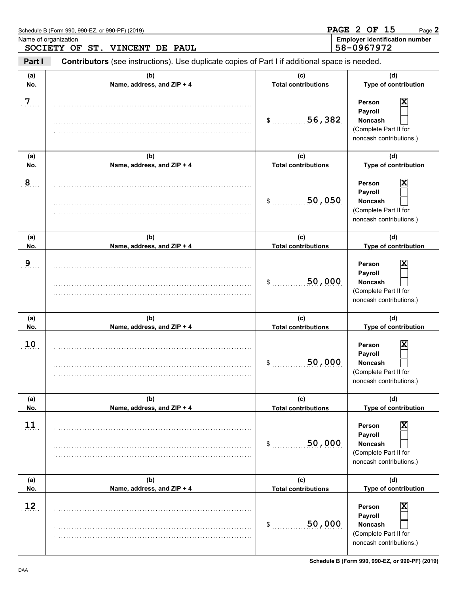|                                                        | Schedule B (Form 990, 990-EZ, or 990-PF) (2019)                                                |                                   | <b>PAGE 2 OF 15</b><br>Page 2                                                                |
|--------------------------------------------------------|------------------------------------------------------------------------------------------------|-----------------------------------|----------------------------------------------------------------------------------------------|
| Name of organization<br>SOCIETY OF ST. VINCENT DE PAUL |                                                                                                |                                   | <b>Employer identification number</b><br>58-0967972                                          |
| Part I                                                 | Contributors (see instructions). Use duplicate copies of Part I if additional space is needed. |                                   |                                                                                              |
| (a)<br>No.                                             | (b)<br>Name, address, and ZIP + 4                                                              | (c)<br><b>Total contributions</b> | (d)<br>Type of contribution                                                                  |
| $\overline{7}$                                         |                                                                                                | 56,382<br>$\mathsf{S}$            | X<br>Person<br>Payroll<br><b>Noncash</b><br>(Complete Part II for<br>noncash contributions.) |
| (a)<br>No.                                             | (b)<br>Name, address, and ZIP + 4                                                              | (c)<br><b>Total contributions</b> | (d)<br>Type of contribution                                                                  |
| 8                                                      |                                                                                                | 50,050<br>\$                      | X<br>Person<br>Payroll<br><b>Noncash</b><br>(Complete Part II for<br>noncash contributions.) |
| (a)<br>No.                                             | (b)<br>Name, address, and ZIP + 4                                                              | (c)<br><b>Total contributions</b> | (d)<br>Type of contribution                                                                  |
| 9                                                      |                                                                                                | 50,000<br>\$                      | x<br>Person<br>Payroll<br>Noncash<br>(Complete Part II for<br>noncash contributions.)        |
| (a)<br>No.                                             | (b)<br>Name, address, and ZIP + 4                                                              | (c)<br><b>Total contributions</b> | (d)<br>Type of contribution                                                                  |
| 10                                                     |                                                                                                | 50,000<br>\$                      | X<br>Person<br>Payroll<br>Noncash<br>(Complete Part II for<br>noncash contributions.)        |
| (a)<br>No.                                             | (b)<br>Name, address, and ZIP + 4                                                              | (c)<br><b>Total contributions</b> | (d)<br>Type of contribution                                                                  |
| 11                                                     |                                                                                                | 50,000<br>\$                      | X<br>Person<br>Payroll<br><b>Noncash</b><br>(Complete Part II for<br>noncash contributions.) |
| (a)<br>No.                                             | (b)<br>Name, address, and ZIP + 4                                                              | (c)<br><b>Total contributions</b> | (d)<br>Type of contribution                                                                  |
| 12                                                     |                                                                                                | 50,000<br>\$                      | X<br>Person<br>Payroll<br><b>Noncash</b><br>(Complete Part II for<br>noncash contributions.) |

**Schedule B (Form 990, 990-EZ, or 990-PF) (2019)**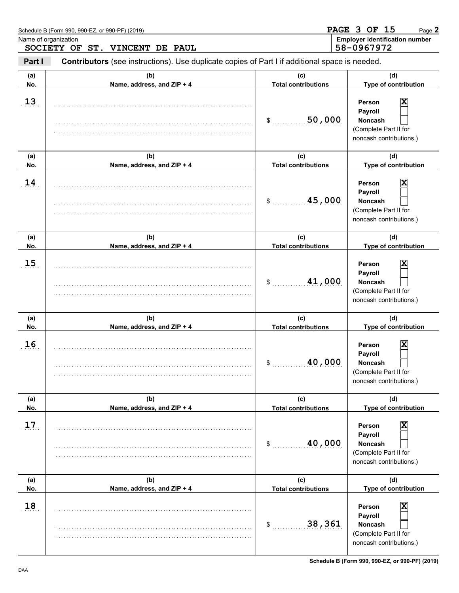|                                                        | Schedule B (Form 990, 990-EZ, or 990-PF) (2019)                                                |                                            | PAGE 3 OF 15<br>Page 2                                                                                                                     |
|--------------------------------------------------------|------------------------------------------------------------------------------------------------|--------------------------------------------|--------------------------------------------------------------------------------------------------------------------------------------------|
| Name of organization<br>SOCIETY OF ST. VINCENT DE PAUL |                                                                                                |                                            | <b>Employer identification number</b><br>58-0967972                                                                                        |
| Part I                                                 | Contributors (see instructions). Use duplicate copies of Part I if additional space is needed. |                                            |                                                                                                                                            |
| (a)<br>No.                                             | (b)<br>Name, address, and ZIP + 4                                                              | (c)<br><b>Total contributions</b>          | (d)<br>Type of contribution                                                                                                                |
| 13                                                     |                                                                                                | 50,000<br>\$                               | X<br>Person<br>Payroll<br><b>Noncash</b><br>(Complete Part II for<br>noncash contributions.)                                               |
| (a)<br>No.                                             | (b)<br>Name, address, and ZIP + 4                                                              | (c)<br><b>Total contributions</b>          | (d)<br>Type of contribution                                                                                                                |
| 14                                                     |                                                                                                | 45,000<br>\$                               | X<br>Person<br>Payroll<br><b>Noncash</b><br>(Complete Part II for<br>noncash contributions.)                                               |
| (a)<br>No.                                             | (b)<br>Name, address, and ZIP + 4                                                              | (c)<br><b>Total contributions</b>          | (d)<br>Type of contribution                                                                                                                |
| 15                                                     |                                                                                                | 41,000<br>\$                               | X<br>Person<br>Payroll<br><b>Noncash</b><br>(Complete Part II for<br>noncash contributions.)                                               |
| (a)<br>No.                                             | (b)<br>Name, address, and ZIP + 4                                                              | (c)<br><b>Total contributions</b>          | (d)<br>Type of contribution                                                                                                                |
| 16                                                     |                                                                                                | 40,000<br>\$                               | X<br><b>Person</b><br>Payroll<br><b>Noncash</b><br>(Complete Part II for<br>noncash contributions.)                                        |
| (a)<br>No.                                             | (b)<br>Name, address, and ZIP + 4                                                              | (c)<br><b>Total contributions</b>          | (d)<br>Type of contribution                                                                                                                |
| 17                                                     |                                                                                                | 40,000<br>\$                               | $\overline{\mathbf{x}}$<br>Person<br>Payroll<br><b>Noncash</b><br>(Complete Part II for<br>noncash contributions.)                         |
| (a)                                                    | (b)                                                                                            | (c)                                        | (d)                                                                                                                                        |
| No.<br>18                                              | Name, address, and ZIP + 4                                                                     | <b>Total contributions</b><br>38,361<br>\$ | Type of contribution<br>$\overline{\mathbf{x}}$<br>Person<br>Payroll<br><b>Noncash</b><br>(Complete Part II for<br>noncash contributions.) |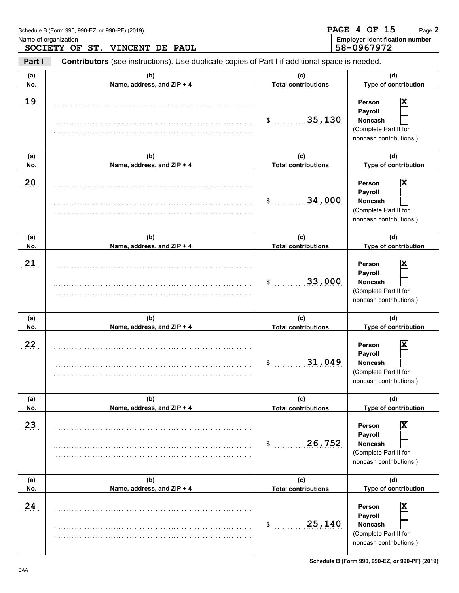|                                                        | Schedule B (Form 990, 990-EZ, or 990-PF) (2019)                                                |                                   | PAGE 4 OF 15<br>Page 2                                                                       |
|--------------------------------------------------------|------------------------------------------------------------------------------------------------|-----------------------------------|----------------------------------------------------------------------------------------------|
| Name of organization<br>SOCIETY OF ST. VINCENT DE PAUL |                                                                                                |                                   | <b>Employer identification number</b><br>58-0967972                                          |
| Part I                                                 | Contributors (see instructions). Use duplicate copies of Part I if additional space is needed. |                                   |                                                                                              |
| (a)<br>No.                                             | (b)<br>Name, address, and ZIP + 4                                                              | (c)<br><b>Total contributions</b> | (d)<br>Type of contribution                                                                  |
| 19                                                     |                                                                                                | 35,130<br>$\mathsf{S}$            | X<br>Person<br>Payroll<br><b>Noncash</b><br>(Complete Part II for<br>noncash contributions.) |
| (a)<br>No.                                             | (b)<br>Name, address, and ZIP + 4                                                              | (c)<br><b>Total contributions</b> | (d)<br>Type of contribution                                                                  |
| 20                                                     |                                                                                                | 34,000<br>\$                      | X<br>Person<br>Payroll<br><b>Noncash</b><br>(Complete Part II for<br>noncash contributions.) |
| (a)<br>No.                                             | (b)<br>Name, address, and ZIP + 4                                                              | (c)<br><b>Total contributions</b> | (d)<br>Type of contribution                                                                  |
| 21                                                     |                                                                                                | 33,000<br>\$                      | X<br>Person<br>Payroll<br>Noncash<br>(Complete Part II for<br>noncash contributions.)        |
| (a)<br>No.                                             | (b)<br>Name, address, and ZIP + 4                                                              | (c)<br><b>Total contributions</b> | (d)<br>Type of contribution                                                                  |
| 22                                                     |                                                                                                | 31,049<br>\$                      | Χ<br>Person<br>Payroll<br>Noncash<br>(Complete Part II for<br>noncash contributions.)        |
| (a)<br>No.                                             | (b)<br>Name, address, and ZIP + 4                                                              | (c)<br><b>Total contributions</b> | (d)<br>Type of contribution                                                                  |
| 23                                                     |                                                                                                | 26,752<br>\$                      | X<br>Person<br>Payroll<br><b>Noncash</b><br>(Complete Part II for<br>noncash contributions.) |
| (a)<br>No.                                             | (b)<br>Name, address, and ZIP + 4                                                              | (c)<br><b>Total contributions</b> | (d)<br>Type of contribution                                                                  |
| 24                                                     |                                                                                                | 25,140<br>\$                      | X<br>Person<br>Payroll<br><b>Noncash</b><br>(Complete Part II for<br>noncash contributions.) |

**Schedule B (Form 990, 990-EZ, or 990-PF) (2019)**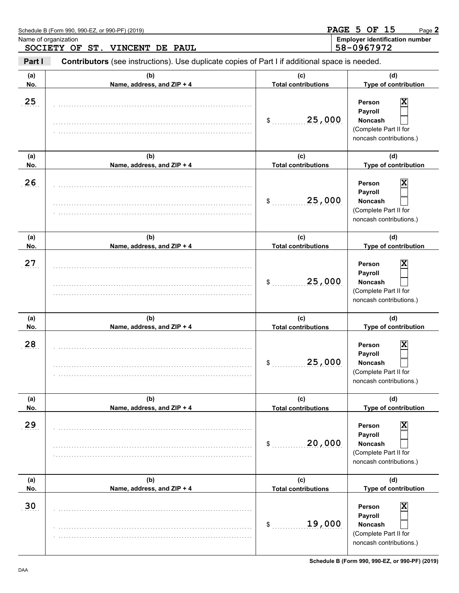| Schedule B (Form 990, 990-EZ, or 990-PF) (2019)<br>Name of organization<br>SOCIETY OF ST. VINCENT DE PAUL |                                   | <b>PAGE 5 OF 15</b><br>Page 2<br><b>Employer identification number</b><br>58-0967972 |                                                                                                                    |
|-----------------------------------------------------------------------------------------------------------|-----------------------------------|--------------------------------------------------------------------------------------|--------------------------------------------------------------------------------------------------------------------|
|                                                                                                           |                                   |                                                                                      |                                                                                                                    |
| (a)<br>No.                                                                                                | (b)<br>Name, address, and ZIP + 4 | (c)<br><b>Total contributions</b>                                                    | (d)<br>Type of contribution                                                                                        |
| 25                                                                                                        |                                   | 25,000<br>\$                                                                         | X<br>Person<br>Payroll<br><b>Noncash</b><br>(Complete Part II for<br>noncash contributions.)                       |
| (a)<br>No.                                                                                                | (b)<br>Name, address, and ZIP + 4 | (c)<br><b>Total contributions</b>                                                    | (d)<br>Type of contribution                                                                                        |
| 26                                                                                                        |                                   | 25,000<br>\$                                                                         | X<br>Person<br>Payroll<br><b>Noncash</b><br>(Complete Part II for<br>noncash contributions.)                       |
| (a)<br>No.                                                                                                | (b)<br>Name, address, and ZIP + 4 | (c)<br><b>Total contributions</b>                                                    | (d)<br>Type of contribution                                                                                        |
| 27                                                                                                        |                                   | 25,000<br>\$                                                                         | X<br>Person<br>Payroll<br><b>Noncash</b><br>(Complete Part II for<br>noncash contributions.)                       |
| (a)<br>No.                                                                                                | (b)<br>Name, address, and ZIP + 4 | (c)<br><b>Total contributions</b>                                                    | (d)<br>Type of contribution                                                                                        |
| 28                                                                                                        |                                   | 25,000<br>\$                                                                         | X<br>Person<br>Payroll<br><b>Noncash</b><br>(Complete Part II for<br>noncash contributions.)                       |
| (a)<br>No.                                                                                                | (b)<br>Name, address, and ZIP + 4 | (c)<br><b>Total contributions</b>                                                    | (d)<br>Type of contribution                                                                                        |
| 29                                                                                                        |                                   | 20,000<br>\$                                                                         | $\overline{\mathbf{x}}$<br>Person<br>Payroll<br><b>Noncash</b><br>(Complete Part II for<br>noncash contributions.) |
| (a)<br>No.                                                                                                | (b)<br>Name, address, and ZIP + 4 | (c)<br><b>Total contributions</b>                                                    | (d)<br>Type of contribution                                                                                        |
| 30                                                                                                        |                                   | 19,000<br>\$                                                                         | $\overline{\mathbf{x}}$<br>Person<br>Payroll<br><b>Noncash</b><br>(Complete Part II for<br>noncash contributions.) |

**Schedule B (Form 990, 990-EZ, or 990-PF) (2019)**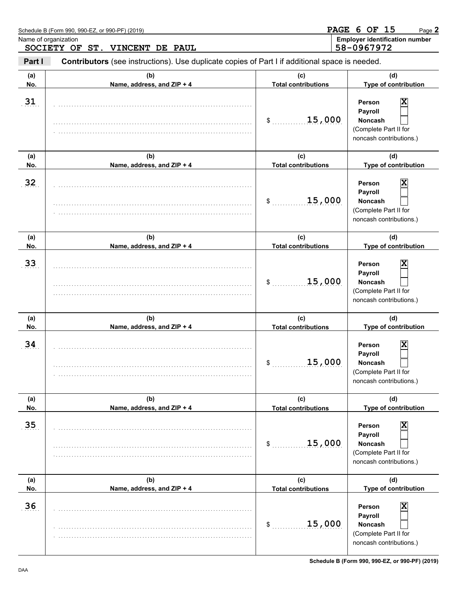|                                                        | Schedule B (Form 990, 990-EZ, or 990-PF) (2019)                                                |                                   | PAGE 6 OF 15<br>Page 2                                                                       |
|--------------------------------------------------------|------------------------------------------------------------------------------------------------|-----------------------------------|----------------------------------------------------------------------------------------------|
| Name of organization<br>SOCIETY OF ST. VINCENT DE PAUL |                                                                                                |                                   | <b>Employer identification number</b><br>58-0967972                                          |
| Part I                                                 | Contributors (see instructions). Use duplicate copies of Part I if additional space is needed. |                                   |                                                                                              |
| (a)<br>No.                                             | (b)<br>Name, address, and ZIP + 4                                                              | (c)<br><b>Total contributions</b> | (d)<br>Type of contribution                                                                  |
| 31                                                     |                                                                                                | 15,000<br>$\frac{1}{2}$           | X<br>Person<br>Payroll<br><b>Noncash</b><br>(Complete Part II for<br>noncash contributions.) |
| (a)<br>No.                                             | (b)<br>Name, address, and ZIP + 4                                                              | (c)<br><b>Total contributions</b> | (d)<br>Type of contribution                                                                  |
| 32                                                     |                                                                                                | 15,000<br>\$                      | X<br>Person<br>Payroll<br><b>Noncash</b><br>(Complete Part II for<br>noncash contributions.) |
| (a)<br>No.                                             | (b)<br>Name, address, and ZIP + 4                                                              | (c)<br><b>Total contributions</b> | (d)<br>Type of contribution                                                                  |
| 33                                                     |                                                                                                | 15,000<br>\$                      | X<br>Person<br>Payroll<br>Noncash<br>(Complete Part II for<br>noncash contributions.)        |
| (a)<br>No.                                             | (b)<br>Name, address, and ZIP + 4                                                              | (c)<br><b>Total contributions</b> | (d)<br>Type of contribution                                                                  |
| 34                                                     |                                                                                                | 15,000<br>\$                      | Χ<br>Person<br>Payroll<br>Noncash<br>(Complete Part II for<br>noncash contributions.)        |
| (a)<br>No.                                             | (b)<br>Name, address, and ZIP + 4                                                              | (c)<br><b>Total contributions</b> | (d)<br>Type of contribution                                                                  |
| 35                                                     |                                                                                                | 15,000<br>\$                      | X<br>Person<br>Payroll<br><b>Noncash</b><br>(Complete Part II for<br>noncash contributions.) |
| (a)<br>No.                                             | (b)<br>Name, address, and ZIP + 4                                                              | (c)<br><b>Total contributions</b> | (d)<br>Type of contribution                                                                  |
| 36                                                     |                                                                                                | 15,000<br>\$                      | X<br>Person<br>Payroll<br><b>Noncash</b><br>(Complete Part II for<br>noncash contributions.) |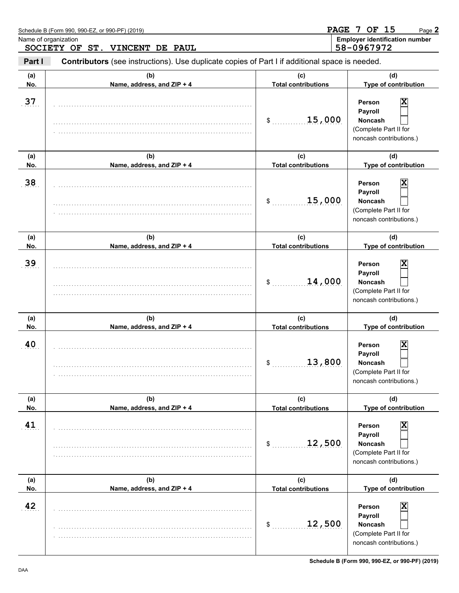|            | Schedule B (Form 990, 990-EZ, or 990-PF) (2019)                                                |                                   | PAGE 7 OF 15<br>Page 2                                                                       |
|------------|------------------------------------------------------------------------------------------------|-----------------------------------|----------------------------------------------------------------------------------------------|
|            | Name of organization<br>SOCIETY OF ST. VINCENT DE PAUL                                         |                                   | <b>Employer identification number</b><br>58-0967972                                          |
| Part I     | Contributors (see instructions). Use duplicate copies of Part I if additional space is needed. |                                   |                                                                                              |
| (a)<br>No. | (b)<br>Name, address, and ZIP + 4                                                              | (c)<br><b>Total contributions</b> | (d)<br>Type of contribution                                                                  |
| 37         |                                                                                                | 15,000<br>$\frac{1}{2}$           | X<br>Person<br>Payroll<br><b>Noncash</b><br>(Complete Part II for<br>noncash contributions.) |
| (a)<br>No. | (b)<br>Name, address, and ZIP + 4                                                              | (c)<br><b>Total contributions</b> | (d)<br>Type of contribution                                                                  |
| 38         |                                                                                                | 15,000<br>\$                      | X<br>Person<br>Payroll<br><b>Noncash</b><br>(Complete Part II for<br>noncash contributions.) |
| (a)<br>No. | (b)<br>Name, address, and ZIP + 4                                                              | (c)<br><b>Total contributions</b> | (d)<br>Type of contribution                                                                  |
| 39         |                                                                                                | 14,000<br>\$                      | X<br>Person<br>Payroll<br><b>Noncash</b><br>(Complete Part II for<br>noncash contributions.) |
| (a)<br>No. | (b)<br>Name, address, and ZIP + 4                                                              | (c)<br><b>Total contributions</b> | (d)<br>Type of contribution                                                                  |
| 40         |                                                                                                | 13,800<br>\$                      | Χ<br>Person<br>Payroll<br>Noncash<br>(Complete Part II for<br>noncash contributions.)        |
| (a)<br>No. | (b)<br>Name, address, and ZIP + 4                                                              | (c)<br><b>Total contributions</b> | (d)<br>Type of contribution                                                                  |
| 41         |                                                                                                | 12,500<br>\$                      | X<br>Person<br>Payroll<br><b>Noncash</b><br>(Complete Part II for<br>noncash contributions.) |
| (a)<br>No. | (b)<br>Name, address, and ZIP + 4                                                              | (c)<br><b>Total contributions</b> | (d)<br>Type of contribution                                                                  |
| 42         |                                                                                                | 12,500<br>\$                      | X<br>Person<br>Payroll<br><b>Noncash</b><br>(Complete Part II for<br>noncash contributions.) |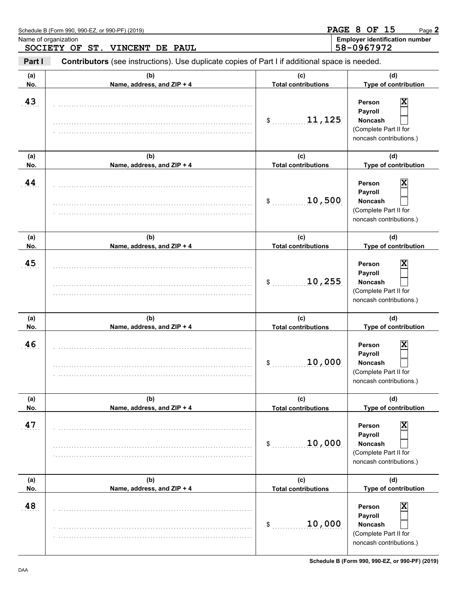|                                                        | Schedule B (Form 990, 990-EZ, or 990-PF) (2019)                                                |                                   | <b>PAGE 8 OF 15</b><br>Page 2                                                                |
|--------------------------------------------------------|------------------------------------------------------------------------------------------------|-----------------------------------|----------------------------------------------------------------------------------------------|
| Name of organization<br>SOCIETY OF ST. VINCENT DE PAUL |                                                                                                |                                   | <b>Employer identification number</b><br>58-0967972                                          |
| Part I                                                 | Contributors (see instructions). Use duplicate copies of Part I if additional space is needed. |                                   |                                                                                              |
| (a)<br>No.                                             | (b)<br>Name, address, and ZIP + 4                                                              | (c)<br><b>Total contributions</b> | (d)<br>Type of contribution                                                                  |
| 43                                                     |                                                                                                | 11,125<br>$\mathsf{S}$            | X<br>Person<br>Payroll<br><b>Noncash</b><br>(Complete Part II for<br>noncash contributions.) |
| (a)<br>No.                                             | (b)<br>Name, address, and ZIP + 4                                                              | (c)<br><b>Total contributions</b> | (d)<br>Type of contribution                                                                  |
| 44                                                     |                                                                                                | 10,500<br>\$                      | X<br>Person<br>Payroll<br><b>Noncash</b><br>(Complete Part II for<br>noncash contributions.) |
| (a)<br>No.                                             | (b)<br>Name, address, and ZIP + 4                                                              | (c)<br><b>Total contributions</b> | (d)<br>Type of contribution                                                                  |
| 45                                                     |                                                                                                | 10,255<br>\$                      | X<br>Person<br>Payroll<br><b>Noncash</b><br>(Complete Part II for<br>noncash contributions.) |
| (a)<br>No.                                             | (b)<br>Name, address, and ZIP + 4                                                              | (c)<br><b>Total contributions</b> | (d)<br>Type of contribution                                                                  |
| 46                                                     |                                                                                                | 10,000<br>\$                      | Χ<br>Person<br>Payroll<br>Noncash<br>(Complete Part II for<br>noncash contributions.)        |
| (a)<br>No.                                             | (b)<br>Name, address, and ZIP + 4                                                              | (c)<br><b>Total contributions</b> | (d)<br>Type of contribution                                                                  |
| 47                                                     |                                                                                                | 10,000<br>\$                      | X<br>Person<br>Payroll<br><b>Noncash</b><br>(Complete Part II for<br>noncash contributions.) |
| (a)<br>No.                                             | (b)<br>Name, address, and ZIP + 4                                                              | (c)<br><b>Total contributions</b> | (d)<br>Type of contribution                                                                  |
| 48                                                     |                                                                                                | 10,000<br>\$                      | X<br>Person<br>Payroll<br><b>Noncash</b><br>(Complete Part II for<br>noncash contributions.) |

**Schedule B (Form 990, 990-EZ, or 990-PF) (2019)**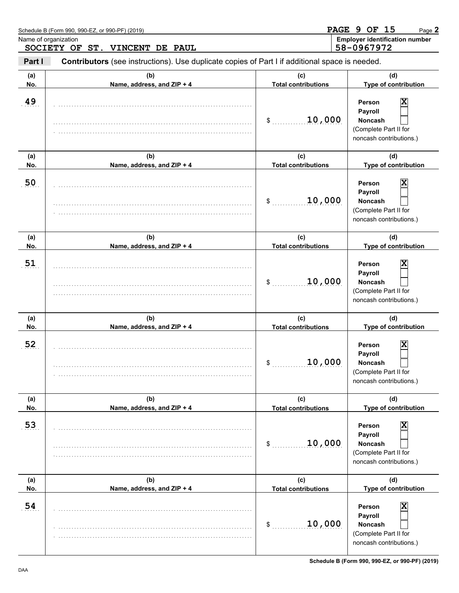| Schedule B (Form 990, 990-EZ, or 990-PF) (2019)        |                                                                                                | <b>PAGE 9 OF 15</b><br>Page 2              |                                                                                                                    |
|--------------------------------------------------------|------------------------------------------------------------------------------------------------|--------------------------------------------|--------------------------------------------------------------------------------------------------------------------|
| Name of organization<br>SOCIETY OF ST. VINCENT DE PAUL |                                                                                                |                                            | <b>Employer identification number</b><br>58-0967972                                                                |
| Part I                                                 | Contributors (see instructions). Use duplicate copies of Part I if additional space is needed. |                                            |                                                                                                                    |
| (a)<br>No.                                             | (b)<br>Name, address, and ZIP + 4                                                              | (C)<br><b>Total contributions</b>          | (d)<br>Type of contribution                                                                                        |
| 49                                                     |                                                                                                | 10,000<br>\$                               | X<br>Person<br>Payroll<br><b>Noncash</b><br>(Complete Part II for<br>noncash contributions.)                       |
| (a)<br>No.                                             | (b)<br>Name, address, and ZIP + 4                                                              | (c)<br><b>Total contributions</b>          | (d)<br>Type of contribution                                                                                        |
| 50                                                     |                                                                                                | 10,000<br>\$                               | X<br>Person<br>Payroll<br><b>Noncash</b><br>(Complete Part II for<br>noncash contributions.)                       |
| (a)<br>No.                                             | (b)<br>Name, address, and ZIP + 4                                                              | (c)<br><b>Total contributions</b>          | (d)<br>Type of contribution                                                                                        |
| 51                                                     |                                                                                                | 10,000<br>\$                               | X<br>Person<br>Payroll<br><b>Noncash</b><br>(Complete Part II for<br>noncash contributions.)                       |
| (a)<br>No.                                             | (b)<br>Name, address, and ZIP + 4                                                              | (c)<br><b>Total contributions</b>          | (d)<br>Type of contribution                                                                                        |
| 52                                                     |                                                                                                | 10,000<br>\$                               | X<br><b>Person</b><br>Payroll<br><b>Noncash</b><br>(Complete Part II for<br>noncash contributions.)                |
| (a)<br>No.                                             | (b)<br>Name, address, and ZIP + 4                                                              | (c)<br><b>Total contributions</b>          | (d)<br>Type of contribution                                                                                        |
| 53                                                     |                                                                                                | 10,000<br>\$                               | $\overline{\mathbf{x}}$<br>Person<br>Payroll<br><b>Noncash</b><br>(Complete Part II for<br>noncash contributions.) |
| (a)<br>No.                                             | (b)<br>Name, address, and ZIP + 4                                                              | (c)                                        | (d)<br>Type of contribution                                                                                        |
| 54                                                     |                                                                                                | <b>Total contributions</b><br>10,000<br>\$ | $\overline{\mathbf{x}}$<br>Person<br>Payroll<br><b>Noncash</b><br>(Complete Part II for<br>noncash contributions.) |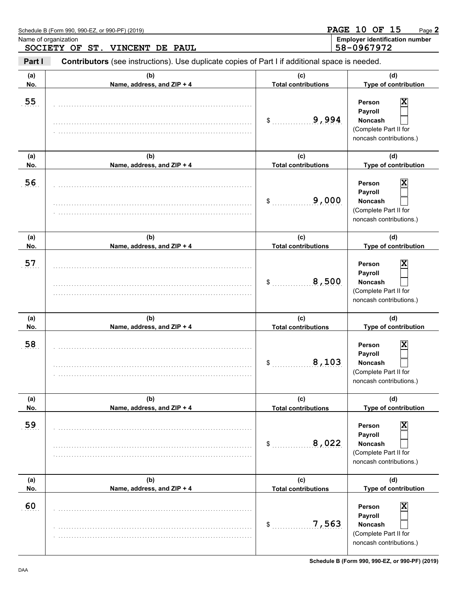|            | Schedule B (Form 990, 990-EZ, or 990-PF) (2019)                                                |                                   | <b>PAGE 10 OF 15</b><br>Page 2                                                               |
|------------|------------------------------------------------------------------------------------------------|-----------------------------------|----------------------------------------------------------------------------------------------|
|            | Name of organization<br>SOCIETY OF ST. VINCENT DE PAUL                                         |                                   | <b>Employer identification number</b><br>58-0967972                                          |
| Part I     | Contributors (see instructions). Use duplicate copies of Part I if additional space is needed. |                                   |                                                                                              |
| (a)<br>No. | (b)<br>Name, address, and ZIP + 4                                                              | (c)<br><b>Total contributions</b> | (d)<br>Type of contribution                                                                  |
| 55         |                                                                                                | 9,994<br>\$                       | Person<br>x<br>Payroll<br><b>Noncash</b><br>(Complete Part II for<br>noncash contributions.) |
| (a)<br>No. | (b)<br>Name, address, and ZIP + 4                                                              | (c)<br><b>Total contributions</b> | (d)<br>Type of contribution                                                                  |
| 56         |                                                                                                | 9,000<br>\$                       | Person<br>x<br>Payroll<br><b>Noncash</b><br>(Complete Part II for<br>noncash contributions.) |
| (a)<br>No. | (b)<br>Name, address, and ZIP + 4                                                              | (c)<br><b>Total contributions</b> | (d)<br>Type of contribution                                                                  |
| 57         |                                                                                                | 8,500<br>\$                       | Person<br>x<br>Payroll<br><b>Noncash</b><br>(Complete Part II for<br>noncash contributions.) |
| (a)<br>No. | (b)<br>Name, address, and ZIP + 4                                                              | (c)<br><b>Total contributions</b> | (d)<br>Type of contribution                                                                  |
| 58         |                                                                                                | 8,103<br>\$                       | X<br>Person<br>Payroll<br><b>Noncash</b><br>(Complete Part II for<br>noncash contributions.) |
| (a)<br>No. | (b)<br>Name, address, and ZIP + 4                                                              | (c)<br><b>Total contributions</b> | (d)<br>Type of contribution                                                                  |
| 59         |                                                                                                | 8,022<br>\$                       | Χ<br>Person<br>Payroll<br><b>Noncash</b><br>(Complete Part II for<br>noncash contributions.) |
| (a)<br>No. | (b)<br>Name, address, and ZIP + 4                                                              | (c)<br><b>Total contributions</b> | (d)<br>Type of contribution                                                                  |
| 60         |                                                                                                | 7,563<br>\$                       | X<br>Person<br>Payroll<br><b>Noncash</b><br>(Complete Part II for<br>noncash contributions.) |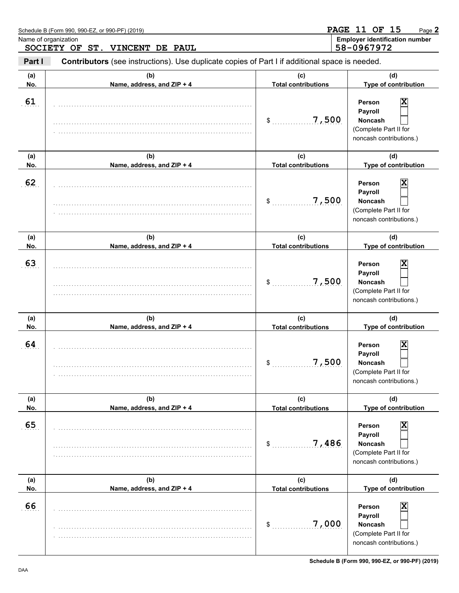|            | Schedule B (Form 990, 990-EZ, or 990-PF) (2019)                                                |                                           | <b>PAGE 11 OF 15</b><br>Page 2                                                                                       |
|------------|------------------------------------------------------------------------------------------------|-------------------------------------------|----------------------------------------------------------------------------------------------------------------------|
|            | Name of organization<br>SOCIETY OF ST. VINCENT DE PAUL                                         |                                           | <b>Employer identification number</b><br>58-0967972                                                                  |
| Part I     | Contributors (see instructions). Use duplicate copies of Part I if additional space is needed. |                                           |                                                                                                                      |
| (a)<br>No. | (b)<br>Name, address, and ZIP + 4                                                              | (C)<br><b>Total contributions</b>         | (d)<br>Type of contribution                                                                                          |
| 61         |                                                                                                | 7,500<br>\$                               | X<br>Person<br>Payroll<br><b>Noncash</b><br>(Complete Part II for<br>noncash contributions.)                         |
| (a)<br>No. | (b)<br>Name, address, and ZIP + 4                                                              | (c)<br><b>Total contributions</b>         | (d)<br>Type of contribution                                                                                          |
| 62         |                                                                                                | 7,500<br>\$                               | X<br>Person<br>Payroll<br><b>Noncash</b><br>(Complete Part II for<br>noncash contributions.)                         |
| (a)<br>No. | (b)<br>Name, address, and ZIP + 4                                                              | (c)<br><b>Total contributions</b>         | (d)<br>Type of contribution                                                                                          |
| 63         |                                                                                                | 7,500<br>\$                               | X<br>Person<br>Payroll<br><b>Noncash</b><br>(Complete Part II for<br>noncash contributions.)                         |
| (a)<br>No. | (b)<br>Name, address, and ZIP + 4                                                              | (c)<br><b>Total contributions</b>         | (d)<br>Type of contribution                                                                                          |
| 64         |                                                                                                | 7,500<br>\$                               | X<br><b>Person</b><br>Payroll<br><b>Noncash</b><br>(Complete Part II for<br>noncash contributions.)                  |
| (a)<br>No. | (b)<br>Name, address, and ZIP + 4                                                              | (c)<br><b>Total contributions</b>         | (d)<br>Type of contribution                                                                                          |
| 65         |                                                                                                | 7,486<br>\$                               | $\overline{\mathbf{x}}$<br>Person<br>Payroll<br><b>Noncash</b><br>(Complete Part II for<br>noncash contributions.)   |
| (a)        | (b)                                                                                            | (c)                                       | (d)                                                                                                                  |
| No.<br>66  | Name, address, and ZIP + 4                                                                     | <b>Total contributions</b><br>7,000<br>\$ | Type of contribution<br>X<br>Person<br>Payroll<br><b>Noncash</b><br>(Complete Part II for<br>noncash contributions.) |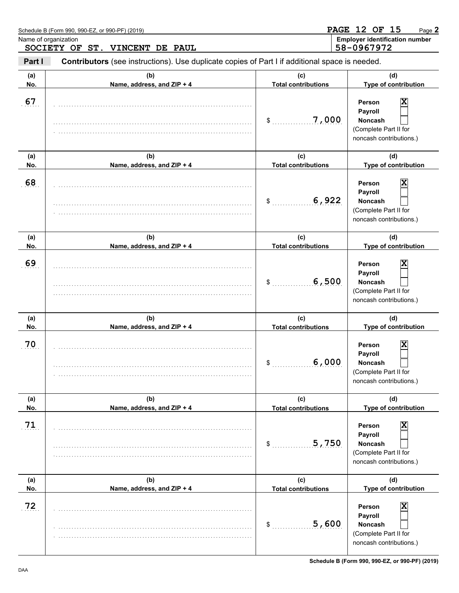|                                                        | Schedule B (Form 990, 990-EZ, or 990-PF) (2019)                                                |                                           | <b>PAGE 12 OF 15</b><br>Page 2                                                               |
|--------------------------------------------------------|------------------------------------------------------------------------------------------------|-------------------------------------------|----------------------------------------------------------------------------------------------|
| Name of organization<br>SOCIETY OF ST. VINCENT DE PAUL |                                                                                                |                                           | <b>Employer identification number</b><br>58-0967972                                          |
| Part I                                                 | Contributors (see instructions). Use duplicate copies of Part I if additional space is needed. |                                           |                                                                                              |
| (a)<br>No.                                             | (b)<br>Name, address, and ZIP + 4                                                              | (C)<br><b>Total contributions</b>         | (d)<br>Type of contribution                                                                  |
| 67                                                     |                                                                                                | 7,000<br>\$                               | Person<br>x<br>Payroll<br><b>Noncash</b><br>(Complete Part II for<br>noncash contributions.) |
| (a)<br>No.                                             | (b)<br>Name, address, and ZIP + 4                                                              | (c)<br><b>Total contributions</b>         | (d)<br>Type of contribution                                                                  |
| 68                                                     |                                                                                                | 6,922<br>\$                               | X<br>Person<br>Payroll<br><b>Noncash</b><br>(Complete Part II for<br>noncash contributions.) |
| (a)<br>No.                                             | (b)<br>Name, address, and ZIP + 4                                                              | (c)<br><b>Total contributions</b>         | (d)<br>Type of contribution                                                                  |
| 69                                                     |                                                                                                | 6,500<br>\$                               | Person<br>X<br>Payroll<br><b>Noncash</b><br>(Complete Part II for<br>noncash contributions.) |
| (a)<br>No.                                             | (b)<br>Name, address, and ZIP + 4                                                              | (c)<br><b>Total contributions</b>         | (d)<br>Type of contribution                                                                  |
| 70                                                     |                                                                                                | 6,000<br>\$                               | Χ<br>Person<br>Payroll<br><b>Noncash</b><br>(Complete Part II for<br>noncash contributions.) |
| (a)<br>No.                                             | (b)<br>Name, address, and ZIP + 4                                                              | (c)<br><b>Total contributions</b>         | (d)<br>Type of contribution                                                                  |
| 71                                                     |                                                                                                | 5,750<br>\$                               | X<br>Person<br>Payroll<br><b>Noncash</b><br>(Complete Part II for<br>noncash contributions.) |
| (a)<br>No.                                             | (b)                                                                                            | (c)                                       | (d)<br>Type of contribution                                                                  |
| 72                                                     | Name, address, and ZIP + 4                                                                     | <b>Total contributions</b><br>5,600<br>\$ | X<br>Person<br>Payroll<br><b>Noncash</b><br>(Complete Part II for<br>noncash contributions.) |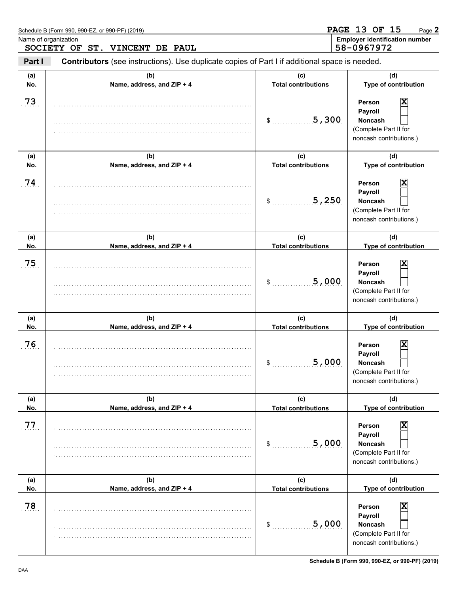|                                                        | Schedule B (Form 990, 990-EZ, or 990-PF) (2019)                                                |                                   | <b>PAGE 13 OF 15</b><br>Page 2                                                               |
|--------------------------------------------------------|------------------------------------------------------------------------------------------------|-----------------------------------|----------------------------------------------------------------------------------------------|
| Name of organization<br>SOCIETY OF ST. VINCENT DE PAUL |                                                                                                |                                   | <b>Employer identification number</b><br>58-0967972                                          |
| Part I                                                 | Contributors (see instructions). Use duplicate copies of Part I if additional space is needed. |                                   |                                                                                              |
| (a)<br>No.                                             | (b)<br>Name, address, and ZIP + 4                                                              | (C)<br><b>Total contributions</b> | (d)<br>Type of contribution                                                                  |
| 73                                                     |                                                                                                | 5,300<br>\$                       | X<br>Person<br>Payroll<br><b>Noncash</b><br>(Complete Part II for<br>noncash contributions.) |
| (a)<br>No.                                             | (b)<br>Name, address, and ZIP + 4                                                              | (c)<br><b>Total contributions</b> | (d)<br>Type of contribution                                                                  |
| 74                                                     |                                                                                                | 5,250<br>\$                       | Person<br>х<br>Payroll<br><b>Noncash</b><br>(Complete Part II for<br>noncash contributions.) |
| (a)<br>No.                                             | (b)<br>Name, address, and ZIP + 4                                                              | (c)<br><b>Total contributions</b> | (d)<br>Type of contribution                                                                  |
| 75                                                     |                                                                                                | 5,000<br>\$                       | Person<br>х<br>Payroll<br><b>Noncash</b><br>(Complete Part II for<br>noncash contributions.) |
| (a)<br>No.                                             | (b)<br>Name, address, and ZIP + 4                                                              | (c)<br><b>Total contributions</b> | (d)<br>Type of contribution                                                                  |
| 76                                                     |                                                                                                | 5,000<br>\$                       | X<br>Person<br>Payroll<br>Noncash<br>(Complete Part II for<br>noncash contributions.)        |
| (a)<br>No.                                             | (b)<br>Name, address, and ZIP + 4                                                              | (c)<br><b>Total contributions</b> | (d)<br>Type of contribution                                                                  |
| 77                                                     |                                                                                                | 5,000<br>\$                       | X<br>Person<br>Payroll<br><b>Noncash</b><br>(Complete Part II for<br>noncash contributions.) |
| (a)<br>No.                                             | (b)<br>Name, address, and ZIP + 4                                                              | (c)<br><b>Total contributions</b> | (d)<br>Type of contribution                                                                  |
| 78                                                     |                                                                                                | 5,000<br>\$                       | x<br>Person<br>Payroll<br><b>Noncash</b><br>(Complete Part II for<br>noncash contributions.) |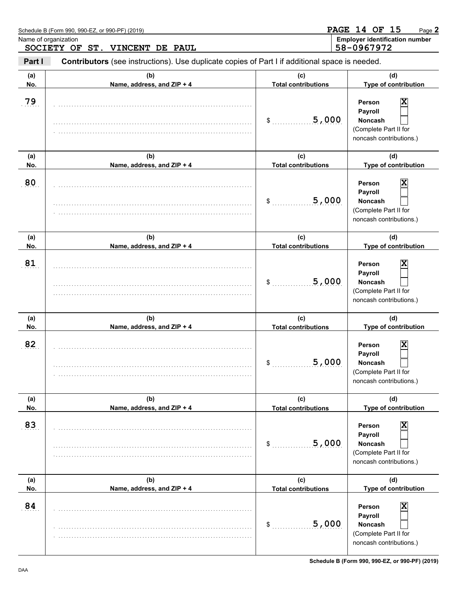| Schedule B (Form 990, 990-EZ, or 990-PF) (2019)<br>Name of organization<br>SOCIETY OF ST. VINCENT DE PAUL |                                   | <b>PAGE 14 OF 15</b><br>Page 2<br><b>Employer identification number</b><br>58-0967972 |                                                                                              |
|-----------------------------------------------------------------------------------------------------------|-----------------------------------|---------------------------------------------------------------------------------------|----------------------------------------------------------------------------------------------|
|                                                                                                           |                                   |                                                                                       |                                                                                              |
| (a)<br>No.                                                                                                | (b)<br>Name, address, and ZIP + 4 | (C)<br><b>Total contributions</b>                                                     | (d)<br>Type of contribution                                                                  |
| 79                                                                                                        |                                   | 5,000<br>\$                                                                           | X<br>Person<br>Payroll<br><b>Noncash</b><br>(Complete Part II for<br>noncash contributions.) |
| (a)<br>No.                                                                                                | (b)<br>Name, address, and ZIP + 4 | (c)<br><b>Total contributions</b>                                                     | (d)<br>Type of contribution                                                                  |
| 80                                                                                                        |                                   | 5,000<br>\$                                                                           | Person<br>х<br>Payroll<br><b>Noncash</b><br>(Complete Part II for<br>noncash contributions.) |
| (a)<br>No.                                                                                                | (b)<br>Name, address, and ZIP + 4 | (c)<br><b>Total contributions</b>                                                     | (d)<br>Type of contribution                                                                  |
| 81                                                                                                        |                                   | 5,000<br>\$                                                                           | Person<br>х<br>Payroll<br><b>Noncash</b><br>(Complete Part II for<br>noncash contributions.) |
| (a)<br>No.                                                                                                | (b)<br>Name, address, and ZIP + 4 | (c)<br><b>Total contributions</b>                                                     | (d)<br>Type of contribution                                                                  |
| 82                                                                                                        |                                   | 5,000<br>\$                                                                           | X<br>Person<br>Payroll<br>Noncash<br>(Complete Part II for<br>noncash contributions.)        |
| (a)<br>No.                                                                                                | (b)<br>Name, address, and ZIP + 4 | (c)<br><b>Total contributions</b>                                                     | (d)<br>Type of contribution                                                                  |
| 83                                                                                                        |                                   | 5,000<br>\$                                                                           | X<br>Person<br>Payroll<br><b>Noncash</b><br>(Complete Part II for<br>noncash contributions.) |
| (a)<br>No.                                                                                                | (b)<br>Name, address, and ZIP + 4 | (c)<br><b>Total contributions</b>                                                     | (d)<br>Type of contribution                                                                  |
| 84                                                                                                        |                                   | 5,000<br>\$                                                                           | X<br>Person<br>Payroll<br>Noncash<br>(Complete Part II for<br>noncash contributions.)        |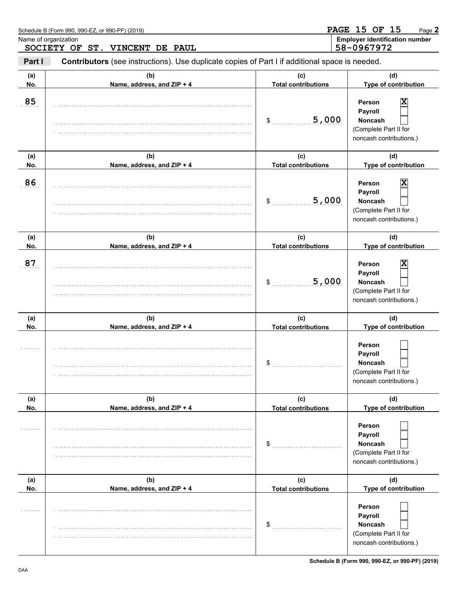|            | Schedule B (Form 990, 990-EZ, or 990-PF) (2019)                                                |                                   | <b>PAGE 15 OF 15</b><br>Page 2                                                               |
|------------|------------------------------------------------------------------------------------------------|-----------------------------------|----------------------------------------------------------------------------------------------|
|            | Name of organization<br>SOCIETY OF ST. VINCENT DE PAUL                                         |                                   | <b>Employer identification number</b><br>58-0967972                                          |
| Part I     | Contributors (see instructions). Use duplicate copies of Part I if additional space is needed. |                                   |                                                                                              |
| (a)<br>No. | (b)<br>Name, address, and ZIP + 4                                                              | (C)<br><b>Total contributions</b> | (d)<br>Type of contribution                                                                  |
| 85         |                                                                                                | 5,000<br>\$                       | X<br>Person<br>Payroll<br><b>Noncash</b><br>(Complete Part II for<br>noncash contributions.) |
| (a)<br>No. | (b)<br>Name, address, and ZIP + 4                                                              | (c)<br><b>Total contributions</b> | (d)<br>Type of contribution                                                                  |
| 86         |                                                                                                | 5,000<br>\$                       | Person<br>x<br>Payroll<br><b>Noncash</b><br>(Complete Part II for<br>noncash contributions.) |
| (a)<br>No. | (b)<br>Name, address, and ZIP + 4                                                              | (c)<br><b>Total contributions</b> | (d)<br>Type of contribution                                                                  |
| 87         |                                                                                                | 5,000<br>\$                       | X<br>Person<br>Payroll<br><b>Noncash</b><br>(Complete Part II for<br>noncash contributions.) |
| (a)<br>No. | (b)<br>Name, address, and ZIP + 4                                                              | (c)<br><b>Total contributions</b> | (d)<br>Type of contribution                                                                  |
|            |                                                                                                | \$                                | Person<br>Payroll<br>Noncash<br>(Complete Part II for<br>noncash contributions.)             |
| (a)<br>No. | (b)<br>Name, address, and ZIP + 4                                                              | (c)<br><b>Total contributions</b> | (d)<br>Type of contribution                                                                  |
|            |                                                                                                | \$                                | Person<br>Payroll<br><b>Noncash</b><br>(Complete Part II for<br>noncash contributions.)      |
| (a)<br>No. | (b)<br>Name, address, and ZIP + 4                                                              | (c)<br><b>Total contributions</b> | (d)<br>Type of contribution                                                                  |
| .          |                                                                                                | \$                                | Person<br>Payroll<br><b>Noncash</b><br>(Complete Part II for<br>noncash contributions.)      |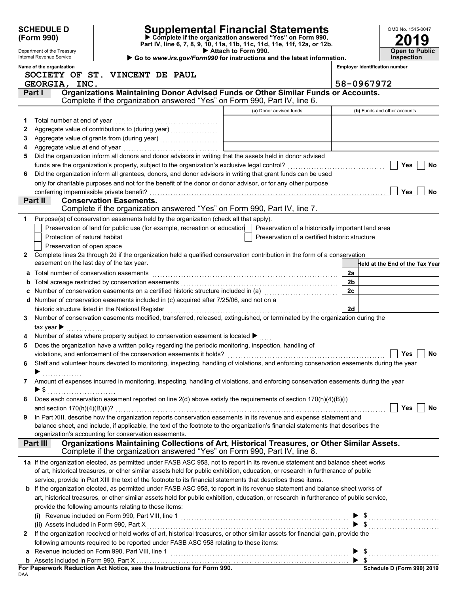| <b>SCHEDULE D</b><br>Supplemental Financial Statements<br>Complete if the organization answered "Yes" on Form 990,<br>(Form 990) |                                                                                         |                                                                           |  |                     |                                                                                                                                                                           | OMB No. 1545-0047 |                                       |                                            |  |
|----------------------------------------------------------------------------------------------------------------------------------|-----------------------------------------------------------------------------------------|---------------------------------------------------------------------------|--|---------------------|---------------------------------------------------------------------------------------------------------------------------------------------------------------------------|-------------------|---------------------------------------|--------------------------------------------|--|
|                                                                                                                                  | Department of the Treasury<br>Internal Revenue Service                                  |                                                                           |  | Attach to Form 990. | Part IV, line 6, 7, 8, 9, 10, 11a, 11b, 11c, 11d, 11e, 11f, 12a, or 12b.<br>Go to www.irs.gov/Form990 for instructions and the latest information.                        |                   |                                       | <b>Open to Public</b><br><b>Inspection</b> |  |
|                                                                                                                                  | Name of the organization<br>SOCIETY OF ST. VINCENT DE PAUL                              |                                                                           |  |                     |                                                                                                                                                                           |                   | <b>Employer identification number</b> |                                            |  |
|                                                                                                                                  | GEORGIA, INC.                                                                           |                                                                           |  |                     | Organizations Maintaining Donor Advised Funds or Other Similar Funds or Accounts.                                                                                         | 58-0967972        |                                       |                                            |  |
|                                                                                                                                  | Part I                                                                                  |                                                                           |  |                     | Complete if the organization answered "Yes" on Form 990, Part IV, line 6.                                                                                                 |                   |                                       |                                            |  |
|                                                                                                                                  |                                                                                         |                                                                           |  |                     | (a) Donor advised funds                                                                                                                                                   |                   |                                       | (b) Funds and other accounts               |  |
|                                                                                                                                  |                                                                                         |                                                                           |  |                     |                                                                                                                                                                           |                   |                                       |                                            |  |
| 2                                                                                                                                |                                                                                         |                                                                           |  |                     |                                                                                                                                                                           |                   |                                       |                                            |  |
| 3                                                                                                                                |                                                                                         |                                                                           |  |                     |                                                                                                                                                                           |                   |                                       |                                            |  |
| 4                                                                                                                                |                                                                                         |                                                                           |  |                     |                                                                                                                                                                           |                   |                                       |                                            |  |
| 5                                                                                                                                |                                                                                         |                                                                           |  |                     | Did the organization inform all donors and donor advisors in writing that the assets held in donor advised                                                                |                   |                                       |                                            |  |
|                                                                                                                                  |                                                                                         |                                                                           |  |                     |                                                                                                                                                                           |                   |                                       | Yes<br>No                                  |  |
| 6                                                                                                                                |                                                                                         |                                                                           |  |                     | Did the organization inform all grantees, donors, and donor advisors in writing that grant funds can be used                                                              |                   |                                       |                                            |  |
|                                                                                                                                  |                                                                                         |                                                                           |  |                     | only for charitable purposes and not for the benefit of the donor or donor advisor, or for any other purpose                                                              |                   |                                       |                                            |  |
|                                                                                                                                  | conferring impermissible private benefit?<br>Part II                                    | <b>Conservation Easements.</b>                                            |  |                     |                                                                                                                                                                           |                   |                                       | Yes<br><b>No</b>                           |  |
|                                                                                                                                  |                                                                                         |                                                                           |  |                     | Complete if the organization answered "Yes" on Form 990, Part IV, line 7.                                                                                                 |                   |                                       |                                            |  |
|                                                                                                                                  | Purpose(s) of conservation easements held by the organization (check all that apply).   |                                                                           |  |                     |                                                                                                                                                                           |                   |                                       |                                            |  |
|                                                                                                                                  |                                                                                         | Preservation of land for public use (for example, recreation or education |  |                     | Preservation of a historically important land area                                                                                                                        |                   |                                       |                                            |  |
|                                                                                                                                  | Protection of natural habitat                                                           |                                                                           |  |                     | Preservation of a certified historic structure                                                                                                                            |                   |                                       |                                            |  |
|                                                                                                                                  | Preservation of open space                                                              |                                                                           |  |                     |                                                                                                                                                                           |                   |                                       |                                            |  |
| $\mathbf{2}$                                                                                                                     |                                                                                         |                                                                           |  |                     | Complete lines 2a through 2d if the organization held a qualified conservation contribution in the form of a conservation                                                 |                   |                                       |                                            |  |
|                                                                                                                                  | easement on the last day of the tax year.                                               |                                                                           |  |                     |                                                                                                                                                                           |                   |                                       | Held at the End of the Tax Year            |  |
|                                                                                                                                  | Total number of conservation easements                                                  |                                                                           |  |                     |                                                                                                                                                                           | 2a                |                                       |                                            |  |
|                                                                                                                                  |                                                                                         |                                                                           |  |                     |                                                                                                                                                                           | 2 <sub>b</sub>    |                                       |                                            |  |
|                                                                                                                                  |                                                                                         |                                                                           |  |                     | Number of conservation easements on a certified historic structure included in (a) [[[[[[[[[[[[[[[[[[[[[[[[[]]                                                            | 2c                |                                       |                                            |  |
|                                                                                                                                  | d Number of conservation easements included in (c) acquired after 7/25/06, and not on a |                                                                           |  |                     |                                                                                                                                                                           |                   |                                       |                                            |  |
|                                                                                                                                  | historic structure listed in the National Register                                      |                                                                           |  |                     |                                                                                                                                                                           | 2d                |                                       |                                            |  |
| 3                                                                                                                                |                                                                                         |                                                                           |  |                     | Number of conservation easements modified, transferred, released, extinguished, or terminated by the organization during the                                              |                   |                                       |                                            |  |
|                                                                                                                                  | tax year $\blacktriangleright$                                                          |                                                                           |  |                     |                                                                                                                                                                           |                   |                                       |                                            |  |
|                                                                                                                                  | Number of states where property subject to conservation easement is located ▶           |                                                                           |  |                     |                                                                                                                                                                           |                   |                                       |                                            |  |
| 5                                                                                                                                |                                                                                         |                                                                           |  |                     | Does the organization have a written policy regarding the periodic monitoring, inspection, handling of                                                                    |                   |                                       | Yes<br>No                                  |  |
|                                                                                                                                  |                                                                                         |                                                                           |  |                     |                                                                                                                                                                           |                   |                                       |                                            |  |
| 6                                                                                                                                |                                                                                         |                                                                           |  |                     | Staff and volunteer hours devoted to monitoring, inspecting, handling of violations, and enforcing conservation easements during the year                                 |                   |                                       |                                            |  |
| 7                                                                                                                                |                                                                                         |                                                                           |  |                     | Amount of expenses incurred in monitoring, inspecting, handling of violations, and enforcing conservation easements during the year                                       |                   |                                       |                                            |  |
|                                                                                                                                  | $\blacktriangleright$ \$                                                                |                                                                           |  |                     |                                                                                                                                                                           |                   |                                       |                                            |  |
| 8                                                                                                                                |                                                                                         |                                                                           |  |                     | Does each conservation easement reported on line 2(d) above satisfy the requirements of section 170(h)(4)(B)(i)                                                           |                   |                                       |                                            |  |
|                                                                                                                                  |                                                                                         |                                                                           |  |                     |                                                                                                                                                                           |                   |                                       | Yes<br><b>No</b>                           |  |
| 9                                                                                                                                |                                                                                         |                                                                           |  |                     | In Part XIII, describe how the organization reports conservation easements in its revenue and expense statement and                                                       |                   |                                       |                                            |  |
|                                                                                                                                  |                                                                                         |                                                                           |  |                     | balance sheet, and include, if applicable, the text of the footnote to the organization's financial statements that describes the                                         |                   |                                       |                                            |  |
|                                                                                                                                  | organization's accounting for conservation easements.                                   |                                                                           |  |                     |                                                                                                                                                                           |                   |                                       |                                            |  |
|                                                                                                                                  | Part III                                                                                |                                                                           |  |                     | Organizations Maintaining Collections of Art, Historical Treasures, or Other Similar Assets.<br>Complete if the organization answered "Yes" on Form 990, Part IV, line 8. |                   |                                       |                                            |  |
|                                                                                                                                  |                                                                                         |                                                                           |  |                     | 1a If the organization elected, as permitted under FASB ASC 958, not to report in its revenue statement and balance sheet works                                           |                   |                                       |                                            |  |
|                                                                                                                                  |                                                                                         |                                                                           |  |                     | of art, historical treasures, or other similar assets held for public exhibition, education, or research in furtherance of public                                         |                   |                                       |                                            |  |
|                                                                                                                                  |                                                                                         |                                                                           |  |                     | service, provide in Part XIII the text of the footnote to its financial statements that describes these items.                                                            |                   |                                       |                                            |  |
|                                                                                                                                  |                                                                                         |                                                                           |  |                     | b If the organization elected, as permitted under FASB ASC 958, to report in its revenue statement and balance sheet works of                                             |                   |                                       |                                            |  |
|                                                                                                                                  |                                                                                         |                                                                           |  |                     | art, historical treasures, or other similar assets held for public exhibition, education, or research in furtherance of public service,                                   |                   |                                       |                                            |  |
|                                                                                                                                  | provide the following amounts relating to these items:                                  |                                                                           |  |                     |                                                                                                                                                                           |                   |                                       |                                            |  |
|                                                                                                                                  | (ii) Assets included in Form 990, Part X                                                |                                                                           |  |                     |                                                                                                                                                                           |                   |                                       |                                            |  |
| 2                                                                                                                                |                                                                                         |                                                                           |  |                     | If the organization received or held works of art, historical treasures, or other similar assets for financial gain, provide the                                          |                   |                                       |                                            |  |
|                                                                                                                                  | following amounts required to be reported under FASB ASC 958 relating to these items:   |                                                                           |  |                     |                                                                                                                                                                           |                   |                                       |                                            |  |
| а                                                                                                                                |                                                                                         |                                                                           |  |                     |                                                                                                                                                                           |                   |                                       |                                            |  |
|                                                                                                                                  |                                                                                         |                                                                           |  |                     | Assets included in Form 990, Part X<br>Personnel: Pedicities, Act Natise, ase the Instructions for Form 000                                                               |                   |                                       |                                            |  |
|                                                                                                                                  |                                                                                         |                                                                           |  |                     |                                                                                                                                                                           |                   |                                       |                                            |  |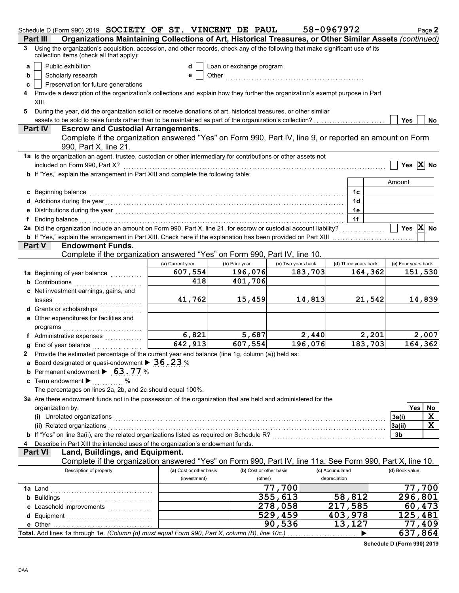|   | Schedule D (Form 990) 2019 SOCIETY OF ST. VINCENT DE PAUL                                                                                                                                                                           |                                         |                          |                         |         | 58-0967972                      |         |                     | Page 2                |  |  |
|---|-------------------------------------------------------------------------------------------------------------------------------------------------------------------------------------------------------------------------------------|-----------------------------------------|--------------------------|-------------------------|---------|---------------------------------|---------|---------------------|-----------------------|--|--|
|   | Organizations Maintaining Collections of Art, Historical Treasures, or Other Similar Assets (continued)<br>Part III                                                                                                                 |                                         |                          |                         |         |                                 |         |                     |                       |  |  |
| 3 | Using the organization's acquisition, accession, and other records, check any of the following that make significant use of its<br>collection items (check all that apply):                                                         |                                         |                          |                         |         |                                 |         |                     |                       |  |  |
| a | Public exhibition                                                                                                                                                                                                                   | d                                       | Loan or exchange program |                         |         |                                 |         |                     |                       |  |  |
| b | Scholarly research                                                                                                                                                                                                                  | е                                       |                          |                         |         |                                 |         |                     |                       |  |  |
| c | Preservation for future generations                                                                                                                                                                                                 |                                         |                          |                         |         |                                 |         |                     |                       |  |  |
|   | Provide a description of the organization's collections and explain how they further the organization's exempt purpose in Part                                                                                                      |                                         |                          |                         |         |                                 |         |                     |                       |  |  |
|   | XIII.                                                                                                                                                                                                                               |                                         |                          |                         |         |                                 |         |                     |                       |  |  |
| 5 | During the year, did the organization solicit or receive donations of art, historical treasures, or other similar                                                                                                                   |                                         |                          |                         |         |                                 |         |                     |                       |  |  |
|   | assets to be sold to raise funds rather than to be maintained as part of the organization's collection?<br>Yes<br>No.                                                                                                               |                                         |                          |                         |         |                                 |         |                     |                       |  |  |
|   | <b>Escrow and Custodial Arrangements.</b><br><b>Part IV</b>                                                                                                                                                                         |                                         |                          |                         |         |                                 |         |                     |                       |  |  |
|   | Complete if the organization answered "Yes" on Form 990, Part IV, line 9, or reported an amount on Form<br>990, Part X, line 21.                                                                                                    |                                         |                          |                         |         |                                 |         |                     |                       |  |  |
|   | 1a Is the organization an agent, trustee, custodian or other intermediary for contributions or other assets not                                                                                                                     |                                         |                          |                         |         |                                 |         |                     |                       |  |  |
|   | included on Form 990, Part X?                                                                                                                                                                                                       |                                         |                          |                         |         |                                 |         |                     | Yes $\overline{X}$ No |  |  |
|   | b If "Yes," explain the arrangement in Part XIII and complete the following table:                                                                                                                                                  |                                         |                          |                         |         |                                 |         |                     |                       |  |  |
|   |                                                                                                                                                                                                                                     |                                         |                          |                         |         |                                 |         | Amount              |                       |  |  |
|   | c Beginning balance                                                                                                                                                                                                                 |                                         |                          |                         |         | 1c                              |         |                     |                       |  |  |
|   | d Additions during the year contact the set of the set of the set of the set of the set of the set of the set of the set of the set of the set of the set of the set of the set of the set of the set of the set of the set of      |                                         |                          |                         |         | 1d                              |         |                     |                       |  |  |
|   |                                                                                                                                                                                                                                     |                                         |                          |                         |         | 1e                              |         |                     |                       |  |  |
|   | f Ending balance encourance and a series of the series of the series of the series of the series of the series of the series of the series of the series of the series of the series of the series of the series of the series      |                                         |                          |                         |         | 1f                              |         |                     |                       |  |  |
|   | 2a Did the organization include an amount on Form 990, Part X, line 21, for escrow or custodial account liability?                                                                                                                  |                                         |                          |                         |         |                                 |         |                     | Yes $X$ No            |  |  |
|   | <b>b</b> If "Yes," explain the arrangement in Part XIII. Check here if the explanation has been provided on Part XIII                                                                                                               |                                         |                          |                         |         |                                 |         |                     |                       |  |  |
|   | <b>Endowment Funds.</b><br><b>Part V</b>                                                                                                                                                                                            |                                         |                          |                         |         |                                 |         |                     |                       |  |  |
|   | Complete if the organization answered "Yes" on Form 990, Part IV, line 10.                                                                                                                                                          |                                         |                          |                         |         |                                 |         |                     |                       |  |  |
|   |                                                                                                                                                                                                                                     | (a) Current year                        | (b) Prior year           | (c) Two years back      |         | (d) Three years back            |         | (e) Four years back |                       |  |  |
|   | 1a Beginning of year balance                                                                                                                                                                                                        | 607,554                                 | 196,076                  |                         | 183,703 |                                 | 164,362 |                     | 151,530               |  |  |
|   | <b>b</b> Contributions <b>contributions</b>                                                                                                                                                                                         | $\overline{418}$                        | 401,706                  |                         |         |                                 |         |                     |                       |  |  |
|   | c Net investment earnings, gains, and                                                                                                                                                                                               |                                         |                          |                         |         |                                 |         |                     |                       |  |  |
|   | losses                                                                                                                                                                                                                              | 41,762                                  | 15,459                   |                         | 14,813  |                                 | 21,542  |                     | 14,839                |  |  |
|   |                                                                                                                                                                                                                                     |                                         |                          |                         |         |                                 |         |                     |                       |  |  |
|   | e Other expenditures for facilities and                                                                                                                                                                                             |                                         |                          |                         |         |                                 |         |                     |                       |  |  |
|   | programs                                                                                                                                                                                                                            |                                         |                          |                         |         |                                 |         |                     |                       |  |  |
|   | f Administrative expenses                                                                                                                                                                                                           | 6,821                                   | 5,687                    |                         | 2,440   |                                 | 2,201   |                     | 2,007                 |  |  |
|   | <b>g</b> End of year balance $\ldots$                                                                                                                                                                                               | 642,913                                 | 607,554                  |                         | 196,076 |                                 | 183,703 |                     | 164,362               |  |  |
|   | 2 Provide the estimated percentage of the current year end balance (line 1g, column (a)) held as:                                                                                                                                   |                                         |                          |                         |         |                                 |         |                     |                       |  |  |
|   | a Board designated or quasi-endowment > 36.23 %                                                                                                                                                                                     |                                         |                          |                         |         |                                 |         |                     |                       |  |  |
|   | <b>b</b> Permanent endowment $\triangleright$ 63.77 %                                                                                                                                                                               |                                         |                          |                         |         |                                 |         |                     |                       |  |  |
|   | c Term endowment $\blacktriangleright$<br>%                                                                                                                                                                                         |                                         |                          |                         |         |                                 |         |                     |                       |  |  |
|   | The percentages on lines 2a, 2b, and 2c should equal 100%.                                                                                                                                                                          |                                         |                          |                         |         |                                 |         |                     |                       |  |  |
|   | 3a Are there endowment funds not in the possession of the organization that are held and administered for the                                                                                                                       |                                         |                          |                         |         |                                 |         |                     |                       |  |  |
|   | organization by:                                                                                                                                                                                                                    |                                         |                          |                         |         |                                 |         |                     | Yes<br>No             |  |  |
|   | (i) Unrelated organizations <b>constructions</b> and all the constructions of the construction of the construction of the construction of the construction of the construction of the construction of the construction of the const |                                         |                          |                         |         |                                 |         | 3a(i)               | X                     |  |  |
|   | (ii) Related organizations [11, 12] All and the contract of the contract of the contract of the contract of the contract of the contract of the contract of the contract of the contract of the contract of the contract of th      |                                         |                          |                         |         |                                 |         | 3a(ii)              | X                     |  |  |
|   |                                                                                                                                                                                                                                     |                                         |                          |                         |         |                                 |         | 3b                  |                       |  |  |
|   | Describe in Part XIII the intended uses of the organization's endowment funds.                                                                                                                                                      |                                         |                          |                         |         |                                 |         |                     |                       |  |  |
|   | Land, Buildings, and Equipment.<br><b>Part VI</b>                                                                                                                                                                                   |                                         |                          |                         |         |                                 |         |                     |                       |  |  |
|   | Complete if the organization answered "Yes" on Form 990, Part IV, line 11a. See Form 990, Part X, line 10.                                                                                                                          |                                         |                          |                         |         |                                 |         |                     |                       |  |  |
|   | Description of property                                                                                                                                                                                                             | (a) Cost or other basis<br>(investment) | (other)                  | (b) Cost or other basis |         | (c) Accumulated<br>depreciation |         | (d) Book value      |                       |  |  |
|   |                                                                                                                                                                                                                                     |                                         |                          | $\overline{77}$ , 700   |         |                                 |         |                     | 700                   |  |  |
|   |                                                                                                                                                                                                                                     |                                         |                          | 355,613                 |         | 58,812                          |         |                     | 296,801               |  |  |
|   | <b>b</b> Buildings <b>Multiples b</b>                                                                                                                                                                                               |                                         |                          | 278,058                 |         | 217,585                         |         |                     | 60,473                |  |  |
|   | c Leasehold improvements                                                                                                                                                                                                            |                                         |                          | 529,459                 |         | 403,978                         |         |                     | 125,481               |  |  |
|   | e Other                                                                                                                                                                                                                             |                                         |                          | 90,536                  |         | 13,127                          |         |                     | 77,409                |  |  |
|   | Total. Add lines 1a through 1e. (Column (d) must equal Form 990, Part X, column (B), line 10c.)                                                                                                                                     |                                         |                          |                         |         |                                 |         |                     | 637,864               |  |  |
|   |                                                                                                                                                                                                                                     |                                         |                          |                         |         |                                 |         |                     |                       |  |  |

**Schedule D (Form 990) 2019**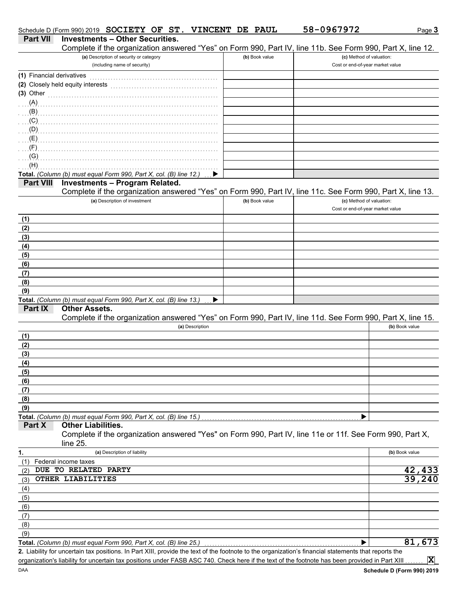|                           | Schedule D (Form 990) 2019 SOCIETY OF ST. VINCENT DE PAUL                                                                                            |                | 58-0967972                       | Page 3         |
|---------------------------|------------------------------------------------------------------------------------------------------------------------------------------------------|----------------|----------------------------------|----------------|
| <b>Part VII</b>           | <b>Investments - Other Securities.</b><br>Complete if the organization answered "Yes" on Form 990, Part IV, line 11b. See Form 990, Part X, line 12. |                |                                  |                |
|                           | (a) Description of security or category                                                                                                              | (b) Book value | (c) Method of valuation:         |                |
|                           | (including name of security)                                                                                                                         |                | Cost or end-of-year market value |                |
| (1) Financial derivatives |                                                                                                                                                      |                |                                  |                |
|                           | (2) Closely held equity interests                                                                                                                    |                |                                  |                |
| (3) Other                 |                                                                                                                                                      |                |                                  |                |
| (A)                       |                                                                                                                                                      |                |                                  |                |
| (B)                       |                                                                                                                                                      |                |                                  |                |
| (C)                       |                                                                                                                                                      |                |                                  |                |
| (D)                       |                                                                                                                                                      |                |                                  |                |
| (E)                       |                                                                                                                                                      |                |                                  |                |
| (F)                       |                                                                                                                                                      |                |                                  |                |
| (G)                       |                                                                                                                                                      |                |                                  |                |
| (H)                       |                                                                                                                                                      |                |                                  |                |
|                           | Total. (Column (b) must equal Form 990, Part X, col. (B) line 12.)                                                                                   |                |                                  |                |
| <b>Part VIII</b>          | <b>Investments - Program Related.</b>                                                                                                                |                |                                  |                |
|                           | Complete if the organization answered "Yes" on Form 990, Part IV, line 11c. See Form 990, Part X, line 13.                                           |                |                                  |                |
|                           | (a) Description of investment                                                                                                                        | (b) Book value | (c) Method of valuation:         |                |
|                           |                                                                                                                                                      |                | Cost or end-of-year market value |                |
| (1)                       |                                                                                                                                                      |                |                                  |                |
| (2)                       |                                                                                                                                                      |                |                                  |                |
| (3)                       |                                                                                                                                                      |                |                                  |                |
| (4)                       |                                                                                                                                                      |                |                                  |                |
| (5)                       |                                                                                                                                                      |                |                                  |                |
| (6)                       |                                                                                                                                                      |                |                                  |                |
| (7)                       |                                                                                                                                                      |                |                                  |                |
| (8)                       |                                                                                                                                                      |                |                                  |                |
| (9)                       |                                                                                                                                                      |                |                                  |                |
|                           | Total. (Column (b) must equal Form 990, Part X, col. (B) line 13.)<br>▶                                                                              |                |                                  |                |
| Part IX                   | <b>Other Assets.</b>                                                                                                                                 |                |                                  |                |
|                           | Complete if the organization answered "Yes" on Form 990, Part IV, line 11d. See Form 990, Part X, line 15.                                           |                |                                  |                |
|                           | (a) Description                                                                                                                                      |                |                                  | (b) Book value |
| (1)                       |                                                                                                                                                      |                |                                  |                |
| (2)                       |                                                                                                                                                      |                |                                  |                |
| (3)                       |                                                                                                                                                      |                |                                  |                |
| (4)                       |                                                                                                                                                      |                |                                  |                |
| (5)                       |                                                                                                                                                      |                |                                  |                |
| (6)                       |                                                                                                                                                      |                |                                  |                |
| (7)                       |                                                                                                                                                      |                |                                  |                |
| (8)                       |                                                                                                                                                      |                |                                  |                |
| (9)                       |                                                                                                                                                      |                |                                  |                |
|                           | Total. (Column (b) must equal Form 990, Part X, col. (B) line 15.)                                                                                   |                |                                  |                |
| Part X                    | <b>Other Liabilities.</b>                                                                                                                            |                |                                  |                |
|                           | Complete if the organization answered "Yes" on Form 990, Part IV, line 11e or 11f. See Form 990, Part X,                                             |                |                                  |                |
|                           | line 25.                                                                                                                                             |                |                                  |                |
| 1.                        | (a) Description of liability                                                                                                                         |                |                                  | (b) Book value |
| (1)                       | Federal income taxes                                                                                                                                 |                |                                  |                |
| (2)                       | DUE TO RELATED PARTY                                                                                                                                 |                |                                  | 42,433         |
| (3)                       | OTHER LIABILITIES                                                                                                                                    |                |                                  | 39,240         |
| (4)                       |                                                                                                                                                      |                |                                  |                |
| (5)                       |                                                                                                                                                      |                |                                  |                |
| (6)                       |                                                                                                                                                      |                |                                  |                |
| (7)                       |                                                                                                                                                      |                |                                  |                |
| (8)                       |                                                                                                                                                      |                |                                  |                |
| (9)                       |                                                                                                                                                      |                |                                  |                |
|                           | Total. (Column (b) must equal Form 990, Part X, col. (B) line 25.)                                                                                   |                |                                  | 81,673         |
|                           | 2. Liability for uncertain tax positions. In Part XIII, provide the text of the footnote to the organization's financial statements that reports the |                |                                  |                |
|                           | organization's liability for uncertain tax positions under FASB ASC 740. Check here if the text of the footnote has been provided in Part XIII       |                |                                  | $ \mathbf{x} $ |

DAA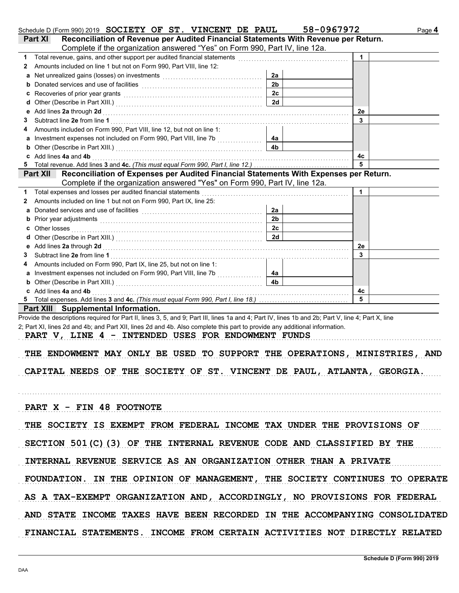|              | Schedule D (Form 990) 2019 SOCIETY OF ST. VINCENT DE PAUL                                                                                                                                                                                                                                                                               |                      | 58-0967972   | Page 4 |
|--------------|-----------------------------------------------------------------------------------------------------------------------------------------------------------------------------------------------------------------------------------------------------------------------------------------------------------------------------------------|----------------------|--------------|--------|
|              | Reconciliation of Revenue per Audited Financial Statements With Revenue per Return.<br>Part XI                                                                                                                                                                                                                                          |                      |              |        |
|              | Complete if the organization answered "Yes" on Form 990, Part IV, line 12a.                                                                                                                                                                                                                                                             |                      |              |        |
|              | 1 Total revenue, gains, and other support per audited financial statements [[[[[[[[[[[[[[[[[[[[[[[[[[[[[[[[[[                                                                                                                                                                                                                           |                      | $\mathbf{1}$ |        |
| $\mathbf{2}$ | Amounts included on line 1 but not on Form 990, Part VIII, line 12:                                                                                                                                                                                                                                                                     |                      |              |        |
| а            | Net unrealized gains (losses) on investments [11, 12] with the unrealized gains (losses) on investments                                                                                                                                                                                                                                 | 2a                   |              |        |
|              |                                                                                                                                                                                                                                                                                                                                         | 2 <sub>b</sub>       |              |        |
|              |                                                                                                                                                                                                                                                                                                                                         | 2c                   |              |        |
|              |                                                                                                                                                                                                                                                                                                                                         | 2d                   |              |        |
|              |                                                                                                                                                                                                                                                                                                                                         |                      | 2e           |        |
| 3            |                                                                                                                                                                                                                                                                                                                                         |                      | 3            |        |
| 4            | Amounts included on Form 990, Part VIII, line 12, but not on line 1:<br>a Investment expenses not included on Form 990, Part VIII, line 7b [[[[[[[[[[[[[[[[[[[[[[[[[[[[[[[[[                                                                                                                                                            |                      |              |        |
|              |                                                                                                                                                                                                                                                                                                                                         | 4a<br>4 <sub>b</sub> |              |        |
|              | c Add lines 4a and 4b                                                                                                                                                                                                                                                                                                                   |                      | 4с           |        |
| 5            |                                                                                                                                                                                                                                                                                                                                         |                      | 5            |        |
|              | Reconciliation of Expenses per Audited Financial Statements With Expenses per Return.<br><b>Part XII</b>                                                                                                                                                                                                                                |                      |              |        |
|              | Complete if the organization answered "Yes" on Form 990, Part IV, line 12a.                                                                                                                                                                                                                                                             |                      |              |        |
| 1            | Total expenses and losses per audited financial statements                                                                                                                                                                                                                                                                              |                      | 1            |        |
| 2            | Amounts included on line 1 but not on Form 990, Part IX, line 25:                                                                                                                                                                                                                                                                       |                      |              |        |
| a            |                                                                                                                                                                                                                                                                                                                                         | 2a                   |              |        |
|              |                                                                                                                                                                                                                                                                                                                                         | 2 <sub>b</sub>       |              |        |
|              | c Other losses                                                                                                                                                                                                                                                                                                                          | 2c                   |              |        |
|              |                                                                                                                                                                                                                                                                                                                                         | 2d                   |              |        |
|              |                                                                                                                                                                                                                                                                                                                                         |                      | 2e           |        |
| 3            |                                                                                                                                                                                                                                                                                                                                         |                      | 3            |        |
| 4            | Amounts included on Form 990, Part IX, line 25, but not on line 1:                                                                                                                                                                                                                                                                      |                      |              |        |
| a            |                                                                                                                                                                                                                                                                                                                                         | 4а                   |              |        |
|              | <b>b</b> Other (Describe in Part XIII.) <b>CONSERVING (2018)</b>                                                                                                                                                                                                                                                                        | 4 <sub>b</sub>       |              |        |
|              | c Add lines 4a and 4b                                                                                                                                                                                                                                                                                                                   |                      | 4с           |        |
|              |                                                                                                                                                                                                                                                                                                                                         |                      | 5            |        |
|              | Part XIII Supplemental Information.                                                                                                                                                                                                                                                                                                     |                      |              |        |
|              | 2; Part XI, lines 2d and 4b; and Part XII, lines 2d and 4b. Also complete this part to provide any additional information.<br>PART V, LINE 4 - INTENDED USES FOR ENDOWMENT FUNDS<br>THE ENDOWMENT MAY ONLY BE USED TO SUPPORT THE OPERATIONS, MINISTRIES, AND<br>CAPITAL NEEDS OF THE SOCIETY OF ST. VINCENT DE PAUL, ATLANTA, GEORGIA. |                      |              |        |
|              | PART X - FIN 48 FOOTNOTE                                                                                                                                                                                                                                                                                                                |                      |              |        |
|              | THE SOCIETY IS EXEMPT FROM FEDERAL INCOME TAX UNDER THE PROVISIONS OF                                                                                                                                                                                                                                                                   |                      |              |        |
|              | SECTION 501(C)(3) OF THE INTERNAL REVENUE CODE AND CLASSIFIED BY THE                                                                                                                                                                                                                                                                    |                      |              |        |
|              | INTERNAL REVENUE SERVICE AS AN ORGANIZATION OTHER THAN A PRIVATE                                                                                                                                                                                                                                                                        |                      |              |        |
|              | FOUNDATION. IN THE OPINION OF MANAGEMENT, THE SOCIETY CONTINUES TO OPERATE                                                                                                                                                                                                                                                              |                      |              |        |
|              | AS A TAX-EXEMPT ORGANIZATION AND, ACCORDINGLY, NO PROVISIONS FOR FEDERAL                                                                                                                                                                                                                                                                |                      |              |        |
|              | AND STATE INCOME TAXES HAVE BEEN RECORDED IN THE ACCOMPANYING CONSOLIDATED                                                                                                                                                                                                                                                              |                      |              |        |
|              | FINANCIAL STATEMENTS. INCOME FROM CERTAIN ACTIVITIES NOT DIRECTLY RELATED                                                                                                                                                                                                                                                               |                      |              |        |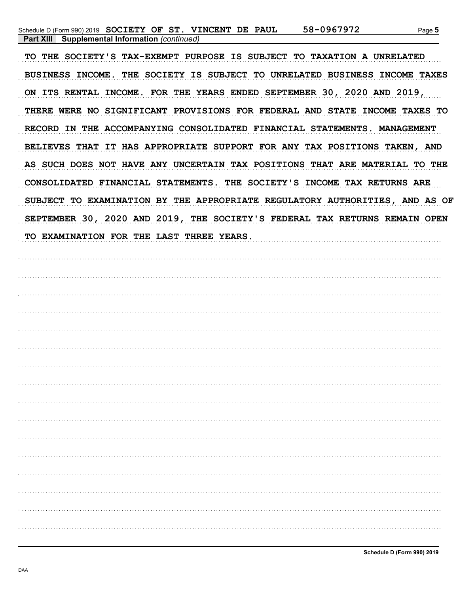TO THE SOCIETY'S TAX-EXEMPT PURPOSE IS SUBJECT TO TAXATION A UNRELATED BUSINESS INCOME. THE SOCIETY IS SUBJECT TO UNRELATED BUSINESS INCOME TAXES ON ITS RENTAL INCOME. FOR THE YEARS ENDED SEPTEMBER 30, 2020 AND 2019, THERE WERE NO SIGNIFICANT PROVISIONS FOR FEDERAL AND STATE INCOME TAXES TO RECORD IN THE ACCOMPANYING CONSOLIDATED FINANCIAL STATEMENTS. MANAGEMENT BELIEVES THAT IT HAS APPROPRIATE SUPPORT FOR ANY TAX POSITIONS TAKEN, AND AS SUCH DOES NOT HAVE ANY UNCERTAIN TAX POSITIONS THAT ARE MATERIAL TO THE CONSOLIDATED FINANCIAL STATEMENTS. THE SOCIETY'S INCOME TAX RETURNS ARE SUBJECT TO EXAMINATION BY THE APPROPRIATE REGULATORY AUTHORITIES, AND AS OF SEPTEMBER 30, 2020 AND 2019, THE SOCIETY'S FEDERAL TAX RETURNS REMAIN OPEN TO EXAMINATION FOR THE LAST THREE YEARS.

| . |  |
|---|--|
|   |  |
|   |  |
|   |  |
|   |  |
|   |  |
|   |  |
|   |  |
|   |  |
|   |  |
|   |  |
|   |  |
|   |  |
|   |  |

Schedule D (Form 990) 2019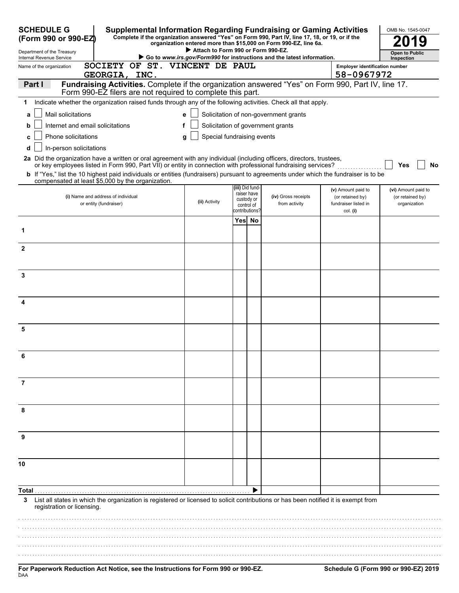| <b>SCHEDULE G</b><br>(Form 990 or 990-EZ)                                                                                                                                                                                                | <b>Supplemental Information Regarding Fundraising or Gaming Activities</b><br>Complete if the organization answered "Yes" on Form 990, Part IV, line 17, 18, or 19, or if the<br>organization entered more than \$15,000 on Form 990-EZ, line 6a. | OMB No. 1545-0047                  |        |                                                           |                                                                        |                                                      |                                                         |
|------------------------------------------------------------------------------------------------------------------------------------------------------------------------------------------------------------------------------------------|---------------------------------------------------------------------------------------------------------------------------------------------------------------------------------------------------------------------------------------------------|------------------------------------|--------|-----------------------------------------------------------|------------------------------------------------------------------------|------------------------------------------------------|---------------------------------------------------------|
| Department of the Treasury<br>Internal Revenue Service                                                                                                                                                                                   |                                                                                                                                                                                                                                                   | Attach to Form 990 or Form 990-EZ. |        |                                                           | Go to www.irs.gov/Form990 for instructions and the latest information. |                                                      | <b>Open to Public</b><br>Inspection                     |
| Name of the organization                                                                                                                                                                                                                 | SOCIETY OF ST. VINCENT DE PAUL                                                                                                                                                                                                                    |                                    |        |                                                           |                                                                        | <b>Employer identification number</b>                |                                                         |
| GEORGIA, INC.                                                                                                                                                                                                                            |                                                                                                                                                                                                                                                   |                                    |        |                                                           |                                                                        | 58-0967972                                           |                                                         |
| Fundraising Activities. Complete if the organization answered "Yes" on Form 990, Part IV, line 17.<br>Part I<br>Form 990-EZ filers are not required to complete this part.                                                               |                                                                                                                                                                                                                                                   |                                    |        |                                                           |                                                                        |                                                      |                                                         |
| Indicate whether the organization raised funds through any of the following activities. Check all that apply.<br>1                                                                                                                       |                                                                                                                                                                                                                                                   |                                    |        |                                                           |                                                                        |                                                      |                                                         |
| Mail solicitations<br>a                                                                                                                                                                                                                  |                                                                                                                                                                                                                                                   | e                                  |        |                                                           | Solicitation of non-government grants                                  |                                                      |                                                         |
| Internet and email solicitations<br>b                                                                                                                                                                                                    |                                                                                                                                                                                                                                                   |                                    |        |                                                           | Solicitation of government grants                                      |                                                      |                                                         |
| <b>Phone solicitations</b>                                                                                                                                                                                                               |                                                                                                                                                                                                                                                   | Special fundraising events<br>a    |        |                                                           |                                                                        |                                                      |                                                         |
| In-person solicitations<br>d                                                                                                                                                                                                             |                                                                                                                                                                                                                                                   |                                    |        |                                                           |                                                                        |                                                      |                                                         |
| 2a Did the organization have a written or oral agreement with any individual (including officers, directors, trustees,<br>or key employees listed in Form 990, Part VII) or entity in connection with professional fundraising services? |                                                                                                                                                                                                                                                   |                                    |        |                                                           |                                                                        |                                                      | Yes<br>No                                               |
| b If "Yes," list the 10 highest paid individuals or entities (fundraisers) pursuant to agreements under which the fundraiser is to be                                                                                                    |                                                                                                                                                                                                                                                   |                                    |        |                                                           |                                                                        |                                                      |                                                         |
| compensated at least \$5,000 by the organization.                                                                                                                                                                                        |                                                                                                                                                                                                                                                   |                                    |        | (iii) Did fund-                                           |                                                                        | (v) Amount paid to                                   |                                                         |
| (i) Name and address of individual<br>or entity (fundraiser)                                                                                                                                                                             |                                                                                                                                                                                                                                                   | (ii) Activity                      |        | raiser have<br>custody or<br>control of<br>contributions? | (iv) Gross receipts<br>from activity                                   | (or retained by)<br>fundraiser listed in<br>col. (i) | (vi) Amount paid to<br>(or retained by)<br>organization |
|                                                                                                                                                                                                                                          |                                                                                                                                                                                                                                                   |                                    | Yes No |                                                           |                                                                        |                                                      |                                                         |
| 1                                                                                                                                                                                                                                        |                                                                                                                                                                                                                                                   |                                    |        |                                                           |                                                                        |                                                      |                                                         |
| $\mathbf{2}$                                                                                                                                                                                                                             |                                                                                                                                                                                                                                                   |                                    |        |                                                           |                                                                        |                                                      |                                                         |
|                                                                                                                                                                                                                                          |                                                                                                                                                                                                                                                   |                                    |        |                                                           |                                                                        |                                                      |                                                         |
| 3                                                                                                                                                                                                                                        |                                                                                                                                                                                                                                                   |                                    |        |                                                           |                                                                        |                                                      |                                                         |
|                                                                                                                                                                                                                                          |                                                                                                                                                                                                                                                   |                                    |        |                                                           |                                                                        |                                                      |                                                         |
| 4                                                                                                                                                                                                                                        |                                                                                                                                                                                                                                                   |                                    |        |                                                           |                                                                        |                                                      |                                                         |
|                                                                                                                                                                                                                                          |                                                                                                                                                                                                                                                   |                                    |        |                                                           |                                                                        |                                                      |                                                         |
| 5                                                                                                                                                                                                                                        |                                                                                                                                                                                                                                                   |                                    |        |                                                           |                                                                        |                                                      |                                                         |
|                                                                                                                                                                                                                                          |                                                                                                                                                                                                                                                   |                                    |        |                                                           |                                                                        |                                                      |                                                         |
|                                                                                                                                                                                                                                          |                                                                                                                                                                                                                                                   |                                    |        |                                                           |                                                                        |                                                      |                                                         |
| 6                                                                                                                                                                                                                                        |                                                                                                                                                                                                                                                   |                                    |        |                                                           |                                                                        |                                                      |                                                         |
|                                                                                                                                                                                                                                          |                                                                                                                                                                                                                                                   |                                    |        |                                                           |                                                                        |                                                      |                                                         |
|                                                                                                                                                                                                                                          |                                                                                                                                                                                                                                                   |                                    |        |                                                           |                                                                        |                                                      |                                                         |
|                                                                                                                                                                                                                                          |                                                                                                                                                                                                                                                   |                                    |        |                                                           |                                                                        |                                                      |                                                         |
|                                                                                                                                                                                                                                          |                                                                                                                                                                                                                                                   |                                    |        |                                                           |                                                                        |                                                      |                                                         |
|                                                                                                                                                                                                                                          |                                                                                                                                                                                                                                                   |                                    |        |                                                           |                                                                        |                                                      |                                                         |
|                                                                                                                                                                                                                                          |                                                                                                                                                                                                                                                   |                                    |        |                                                           |                                                                        |                                                      |                                                         |
|                                                                                                                                                                                                                                          |                                                                                                                                                                                                                                                   |                                    |        |                                                           |                                                                        |                                                      |                                                         |
| 10                                                                                                                                                                                                                                       |                                                                                                                                                                                                                                                   |                                    |        |                                                           |                                                                        |                                                      |                                                         |
|                                                                                                                                                                                                                                          |                                                                                                                                                                                                                                                   |                                    |        |                                                           |                                                                        |                                                      |                                                         |
| Total                                                                                                                                                                                                                                    |                                                                                                                                                                                                                                                   |                                    |        |                                                           |                                                                        |                                                      |                                                         |
| List all states in which the organization is registered or licensed to solicit contributions or has been notified it is exempt from<br>3                                                                                                 |                                                                                                                                                                                                                                                   |                                    |        |                                                           |                                                                        |                                                      |                                                         |
| registration or licensing.                                                                                                                                                                                                               |                                                                                                                                                                                                                                                   |                                    |        |                                                           |                                                                        |                                                      |                                                         |
|                                                                                                                                                                                                                                          |                                                                                                                                                                                                                                                   |                                    |        |                                                           |                                                                        |                                                      |                                                         |
|                                                                                                                                                                                                                                          |                                                                                                                                                                                                                                                   |                                    |        |                                                           |                                                                        |                                                      |                                                         |
|                                                                                                                                                                                                                                          |                                                                                                                                                                                                                                                   |                                    |        |                                                           |                                                                        |                                                      |                                                         |
|                                                                                                                                                                                                                                          |                                                                                                                                                                                                                                                   |                                    |        |                                                           |                                                                        |                                                      |                                                         |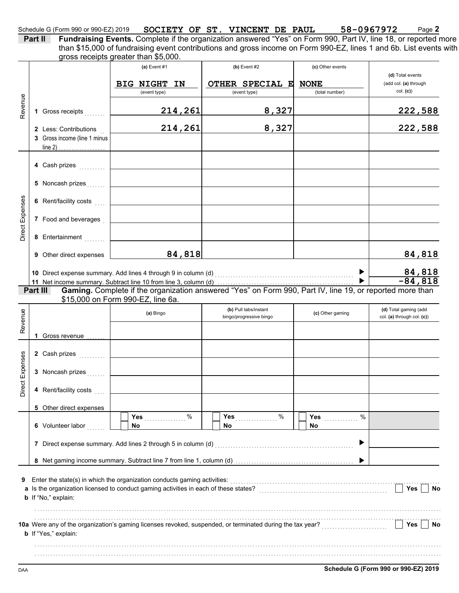### Schedule G (Form 990 or 990-EZ) 2019 **SOCIETY OF ST. VINCENT DE PAUL 58-0967972** Page 2 **SOCIETY OF ST. VINCENT DE PAUL 58-0967972**

**Part II Fundraising Events.** Complete if the organization answered "Yes" on Form 990, Part IV, line 18, or reported more gross receipts greater than \$5,000. than \$15,000 of fundraising event contributions and gross income on Form 990-EZ, lines 1 and 6b. List events with

|                 |          |                                                                                                             | (a) Event $#1$                    |          | $(b)$ Event #2                                                                                            | (c) Other events              |                                                     |
|-----------------|----------|-------------------------------------------------------------------------------------------------------------|-----------------------------------|----------|-----------------------------------------------------------------------------------------------------------|-------------------------------|-----------------------------------------------------|
|                 |          |                                                                                                             |                                   |          |                                                                                                           |                               | (d) Total events                                    |
|                 |          |                                                                                                             | <b>BIG NIGHT</b><br>(event type)  | ΙN       | OTHER SPECIAL E<br>(event type)                                                                           | <b>NONE</b><br>(total number) | (add col. (a) through<br>col. (c)                   |
|                 |          |                                                                                                             |                                   |          |                                                                                                           |                               |                                                     |
| Revenue         |          | 1 Gross receipts                                                                                            |                                   | 214,261  | 8,327                                                                                                     |                               | 222,588                                             |
|                 |          | 2 Less: Contributions                                                                                       |                                   | 214, 261 | 8,327                                                                                                     |                               | 222,588                                             |
|                 |          | 3 Gross income (line 1 minus                                                                                |                                   |          |                                                                                                           |                               |                                                     |
|                 |          |                                                                                                             |                                   |          |                                                                                                           |                               |                                                     |
|                 |          |                                                                                                             |                                   |          |                                                                                                           |                               |                                                     |
|                 |          | 4 Cash prizes                                                                                               |                                   |          |                                                                                                           |                               |                                                     |
|                 |          |                                                                                                             |                                   |          |                                                                                                           |                               |                                                     |
|                 |          | 5 Noncash prizes                                                                                            |                                   |          |                                                                                                           |                               |                                                     |
|                 |          | 6 Rent/facility costs                                                                                       |                                   |          |                                                                                                           |                               |                                                     |
| Direct Expenses |          | 7 Food and beverages                                                                                        |                                   |          |                                                                                                           |                               |                                                     |
|                 |          |                                                                                                             |                                   |          |                                                                                                           |                               |                                                     |
|                 |          | 8 Entertainment                                                                                             |                                   |          |                                                                                                           |                               |                                                     |
|                 |          | <b>9</b> Other direct expenses                                                                              |                                   | 84,818   |                                                                                                           |                               | 84,818                                              |
|                 |          |                                                                                                             |                                   |          |                                                                                                           |                               |                                                     |
|                 |          |                                                                                                             |                                   |          |                                                                                                           |                               | 84,818                                              |
|                 |          |                                                                                                             |                                   |          |                                                                                                           |                               | $-84,818$                                           |
|                 | Part III |                                                                                                             |                                   |          | Gaming. Complete if the organization answered "Yes" on Form 990, Part IV, line 19, or reported more than  |                               |                                                     |
|                 |          |                                                                                                             | \$15,000 on Form 990-EZ, line 6a. |          |                                                                                                           |                               |                                                     |
|                 |          |                                                                                                             | (a) Bingo                         |          | (b) Pull tabs/instant<br>bingo/progressive bingo                                                          | (c) Other gaming              | (d) Total gaming (add<br>col. (a) through col. (c)) |
| Revenue         |          |                                                                                                             |                                   |          |                                                                                                           |                               |                                                     |
|                 |          | 1 Gross revenue                                                                                             |                                   |          |                                                                                                           |                               |                                                     |
|                 |          |                                                                                                             |                                   |          |                                                                                                           |                               |                                                     |
|                 |          | 2 Cash prizes                                                                                               |                                   |          |                                                                                                           |                               |                                                     |
|                 |          |                                                                                                             |                                   |          |                                                                                                           |                               |                                                     |
|                 |          | 3 Noncash prizes                                                                                            |                                   |          |                                                                                                           |                               |                                                     |
| Direct Expenses |          | 4 Rent/facility costs                                                                                       |                                   |          |                                                                                                           |                               |                                                     |
|                 |          |                                                                                                             |                                   |          |                                                                                                           |                               |                                                     |
|                 |          | 5 Other direct expenses                                                                                     |                                   |          |                                                                                                           |                               |                                                     |
|                 |          |                                                                                                             | Yes                               | %        | %<br>Yes                                                                                                  | %<br>Yes                      |                                                     |
|                 |          | 6 Volunteer labor                                                                                           | No                                |          | No                                                                                                        | No.                           |                                                     |
|                 |          | 7 Direct expense summary. Add lines 2 through 5 in column (d)                                               |                                   |          |                                                                                                           | ▶                             |                                                     |
|                 |          |                                                                                                             |                                   |          |                                                                                                           |                               |                                                     |
|                 |          |                                                                                                             |                                   |          |                                                                                                           |                               |                                                     |
|                 |          |                                                                                                             |                                   |          |                                                                                                           |                               |                                                     |
| 9               |          | Enter the state(s) in which the organization conducts gaming activities:                                    |                                   |          |                                                                                                           |                               |                                                     |
|                 |          | a Is the organization licensed to conduct gaming activities in each of these states?<br>b If "No," explain: |                                   |          |                                                                                                           |                               | Yes<br>No                                           |
|                 |          |                                                                                                             |                                   |          |                                                                                                           |                               |                                                     |
|                 |          |                                                                                                             |                                   |          |                                                                                                           |                               |                                                     |
|                 |          |                                                                                                             |                                   |          | 10a Were any of the organization's gaming licenses revoked, suspended, or terminated during the tax year? |                               | Yes<br>No                                           |
|                 |          | b If "Yes," explain:                                                                                        |                                   |          |                                                                                                           |                               |                                                     |
|                 |          |                                                                                                             |                                   |          |                                                                                                           |                               |                                                     |
|                 |          |                                                                                                             |                                   |          |                                                                                                           |                               |                                                     |
|                 |          |                                                                                                             |                                   |          |                                                                                                           |                               |                                                     |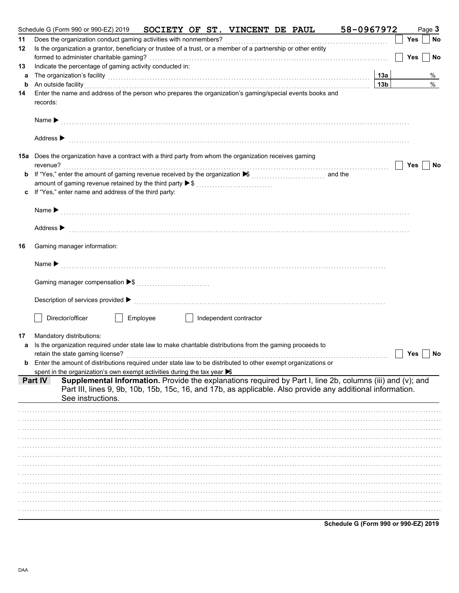|    | Schedule G (Form 990 or 990-EZ) 2019<br><b>SOCIETY OF ST. VINCENT DE PAUL</b>                                                                                                                                                  | 58-0967972 |                 |     | Page 3        |
|----|--------------------------------------------------------------------------------------------------------------------------------------------------------------------------------------------------------------------------------|------------|-----------------|-----|---------------|
| 11 |                                                                                                                                                                                                                                |            |                 | Yes | No            |
| 12 | Is the organization a grantor, beneficiary or trustee of a trust, or a member of a partnership or other entity                                                                                                                 |            |                 |     |               |
|    |                                                                                                                                                                                                                                |            |                 | Yes | No            |
| 13 | Indicate the percentage of gaming activity conducted in:                                                                                                                                                                       |            |                 |     |               |
| a  | The organization's facility [13a] <b>[13a]</b>                                                                                                                                                                                 |            |                 |     | %             |
| b  | An outside facility with an account of the contract of the contract of the contract of the contract of the contract of the contract of the contract of the contract of the contract of the contract of the contract of the con |            | 13 <sub>b</sub> |     | $\frac{0}{0}$ |
| 14 | Enter the name and address of the person who prepares the organization's gaming/special events books and<br>records:                                                                                                           |            |                 |     |               |
|    |                                                                                                                                                                                                                                |            |                 |     |               |
|    | Address > material contract to the contract of the contract of the contract of the contract of the contract of the contract of the contract of the contract of the contract of the contract of the contract of the contract of |            |                 |     |               |
|    | 15a Does the organization have a contract with a third party from whom the organization receives gaming                                                                                                                        |            |                 |     |               |
|    |                                                                                                                                                                                                                                |            |                 | Yes | No            |
|    |                                                                                                                                                                                                                                |            |                 |     |               |
|    | amount of gaming revenue retained by the third party ▶ \$<br>c If "Yes," enter name and address of the third party:                                                                                                            |            |                 |     |               |
|    |                                                                                                                                                                                                                                |            |                 |     |               |
|    |                                                                                                                                                                                                                                |            |                 |     |               |
|    |                                                                                                                                                                                                                                |            |                 |     |               |
|    | Address > the communication of the contract of the contract of the contract of the contract of the contract of the contract of the contract of the contract of the contract of the contract of the contract of the contract of |            |                 |     |               |
| 16 | Gaming manager information:                                                                                                                                                                                                    |            |                 |     |               |
|    |                                                                                                                                                                                                                                |            |                 |     |               |
|    |                                                                                                                                                                                                                                |            |                 |     |               |
|    |                                                                                                                                                                                                                                |            |                 |     |               |
|    |                                                                                                                                                                                                                                |            |                 |     |               |
|    | Employee<br>Director/officer<br>    Independent contractor                                                                                                                                                                     |            |                 |     |               |
| 17 | Mandatory distributions:                                                                                                                                                                                                       |            |                 |     |               |
| a  | Is the organization required under state law to make charitable distributions from the gaming proceeds to                                                                                                                      |            |                 |     |               |
|    |                                                                                                                                                                                                                                |            |                 | Yes | No            |
|    | <b>b</b> Enter the amount of distributions required under state law to be distributed to other exempt organizations or                                                                                                         |            |                 |     |               |
|    | spent in the organization's own exempt activities during the tax year $\blacktriangleright$                                                                                                                                    |            |                 |     |               |
|    | Supplemental Information. Provide the explanations required by Part I, line 2b, columns (iii) and (v); and<br><b>Part IV</b>                                                                                                   |            |                 |     |               |
|    | Part III, lines 9, 9b, 10b, 15b, 15c, 16, and 17b, as applicable. Also provide any additional information.                                                                                                                     |            |                 |     |               |
|    | See instructions.                                                                                                                                                                                                              |            |                 |     |               |
|    |                                                                                                                                                                                                                                |            |                 |     |               |
|    |                                                                                                                                                                                                                                |            |                 |     |               |
|    |                                                                                                                                                                                                                                |            |                 |     |               |
|    |                                                                                                                                                                                                                                |            |                 |     |               |
|    |                                                                                                                                                                                                                                |            |                 |     |               |
|    |                                                                                                                                                                                                                                |            |                 |     |               |
|    |                                                                                                                                                                                                                                |            |                 |     |               |
|    |                                                                                                                                                                                                                                |            |                 |     |               |
|    |                                                                                                                                                                                                                                |            |                 |     |               |
|    |                                                                                                                                                                                                                                |            |                 |     |               |
|    |                                                                                                                                                                                                                                |            |                 |     |               |
|    |                                                                                                                                                                                                                                |            |                 |     |               |

Schedule G (Form 990 or 990-EZ) 2019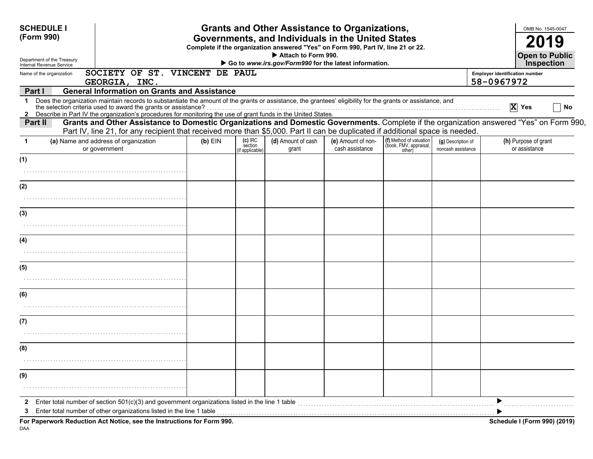| <b>SCHEDULE I</b>                                                                                                                              |                                                                                                                                                                                                                                                                                                                                                 |           |                                         | <b>Grants and Other Assistance to Organizations,</b>                                                                                  |                                       |                                                             |                                          |                                       | OMB No. 1545-0047                     |  |  |
|------------------------------------------------------------------------------------------------------------------------------------------------|-------------------------------------------------------------------------------------------------------------------------------------------------------------------------------------------------------------------------------------------------------------------------------------------------------------------------------------------------|-----------|-----------------------------------------|---------------------------------------------------------------------------------------------------------------------------------------|---------------------------------------|-------------------------------------------------------------|------------------------------------------|---------------------------------------|---------------------------------------|--|--|
| (Form 990)                                                                                                                                     |                                                                                                                                                                                                                                                                                                                                                 |           |                                         | Governments, and Individuals in the United States<br>Complete if the organization answered "Yes" on Form 990, Part IV, line 21 or 22. |                                       |                                                             |                                          |                                       |                                       |  |  |
| Department of the Treasury                                                                                                                     | Attach to Form 990.<br>Go to www.irs.gov/Form990 for the latest information.                                                                                                                                                                                                                                                                    |           |                                         |                                                                                                                                       |                                       |                                                             |                                          |                                       |                                       |  |  |
| Internal Revenue Service<br>Name of the organization                                                                                           | SOCIETY OF ST. VINCENT DE PAUL                                                                                                                                                                                                                                                                                                                  |           |                                         |                                                                                                                                       |                                       |                                                             |                                          | <b>Employer identification number</b> | <b>Inspection</b>                     |  |  |
|                                                                                                                                                | GEORGIA, INC.                                                                                                                                                                                                                                                                                                                                   |           |                                         |                                                                                                                                       |                                       |                                                             |                                          | 58-0967972                            |                                       |  |  |
| Part I<br>1.                                                                                                                                   | <b>General Information on Grants and Assistance</b>                                                                                                                                                                                                                                                                                             |           |                                         |                                                                                                                                       |                                       |                                                             |                                          |                                       |                                       |  |  |
|                                                                                                                                                | Does the organization maintain records to substantiate the amount of the grants or assistance, the grantees' eligibility for the grants or assistance, and<br>the selection criteria used to award the grants or assistance?<br>2 Describe in Part IV the organization's procedures for monitoring the use of grant funds in the United States. |           |                                         |                                                                                                                                       |                                       |                                                             |                                          |                                       | $\overline{X}$ Yes<br>No              |  |  |
| Part II                                                                                                                                        | Grants and Other Assistance to Domestic Organizations and Domestic Governments. Complete if the organization answered "Yes" on Form 990,                                                                                                                                                                                                        |           |                                         |                                                                                                                                       |                                       |                                                             |                                          |                                       |                                       |  |  |
|                                                                                                                                                | Part IV, line 21, for any recipient that received more than \$5,000. Part II can be duplicated if additional space is needed.                                                                                                                                                                                                                   |           |                                         |                                                                                                                                       |                                       |                                                             |                                          |                                       |                                       |  |  |
| (a) Name and address of organization<br>or government                                                                                          |                                                                                                                                                                                                                                                                                                                                                 | $(b)$ EIN | $(c)$ IRC<br>section<br>(if applicable) | (d) Amount of cash<br>grant                                                                                                           | (e) Amount of non-<br>cash assistance | (f) Method of valuation<br>(book, FMV, appraisal,<br>other) | (g) Description of<br>noncash assistance |                                       | (h) Purpose of grant<br>or assistance |  |  |
| (1)                                                                                                                                            |                                                                                                                                                                                                                                                                                                                                                 |           |                                         |                                                                                                                                       |                                       |                                                             |                                          |                                       |                                       |  |  |
|                                                                                                                                                |                                                                                                                                                                                                                                                                                                                                                 |           |                                         |                                                                                                                                       |                                       |                                                             |                                          |                                       |                                       |  |  |
| (2)                                                                                                                                            |                                                                                                                                                                                                                                                                                                                                                 |           |                                         |                                                                                                                                       |                                       |                                                             |                                          |                                       |                                       |  |  |
|                                                                                                                                                |                                                                                                                                                                                                                                                                                                                                                 |           |                                         |                                                                                                                                       |                                       |                                                             |                                          |                                       |                                       |  |  |
| (3)                                                                                                                                            |                                                                                                                                                                                                                                                                                                                                                 |           |                                         |                                                                                                                                       |                                       |                                                             |                                          |                                       |                                       |  |  |
|                                                                                                                                                |                                                                                                                                                                                                                                                                                                                                                 |           |                                         |                                                                                                                                       |                                       |                                                             |                                          |                                       |                                       |  |  |
| (4)                                                                                                                                            |                                                                                                                                                                                                                                                                                                                                                 |           |                                         |                                                                                                                                       |                                       |                                                             |                                          |                                       |                                       |  |  |
|                                                                                                                                                |                                                                                                                                                                                                                                                                                                                                                 |           |                                         |                                                                                                                                       |                                       |                                                             |                                          |                                       |                                       |  |  |
| (5)                                                                                                                                            |                                                                                                                                                                                                                                                                                                                                                 |           |                                         |                                                                                                                                       |                                       |                                                             |                                          |                                       |                                       |  |  |
|                                                                                                                                                |                                                                                                                                                                                                                                                                                                                                                 |           |                                         |                                                                                                                                       |                                       |                                                             |                                          |                                       |                                       |  |  |
| (6)                                                                                                                                            |                                                                                                                                                                                                                                                                                                                                                 |           |                                         |                                                                                                                                       |                                       |                                                             |                                          |                                       |                                       |  |  |
|                                                                                                                                                |                                                                                                                                                                                                                                                                                                                                                 |           |                                         |                                                                                                                                       |                                       |                                                             |                                          |                                       |                                       |  |  |
| (7)                                                                                                                                            |                                                                                                                                                                                                                                                                                                                                                 |           |                                         |                                                                                                                                       |                                       |                                                             |                                          |                                       |                                       |  |  |
|                                                                                                                                                |                                                                                                                                                                                                                                                                                                                                                 |           |                                         |                                                                                                                                       |                                       |                                                             |                                          |                                       |                                       |  |  |
| (8)                                                                                                                                            |                                                                                                                                                                                                                                                                                                                                                 |           |                                         |                                                                                                                                       |                                       |                                                             |                                          |                                       |                                       |  |  |
|                                                                                                                                                |                                                                                                                                                                                                                                                                                                                                                 |           |                                         |                                                                                                                                       |                                       |                                                             |                                          |                                       |                                       |  |  |
| (9)                                                                                                                                            |                                                                                                                                                                                                                                                                                                                                                 |           |                                         |                                                                                                                                       |                                       |                                                             |                                          |                                       |                                       |  |  |
|                                                                                                                                                |                                                                                                                                                                                                                                                                                                                                                 |           |                                         |                                                                                                                                       |                                       |                                                             |                                          |                                       |                                       |  |  |
| Enter total number of section $501(c)(3)$ and government organizations listed in the line 1 table                                              |                                                                                                                                                                                                                                                                                                                                                 |           |                                         |                                                                                                                                       |                                       |                                                             |                                          |                                       |                                       |  |  |
| Enter total number of other organizations listed in the line 1 table<br>For Paperwork Reduction Act Notice, see the Instructions for Form 990. |                                                                                                                                                                                                                                                                                                                                                 |           |                                         |                                                                                                                                       |                                       |                                                             |                                          |                                       | <b>Schedule I (Form 990) (2019)</b>   |  |  |

DAA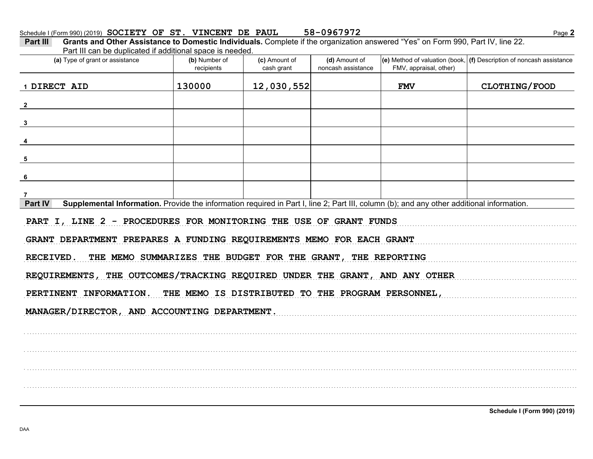| Part III | Grants and Other Assistance to Domestic Individuals. Complete if the organization answered "Yes" on Form 990, Part IV, line 22. |  |  |  |
|----------|---------------------------------------------------------------------------------------------------------------------------------|--|--|--|
|          | Part III can be duplicated if additional space is needed.                                                                       |  |  |  |
|          |                                                                                                                                 |  |  |  |

| (a) Type of grant or assistance                                                                                                                      | (b) Number of<br>recipients | (c) Amount of<br>cash grant | (d) Amount of<br>noncash assistance | FMV, appraisal, other) | (e) Method of valuation (book, $(f)$ Description of noncash assistance |  |  |  |  |
|------------------------------------------------------------------------------------------------------------------------------------------------------|-----------------------------|-----------------------------|-------------------------------------|------------------------|------------------------------------------------------------------------|--|--|--|--|
| 1 DIRECT AID                                                                                                                                         | 130000                      | 12,030,552                  |                                     | <b>FMV</b>             | CLOTHING/FOOD                                                          |  |  |  |  |
| $\mathbf{2}$                                                                                                                                         |                             |                             |                                     |                        |                                                                        |  |  |  |  |
| $\overline{\mathbf{3}}$                                                                                                                              |                             |                             |                                     |                        |                                                                        |  |  |  |  |
| $\overline{4}$                                                                                                                                       |                             |                             |                                     |                        |                                                                        |  |  |  |  |
| 5                                                                                                                                                    |                             |                             |                                     |                        |                                                                        |  |  |  |  |
| 6                                                                                                                                                    |                             |                             |                                     |                        |                                                                        |  |  |  |  |
| $\overline{7}$                                                                                                                                       |                             |                             |                                     |                        |                                                                        |  |  |  |  |
| Part IV<br>Supplemental Information. Provide the information required in Part I, line 2; Part III, column (b); and any other additional information. |                             |                             |                                     |                        |                                                                        |  |  |  |  |
| PART I, LINE 2 - PROCEDURES FOR MONITORING THE USE OF GRANT FUNDS<br>GRANT DEPARTMENT PREPARES A FUNDING REQUIREMENTS MEMO FOR EACH GRANT            |                             |                             |                                     |                        |                                                                        |  |  |  |  |
| THE MEMO SUMMARIZES THE BUDGET FOR THE GRANT, THE REPORTING<br>RECEIVED.                                                                             |                             |                             |                                     |                        |                                                                        |  |  |  |  |
| REQUIREMENTS, THE OUTCOMES/TRACKING REQUIRED UNDER THE GRANT, AND ANY OTHER                                                                          |                             |                             |                                     |                        |                                                                        |  |  |  |  |
| PERTINENT INFORMATION. THE MEMO IS DISTRIBUTED TO THE PROGRAM PERSONNEL,                                                                             |                             |                             |                                     |                        |                                                                        |  |  |  |  |
| MANAGER/DIRECTOR, AND ACCOUNTING DEPARTMENT.                                                                                                         |                             |                             |                                     |                        |                                                                        |  |  |  |  |
|                                                                                                                                                      |                             |                             |                                     |                        |                                                                        |  |  |  |  |
|                                                                                                                                                      |                             |                             |                                     |                        |                                                                        |  |  |  |  |
|                                                                                                                                                      |                             |                             |                                     |                        |                                                                        |  |  |  |  |
|                                                                                                                                                      |                             |                             |                                     |                        |                                                                        |  |  |  |  |
|                                                                                                                                                      |                             |                             |                                     |                        |                                                                        |  |  |  |  |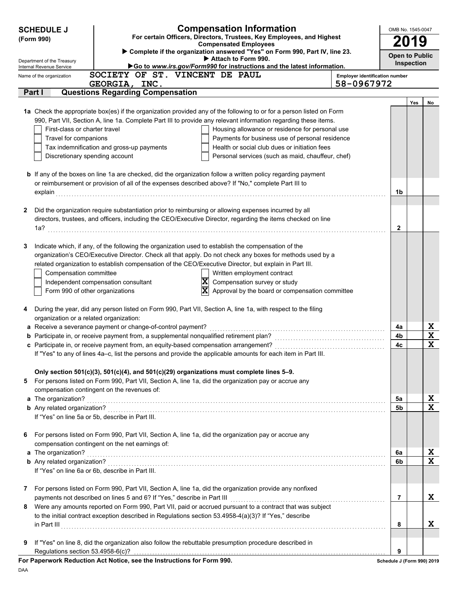|   | <b>SCHEDULE J</b>                                    |                                                                                                     | <b>Compensation Information</b>                                                                                                                                                                                       |                                       | OMB No. 1545-0047          |                   |                  |
|---|------------------------------------------------------|-----------------------------------------------------------------------------------------------------|-----------------------------------------------------------------------------------------------------------------------------------------------------------------------------------------------------------------------|---------------------------------------|----------------------------|-------------------|------------------|
|   | (Form 990)                                           |                                                                                                     | For certain Officers, Directors, Trustees, Key Employees, and Highest                                                                                                                                                 |                                       | 2019                       |                   |                  |
|   |                                                      |                                                                                                     | <b>Compensated Employees</b><br>Complete if the organization answered "Yes" on Form 990, Part IV, line 23.                                                                                                            |                                       |                            |                   |                  |
|   | Department of the Treasury                           |                                                                                                     | Attach to Form 990.                                                                                                                                                                                                   |                                       | <b>Open to Public</b>      | <b>Inspection</b> |                  |
|   | Internal Revenue Service<br>Name of the organization | SOCIETY OF ST. VINCENT DE PAUL                                                                      | Go to www.irs.gov/Form990 for instructions and the latest information.                                                                                                                                                | <b>Employer identification number</b> |                            |                   |                  |
|   |                                                      | GEORGIA, INC.                                                                                       |                                                                                                                                                                                                                       | 58-0967972                            |                            |                   |                  |
|   | Part I                                               | <b>Questions Regarding Compensation</b>                                                             |                                                                                                                                                                                                                       |                                       |                            |                   |                  |
|   |                                                      |                                                                                                     |                                                                                                                                                                                                                       |                                       |                            | Yes               | No               |
|   |                                                      |                                                                                                     | 1a Check the appropriate box(es) if the organization provided any of the following to or for a person listed on Form                                                                                                  |                                       |                            |                   |                  |
|   |                                                      |                                                                                                     | 990, Part VII, Section A, line 1a. Complete Part III to provide any relevant information regarding these items.                                                                                                       |                                       |                            |                   |                  |
|   | First-class or charter travel                        |                                                                                                     | Housing allowance or residence for personal use                                                                                                                                                                       |                                       |                            |                   |                  |
|   | Travel for companions                                | Tax indemnification and gross-up payments                                                           | Payments for business use of personal residence<br>Health or social club dues or initiation fees                                                                                                                      |                                       |                            |                   |                  |
|   | Discretionary spending account                       |                                                                                                     | Personal services (such as maid, chauffeur, chef)                                                                                                                                                                     |                                       |                            |                   |                  |
|   |                                                      |                                                                                                     |                                                                                                                                                                                                                       |                                       |                            |                   |                  |
|   |                                                      |                                                                                                     | <b>b</b> If any of the boxes on line 1a are checked, did the organization follow a written policy regarding payment                                                                                                   |                                       |                            |                   |                  |
|   |                                                      |                                                                                                     | or reimbursement or provision of all of the expenses described above? If "No," complete Part III to                                                                                                                   |                                       |                            |                   |                  |
|   | explain                                              |                                                                                                     |                                                                                                                                                                                                                       |                                       | 1b                         |                   |                  |
|   |                                                      |                                                                                                     |                                                                                                                                                                                                                       |                                       |                            |                   |                  |
| 2 |                                                      |                                                                                                     | Did the organization require substantiation prior to reimbursing or allowing expenses incurred by all<br>directors, trustees, and officers, including the CEO/Executive Director, regarding the items checked on line |                                       |                            |                   |                  |
|   |                                                      |                                                                                                     |                                                                                                                                                                                                                       |                                       | $\mathbf{2}$               |                   |                  |
|   |                                                      |                                                                                                     |                                                                                                                                                                                                                       |                                       |                            |                   |                  |
| 3 |                                                      | Indicate which, if any, of the following the organization used to establish the compensation of the |                                                                                                                                                                                                                       |                                       |                            |                   |                  |
|   |                                                      |                                                                                                     | organization's CEO/Executive Director. Check all that apply. Do not check any boxes for methods used by a                                                                                                             |                                       |                            |                   |                  |
|   |                                                      |                                                                                                     | related organization to establish compensation of the CEO/Executive Director, but explain in Part III.                                                                                                                |                                       |                            |                   |                  |
|   | Compensation committee                               |                                                                                                     | Written employment contract                                                                                                                                                                                           |                                       |                            |                   |                  |
|   |                                                      | Independent compensation consultant                                                                 | $\overline{\mathbf{x}}$<br>Compensation survey or study                                                                                                                                                               |                                       |                            |                   |                  |
|   | Form 990 of other organizations                      |                                                                                                     | $\overline{\mathbf{x}}$<br>Approval by the board or compensation committee                                                                                                                                            |                                       |                            |                   |                  |
|   |                                                      |                                                                                                     |                                                                                                                                                                                                                       |                                       |                            |                   |                  |
| 4 |                                                      |                                                                                                     | During the year, did any person listed on Form 990, Part VII, Section A, line 1a, with respect to the filing                                                                                                          |                                       |                            |                   |                  |
|   | organization or a related organization:              |                                                                                                     |                                                                                                                                                                                                                       |                                       |                            |                   |                  |
|   |                                                      | a Receive a severance payment or change-of-control payment?                                         |                                                                                                                                                                                                                       |                                       | 4a<br>4b                   |                   | X<br>$\mathbf x$ |
|   |                                                      |                                                                                                     |                                                                                                                                                                                                                       |                                       | 4c                         |                   | X                |
|   |                                                      |                                                                                                     | If "Yes" to any of lines 4a-c, list the persons and provide the applicable amounts for each item in Part III.                                                                                                         |                                       |                            |                   |                  |
|   |                                                      |                                                                                                     |                                                                                                                                                                                                                       |                                       |                            |                   |                  |
|   |                                                      | Only section 501(c)(3), 501(c)(4), and 501(c)(29) organizations must complete lines 5-9.            |                                                                                                                                                                                                                       |                                       |                            |                   |                  |
| 5 |                                                      |                                                                                                     | For persons listed on Form 990, Part VII, Section A, line 1a, did the organization pay or accrue any                                                                                                                  |                                       |                            |                   |                  |
|   |                                                      | compensation contingent on the revenues of:                                                         |                                                                                                                                                                                                                       |                                       |                            |                   |                  |
|   | a The organization?                                  |                                                                                                     |                                                                                                                                                                                                                       |                                       | 5а                         |                   | X<br>X           |
|   |                                                      | If "Yes" on line 5a or 5b, describe in Part III.                                                    |                                                                                                                                                                                                                       |                                       | 5b                         |                   |                  |
|   |                                                      |                                                                                                     |                                                                                                                                                                                                                       |                                       |                            |                   |                  |
| 6 |                                                      |                                                                                                     | For persons listed on Form 990, Part VII, Section A, line 1a, did the organization pay or accrue any                                                                                                                  |                                       |                            |                   |                  |
|   |                                                      | compensation contingent on the net earnings of:                                                     |                                                                                                                                                                                                                       |                                       |                            |                   |                  |
|   | a The organization?                                  |                                                                                                     |                                                                                                                                                                                                                       |                                       | 6a                         |                   | X                |
|   |                                                      |                                                                                                     |                                                                                                                                                                                                                       |                                       | 6b                         |                   | X                |
|   |                                                      | If "Yes" on line 6a or 6b, describe in Part III.                                                    |                                                                                                                                                                                                                       |                                       |                            |                   |                  |
|   |                                                      |                                                                                                     |                                                                                                                                                                                                                       |                                       |                            |                   |                  |
| 7 |                                                      |                                                                                                     | For persons listed on Form 990, Part VII, Section A, line 1a, did the organization provide any nonfixed                                                                                                               |                                       |                            |                   |                  |
|   |                                                      | payments not described on lines 5 and 6? If "Yes," describe in Part III                             |                                                                                                                                                                                                                       |                                       | 7                          |                   | X                |
| 8 |                                                      |                                                                                                     | Were any amounts reported on Form 990, Part VII, paid or accrued pursuant to a contract that was subject<br>to the initial contract exception described in Regulations section 53.4958-4(a)(3)? If "Yes," describe    |                                       |                            |                   |                  |
|   |                                                      |                                                                                                     |                                                                                                                                                                                                                       |                                       | 8                          |                   | X                |
|   |                                                      |                                                                                                     |                                                                                                                                                                                                                       |                                       |                            |                   |                  |
| 9 |                                                      |                                                                                                     | If "Yes" on line 8, did the organization also follow the rebuttable presumption procedure described in                                                                                                                |                                       |                            |                   |                  |
|   | Regulations section 53.4958-6(c)?                    |                                                                                                     |                                                                                                                                                                                                                       |                                       | 9                          |                   |                  |
|   |                                                      | For Paperwork Reduction Act Notice, see the Instructions for Form 990.                              |                                                                                                                                                                                                                       |                                       | Schedule J (Form 990) 2019 |                   |                  |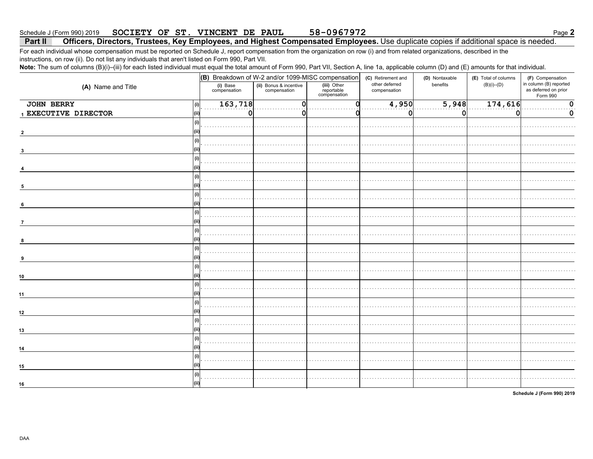#### SOCIETY OF ST. VINCENT DE PAUL 58-0967972 Schedule J (Form 990) 2019

### Officers, Directors, Trustees, Key Employees, and Highest Compensated Employees. Use duplicate copies if additional space is needed. Part II

For each individual whose compensation must be reported on Schedule J, report compensation from the organization on row (i) and from related organizations, described in the instructions, on row (ii). Do not list any individuals that aren't listed on Form 990, Part VII.

Note: The sum of columns (B)(i)-(iii) for each listed individual must equal the total amount of Form 990, Part VII, Section A, line 1a, applicable column (D) and (E) amounts for that individual.

|                      |                          | (B) Breakdown of W-2 and/or 1099-MISC compensation |                                           |                                | (D) Nontaxable | (E) Total of columns | (F) Compensation                                           |
|----------------------|--------------------------|----------------------------------------------------|-------------------------------------------|--------------------------------|----------------|----------------------|------------------------------------------------------------|
| (A) Name and Title   | (i) Base<br>compensation | (ii) Bonus & incentive<br>compensation             | (iii) Other<br>reportable<br>compensation | other deferred<br>compensation | benefits       | $(B)(i)$ – $(D)$     | in column (B) reported<br>as deferred on prior<br>Form 990 |
| <b>JOHN BERRY</b>    | 163,718<br>(i)           | n                                                  |                                           | 4,950                          | 5,948          | 174,616              | $\Omega$                                                   |
| 1 EXECUTIVE DIRECTOR | 0<br>(ii)                |                                                    |                                           | $\mathbf 0$                    | 0              | 0                    | 0                                                          |
|                      | (i)                      |                                                    |                                           |                                |                |                      |                                                            |
|                      |                          |                                                    |                                           |                                |                |                      |                                                            |
|                      | (i)                      |                                                    |                                           |                                |                |                      |                                                            |
|                      |                          |                                                    |                                           |                                |                |                      |                                                            |
|                      | (i)                      |                                                    |                                           |                                |                |                      |                                                            |
|                      | (i)                      |                                                    |                                           |                                |                |                      |                                                            |
|                      |                          |                                                    |                                           |                                |                |                      |                                                            |
|                      | (i)                      |                                                    |                                           |                                |                |                      |                                                            |
| 6                    | (i)                      |                                                    |                                           |                                |                |                      |                                                            |
| $\overline{7}$       |                          |                                                    |                                           |                                |                |                      |                                                            |
| 8                    | (i)                      |                                                    |                                           |                                |                |                      |                                                            |
|                      | (i)                      |                                                    |                                           |                                |                |                      |                                                            |
|                      | (ii                      |                                                    |                                           |                                |                |                      |                                                            |
| 10                   | (i)<br>(ii)              |                                                    |                                           |                                |                |                      |                                                            |
|                      | (i)<br>(ii)              |                                                    |                                           |                                |                |                      |                                                            |
| 11                   | (i)                      |                                                    |                                           |                                |                |                      |                                                            |
| 12                   |                          |                                                    |                                           |                                |                |                      |                                                            |
| 13                   | (i)                      |                                                    |                                           |                                |                |                      |                                                            |
|                      | (i)                      |                                                    |                                           |                                |                |                      |                                                            |
| 14                   |                          |                                                    |                                           |                                |                |                      |                                                            |
| 15                   | (i)<br>(ii)              |                                                    |                                           |                                |                |                      |                                                            |
|                      | (i)                      |                                                    |                                           |                                |                |                      |                                                            |
| 16                   | (iii)                    |                                                    |                                           |                                |                |                      |                                                            |

Schedule J (Form 990) 2019

Page 2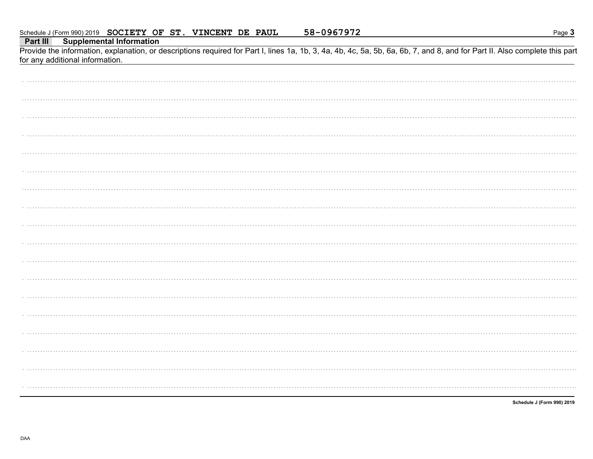Part III **Supplemental Information** 

Provide the information, explanation, or descriptions required for Part I, lines 1a, 1b, 3, 4a, 4b, 4c, 5a, 5b, 6a, 6b, 7, and 8, and for Part II. Also complete this part for any additional information.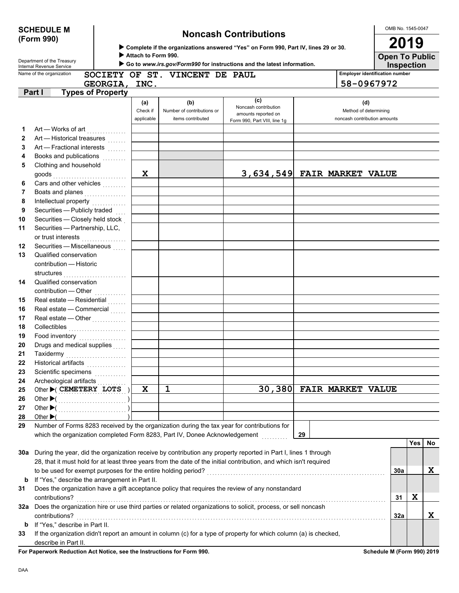| <b>SCHEDULE M</b> |  |
|-------------------|--|
| (Form 990)        |  |

## **Noncash Contributions**

OMB No. 1545-0047 **2019**

| ▶ Complete if the organizations answered "Yes" on Form 990, Part IV, lines 29 or 30. |
|--------------------------------------------------------------------------------------|
|--------------------------------------------------------------------------------------|

 **Attach to Form 990.**

**Inspection Open To Public**

|         | Department of the Treasury<br>Internal Revenue Service                                                                                            |                               |                                                        | Go to www.irs.gov/Form990 for instructions and the latest information.             |                          |                                                              | <b>Inspection</b>                     |     |     |
|---------|---------------------------------------------------------------------------------------------------------------------------------------------------|-------------------------------|--------------------------------------------------------|------------------------------------------------------------------------------------|--------------------------|--------------------------------------------------------------|---------------------------------------|-----|-----|
|         | Name of the organization                                                                                                                          |                               | SOCIETY OF ST. VINCENT DE PAUL                         |                                                                                    |                          |                                                              | <b>Employer identification number</b> |     |     |
|         | GEORGIA, INC.                                                                                                                                     |                               |                                                        |                                                                                    |                          | 58-0967972                                                   |                                       |     |     |
|         | <b>Types of Property</b><br>Part I                                                                                                                |                               |                                                        |                                                                                    |                          |                                                              |                                       |     |     |
|         |                                                                                                                                                   | (a)<br>Check if<br>applicable | (b)<br>Number of contributions or<br>items contributed | (c)<br>Noncash contribution<br>amounts reported on<br>Form 990, Part VIII, line 1g |                          | (d)<br>Method of determining<br>noncash contribution amounts |                                       |     |     |
| 1       |                                                                                                                                                   |                               |                                                        |                                                                                    |                          |                                                              |                                       |     |     |
| 2       | Art - Historical treasures                                                                                                                        |                               |                                                        |                                                                                    |                          |                                                              |                                       |     |     |
| 3       | Art - Fractional interests                                                                                                                        |                               |                                                        |                                                                                    |                          |                                                              |                                       |     |     |
| 4       |                                                                                                                                                   |                               |                                                        |                                                                                    |                          |                                                              |                                       |     |     |
| 5       | Clothing and household                                                                                                                            |                               |                                                        |                                                                                    |                          |                                                              |                                       |     |     |
|         |                                                                                                                                                   | X                             |                                                        | 3,634,549 FAIR MARKET VALUE                                                        |                          |                                                              |                                       |     |     |
| 6       | Cars and other vehicles                                                                                                                           |                               |                                                        |                                                                                    |                          |                                                              |                                       |     |     |
| 7       | Boats and planes                                                                                                                                  |                               |                                                        |                                                                                    |                          |                                                              |                                       |     |     |
| 8       | Intellectual property                                                                                                                             |                               |                                                        |                                                                                    |                          |                                                              |                                       |     |     |
| 9       | Securities - Publicly traded                                                                                                                      |                               |                                                        |                                                                                    |                          |                                                              |                                       |     |     |
| 10      | Securities - Closely held stock                                                                                                                   |                               |                                                        |                                                                                    |                          |                                                              |                                       |     |     |
| 11      | Securities - Partnership, LLC,                                                                                                                    |                               |                                                        |                                                                                    |                          |                                                              |                                       |     |     |
| 12      | or trust interests<br>Securities - Miscellaneous                                                                                                  |                               |                                                        |                                                                                    |                          |                                                              |                                       |     |     |
| 13      | Qualified conservation                                                                                                                            |                               |                                                        |                                                                                    |                          |                                                              |                                       |     |     |
|         | contribution - Historic                                                                                                                           |                               |                                                        |                                                                                    |                          |                                                              |                                       |     |     |
|         | structures                                                                                                                                        |                               |                                                        |                                                                                    |                          |                                                              |                                       |     |     |
| 14      | Qualified conservation                                                                                                                            |                               |                                                        |                                                                                    |                          |                                                              |                                       |     |     |
|         | contribution - Other                                                                                                                              |                               |                                                        |                                                                                    |                          |                                                              |                                       |     |     |
| 15      | Real estate - Residential                                                                                                                         |                               |                                                        |                                                                                    |                          |                                                              |                                       |     |     |
| 16      | Real estate - Commercial                                                                                                                          |                               |                                                        |                                                                                    |                          |                                                              |                                       |     |     |
| 17      | Real estate - Other                                                                                                                               |                               |                                                        |                                                                                    |                          |                                                              |                                       |     |     |
| 18      | Collectibles                                                                                                                                      |                               |                                                        |                                                                                    |                          |                                                              |                                       |     |     |
| 19      | Food inventory                                                                                                                                    |                               |                                                        |                                                                                    |                          |                                                              |                                       |     |     |
| 20      | Drugs and medical supplies                                                                                                                        |                               |                                                        |                                                                                    |                          |                                                              |                                       |     |     |
| 21      | Taxidermy                                                                                                                                         |                               |                                                        |                                                                                    |                          |                                                              |                                       |     |     |
| 22      | Historical artifacts                                                                                                                              |                               |                                                        |                                                                                    |                          |                                                              |                                       |     |     |
| 23      | Scientific specimens                                                                                                                              |                               |                                                        |                                                                                    |                          |                                                              |                                       |     |     |
| 24      | Archeological artifacts                                                                                                                           |                               |                                                        |                                                                                    |                          |                                                              |                                       |     |     |
| 25      | Other CEMETERY LOTS                                                                                                                               | X                             | $\mathbf 1$                                            |                                                                                    | 30,380 FAIR MARKET VALUE |                                                              |                                       |     |     |
| 26      | Other $\blacktriangleright$ (                                                                                                                     |                               |                                                        |                                                                                    |                          |                                                              |                                       |     |     |
| 27      |                                                                                                                                                   |                               |                                                        |                                                                                    |                          |                                                              |                                       |     |     |
| 28      | Other $\blacktriangleright$ (                                                                                                                     |                               |                                                        |                                                                                    |                          |                                                              |                                       |     |     |
| 29      | Number of Forms 8283 received by the organization during the tax year for contributions for                                                       |                               |                                                        |                                                                                    |                          |                                                              |                                       |     |     |
|         | which the organization completed Form 8283, Part IV, Donee Acknowledgement                                                                        |                               |                                                        |                                                                                    | 29                       |                                                              |                                       |     |     |
|         |                                                                                                                                                   |                               |                                                        |                                                                                    |                          |                                                              |                                       | Yes | No. |
| 30a     | During the year, did the organization receive by contribution any property reported in Part I, lines 1 through                                    |                               |                                                        |                                                                                    |                          |                                                              |                                       |     |     |
|         | 28, that it must hold for at least three years from the date of the initial contribution, and which isn't required                                |                               |                                                        |                                                                                    |                          |                                                              |                                       |     |     |
|         | to be used for exempt purposes for the entire holding period?                                                                                     |                               |                                                        |                                                                                    |                          |                                                              | 30a                                   |     | X   |
| b<br>31 | If "Yes," describe the arrangement in Part II.<br>Does the organization have a gift acceptance policy that requires the review of any nonstandard |                               |                                                        |                                                                                    |                          |                                                              |                                       |     |     |
|         | contributions?                                                                                                                                    |                               |                                                        |                                                                                    |                          |                                                              | 31                                    | X   |     |
| 32a     | Does the organization hire or use third parties or related organizations to solicit, process, or sell noncash                                     |                               |                                                        |                                                                                    |                          |                                                              |                                       |     |     |
|         | contributions?                                                                                                                                    |                               |                                                        |                                                                                    |                          |                                                              | 32a                                   |     | X   |
| b       | If "Yes," describe in Part II.                                                                                                                    |                               |                                                        |                                                                                    |                          |                                                              |                                       |     |     |
| 33      | If the organization didn't report an amount in column (c) for a type of property for which column (a) is checked,                                 |                               |                                                        |                                                                                    |                          |                                                              |                                       |     |     |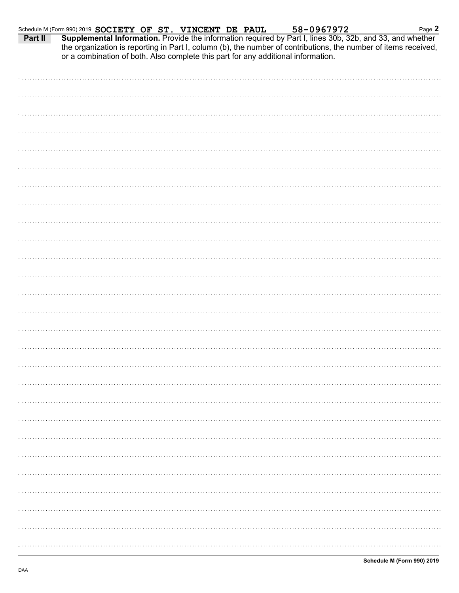|         | Schedule M (Form 990) 2019 SOCIETY OF ST. VINCENT DE PAUL                         |  | 58-0967972                                                                                                                                                                                                                   | Page 2 |
|---------|-----------------------------------------------------------------------------------|--|------------------------------------------------------------------------------------------------------------------------------------------------------------------------------------------------------------------------------|--------|
| Part II | or a combination of both. Also complete this part for any additional information. |  | Supplemental Information. Provide the information required by Part I, lines 30b, 32b, and 33, and whether<br>the organization is reporting in Part I, column (b), the number of contributions, the number of items received, |        |
|         |                                                                                   |  |                                                                                                                                                                                                                              |        |
|         |                                                                                   |  |                                                                                                                                                                                                                              |        |
|         |                                                                                   |  |                                                                                                                                                                                                                              |        |
|         |                                                                                   |  |                                                                                                                                                                                                                              |        |
|         |                                                                                   |  |                                                                                                                                                                                                                              |        |
|         |                                                                                   |  |                                                                                                                                                                                                                              |        |
|         |                                                                                   |  |                                                                                                                                                                                                                              |        |
|         |                                                                                   |  |                                                                                                                                                                                                                              |        |
|         |                                                                                   |  |                                                                                                                                                                                                                              |        |
|         |                                                                                   |  |                                                                                                                                                                                                                              |        |
|         |                                                                                   |  |                                                                                                                                                                                                                              |        |
|         |                                                                                   |  |                                                                                                                                                                                                                              |        |
|         |                                                                                   |  |                                                                                                                                                                                                                              |        |
|         |                                                                                   |  |                                                                                                                                                                                                                              |        |
|         |                                                                                   |  |                                                                                                                                                                                                                              |        |
|         |                                                                                   |  |                                                                                                                                                                                                                              |        |
|         |                                                                                   |  |                                                                                                                                                                                                                              |        |
|         |                                                                                   |  |                                                                                                                                                                                                                              |        |
|         |                                                                                   |  |                                                                                                                                                                                                                              |        |
|         |                                                                                   |  |                                                                                                                                                                                                                              |        |
|         |                                                                                   |  |                                                                                                                                                                                                                              |        |
|         |                                                                                   |  |                                                                                                                                                                                                                              |        |
|         |                                                                                   |  |                                                                                                                                                                                                                              |        |
|         |                                                                                   |  |                                                                                                                                                                                                                              |        |
|         |                                                                                   |  |                                                                                                                                                                                                                              |        |
|         |                                                                                   |  |                                                                                                                                                                                                                              |        |
|         |                                                                                   |  |                                                                                                                                                                                                                              |        |
|         |                                                                                   |  |                                                                                                                                                                                                                              |        |
|         |                                                                                   |  |                                                                                                                                                                                                                              |        |
|         |                                                                                   |  |                                                                                                                                                                                                                              |        |
|         |                                                                                   |  |                                                                                                                                                                                                                              |        |
|         |                                                                                   |  |                                                                                                                                                                                                                              |        |
|         |                                                                                   |  |                                                                                                                                                                                                                              |        |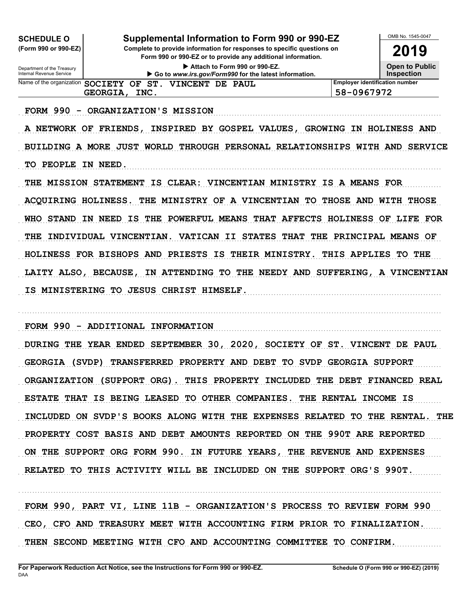| Supplemental Information to Form 990 or 990-EZ<br><b>SCHEDULE O</b> |  |                                                                                                                                        |  |                        |  |  |  |  |  |  |
|---------------------------------------------------------------------|--|----------------------------------------------------------------------------------------------------------------------------------------|--|------------------------|--|--|--|--|--|--|
| (Form 990 or 990-EZ)                                                |  | Complete to provide information for responses to specific questions on<br>Form 990 or 990-EZ or to provide any additional information. |  |                        |  |  |  |  |  |  |
| Department of the Treasury<br>Internal Revenue Service              |  | Attach to Form 990 or 990-EZ.<br>Go to www.irs.gov/Form990 for the latest information.                                                 |  |                        |  |  |  |  |  |  |
|                                                                     |  | <b>Employer identification number</b><br>Name of the organization SOCIETY OF ST. VINCENT DE PAUL                                       |  |                        |  |  |  |  |  |  |
| 58-0967972<br><b>GEORGIA,</b><br>INC.                               |  |                                                                                                                                        |  |                        |  |  |  |  |  |  |
| <b>FORM 990</b>                                                     |  |                                                                                                                                        |  | ORGANIZATION'S MISSION |  |  |  |  |  |  |

A NETWORK OF FRIENDS, INSPIRED BY GOSPEL VALUES, GROWING IN HOLINESS AND BUILDING A MORE JUST WORLD THROUGH PERSONAL RELATIONSHIPS WITH AND SERVICE TO PEOPLE IN NEED.

THE MISSION STATEMENT IS CLEAR: VINCENTIAN MINISTRY IS A MEANS FOR ACQUIRING HOLINESS. THE MINISTRY OF A VINCENTIAN TO THOSE AND WITH THOSE WHO STAND IN NEED IS THE POWERFUL MEANS THAT AFFECTS HOLINESS OF LIFE FOR THE INDIVIDUAL VINCENTIAN. VATICAN II STATES THAT THE PRINCIPAL MEANS OF HOLINESS FOR BISHOPS AND PRIESTS IS THEIR MINISTRY. THIS APPLIES TO THE LAITY ALSO, BECAUSE, IN ATTENDING TO THE NEEDY AND SUFFERING, A VINCENTIAN IS MINISTERING TO JESUS CHRIST HIMSELF.

FORM 990 - ADDITIONAL INFORMATION

DURING THE YEAR ENDED SEPTEMBER 30, 2020, SOCIETY OF ST. VINCENT DE PAUL GEORGIA (SVDP) TRANSFERRED PROPERTY AND DEBT TO SVDP GEORGIA SUPPORT ORGANIZATION (SUPPORT ORG). THIS PROPERTY INCLUDED THE DEBT FINANCED REAL ESTATE THAT IS BEING LEASED TO OTHER COMPANIES. THE RENTAL INCOME IS INCLUDED ON SVDP'S BOOKS ALONG WITH THE EXPENSES RELATED TO THE RENTAL. THE PROPERTY COST BASIS AND DEBT AMOUNTS REPORTED ON THE 990T ARE REPORTED ON THE SUPPORT ORG FORM 990. IN FUTURE YEARS, THE REVENUE AND EXPENSES RELATED TO THIS ACTIVITY WILL BE INCLUDED ON THE SUPPORT ORG'S 990T.

FORM 990, PART VI, LINE 11B - ORGANIZATION'S PROCESS TO REVIEW FORM 990 CEO, CFO AND TREASURY MEET WITH ACCOUNTING FIRM PRIOR TO FINALIZATION. THEN SECOND MEETING WITH CFO AND ACCOUNTING COMMITTEE TO CONFIRM.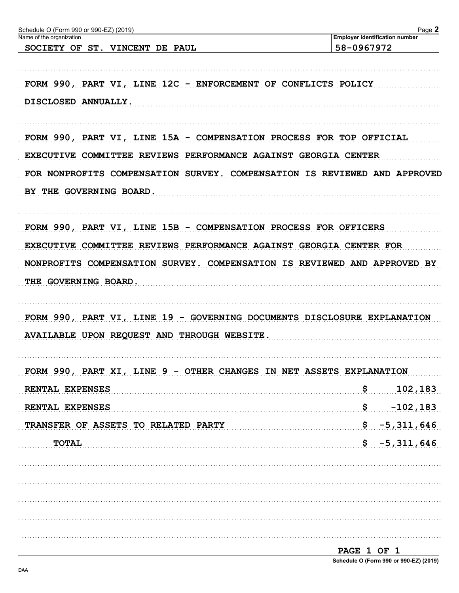| 58-0967972<br>SOCIETY OF ST. VINCENT DE PAUL<br>FORM 990, PART VI, LINE 12C - ENFORCEMENT OF CONFLICTS POLICY<br>DISCLOSED ANNUALLY.<br>FORM 990, PART VI, LINE 15A - COMPENSATION PROCESS FOR TOP OFFICIAL<br>EXECUTIVE COMMITTEE REVIEWS PERFORMANCE AGAINST GEORGIA CENTER<br>FOR NONPROFITS COMPENSATION SURVEY. COMPENSATION IS REVIEWED AND APPROVED<br>BY THE GOVERNING BOARD.<br>FORM 990, PART VI, LINE 15B - COMPENSATION PROCESS FOR OFFICERS<br>EXECUTIVE COMMITTEE REVIEWS PERFORMANCE AGAINST GEORGIA CENTER FOR<br>NONPROFITS COMPENSATION SURVEY. COMPENSATION IS REVIEWED AND APPROVED BY<br>THE GOVERNING BOARD.<br>FORM 990, PART VI, LINE 19 - GOVERNING DOCUMENTS DISCLOSURE EXPLANATION<br>AVAILABLE UPON REQUEST AND THROUGH WEBSITE.<br>FORM 990, PART XI, LINE 9 - OTHER CHANGES IN NET ASSETS EXPLANATION<br>\$102,183<br>RENTAL EXPENSES<br>RENTAL EXPENSES<br>$\frac{1}{5}$ -5,311,646<br>TRANSFER OF ASSETS TO RELATED PARTY<br>$$ -5,311,646$<br><b>TOTAL</b> | Name of the organization | <b>Employer identification number</b> |
|---------------------------------------------------------------------------------------------------------------------------------------------------------------------------------------------------------------------------------------------------------------------------------------------------------------------------------------------------------------------------------------------------------------------------------------------------------------------------------------------------------------------------------------------------------------------------------------------------------------------------------------------------------------------------------------------------------------------------------------------------------------------------------------------------------------------------------------------------------------------------------------------------------------------------------------------------------------------------------------------|--------------------------|---------------------------------------|
|                                                                                                                                                                                                                                                                                                                                                                                                                                                                                                                                                                                                                                                                                                                                                                                                                                                                                                                                                                                             |                          |                                       |
|                                                                                                                                                                                                                                                                                                                                                                                                                                                                                                                                                                                                                                                                                                                                                                                                                                                                                                                                                                                             |                          |                                       |
|                                                                                                                                                                                                                                                                                                                                                                                                                                                                                                                                                                                                                                                                                                                                                                                                                                                                                                                                                                                             |                          |                                       |
|                                                                                                                                                                                                                                                                                                                                                                                                                                                                                                                                                                                                                                                                                                                                                                                                                                                                                                                                                                                             |                          |                                       |
|                                                                                                                                                                                                                                                                                                                                                                                                                                                                                                                                                                                                                                                                                                                                                                                                                                                                                                                                                                                             |                          |                                       |
|                                                                                                                                                                                                                                                                                                                                                                                                                                                                                                                                                                                                                                                                                                                                                                                                                                                                                                                                                                                             |                          |                                       |
|                                                                                                                                                                                                                                                                                                                                                                                                                                                                                                                                                                                                                                                                                                                                                                                                                                                                                                                                                                                             |                          |                                       |
|                                                                                                                                                                                                                                                                                                                                                                                                                                                                                                                                                                                                                                                                                                                                                                                                                                                                                                                                                                                             |                          |                                       |
|                                                                                                                                                                                                                                                                                                                                                                                                                                                                                                                                                                                                                                                                                                                                                                                                                                                                                                                                                                                             |                          |                                       |
|                                                                                                                                                                                                                                                                                                                                                                                                                                                                                                                                                                                                                                                                                                                                                                                                                                                                                                                                                                                             |                          |                                       |
|                                                                                                                                                                                                                                                                                                                                                                                                                                                                                                                                                                                                                                                                                                                                                                                                                                                                                                                                                                                             |                          |                                       |
|                                                                                                                                                                                                                                                                                                                                                                                                                                                                                                                                                                                                                                                                                                                                                                                                                                                                                                                                                                                             |                          |                                       |
|                                                                                                                                                                                                                                                                                                                                                                                                                                                                                                                                                                                                                                                                                                                                                                                                                                                                                                                                                                                             |                          |                                       |
|                                                                                                                                                                                                                                                                                                                                                                                                                                                                                                                                                                                                                                                                                                                                                                                                                                                                                                                                                                                             |                          |                                       |
|                                                                                                                                                                                                                                                                                                                                                                                                                                                                                                                                                                                                                                                                                                                                                                                                                                                                                                                                                                                             |                          |                                       |
|                                                                                                                                                                                                                                                                                                                                                                                                                                                                                                                                                                                                                                                                                                                                                                                                                                                                                                                                                                                             |                          |                                       |
|                                                                                                                                                                                                                                                                                                                                                                                                                                                                                                                                                                                                                                                                                                                                                                                                                                                                                                                                                                                             |                          |                                       |
|                                                                                                                                                                                                                                                                                                                                                                                                                                                                                                                                                                                                                                                                                                                                                                                                                                                                                                                                                                                             |                          |                                       |
|                                                                                                                                                                                                                                                                                                                                                                                                                                                                                                                                                                                                                                                                                                                                                                                                                                                                                                                                                                                             |                          |                                       |
|                                                                                                                                                                                                                                                                                                                                                                                                                                                                                                                                                                                                                                                                                                                                                                                                                                                                                                                                                                                             |                          |                                       |
|                                                                                                                                                                                                                                                                                                                                                                                                                                                                                                                                                                                                                                                                                                                                                                                                                                                                                                                                                                                             |                          |                                       |
|                                                                                                                                                                                                                                                                                                                                                                                                                                                                                                                                                                                                                                                                                                                                                                                                                                                                                                                                                                                             |                          |                                       |
|                                                                                                                                                                                                                                                                                                                                                                                                                                                                                                                                                                                                                                                                                                                                                                                                                                                                                                                                                                                             |                          |                                       |
|                                                                                                                                                                                                                                                                                                                                                                                                                                                                                                                                                                                                                                                                                                                                                                                                                                                                                                                                                                                             |                          |                                       |
|                                                                                                                                                                                                                                                                                                                                                                                                                                                                                                                                                                                                                                                                                                                                                                                                                                                                                                                                                                                             |                          |                                       |
|                                                                                                                                                                                                                                                                                                                                                                                                                                                                                                                                                                                                                                                                                                                                                                                                                                                                                                                                                                                             |                          |                                       |
|                                                                                                                                                                                                                                                                                                                                                                                                                                                                                                                                                                                                                                                                                                                                                                                                                                                                                                                                                                                             |                          | $$$ $-102,183$                        |
|                                                                                                                                                                                                                                                                                                                                                                                                                                                                                                                                                                                                                                                                                                                                                                                                                                                                                                                                                                                             |                          |                                       |
|                                                                                                                                                                                                                                                                                                                                                                                                                                                                                                                                                                                                                                                                                                                                                                                                                                                                                                                                                                                             |                          |                                       |
|                                                                                                                                                                                                                                                                                                                                                                                                                                                                                                                                                                                                                                                                                                                                                                                                                                                                                                                                                                                             |                          |                                       |
|                                                                                                                                                                                                                                                                                                                                                                                                                                                                                                                                                                                                                                                                                                                                                                                                                                                                                                                                                                                             |                          |                                       |
|                                                                                                                                                                                                                                                                                                                                                                                                                                                                                                                                                                                                                                                                                                                                                                                                                                                                                                                                                                                             |                          |                                       |
|                                                                                                                                                                                                                                                                                                                                                                                                                                                                                                                                                                                                                                                                                                                                                                                                                                                                                                                                                                                             |                          |                                       |
|                                                                                                                                                                                                                                                                                                                                                                                                                                                                                                                                                                                                                                                                                                                                                                                                                                                                                                                                                                                             |                          |                                       |
|                                                                                                                                                                                                                                                                                                                                                                                                                                                                                                                                                                                                                                                                                                                                                                                                                                                                                                                                                                                             |                          |                                       |
|                                                                                                                                                                                                                                                                                                                                                                                                                                                                                                                                                                                                                                                                                                                                                                                                                                                                                                                                                                                             |                          |                                       |

Schedule O (Form 990 or 990-EZ) (2019)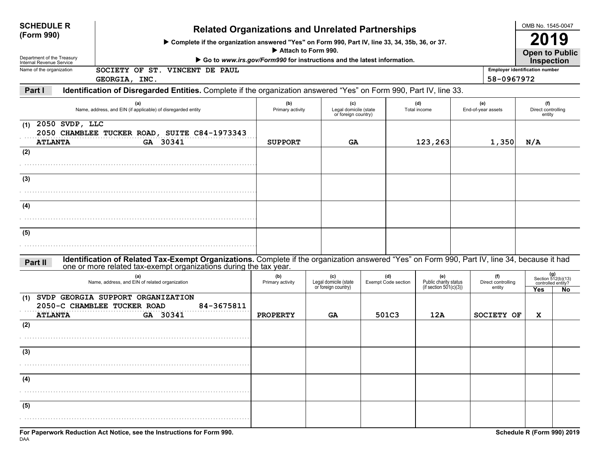| <b>SCHEDULE R</b><br>(Form 990)<br>Department of the Treasury<br>Internal Revenue Service | <b>Related Organizations and Unrelated Partnerships</b><br>> Complete if the organization answered "Yes" on Form 990, Part IV, line 33, 34, 35b, 36, or 37.<br>Attach to Form 990.<br>Go to www.irs.gov/Form990 for instructions and the latest information. |                         |                                                     |  |                                   |                                                           |  |                                                     | OMB No. 1545-0047<br>19<br><b>Open to Public</b><br><b>Inspection</b> |                                                                |  |
|-------------------------------------------------------------------------------------------|--------------------------------------------------------------------------------------------------------------------------------------------------------------------------------------------------------------------------------------------------------------|-------------------------|-----------------------------------------------------|--|-----------------------------------|-----------------------------------------------------------|--|-----------------------------------------------------|-----------------------------------------------------------------------|----------------------------------------------------------------|--|
| Name of the organization                                                                  | SOCIETY OF ST. VINCENT DE PAUL<br>GEORGIA, INC.                                                                                                                                                                                                              |                         |                                                     |  |                                   |                                                           |  | <b>Employer identification number</b><br>58-0967972 |                                                                       |                                                                |  |
| Part I                                                                                    | Identification of Disregarded Entities. Complete if the organization answered "Yes" on Form 990, Part IV, line 33.                                                                                                                                           |                         |                                                     |  |                                   |                                                           |  |                                                     |                                                                       |                                                                |  |
|                                                                                           | (a)<br>Name, address, and EIN (if applicable) of disregarded entity                                                                                                                                                                                          | (b)<br>Primary activity | (c)<br>Legal domicile (state<br>or foreign country) |  |                                   | (d)<br>Total income                                       |  | (e)<br>End-of-year assets                           | (f)<br>Direct controlling<br>entity                                   |                                                                |  |
| 2050 SVDP, LLC<br>(1)<br><b>ATLANTA</b>                                                   | 2050 CHAMBLEE TUCKER ROAD, SUITE C84-1973343<br>GA 30341                                                                                                                                                                                                     | <b>SUPPORT</b>          | GA                                                  |  |                                   | 123,263                                                   |  | 1,350                                               | N/A                                                                   |                                                                |  |
| (2)                                                                                       |                                                                                                                                                                                                                                                              |                         |                                                     |  |                                   |                                                           |  |                                                     |                                                                       |                                                                |  |
| (3)                                                                                       |                                                                                                                                                                                                                                                              |                         |                                                     |  |                                   |                                                           |  |                                                     |                                                                       |                                                                |  |
| (4)                                                                                       |                                                                                                                                                                                                                                                              |                         |                                                     |  |                                   |                                                           |  |                                                     |                                                                       |                                                                |  |
| (5)                                                                                       |                                                                                                                                                                                                                                                              |                         |                                                     |  |                                   |                                                           |  |                                                     |                                                                       |                                                                |  |
| Part II                                                                                   | Identification of Related Tax-Exempt Organizations. Complete if the organization answered "Yes" on Form 990, Part IV, line 34, because it had<br>one or more related tax-exempt organizations during the tax year.                                           |                         |                                                     |  |                                   |                                                           |  |                                                     |                                                                       |                                                                |  |
|                                                                                           | (a)<br>Name, address, and EIN of related organization                                                                                                                                                                                                        | (b)<br>Primary activity | (c)<br>Legal domicile (state<br>or foreign country) |  | (d)<br><b>Exempt Code section</b> | (e)<br>Public charity status<br>(if section $501(c)(3)$ ) |  | (f)<br>Direct controlling<br>entity                 | Yes                                                                   | $(g)$<br>Section 512(b)(13)<br>controlled entity?<br><b>No</b> |  |
| (1)<br><b>ATLANTA</b>                                                                     | SVDP GEORGIA SUPPORT ORGANIZATION<br>2050-C CHAMBLEE TUCKER ROAD<br>84-3675811<br>GA 30341                                                                                                                                                                   | <b>PROPERTY</b>         | <b>GA</b>                                           |  | 501C3                             | 12A                                                       |  | SOCIETY OF                                          | x                                                                     |                                                                |  |
| (2)                                                                                       |                                                                                                                                                                                                                                                              |                         |                                                     |  |                                   |                                                           |  |                                                     |                                                                       |                                                                |  |
| (3)                                                                                       |                                                                                                                                                                                                                                                              |                         |                                                     |  |                                   |                                                           |  |                                                     |                                                                       |                                                                |  |
| (4)                                                                                       |                                                                                                                                                                                                                                                              |                         |                                                     |  |                                   |                                                           |  |                                                     |                                                                       |                                                                |  |
|                                                                                           |                                                                                                                                                                                                                                                              |                         |                                                     |  |                                   |                                                           |  |                                                     |                                                                       |                                                                |  |
| (5)                                                                                       |                                                                                                                                                                                                                                                              |                         |                                                     |  |                                   |                                                           |  |                                                     |                                                                       |                                                                |  |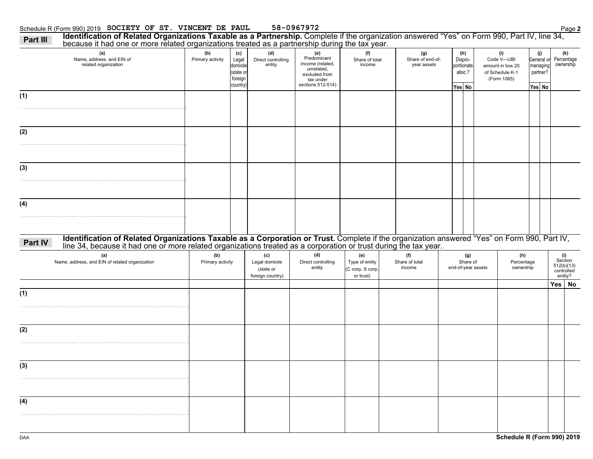#### Schedule R (Form 990) 2019 Page **2 SOCIETY OF ST. VINCENT DE PAUL 58-0967972**

|         | because it had one or more related organizations treated as a partnership during the tax year.<br>(a)                                                                                                                          | (b)                     | (c)                                      | (d)                                                    | (e)                                                                                              | (f)                                                    | (g)                             | (h)                              |                                       | (i)                                                              | (j)                                | (k)                                                   |
|---------|--------------------------------------------------------------------------------------------------------------------------------------------------------------------------------------------------------------------------------|-------------------------|------------------------------------------|--------------------------------------------------------|--------------------------------------------------------------------------------------------------|--------------------------------------------------------|---------------------------------|----------------------------------|---------------------------------------|------------------------------------------------------------------|------------------------------------|-------------------------------------------------------|
|         | Name, address, and EIN of<br>related organization                                                                                                                                                                              | Primary activity        | Legal<br>domicile<br>state or<br>foreign | Direct controlling<br>entity                           | Predominant<br>income (related,<br>unrelated,<br>excluded from<br>tax under<br>sections 512-514) | Share of total<br>income                               | Share of end-of-<br>year assets | Dispro-<br>portionate<br>alloc.? |                                       | Code V-UBI<br>amount in box 20<br>of Schedule K-1<br>(Form 1065) | General or<br>managing<br>partner? | Percentage<br>ownership                               |
|         |                                                                                                                                                                                                                                |                         | country)                                 |                                                        |                                                                                                  |                                                        |                                 | Yes No                           |                                       |                                                                  | Yes No                             |                                                       |
| (1)     |                                                                                                                                                                                                                                |                         |                                          |                                                        |                                                                                                  |                                                        |                                 |                                  |                                       |                                                                  |                                    |                                                       |
|         |                                                                                                                                                                                                                                |                         |                                          |                                                        |                                                                                                  |                                                        |                                 |                                  |                                       |                                                                  |                                    |                                                       |
| (2)     |                                                                                                                                                                                                                                |                         |                                          |                                                        |                                                                                                  |                                                        |                                 |                                  |                                       |                                                                  |                                    |                                                       |
|         |                                                                                                                                                                                                                                |                         |                                          |                                                        |                                                                                                  |                                                        |                                 |                                  |                                       |                                                                  |                                    |                                                       |
| (3)     |                                                                                                                                                                                                                                |                         |                                          |                                                        |                                                                                                  |                                                        |                                 |                                  |                                       |                                                                  |                                    |                                                       |
|         |                                                                                                                                                                                                                                |                         |                                          |                                                        |                                                                                                  |                                                        |                                 |                                  |                                       |                                                                  |                                    |                                                       |
| (4)     |                                                                                                                                                                                                                                |                         |                                          |                                                        |                                                                                                  |                                                        |                                 |                                  |                                       |                                                                  |                                    |                                                       |
|         |                                                                                                                                                                                                                                |                         |                                          |                                                        |                                                                                                  |                                                        |                                 |                                  |                                       |                                                                  |                                    |                                                       |
| Part IV | Identification of Related Organizations Taxable as a Corporation or Trust. Complete if the organization answered "Yes" on Form 990, Part IV, line 34, because it had one or more related organizations treated as a corporatio |                         |                                          |                                                        |                                                                                                  |                                                        |                                 |                                  |                                       |                                                                  |                                    |                                                       |
|         | (a)<br>Name, address, and EIN of related organization                                                                                                                                                                          | (b)<br>Primary activity |                                          | (c)<br>Legal domicile<br>(state or<br>foreign country) | (d)<br>Direct controlling<br>entity                                                              | (e)<br>Type of entity<br>(C corp, S corp,<br>or trust) | (f)<br>Share of total<br>income |                                  | (g)<br>Share of<br>end-of-year assets | (h)<br>Percentage<br>ownership                                   |                                    | (i)<br>Section<br>512(b)(13)<br>controlled<br>entity? |
|         |                                                                                                                                                                                                                                |                         |                                          |                                                        |                                                                                                  |                                                        |                                 |                                  |                                       |                                                                  |                                    | Yes No                                                |
| (1)     |                                                                                                                                                                                                                                |                         |                                          |                                                        |                                                                                                  |                                                        |                                 |                                  |                                       |                                                                  |                                    |                                                       |
|         |                                                                                                                                                                                                                                |                         |                                          |                                                        |                                                                                                  |                                                        |                                 |                                  |                                       |                                                                  |                                    |                                                       |
| (2)     |                                                                                                                                                                                                                                |                         |                                          |                                                        |                                                                                                  |                                                        |                                 |                                  |                                       |                                                                  |                                    |                                                       |
|         |                                                                                                                                                                                                                                |                         |                                          |                                                        |                                                                                                  |                                                        |                                 |                                  |                                       |                                                                  |                                    |                                                       |
|         |                                                                                                                                                                                                                                |                         |                                          |                                                        |                                                                                                  |                                                        |                                 |                                  |                                       |                                                                  |                                    |                                                       |
| (3)     |                                                                                                                                                                                                                                |                         |                                          |                                                        |                                                                                                  |                                                        |                                 |                                  |                                       |                                                                  |                                    |                                                       |
|         |                                                                                                                                                                                                                                |                         |                                          |                                                        |                                                                                                  |                                                        |                                 |                                  |                                       |                                                                  |                                    |                                                       |
| (4)     |                                                                                                                                                                                                                                |                         |                                          |                                                        |                                                                                                  |                                                        |                                 |                                  |                                       |                                                                  |                                    |                                                       |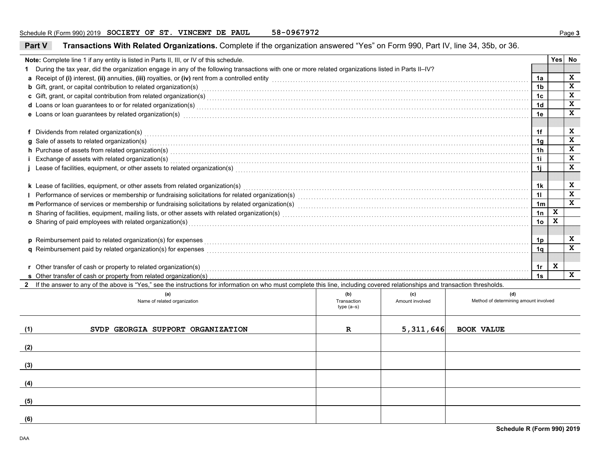| Part V                                                                                                                                                                                                                              | Transactions With Related Organizations. Complete if the organization answered "Yes" on Form 990, Part IV, line 34, 35b, or 36.                                                                                                |             |                 |                                       |    |   |              |  |  |
|-------------------------------------------------------------------------------------------------------------------------------------------------------------------------------------------------------------------------------------|--------------------------------------------------------------------------------------------------------------------------------------------------------------------------------------------------------------------------------|-------------|-----------------|---------------------------------------|----|---|--------------|--|--|
|                                                                                                                                                                                                                                     | Note: Complete line 1 if any entity is listed in Parts II, III, or IV of this schedule.                                                                                                                                        |             |                 |                                       |    |   | Yes No       |  |  |
|                                                                                                                                                                                                                                     | 1 During the tax year, did the organization engage in any of the following transactions with one or more related organizations listed in Parts II-IV?                                                                          |             |                 |                                       |    |   |              |  |  |
|                                                                                                                                                                                                                                     |                                                                                                                                                                                                                                |             |                 |                                       | 1a |   | X            |  |  |
|                                                                                                                                                                                                                                     | <b>b</b> Gift, grant, or capital contribution to related organization(s) encourse consumed and consumed contribution to related organization(s)                                                                                |             |                 |                                       | 1b |   | X            |  |  |
|                                                                                                                                                                                                                                     | c Gift, grant, or capital contribution from related organization(s) encourance contained and contained and contribution from related organization(s) encourance contained and contained and contained and contained and contai |             |                 |                                       | 1c |   | $\mathbf x$  |  |  |
|                                                                                                                                                                                                                                     | d Loans or loan guarantees to or for related organization(s) encourance contained and contained a contained and contained a contact the contact of the contact of the contact of the contact of the contact of the contact of  |             |                 |                                       | 1d |   | X            |  |  |
|                                                                                                                                                                                                                                     | e Loans or loan guarantees by related organization(s) encourance contained and contained a contained a contained and contained a contained a contained a contained a contact the contact of the contact of contact a contact o |             |                 |                                       | 1e |   | $\mathbf{x}$ |  |  |
|                                                                                                                                                                                                                                     |                                                                                                                                                                                                                                |             |                 |                                       |    |   |              |  |  |
|                                                                                                                                                                                                                                     | f Dividends from related organization(s) encourance contains a substantial container and providends from related organization(s)                                                                                               |             |                 |                                       | 1f |   | X            |  |  |
| g Sale of assets to related organization(s)<br>and the contract to the contract or contract or contract to the contract or contract or contract or contract or contract or contract or contract or contract or contract or contr    |                                                                                                                                                                                                                                |             |                 |                                       |    |   |              |  |  |
| h Purchase of assets from related organization(s) encounterance contains a substantial container and a set of assets from related organization(s)                                                                                   |                                                                                                                                                                                                                                |             |                 |                                       |    |   |              |  |  |
| i Exchange of assets with related organization(s) www.community.com/www.community.com/www.community.com/www.community.com/www.community.com/www.community.com/www.community.com/www.community.com/www.community.com/www.commun      |                                                                                                                                                                                                                                |             |                 |                                       |    |   |              |  |  |
| j Lease of facilities, equipment, or other assets to related organization(s) Materian material content content to the response of facilities, equipment, or other assets to related organization(s) Materian material content       |                                                                                                                                                                                                                                |             |                 |                                       |    |   |              |  |  |
|                                                                                                                                                                                                                                     |                                                                                                                                                                                                                                |             |                 |                                       |    |   |              |  |  |
| k Lease of facilities, equipment, or other assets from related organization(s)                                                                                                                                                      |                                                                                                                                                                                                                                |             |                 |                                       |    |   |              |  |  |
|                                                                                                                                                                                                                                     |                                                                                                                                                                                                                                |             |                 |                                       |    |   |              |  |  |
|                                                                                                                                                                                                                                     |                                                                                                                                                                                                                                |             |                 |                                       |    |   |              |  |  |
|                                                                                                                                                                                                                                     |                                                                                                                                                                                                                                |             |                 |                                       |    |   |              |  |  |
| o Sharing of paid employees with related organization(s) encounteral control and contact the state of paid employees with related organization(s) encounteral contact the state of Sharing of paid employees with related orga      |                                                                                                                                                                                                                                |             |                 |                                       |    |   |              |  |  |
|                                                                                                                                                                                                                                     |                                                                                                                                                                                                                                |             |                 |                                       |    |   |              |  |  |
| p Reimbursement paid to related organization(s) for expenses <b>constructs</b> and construct the construction of the construction of the construction of the construction of the construction of the construction of the constructi |                                                                                                                                                                                                                                |             |                 |                                       |    |   |              |  |  |
| q Reimbursement paid by related organization(s) for expenses [11, 12] and the content of the content of the content of the content of the content of the content of the content of the content of the content of the content o      |                                                                                                                                                                                                                                |             |                 |                                       |    |   |              |  |  |
|                                                                                                                                                                                                                                     |                                                                                                                                                                                                                                |             |                 |                                       |    |   |              |  |  |
|                                                                                                                                                                                                                                     |                                                                                                                                                                                                                                |             |                 |                                       | 1r | X |              |  |  |
|                                                                                                                                                                                                                                     |                                                                                                                                                                                                                                |             |                 |                                       | 1s |   | $\mathbf x$  |  |  |
|                                                                                                                                                                                                                                     | 2 If the answer to any of the above is "Yes," see the instructions for information on who must complete this line, including covered relationships and transaction thresholds.                                                 |             |                 |                                       |    |   |              |  |  |
|                                                                                                                                                                                                                                     | (a)                                                                                                                                                                                                                            | (b)         | (c)             | (d)                                   |    |   |              |  |  |
|                                                                                                                                                                                                                                     | Name of related organization                                                                                                                                                                                                   | Transaction | Amount involved | Method of determining amount involved |    |   |              |  |  |
|                                                                                                                                                                                                                                     |                                                                                                                                                                                                                                | $type(a-s)$ |                 |                                       |    |   |              |  |  |
|                                                                                                                                                                                                                                     |                                                                                                                                                                                                                                |             |                 |                                       |    |   |              |  |  |
| (1)                                                                                                                                                                                                                                 | SVDP GEORGIA SUPPORT ORGANIZATION                                                                                                                                                                                              | $\mathbf R$ | 5,311,646       | <b>BOOK VALUE</b>                     |    |   |              |  |  |
|                                                                                                                                                                                                                                     |                                                                                                                                                                                                                                |             |                 |                                       |    |   |              |  |  |
| (2)                                                                                                                                                                                                                                 |                                                                                                                                                                                                                                |             |                 |                                       |    |   |              |  |  |
|                                                                                                                                                                                                                                     |                                                                                                                                                                                                                                |             |                 |                                       |    |   |              |  |  |
| (3)                                                                                                                                                                                                                                 |                                                                                                                                                                                                                                |             |                 |                                       |    |   |              |  |  |
|                                                                                                                                                                                                                                     |                                                                                                                                                                                                                                |             |                 |                                       |    |   |              |  |  |
| (4)                                                                                                                                                                                                                                 |                                                                                                                                                                                                                                |             |                 |                                       |    |   |              |  |  |
|                                                                                                                                                                                                                                     |                                                                                                                                                                                                                                |             |                 |                                       |    |   |              |  |  |
| (5)                                                                                                                                                                                                                                 |                                                                                                                                                                                                                                |             |                 |                                       |    |   |              |  |  |
|                                                                                                                                                                                                                                     |                                                                                                                                                                                                                                |             |                 |                                       |    |   |              |  |  |
| (6)                                                                                                                                                                                                                                 |                                                                                                                                                                                                                                |             |                 |                                       |    |   |              |  |  |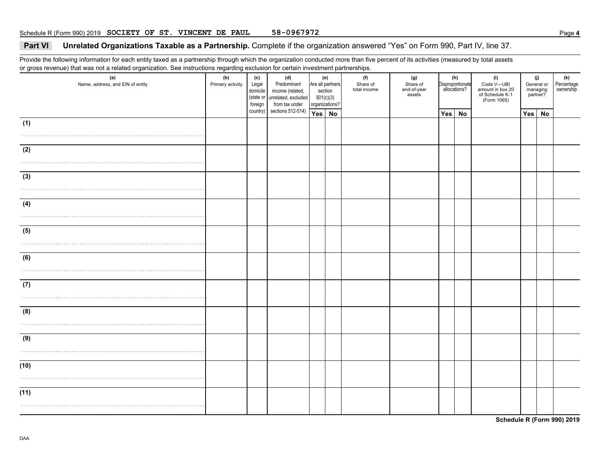### **Part VI Unrelated Organizations Taxable as a Partnership.** Complete if the organization answered "Yes" on Form 990, Part IV, line 37.

Provide the following information for each entity taxed as a partnership through which the organization conducted more than five percent of its activities (measured by total assets or gross revenue) that was not a related organization. See instructions regarding exclusion for certain investment partnerships.

| (a)<br>Name, address, and EIN of entity | (b)<br>Primary activity | (c)<br>Legal<br>domicile<br>(state or<br>foreign | (d)<br>Predominant<br>income (related,<br>unrelated, excluded<br>from tax under | Are all partners<br>501(c)(3)<br>organizations? | (e)<br>section | (f)<br>Share of<br>total income | (g)<br>Share of<br>end-of-year<br>assets |     | (h)<br>Disproportionate<br>allocations? | (i)<br>Code V-UBI<br>amount in box 20<br>of Schedule K-1<br>(Form 1065) |     | (j)<br>General or<br>managing<br>partner? | (k)<br>Percentage<br>ownership |
|-----------------------------------------|-------------------------|--------------------------------------------------|---------------------------------------------------------------------------------|-------------------------------------------------|----------------|---------------------------------|------------------------------------------|-----|-----------------------------------------|-------------------------------------------------------------------------|-----|-------------------------------------------|--------------------------------|
|                                         |                         | country)                                         | sections 512-514)                                                               | Yes No                                          |                |                                 |                                          | Yes | <b>No</b>                               |                                                                         | Yes | No                                        |                                |
| (1)                                     |                         |                                                  |                                                                                 |                                                 |                |                                 |                                          |     |                                         |                                                                         |     |                                           |                                |
| (2)                                     |                         |                                                  |                                                                                 |                                                 |                |                                 |                                          |     |                                         |                                                                         |     |                                           |                                |
| (3)                                     |                         |                                                  |                                                                                 |                                                 |                |                                 |                                          |     |                                         |                                                                         |     |                                           |                                |
| (4)                                     |                         |                                                  |                                                                                 |                                                 |                |                                 |                                          |     |                                         |                                                                         |     |                                           |                                |
| (5)                                     |                         |                                                  |                                                                                 |                                                 |                |                                 |                                          |     |                                         |                                                                         |     |                                           |                                |
| (6)                                     |                         |                                                  |                                                                                 |                                                 |                |                                 |                                          |     |                                         |                                                                         |     |                                           |                                |
| (7)                                     |                         |                                                  |                                                                                 |                                                 |                |                                 |                                          |     |                                         |                                                                         |     |                                           |                                |
| (8)                                     |                         |                                                  |                                                                                 |                                                 |                |                                 |                                          |     |                                         |                                                                         |     |                                           |                                |
| (9)                                     |                         |                                                  |                                                                                 |                                                 |                |                                 |                                          |     |                                         |                                                                         |     |                                           |                                |
| (10)                                    |                         |                                                  |                                                                                 |                                                 |                |                                 |                                          |     |                                         |                                                                         |     |                                           |                                |
| (11)                                    |                         |                                                  |                                                                                 |                                                 |                |                                 |                                          |     |                                         |                                                                         |     |                                           |                                |

DAA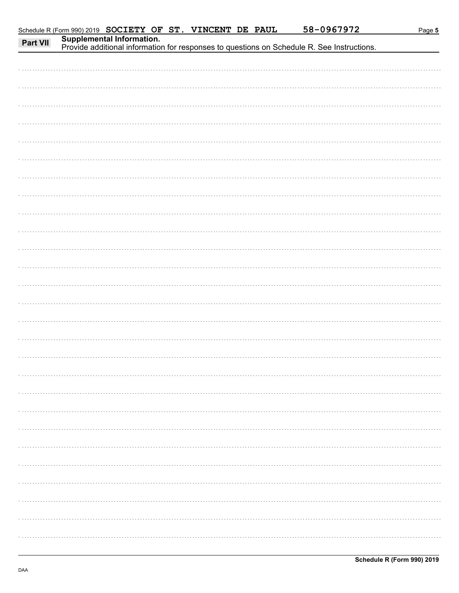| Part VII | Schedule R (Form 990) 2019 SOCIETY OF ST. VINCENT DE PAUL | Supplemental Information.<br>Provide additional information for responses to questions on Schedule R. See Instructions. |  |  | 58-0967972 | Page 5 |
|----------|-----------------------------------------------------------|-------------------------------------------------------------------------------------------------------------------------|--|--|------------|--------|
|          |                                                           |                                                                                                                         |  |  |            |        |
|          |                                                           |                                                                                                                         |  |  |            |        |
|          |                                                           |                                                                                                                         |  |  |            |        |
|          |                                                           |                                                                                                                         |  |  |            |        |
|          |                                                           |                                                                                                                         |  |  |            |        |
|          |                                                           |                                                                                                                         |  |  |            |        |
|          |                                                           |                                                                                                                         |  |  |            |        |
|          |                                                           |                                                                                                                         |  |  |            |        |
|          |                                                           |                                                                                                                         |  |  |            |        |
|          |                                                           |                                                                                                                         |  |  |            |        |
|          |                                                           |                                                                                                                         |  |  |            |        |
|          |                                                           |                                                                                                                         |  |  |            |        |
|          |                                                           |                                                                                                                         |  |  |            |        |
|          |                                                           |                                                                                                                         |  |  |            |        |
|          |                                                           |                                                                                                                         |  |  |            |        |
|          |                                                           |                                                                                                                         |  |  |            |        |
|          |                                                           |                                                                                                                         |  |  |            |        |
|          |                                                           |                                                                                                                         |  |  |            |        |
|          |                                                           |                                                                                                                         |  |  |            |        |
|          |                                                           |                                                                                                                         |  |  |            |        |
|          |                                                           |                                                                                                                         |  |  |            |        |
|          |                                                           |                                                                                                                         |  |  |            |        |
|          |                                                           |                                                                                                                         |  |  |            |        |
|          |                                                           |                                                                                                                         |  |  |            |        |
|          |                                                           |                                                                                                                         |  |  |            |        |
|          |                                                           |                                                                                                                         |  |  |            |        |
|          |                                                           |                                                                                                                         |  |  |            |        |
|          |                                                           |                                                                                                                         |  |  |            |        |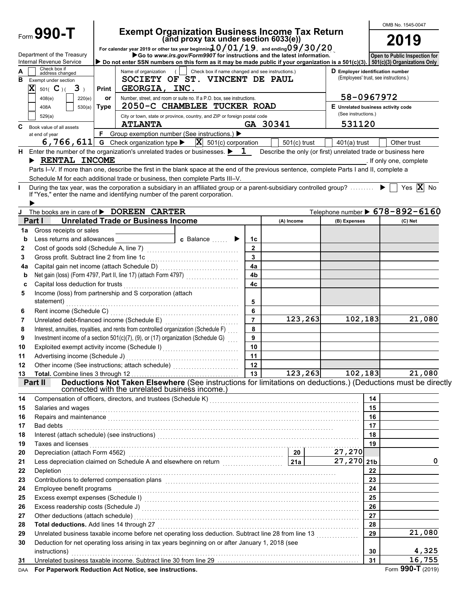|          |                                                                                     |              | OMB No. 1545-0047                                           |                                                                                                                                                                                                                                               |                |                                                               |                                                                           |          |                                 |  |
|----------|-------------------------------------------------------------------------------------|--------------|-------------------------------------------------------------|-----------------------------------------------------------------------------------------------------------------------------------------------------------------------------------------------------------------------------------------------|----------------|---------------------------------------------------------------|---------------------------------------------------------------------------|----------|---------------------------------|--|
|          | Form $990 - T$                                                                      |              |                                                             | Exempt Organization Business Income Tax Return<br>(and proxy tax under section 6033(e))<br>For calendar year 2019 or other tax year beginning $10/01/19$ , and ending $09/30/20$                                                              |                |                                                               |                                                                           |          | 2019                            |  |
|          | Department of the Treasury<br>Internal Revenue Service                              |              |                                                             | Go to www.irs.gov/Form990T for instructions and the latest information.<br>Do not enter SSN numbers on this form as it may be made public if your organization is a 501(c)(3). 501(c)(3) Organizations Only                                   |                |                                                               |                                                                           |          | Open to Public Inspection for   |  |
| в        | Check box if<br>address changed<br>Exempt under section<br>X<br>$501($ C $)($ 3 $)$ | <b>Print</b> | Name of organization (<br>GEORGIA, INC.                     | Check box if name changed and see instructions.)<br>SOCIETY OF ST. VINCENT DE PAUL                                                                                                                                                            |                |                                                               | D Employer identification number<br>(Employees' trust, see instructions.) |          |                                 |  |
|          | 408(e)<br>220(e)                                                                    | or           |                                                             | Number, street, and room or suite no. If a P.O. box, see instructions.                                                                                                                                                                        |                |                                                               | 58-0967972                                                                |          |                                 |  |
|          | 530(a)<br>408A                                                                      | <b>Type</b>  |                                                             | 2050-C CHAMBLEE TUCKER ROAD                                                                                                                                                                                                                   |                |                                                               | E Unrelated business activity code                                        |          |                                 |  |
|          | 529(a)                                                                              |              |                                                             | City or town, state or province, country, and ZIP or foreign postal code                                                                                                                                                                      |                |                                                               | (See instructions.)<br>531120                                             |          |                                 |  |
| C        | Book value of all assets                                                            | F            | <b>ATLANTA</b>                                              |                                                                                                                                                                                                                                               |                | GA 30341                                                      |                                                                           |          |                                 |  |
|          | at end of year                                                                      |              | 6, 766, 611 G Check organization type $\blacktriangleright$ | Group exemption number (See instructions.) ▶<br>$ \mathbf{X} $ 501(c) corporation                                                                                                                                                             |                | $501(c)$ trust                                                | $401(a)$ trust                                                            |          | Other trust                     |  |
| н.       | > RENTAL INCOME                                                                     |              |                                                             | Enter the number of the organization's unrelated trades or businesses. $\blacktriangleright$ 1<br>Parts I-V. If more than one, describe the first in the blank space at the end of the previous sentence, complete Parts I and II, complete a |                | Describe the only (or first) unrelated trade or business here |                                                                           |          | . If only one, complete         |  |
|          |                                                                                     |              |                                                             | Schedule M for each additional trade or business, then complete Parts III–V.                                                                                                                                                                  |                |                                                               |                                                                           |          |                                 |  |
|          |                                                                                     |              |                                                             | During the tax year, was the corporation a subsidiary in an affiliated group or a parent-subsidiary controlled group?                                                                                                                         |                |                                                               |                                                                           |          | Yes $\overline{\mathbf{X}}$ No  |  |
|          | If "Yes," enter the name and identifying number of the parent corporation.          |              |                                                             |                                                                                                                                                                                                                                               |                |                                                               |                                                                           |          |                                 |  |
|          |                                                                                     |              |                                                             |                                                                                                                                                                                                                                               |                |                                                               |                                                                           |          |                                 |  |
| J        | The books are in care of <b>&gt; DOREEN CARTER</b><br>Part I                        |              | <b>Unrelated Trade or Business Income</b>                   |                                                                                                                                                                                                                                               |                |                                                               |                                                                           |          | Telephone number > 678-892-6160 |  |
| 1a       | Gross receipts or sales                                                             |              |                                                             |                                                                                                                                                                                                                                               |                | (A) Income                                                    | (B) Expenses                                                              |          | (C) Net                         |  |
| b        | Less returns and allowances <b>Exercises</b>                                        |              |                                                             | <b>c</b> Balance $\ldots$                                                                                                                                                                                                                     | 1c             |                                                               |                                                                           |          |                                 |  |
| 2        |                                                                                     |              |                                                             |                                                                                                                                                                                                                                               | $\mathbf{2}$   |                                                               |                                                                           |          |                                 |  |
| 3        |                                                                                     |              |                                                             |                                                                                                                                                                                                                                               | $\mathbf{3}$   |                                                               |                                                                           |          |                                 |  |
| 4a       |                                                                                     |              |                                                             |                                                                                                                                                                                                                                               | 4a             |                                                               |                                                                           |          |                                 |  |
| b        |                                                                                     |              |                                                             |                                                                                                                                                                                                                                               | 4 <sub>b</sub> |                                                               |                                                                           |          |                                 |  |
| C        |                                                                                     |              |                                                             |                                                                                                                                                                                                                                               | 4 <sub>c</sub> |                                                               |                                                                           |          |                                 |  |
| 5        | Income (loss) from partnership and S corporation (attach<br>statement)              |              |                                                             |                                                                                                                                                                                                                                               | 5              |                                                               |                                                                           |          |                                 |  |
| 6        |                                                                                     |              |                                                             |                                                                                                                                                                                                                                               | 6              |                                                               |                                                                           |          |                                 |  |
| 7        |                                                                                     |              |                                                             |                                                                                                                                                                                                                                               | $\overline{7}$ | 123,263                                                       | 102,183                                                                   |          | 21,080                          |  |
| 8        |                                                                                     |              |                                                             | Interest, annuities, royalties, and rents from controlled organization (Schedule F)<br>Investment income of a section $501(c)(7)$ , (9), or (17) organization (Schedule G)                                                                    | 8<br>9         |                                                               |                                                                           |          |                                 |  |
| 9<br>10  |                                                                                     |              |                                                             |                                                                                                                                                                                                                                               | 10             |                                                               |                                                                           |          |                                 |  |
| 11       | Advertising income (Schedule J)                                                     |              |                                                             |                                                                                                                                                                                                                                               | 11             |                                                               |                                                                           |          |                                 |  |
| 12       |                                                                                     |              |                                                             |                                                                                                                                                                                                                                               | 12             |                                                               |                                                                           |          |                                 |  |
| 13       | Total. Combine lines 3 through 12                                                   |              |                                                             |                                                                                                                                                                                                                                               | 13             | 123, 263                                                      | 102,183                                                                   |          | 21,080                          |  |
|          | Part II                                                                             |              |                                                             | Deductions Not Taken Elsewhere (See instructions for limitations on deductions.) (Deductions must be directly                                                                                                                                 |                |                                                               |                                                                           |          |                                 |  |
|          |                                                                                     |              | connected with the unrelated business income.)              |                                                                                                                                                                                                                                               |                |                                                               |                                                                           |          |                                 |  |
| 14       |                                                                                     |              |                                                             | Compensation of officers, directors, and trustees (Schedule K) [11] Compensation (11] Compensation of officers, directors, and trustees (Schedule K) [11] Compensation (11] One of the Schedule K) [11] Compensation (11] One                 |                |                                                               |                                                                           | 14<br>15 |                                 |  |
| 15<br>16 | Salaries and wages                                                                  |              |                                                             |                                                                                                                                                                                                                                               |                |                                                               |                                                                           | 16       |                                 |  |
| 17       | Bad debts                                                                           |              |                                                             |                                                                                                                                                                                                                                               |                |                                                               |                                                                           | 17       |                                 |  |
| 18       |                                                                                     |              |                                                             |                                                                                                                                                                                                                                               |                |                                                               |                                                                           | 18       |                                 |  |
| 19       | Taxes and licenses                                                                  |              |                                                             |                                                                                                                                                                                                                                               |                |                                                               |                                                                           | 19       |                                 |  |
| 20       |                                                                                     |              |                                                             | Depreciation (attach Form 4562) (attach and the set of the set of the set of the set of the set of the set of the set of the set of the set of the set of the set of the set of the set of the set of the set of the set of th                |                |                                                               | 27,270                                                                    |          |                                 |  |
| 21       |                                                                                     |              |                                                             |                                                                                                                                                                                                                                               |                |                                                               | 27, 270 21b                                                               |          | 0                               |  |
| 22       | Depletion                                                                           |              |                                                             |                                                                                                                                                                                                                                               |                |                                                               |                                                                           | 22       |                                 |  |
| 23       |                                                                                     |              |                                                             | Contributions to deferred compensation plans [11] Contribution contributions to deferred compensation plans [11] $\sim$                                                                                                                       |                |                                                               |                                                                           | 23       |                                 |  |
| 24       | Employee benefit programs                                                           |              |                                                             |                                                                                                                                                                                                                                               |                |                                                               |                                                                           | 24<br>25 |                                 |  |
| 25<br>26 |                                                                                     |              |                                                             | Excess exempt expenses (Schedule I) Material Contract Constant Contract Constant Constant Constant Constant Co                                                                                                                                |                |                                                               |                                                                           | 26       |                                 |  |
| 27       | Other deductions (attach schedule)                                                  |              |                                                             |                                                                                                                                                                                                                                               |                |                                                               |                                                                           | 27       |                                 |  |
| 28       | Total deductions. Add lines 14 through 27                                           |              |                                                             |                                                                                                                                                                                                                                               |                |                                                               |                                                                           | 28       |                                 |  |
| 29       |                                                                                     |              |                                                             | Unrelated business taxable income before net operating loss deduction. Subtract line 28 from line 13                                                                                                                                          |                |                                                               |                                                                           | 29       | 21,080                          |  |
| 30       | instructions)                                                                       |              |                                                             | Deduction for net operating loss arising in tax years beginning on or after January 1, 2018 (see                                                                                                                                              |                |                                                               |                                                                           | 30       | 4,325                           |  |
| 31       |                                                                                     |              |                                                             | Unrelated business taxable income. Subtract line 30 from line 29 [11] www.communities.communities taxable income.                                                                                                                             |                |                                                               |                                                                           | 31       | 16,755                          |  |
| DAA      | For Paperwork Reduction Act Notice, see instructions.                               |              |                                                             |                                                                                                                                                                                                                                               |                |                                                               |                                                                           |          | Form 990-T (2019)               |  |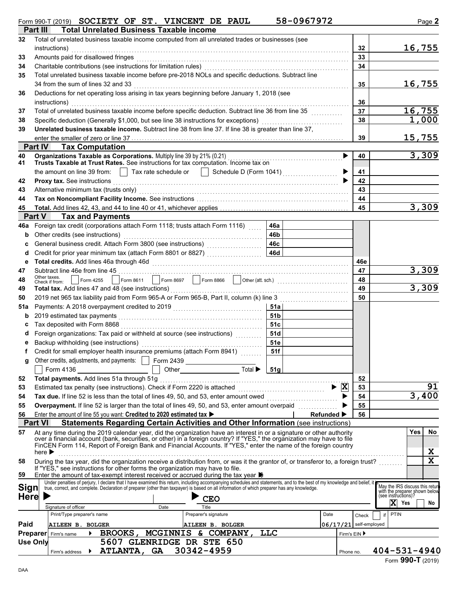|  |  |  |  | Form 990-T (2019) SOCIETY OF ST. VINCENT DE PAUL |  | 58-0967972 |
|--|--|--|--|--------------------------------------------------|--|------------|
|--|--|--|--|--------------------------------------------------|--|------------|

|             | <b>Total Unrelated Business Taxable income</b><br>Part III                                                                                                                                                                                                                                                             |                 |                        |       |                                                      |
|-------------|------------------------------------------------------------------------------------------------------------------------------------------------------------------------------------------------------------------------------------------------------------------------------------------------------------------------|-----------------|------------------------|-------|------------------------------------------------------|
| 32          | Total of unrelated business taxable income computed from all unrelated trades or businesses (see<br>instructions)                                                                                                                                                                                                      |                 |                        | 32    | 16,755                                               |
| 33          | Amounts paid for disallowed fringes                                                                                                                                                                                                                                                                                    |                 |                        | 33    |                                                      |
| 34          | Charitable contributions (see instructions for limitation rules)                                                                                                                                                                                                                                                       |                 |                        | 34    |                                                      |
| 35          | Total unrelated business taxable income before pre-2018 NOLs and specific deductions. Subtract line                                                                                                                                                                                                                    |                 |                        |       |                                                      |
|             | 34 from the sum of lines 32 and 33                                                                                                                                                                                                                                                                                     |                 |                        | 35    | 16,755                                               |
| 36          | Deductions for net operating loss arising in tax years beginning before January 1, 2018 (see                                                                                                                                                                                                                           |                 |                        |       |                                                      |
|             | instructions)                                                                                                                                                                                                                                                                                                          |                 |                        | 36    |                                                      |
| 37          | Total of unrelated business taxable income before specific deduction. Subtract line 36 from line 35                                                                                                                                                                                                                    |                 |                        | 37    | 16,755                                               |
| 38          | Specific deduction (Generally \$1,000, but see line 38 instructions for exceptions)                                                                                                                                                                                                                                    |                 |                        | 38    | 1,000                                                |
| 39          | Unrelated business taxable income. Subtract line 38 from line 37. If line 38 is greater than line 37,                                                                                                                                                                                                                  |                 |                        |       |                                                      |
|             |                                                                                                                                                                                                                                                                                                                        |                 |                        | 39    | 15,755                                               |
|             | <b>Part IV Tax Computation</b>                                                                                                                                                                                                                                                                                         |                 |                        |       |                                                      |
| 40          | Organizations Taxable as Corporations. Multiply line 39 by 21% (0.21)                                                                                                                                                                                                                                                  |                 | ▶                      | 40    | 3,309                                                |
| 41          | Trusts Taxable at Trust Rates. See instructions for tax computation. Income tax on                                                                                                                                                                                                                                     |                 |                        |       |                                                      |
|             | Tax rate schedule or     Schedule D (Form 1041)<br>the amount on line 39 from:                                                                                                                                                                                                                                         |                 |                        | 41    |                                                      |
| 42          |                                                                                                                                                                                                                                                                                                                        |                 |                        | 42    |                                                      |
| 43          |                                                                                                                                                                                                                                                                                                                        |                 |                        | 43    |                                                      |
| 44          |                                                                                                                                                                                                                                                                                                                        |                 |                        | 44    |                                                      |
| 45          |                                                                                                                                                                                                                                                                                                                        |                 |                        | 45    | 3,309                                                |
|             | <b>Tax and Payments</b><br><b>Part V</b>                                                                                                                                                                                                                                                                               |                 |                        |       |                                                      |
| 46a         | Foreign tax credit (corporations attach Form 1118; trusts attach Form 1116)                                                                                                                                                                                                                                            | 46a             |                        |       |                                                      |
| b           | Other credits (see instructions)                                                                                                                                                                                                                                                                                       | 46b             |                        |       |                                                      |
| c           |                                                                                                                                                                                                                                                                                                                        | 46c             |                        |       |                                                      |
| d           | Credit for prior year minimum tax (attach Form 8801 or 8827)                                                                                                                                                                                                                                                           | <b>46d</b>      |                        |       |                                                      |
| e           |                                                                                                                                                                                                                                                                                                                        |                 |                        | 46e   |                                                      |
| 47          | Subtract line 46e from line 45<br>Other taxes.                                                                                                                                                                                                                                                                         |                 |                        | 47    | 3,309                                                |
| 48          | Form 4255<br>Check if from:                                                                                                                                                                                                                                                                                            |                 |                        | 48    |                                                      |
| 49          | Total tax. Add lines 47 and 48 (see instructions)                                                                                                                                                                                                                                                                      |                 |                        | 49    | 3,309                                                |
| 50          | 2019 net 965 tax liability paid from Form 965-A or Form 965-B, Part II, column (k) line 3                                                                                                                                                                                                                              |                 |                        | 50    |                                                      |
| 51a         |                                                                                                                                                                                                                                                                                                                        | 51a l           |                        |       |                                                      |
| b           |                                                                                                                                                                                                                                                                                                                        | 51 <sub>b</sub> |                        |       |                                                      |
| c           | Tax deposited with Form 8868                                                                                                                                                                                                                                                                                           | 51c             |                        |       |                                                      |
| d           | Foreign organizations: Tax paid or withheld at source (see instructions) [[[[[[[[[[[[[[[[[[[[[]]]]]]                                                                                                                                                                                                                   | 51d             |                        |       |                                                      |
| е           | Backup withholding (see instructions)                                                                                                                                                                                                                                                                                  | 51e             |                        |       |                                                      |
|             | Credit for small employer health insurance premiums (attach Form 8941)                                                                                                                                                                                                                                                 | 51f             |                        |       |                                                      |
|             | Other credits, adjustments, and payments:   Form 2439<br>Total $\blacktriangleright$                                                                                                                                                                                                                                   |                 |                        |       |                                                      |
| 52          | Form 4136<br>Other<br>Total payments. Add lines 51a through 51g                                                                                                                                                                                                                                                        | 51g             |                        | 52    |                                                      |
| 53          |                                                                                                                                                                                                                                                                                                                        |                 | X<br>▶                 | 53    | 91                                                   |
| 54          | Tax due. If line 52 is less than the total of lines 49, 50, and 53, enter amount owed <i></i>                                                                                                                                                                                                                          |                 |                        | 54    | 3,400                                                |
| 55          | Overpayment. If line 52 is larger than the total of lines 49, 50, and 53, enter amount overpaid                                                                                                                                                                                                                        |                 |                        | 55    |                                                      |
| 56          | Enter the amount of line 55 you want: Credited to 2020 estimated tax >                                                                                                                                                                                                                                                 |                 | <b>Refunded</b> ▶      | 56    |                                                      |
|             | <b>Part VI</b><br>Statements Regarding Certain Activities and Other Information (see instructions)                                                                                                                                                                                                                     |                 |                        |       |                                                      |
| 57          | At any time during the 2019 calendar year, did the organization have an interest in or a signature or other authority                                                                                                                                                                                                  |                 |                        |       | Yes<br>No                                            |
|             | over a financial account (bank, securities, or other) in a foreign country? If "YES," the organization may have to file                                                                                                                                                                                                |                 |                        |       |                                                      |
|             | FinCEN Form 114, Report of Foreign Bank and Financial Accounts. If "YES," enter the name of the foreign country<br>here $\blacktriangleright$                                                                                                                                                                          |                 |                        |       | X                                                    |
| 58          | During the tax year, did the organization receive a distribution from, or was it the grantor of, or transferor to, a foreign trust?                                                                                                                                                                                    |                 |                        |       | X                                                    |
|             | If "YES," see instructions for other forms the organization may have to file.                                                                                                                                                                                                                                          |                 |                        |       |                                                      |
| 59          | Enter the amount of tax-exempt interest received or accrued during the tax year $\blacktriangleright$                                                                                                                                                                                                                  |                 |                        |       |                                                      |
| Sign        | Under penalties of perjury, I declare that I have examined this return, including accompanying schedules and statements, and to the best of my knowledge and belief, it<br>true, correct, and complete. Declaration of preparer (other than taxpayer) is based on all information of which preparer has any knowledge. |                 |                        |       | May the IRS discuss this retur                       |
| <b>Here</b> |                                                                                                                                                                                                                                                                                                                        |                 |                        |       | with the preparer shown below<br>(see instructions)? |
|             | <b>CEO</b><br>Signature of officer<br>Title<br>Date                                                                                                                                                                                                                                                                    |                 |                        |       | $X$ Yes<br>No                                        |
|             | Print/Type preparer's name<br>Preparer's signature                                                                                                                                                                                                                                                                     |                 | Date                   | Check | <b>PTIN</b>                                          |
| Paid        | AILEEN B. BOLGER<br>AILEEN B. BOLGER                                                                                                                                                                                                                                                                                   |                 | 06/17/21 self-employed |       |                                                      |
|             | MCGINNIS & COMPANY,<br>BROOKS,<br><b>Preparer</b> Firm's name<br>▶                                                                                                                                                                                                                                                     | <b>TTC</b>      | Firm's EIN ▶           |       |                                                      |
|             | 5607 GLENRIDGE DR STE 650<br><b>Use Only</b>                                                                                                                                                                                                                                                                           |                 |                        |       |                                                      |
|             | ATLANTA, GA 30342-4959<br>Firm's address                                                                                                                                                                                                                                                                               |                 | Phone no.              |       | $404 - 531 - 4940$                                   |
|             |                                                                                                                                                                                                                                                                                                                        |                 |                        |       |                                                      |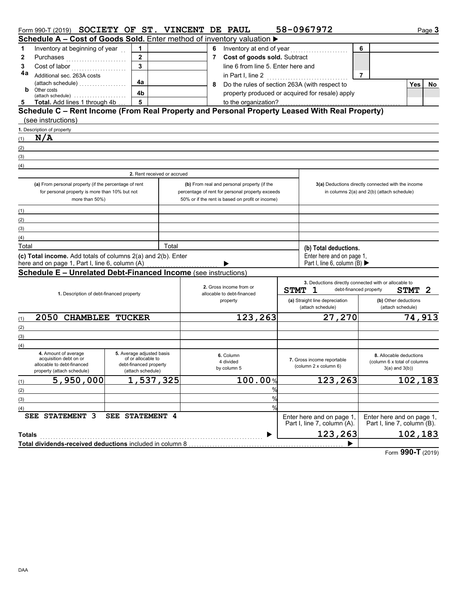|               | Form 990-T (2019) SOCIETY OF ST. VINCENT DE PAUL                                              |                                              |       |                |                                                       |               |                                                                                                                                                                                                                                      | 58-0967972                                          |                |                                                       | Page 3           |
|---------------|-----------------------------------------------------------------------------------------------|----------------------------------------------|-------|----------------|-------------------------------------------------------|---------------|--------------------------------------------------------------------------------------------------------------------------------------------------------------------------------------------------------------------------------------|-----------------------------------------------------|----------------|-------------------------------------------------------|------------------|
|               | Schedule A – Cost of Goods Sold. Enter method of inventory valuation ▶                        |                                              |       |                |                                                       |               |                                                                                                                                                                                                                                      |                                                     |                |                                                       |                  |
| 1             | Inventory at beginning of year                                                                | $\mathbf 1$                                  |       | 6              |                                                       |               |                                                                                                                                                                                                                                      |                                                     | 6              |                                                       |                  |
| $\mathbf{2}$  | Purchases                                                                                     | $\overline{2}$                               |       | $\overline{7}$ | Cost of goods sold. Subtract                          |               |                                                                                                                                                                                                                                      |                                                     |                |                                                       |                  |
| 3             |                                                                                               | $\overline{\mathbf{3}}$                      |       |                | line 6 from line 5. Enter here and                    |               |                                                                                                                                                                                                                                      |                                                     |                |                                                       |                  |
| 4a            | Additional sec. 263A costs                                                                    |                                              |       |                | in Part I, line 2                                     |               | <u> 1999 - Johann Stoff, amerikansk fotograf i skrivet og fotografisk fotografisk fotografisk fotografisk fotografisk fotografisk fotografisk fotografisk fotografisk fotografisk fotografisk fotografisk fotografisk fotografis</u> |                                                     | $\overline{7}$ |                                                       |                  |
|               |                                                                                               | 4a                                           |       | 8              |                                                       |               |                                                                                                                                                                                                                                      | Do the rules of section 263A (with respect to       |                |                                                       | <b>Yes</b><br>No |
| b             | Other costs<br>(attach schedule)                                                              | 4b                                           |       |                |                                                       |               |                                                                                                                                                                                                                                      | property produced or acquired for resale) apply     |                |                                                       |                  |
| 5             | Total. Add lines 1 through 4b                                                                 | 5                                            |       |                | to the organization?                                  |               |                                                                                                                                                                                                                                      |                                                     |                |                                                       |                  |
|               | Schedule C - Rent Income (From Real Property and Personal Property Leased With Real Property) |                                              |       |                |                                                       |               |                                                                                                                                                                                                                                      |                                                     |                |                                                       |                  |
|               | (see instructions)                                                                            |                                              |       |                |                                                       |               |                                                                                                                                                                                                                                      |                                                     |                |                                                       |                  |
|               | 1. Description of property                                                                    |                                              |       |                |                                                       |               |                                                                                                                                                                                                                                      |                                                     |                |                                                       |                  |
| (1)           | N/A                                                                                           |                                              |       |                |                                                       |               |                                                                                                                                                                                                                                      |                                                     |                |                                                       |                  |
| (2)           |                                                                                               |                                              |       |                |                                                       |               |                                                                                                                                                                                                                                      |                                                     |                |                                                       |                  |
| (3)           |                                                                                               |                                              |       |                |                                                       |               |                                                                                                                                                                                                                                      |                                                     |                |                                                       |                  |
| (4)           |                                                                                               |                                              |       |                |                                                       |               |                                                                                                                                                                                                                                      |                                                     |                |                                                       |                  |
|               |                                                                                               | 2. Rent received or accrued                  |       |                |                                                       |               |                                                                                                                                                                                                                                      |                                                     |                |                                                       |                  |
|               | (a) From personal property (if the percentage of rent                                         |                                              |       |                | (b) From real and personal property (if the           |               |                                                                                                                                                                                                                                      |                                                     |                | 3(a) Deductions directly connected with the income    |                  |
|               | for personal property is more than 10% but not                                                |                                              |       |                | percentage of rent for personal property exceeds      |               |                                                                                                                                                                                                                                      |                                                     |                | in columns 2(a) and 2(b) (attach schedule)            |                  |
|               | more than 50%)                                                                                |                                              |       |                | 50% or if the rent is based on profit or income)      |               |                                                                                                                                                                                                                                      |                                                     |                |                                                       |                  |
| (1)           |                                                                                               |                                              |       |                |                                                       |               |                                                                                                                                                                                                                                      |                                                     |                |                                                       |                  |
| (2)           |                                                                                               |                                              |       |                |                                                       |               |                                                                                                                                                                                                                                      |                                                     |                |                                                       |                  |
| (3)           |                                                                                               |                                              |       |                |                                                       |               |                                                                                                                                                                                                                                      |                                                     |                |                                                       |                  |
| (4)           |                                                                                               |                                              |       |                |                                                       |               |                                                                                                                                                                                                                                      |                                                     |                |                                                       |                  |
| Total         |                                                                                               |                                              | Total |                |                                                       |               |                                                                                                                                                                                                                                      | (b) Total deductions.                               |                |                                                       |                  |
|               | (c) Total income. Add totals of columns 2(a) and 2(b). Enter                                  |                                              |       |                |                                                       |               |                                                                                                                                                                                                                                      | Enter here and on page 1,                           |                |                                                       |                  |
|               | here and on page 1, Part I, line 6, column (A)                                                |                                              |       |                |                                                       |               |                                                                                                                                                                                                                                      | Part I, line 6, column (B) $\blacktriangleright$    |                |                                                       |                  |
|               | Schedule E - Unrelated Debt-Financed Income (see instructions)                                |                                              |       |                |                                                       |               |                                                                                                                                                                                                                                      |                                                     |                |                                                       |                  |
|               |                                                                                               |                                              |       |                |                                                       |               |                                                                                                                                                                                                                                      |                                                     |                | 3. Deductions directly connected with or allocable to |                  |
|               | 1. Description of debt-financed property                                                      |                                              |       |                | 2. Gross income from or<br>allocable to debt-financed |               | STMT 1                                                                                                                                                                                                                               |                                                     |                | debt-financed property<br><b>STMT</b>                 | 2                |
|               |                                                                                               |                                              |       |                | property                                              |               |                                                                                                                                                                                                                                      | (a) Straight line depreciation                      |                | (b) Other deductions                                  |                  |
|               |                                                                                               |                                              |       |                |                                                       |               |                                                                                                                                                                                                                                      | (attach schedule)                                   |                | (attach schedule)                                     |                  |
| (1)           | 2050 CHAMBLEE TUCKER                                                                          |                                              |       |                | 123,263                                               |               |                                                                                                                                                                                                                                      | 27,270                                              |                |                                                       | 74,913           |
| (2)           |                                                                                               |                                              |       |                |                                                       |               |                                                                                                                                                                                                                                      |                                                     |                |                                                       |                  |
| (3)           |                                                                                               |                                              |       |                |                                                       |               |                                                                                                                                                                                                                                      |                                                     |                |                                                       |                  |
| (4)           |                                                                                               |                                              |       |                |                                                       |               |                                                                                                                                                                                                                                      |                                                     |                |                                                       |                  |
|               | 4. Amount of average                                                                          | 5. Average adjusted basis                    |       |                | 6. Column                                             |               |                                                                                                                                                                                                                                      |                                                     |                | 8. Allocable deductions                               |                  |
|               | acquisition debt on or<br>allocable to debt-financed                                          | of or allocable to<br>debt-financed property |       |                | 4 divided                                             |               |                                                                                                                                                                                                                                      | 7. Gross income reportable<br>(column 2 x column 6) |                | (column 6 x total of columns                          |                  |
|               | property (attach schedule)                                                                    | (attach schedule)                            |       |                | by column 5                                           |               |                                                                                                                                                                                                                                      |                                                     |                | $3(a)$ and $3(b)$ )                                   |                  |
| (1)           | 5,950,000                                                                                     | 1,537,325                                    |       |                |                                                       | 100.00%       |                                                                                                                                                                                                                                      | 123,263                                             |                |                                                       | 102,183          |
| (2)           |                                                                                               |                                              |       |                |                                                       | %             |                                                                                                                                                                                                                                      |                                                     |                |                                                       |                  |
| (3)           |                                                                                               |                                              |       |                |                                                       | $\frac{0}{0}$ |                                                                                                                                                                                                                                      |                                                     |                |                                                       |                  |
| (4)           |                                                                                               |                                              |       |                |                                                       | $\frac{0}{0}$ |                                                                                                                                                                                                                                      |                                                     |                |                                                       |                  |
|               | STATEMENT 3<br>SEE                                                                            | <b>SEE STATEMENT 4</b>                       |       |                |                                                       |               |                                                                                                                                                                                                                                      | Enter here and on page 1,                           |                | Enter here and on page 1,                             |                  |
|               |                                                                                               |                                              |       |                |                                                       |               |                                                                                                                                                                                                                                      | Part I, line 7, column (A).                         |                | Part I, line 7, column (B).                           |                  |
| <b>Totals</b> |                                                                                               |                                              |       |                |                                                       |               |                                                                                                                                                                                                                                      | 123,263                                             |                |                                                       | 102,183          |
|               | Total dividends-received deductions included in column 8                                      |                                              |       |                |                                                       |               |                                                                                                                                                                                                                                      |                                                     |                |                                                       |                  |

Form **990-T** (2019)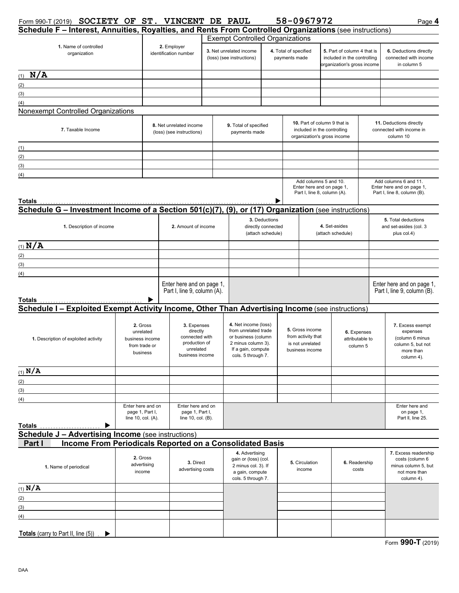## Form 990-T (2019) **SOCIETY OF ST. VINCENT DE PAUL 58-0967972** Page 4

| Schedule F - Interest, Annuities, Royalties, and Rents From Controlled Organizations (see instructions)                        |                                                                       |                                                                                            |                                                                                                                                       |                                                          |                                                                                            |                                                                              |                                                                                           |               |                                                                                                 |  |
|--------------------------------------------------------------------------------------------------------------------------------|-----------------------------------------------------------------------|--------------------------------------------------------------------------------------------|---------------------------------------------------------------------------------------------------------------------------------------|----------------------------------------------------------|--------------------------------------------------------------------------------------------|------------------------------------------------------------------------------|-------------------------------------------------------------------------------------------|---------------|-------------------------------------------------------------------------------------------------|--|
|                                                                                                                                |                                                                       |                                                                                            | <b>Exempt Controlled Organizations</b>                                                                                                |                                                          |                                                                                            |                                                                              |                                                                                           |               |                                                                                                 |  |
| 1. Name of controlled<br>organization                                                                                          |                                                                       | 2. Employer<br>identification number                                                       | 3. Net unrelated income<br>(loss) (see instructions)                                                                                  |                                                          | 4. Total of specified<br>payments made                                                     |                                                                              | 5. Part of column 4 that is<br>included in the controlling<br>organization's gross income |               | 6. Deductions directly<br>connected with income<br>in column 5                                  |  |
| $(1)$ N/A                                                                                                                      |                                                                       |                                                                                            |                                                                                                                                       |                                                          |                                                                                            |                                                                              |                                                                                           |               |                                                                                                 |  |
| (2)                                                                                                                            |                                                                       |                                                                                            |                                                                                                                                       |                                                          |                                                                                            |                                                                              |                                                                                           |               |                                                                                                 |  |
| (3)                                                                                                                            |                                                                       |                                                                                            |                                                                                                                                       |                                                          |                                                                                            |                                                                              |                                                                                           |               |                                                                                                 |  |
| (4)                                                                                                                            |                                                                       |                                                                                            |                                                                                                                                       |                                                          |                                                                                            |                                                                              |                                                                                           |               |                                                                                                 |  |
| Nonexempt Controlled Organizations                                                                                             |                                                                       |                                                                                            |                                                                                                                                       |                                                          |                                                                                            |                                                                              |                                                                                           |               |                                                                                                 |  |
| 7. Taxable Income                                                                                                              |                                                                       | 8. Net unrelated income<br>(loss) (see instructions)                                       | 9. Total of specified<br>payments made                                                                                                |                                                          | 10. Part of column 9 that is<br>included in the controlling<br>organization's gross income |                                                                              |                                                                                           |               | 11. Deductions directly<br>connected with income in<br>column 10                                |  |
| (1)                                                                                                                            |                                                                       |                                                                                            |                                                                                                                                       |                                                          |                                                                                            |                                                                              |                                                                                           |               |                                                                                                 |  |
| (2)                                                                                                                            |                                                                       |                                                                                            |                                                                                                                                       |                                                          |                                                                                            |                                                                              |                                                                                           |               |                                                                                                 |  |
| (3)                                                                                                                            |                                                                       |                                                                                            |                                                                                                                                       |                                                          |                                                                                            |                                                                              |                                                                                           |               |                                                                                                 |  |
| (4)                                                                                                                            |                                                                       |                                                                                            |                                                                                                                                       |                                                          |                                                                                            |                                                                              |                                                                                           |               |                                                                                                 |  |
|                                                                                                                                |                                                                       |                                                                                            |                                                                                                                                       |                                                          |                                                                                            |                                                                              | Add columns 5 and 10.<br>Enter here and on page 1,<br>Part I, line 8, column (A).         |               | Add columns 6 and 11.<br>Enter here and on page 1,<br>Part I, line 8, column (B).               |  |
| Totals<br><u>Totals</u><br>Schedule G – Investment Income of a Section 501(c)(7), (9), or (17) Organization (see instructions) |                                                                       |                                                                                            |                                                                                                                                       |                                                          |                                                                                            |                                                                              |                                                                                           |               |                                                                                                 |  |
|                                                                                                                                |                                                                       |                                                                                            |                                                                                                                                       |                                                          |                                                                                            |                                                                              |                                                                                           |               |                                                                                                 |  |
| 1. Description of income                                                                                                       |                                                                       | 2. Amount of income                                                                        |                                                                                                                                       | 3. Deductions<br>directly connected<br>(attach schedule) |                                                                                            |                                                                              | 4. Set-asides<br>(attach schedule)                                                        |               | 5. Total deductions<br>and set-asides (col. 3<br>plus col.4)                                    |  |
| $(1)$ N/A                                                                                                                      |                                                                       |                                                                                            |                                                                                                                                       |                                                          |                                                                                            |                                                                              |                                                                                           |               |                                                                                                 |  |
| (2)                                                                                                                            |                                                                       |                                                                                            |                                                                                                                                       |                                                          |                                                                                            |                                                                              |                                                                                           |               |                                                                                                 |  |
| (3)                                                                                                                            |                                                                       |                                                                                            |                                                                                                                                       |                                                          |                                                                                            |                                                                              |                                                                                           |               |                                                                                                 |  |
| (4)                                                                                                                            |                                                                       |                                                                                            |                                                                                                                                       |                                                          |                                                                                            |                                                                              |                                                                                           |               |                                                                                                 |  |
| Totals<br>Schedule I - Exploited Exempt Activity Income, Other Than Advertising Income (see instructions)                      |                                                                       | Enter here and on page 1,<br>Part I, line 9, column (A).                                   |                                                                                                                                       |                                                          |                                                                                            |                                                                              |                                                                                           |               | Enter here and on page 1,<br>Part I, line 9, column (B).                                        |  |
| 1. Description of exploited activity                                                                                           | 2. Gross<br>unrelated<br>business income<br>from trade or<br>business | 3. Expenses<br>directly<br>connected with<br>production of<br>unrelated<br>business income | 4. Net income (loss)<br>from unrelated trade<br>or business (column<br>2 minus column 3).<br>If a gain, compute<br>cols. 5 through 7. |                                                          |                                                                                            | 5. Gross income<br>from activity that<br>is not unrelated<br>business income | 6. Expenses<br>attributable to<br>column 5                                                |               | 7. Excess exempt<br>expenses<br>(column 6 minus<br>column 5, but not<br>more than<br>column 4). |  |
| $(1)$ N/A                                                                                                                      |                                                                       |                                                                                            |                                                                                                                                       |                                                          |                                                                                            |                                                                              |                                                                                           |               |                                                                                                 |  |
| (2)                                                                                                                            |                                                                       |                                                                                            |                                                                                                                                       |                                                          |                                                                                            |                                                                              |                                                                                           |               |                                                                                                 |  |
| (3)                                                                                                                            |                                                                       |                                                                                            |                                                                                                                                       |                                                          |                                                                                            |                                                                              |                                                                                           |               |                                                                                                 |  |
| (4)                                                                                                                            |                                                                       |                                                                                            |                                                                                                                                       |                                                          |                                                                                            |                                                                              |                                                                                           |               |                                                                                                 |  |
| Totals<br>.                                                                                                                    | Enter here and on<br>page 1, Part I,<br>line 10, col. (A).            | Enter here and on<br>page 1, Part I,<br>line $10$ , col. $(B)$ .                           |                                                                                                                                       |                                                          |                                                                                            |                                                                              |                                                                                           |               | Enter here and<br>on page 1,<br>Part II. line 25.                                               |  |
| <b>Schedule J - Advertising Income (see instructions)</b>                                                                      |                                                                       |                                                                                            |                                                                                                                                       |                                                          |                                                                                            |                                                                              |                                                                                           |               |                                                                                                 |  |
| Income From Periodicals Reported on a Consolidated Basis<br>Part I                                                             |                                                                       |                                                                                            |                                                                                                                                       |                                                          |                                                                                            |                                                                              |                                                                                           |               |                                                                                                 |  |
| 1. Name of periodical                                                                                                          | 2. Gross<br>advertising<br>income                                     | 3. Direct<br>advertising costs                                                             | 4. Advertising<br>gain or (loss) (col.<br>2 minus col. 3). If<br>a gain, compute<br>cols. 5 through 7.                                |                                                          |                                                                                            | 5. Circulation<br>income                                                     | costs                                                                                     | 6. Readership | 7. Excess readership<br>costs (column 6<br>minus column 5, but<br>not more than<br>column 4).   |  |
| (1) N/A                                                                                                                        |                                                                       |                                                                                            |                                                                                                                                       |                                                          |                                                                                            |                                                                              |                                                                                           |               |                                                                                                 |  |
| (2)                                                                                                                            |                                                                       |                                                                                            |                                                                                                                                       |                                                          |                                                                                            |                                                                              |                                                                                           |               |                                                                                                 |  |
| (3)                                                                                                                            |                                                                       |                                                                                            |                                                                                                                                       |                                                          |                                                                                            |                                                                              |                                                                                           |               |                                                                                                 |  |
| (4)                                                                                                                            |                                                                       |                                                                                            |                                                                                                                                       |                                                          |                                                                                            |                                                                              |                                                                                           |               |                                                                                                 |  |
| <b>Totals</b> (carry to Part II, line $(5)$ ) $\rightarrow$                                                                    |                                                                       |                                                                                            |                                                                                                                                       |                                                          |                                                                                            |                                                                              |                                                                                           |               |                                                                                                 |  |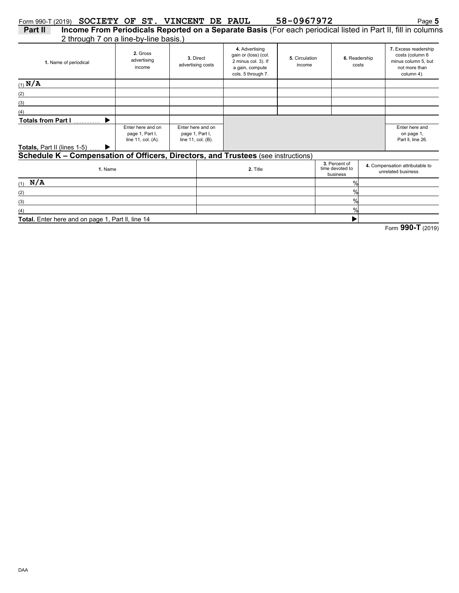|--|--|--|--|

2 through 7 on a line-by-line basis.) **Part II Income From Periodicals Reported on a Separate Basis** (For each periodical listed in Part II, fill in columns

|                                                                                   | Z through 7 on a line-by-line basis.)                      |                                                            |                   |                                                                                                        |                          |                                              |                                                                                               |
|-----------------------------------------------------------------------------------|------------------------------------------------------------|------------------------------------------------------------|-------------------|--------------------------------------------------------------------------------------------------------|--------------------------|----------------------------------------------|-----------------------------------------------------------------------------------------------|
| 1. Name of periodical                                                             | 2. Gross<br>advertising<br>income                          | 3. Direct                                                  | advertising costs | 4. Advertising<br>gain or (loss) (col.<br>2 minus col. 3). If<br>a gain, compute<br>cols. 5 through 7. | 5. Circulation<br>income | 6. Readership<br>costs                       | 7. Excess readership<br>costs (column 6<br>minus column 5, but<br>not more than<br>column 4). |
| $(1)$ N/A                                                                         |                                                            |                                                            |                   |                                                                                                        |                          |                                              |                                                                                               |
| (2)                                                                               |                                                            |                                                            |                   |                                                                                                        |                          |                                              |                                                                                               |
| (3)                                                                               |                                                            |                                                            |                   |                                                                                                        |                          |                                              |                                                                                               |
| (4)                                                                               |                                                            |                                                            |                   |                                                                                                        |                          |                                              |                                                                                               |
| Totals from Part I                                                                |                                                            |                                                            |                   |                                                                                                        |                          |                                              |                                                                                               |
|                                                                                   | Enter here and on<br>page 1, Part I,<br>line 11, col. (A). | Enter here and on<br>page 1, Part I,<br>line 11, col. (B). |                   |                                                                                                        |                          |                                              | Enter here and<br>on page 1,<br>Part II, line 26.                                             |
| <b>Totals, Part II (lines 1-5)</b>                                                |                                                            |                                                            |                   |                                                                                                        |                          |                                              |                                                                                               |
| Schedule K - Compensation of Officers, Directors, and Trustees (see instructions) |                                                            |                                                            |                   |                                                                                                        |                          |                                              |                                                                                               |
| 1. Name                                                                           |                                                            |                                                            |                   | 2. Title                                                                                               |                          | 3. Percent of<br>time devoted to<br>business | 4. Compensation attributable to<br>unrelated business                                         |
| $(1)$ N/A                                                                         |                                                            |                                                            |                   |                                                                                                        |                          | $\frac{0}{0}$                                |                                                                                               |
| (2)                                                                               |                                                            |                                                            |                   |                                                                                                        |                          | $\frac{0}{\alpha}$                           |                                                                                               |
| (3)                                                                               |                                                            |                                                            |                   |                                                                                                        |                          | $\%$                                         |                                                                                               |
| (4)                                                                               |                                                            |                                                            |                   |                                                                                                        |                          | $\frac{0}{0}$                                |                                                                                               |
| Total. Enter here and on page 1, Part II, line 14                                 |                                                            |                                                            |                   |                                                                                                        |                          |                                              |                                                                                               |

Total. Enter here and on page 1, Part II, line 14

Form **990-T** (2019)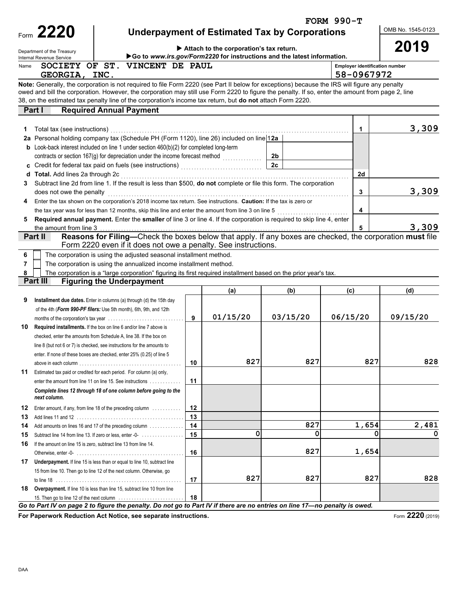|      |                                  |                                                                                                                                                  |                                                                           |                                                                         |                | <b>FORM 990-T</b>                                   |          |  |  |  |  |
|------|----------------------------------|--------------------------------------------------------------------------------------------------------------------------------------------------|---------------------------------------------------------------------------|-------------------------------------------------------------------------|----------------|-----------------------------------------------------|----------|--|--|--|--|
|      | Form 2220                        |                                                                                                                                                  | OMB No. 1545-0123<br><b>Underpayment of Estimated Tax by Corporations</b> |                                                                         |                |                                                     |          |  |  |  |  |
|      |                                  |                                                                                                                                                  |                                                                           |                                                                         |                |                                                     |          |  |  |  |  |
|      | Department of the Treasury       |                                                                                                                                                  |                                                                           | Attach to the corporation's tax return.                                 |                |                                                     | 2019     |  |  |  |  |
|      | Internal Revenue Service         |                                                                                                                                                  |                                                                           | Go to www.irs.gov/Form2220 for instructions and the latest information. |                |                                                     |          |  |  |  |  |
| Name | GEORGIA, INC.                    | SOCIETY OF ST. VINCENT DE PAUL                                                                                                                   |                                                                           |                                                                         |                | <b>Employer identification number</b><br>58-0967972 |          |  |  |  |  |
|      |                                  | Note: Generally, the corporation is not required to file Form 2220 (see Part II below for exceptions) because the IRS will figure any penalty    |                                                                           |                                                                         |                |                                                     |          |  |  |  |  |
|      |                                  | owed and bill the corporation. However, the corporation may still use Form 2220 to figure the penalty. If so, enter the amount from page 2, line |                                                                           |                                                                         |                |                                                     |          |  |  |  |  |
|      |                                  | 38, on the estimated tax penalty line of the corporation's income tax return, but do not attach Form 2220.                                       |                                                                           |                                                                         |                |                                                     |          |  |  |  |  |
|      | Part I                           | <b>Required Annual Payment</b>                                                                                                                   |                                                                           |                                                                         |                |                                                     |          |  |  |  |  |
|      |                                  |                                                                                                                                                  |                                                                           |                                                                         |                |                                                     |          |  |  |  |  |
| 1    |                                  |                                                                                                                                                  |                                                                           |                                                                         |                | 1                                                   | 3,309    |  |  |  |  |
|      |                                  | 2a Personal holding company tax (Schedule PH (Form 1120), line 26) included on line 12a                                                          |                                                                           |                                                                         |                |                                                     |          |  |  |  |  |
|      |                                  | <b>b</b> Look-back interest included on line 1 under section $460(b)(2)$ for completed long-term                                                 |                                                                           |                                                                         |                |                                                     |          |  |  |  |  |
|      |                                  |                                                                                                                                                  |                                                                           |                                                                         | 2 <sub>b</sub> |                                                     |          |  |  |  |  |
|      |                                  |                                                                                                                                                  |                                                                           |                                                                         | 2c             |                                                     |          |  |  |  |  |
|      | d Total. Add lines 2a through 2c |                                                                                                                                                  |                                                                           |                                                                         |                | 2d                                                  |          |  |  |  |  |
| 3    |                                  | Subtract line 2d from line 1. If the result is less than \$500, do not complete or file this form. The corporation                               |                                                                           |                                                                         |                |                                                     |          |  |  |  |  |
|      | does not owe the penalty         |                                                                                                                                                  |                                                                           |                                                                         |                | 3                                                   | 3,309    |  |  |  |  |
| 4    |                                  | Enter the tax shown on the corporation's 2018 income tax return. See instructions. Caution: If the tax is zero or                                |                                                                           |                                                                         |                |                                                     |          |  |  |  |  |
|      |                                  | the tax year was for less than 12 months, skip this line and enter the amount from line 3 on line 5                                              |                                                                           |                                                                         |                | 4                                                   |          |  |  |  |  |
| 5    |                                  | Required annual payment. Enter the smaller of line 3 or line 4. If the corporation is required to skip line 4, enter                             |                                                                           |                                                                         |                |                                                     |          |  |  |  |  |
|      | the amount from line 3           |                                                                                                                                                  |                                                                           |                                                                         |                | 5                                                   | 3,309    |  |  |  |  |
|      | Part II                          | Reasons for Filing-Check the boxes below that apply. If any boxes are checked, the corporation must file                                         |                                                                           |                                                                         |                |                                                     |          |  |  |  |  |
|      |                                  | Form 2220 even if it does not owe a penalty. See instructions.                                                                                   |                                                                           |                                                                         |                |                                                     |          |  |  |  |  |
| 6    |                                  | The corporation is using the adjusted seasonal installment method.                                                                               |                                                                           |                                                                         |                |                                                     |          |  |  |  |  |
| 7    |                                  | The corporation is using the annualized income installment method.                                                                               |                                                                           |                                                                         |                |                                                     |          |  |  |  |  |
| 8    |                                  | The corporation is a "large corporation" figuring its first required installment based on the prior year's tax.                                  |                                                                           |                                                                         |                |                                                     |          |  |  |  |  |
|      | Part III                         | <b>Figuring the Underpayment</b>                                                                                                                 |                                                                           |                                                                         |                |                                                     |          |  |  |  |  |
|      |                                  |                                                                                                                                                  |                                                                           | (a)                                                                     | (b)            | (c)                                                 | (d)      |  |  |  |  |
| 9    |                                  | Installment due dates. Enter in columns (a) through (d) the 15th day                                                                             |                                                                           |                                                                         |                |                                                     |          |  |  |  |  |
|      |                                  | of the 4th (Form 990-PF filers: Use 5th month), 6th, 9th, and 12th                                                                               |                                                                           |                                                                         |                |                                                     |          |  |  |  |  |
|      |                                  |                                                                                                                                                  | 9                                                                         | 01/15/20                                                                | 03/15/20       | 06/15/20                                            | 09/15/20 |  |  |  |  |
| 10   |                                  | Required installments. If the box on line 6 and/or line 7 above is                                                                               |                                                                           |                                                                         |                |                                                     |          |  |  |  |  |
|      |                                  | checked, enter the amounts from Schedule A, line 38. If the box on                                                                               |                                                                           |                                                                         |                |                                                     |          |  |  |  |  |
|      |                                  | line 8 (but not 6 or 7) is checked, see instructions for the amounts to                                                                          |                                                                           |                                                                         |                |                                                     |          |  |  |  |  |
|      |                                  | enter. If none of these boxes are checked, enter 25% (0.25) of line 5                                                                            |                                                                           |                                                                         |                |                                                     |          |  |  |  |  |
|      |                                  |                                                                                                                                                  | 10                                                                        | 827                                                                     | 827            | 827                                                 | 828      |  |  |  |  |
| 11   |                                  | Estimated tax paid or credited for each period. For column (a) only,                                                                             |                                                                           |                                                                         |                |                                                     |          |  |  |  |  |
|      |                                  | enter the amount from line 11 on line 15. See instructions                                                                                       | 11                                                                        |                                                                         |                |                                                     |          |  |  |  |  |
|      | next column.                     | Complete lines 12 through 18 of one column before going to the                                                                                   |                                                                           |                                                                         |                |                                                     |          |  |  |  |  |
|      |                                  |                                                                                                                                                  |                                                                           |                                                                         |                |                                                     |          |  |  |  |  |
| 12   |                                  | Enter amount, if any, from line 18 of the preceding column                                                                                       | 12                                                                        |                                                                         |                |                                                     |          |  |  |  |  |
| 13   |                                  |                                                                                                                                                  | 13                                                                        |                                                                         | 827            | 1,654                                               | 2,481    |  |  |  |  |
| 14   |                                  | Add amounts on lines 16 and 17 of the preceding column                                                                                           | 14                                                                        | 0                                                                       | 0              | 0                                                   | 0        |  |  |  |  |
| 15   |                                  | Subtract line 14 from line 13. If zero or less, enter -0-                                                                                        | 15                                                                        |                                                                         |                |                                                     |          |  |  |  |  |
| 16   |                                  | If the amount on line 15 is zero, subtract line 13 from line 14.                                                                                 | 16                                                                        |                                                                         | 827            | 1,654                                               |          |  |  |  |  |
|      |                                  |                                                                                                                                                  |                                                                           |                                                                         |                |                                                     |          |  |  |  |  |
| 17   |                                  | Underpayment. If line 15 is less than or equal to line 10, subtract line                                                                         |                                                                           |                                                                         |                |                                                     |          |  |  |  |  |
|      |                                  | 15 from line 10. Then go to line 12 of the next column. Otherwise, go                                                                            | 17                                                                        | 827                                                                     | 827            | 827                                                 | 828      |  |  |  |  |
|      |                                  |                                                                                                                                                  |                                                                           |                                                                         |                |                                                     |          |  |  |  |  |
|      |                                  | 18 Overpayment. If line 10 is less than line 15, subtract line 10 from line                                                                      | 18                                                                        |                                                                         |                |                                                     |          |  |  |  |  |
|      |                                  | Go to Part IV on page 2 to figure the penalty. Do not go to Part IV if there are no entries on line 17-no penalty is owed.                       |                                                                           |                                                                         |                |                                                     |          |  |  |  |  |

**For Paperwork Reduction Act Notice, see separate instructions.**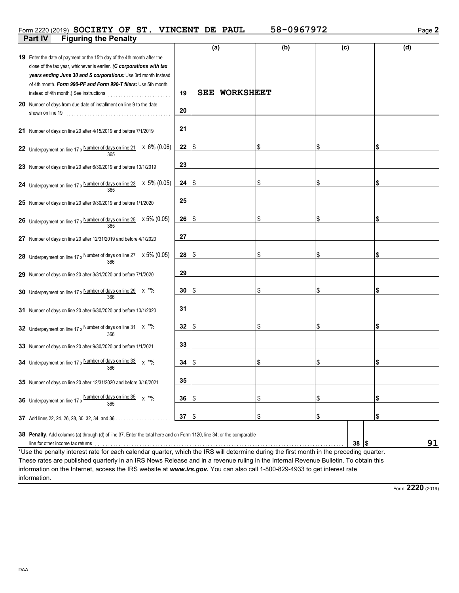## Form 2220 (2019) **SOCIETY OF ST. VINCENT DE PAUL 58-0967972** Page 2

| Part IV<br><b>Figuring the Penalty</b>                                                                                                                                                                                                                                               |    |                                |     |      |     |
|--------------------------------------------------------------------------------------------------------------------------------------------------------------------------------------------------------------------------------------------------------------------------------------|----|--------------------------------|-----|------|-----|
|                                                                                                                                                                                                                                                                                      |    | (a)                            | (b) | (c)  | (d) |
| 19 Enter the date of payment or the 15th day of the 4th month after the<br>close of the tax year, whichever is earlier. (C corporations with tax<br>years ending June 30 and S corporations: Use 3rd month instead<br>of 4th month. Form 990-PF and Form 990-T filers: Use 5th month | 19 | <b>WORKSHEET</b><br><b>SEE</b> |     |      |     |
| 20 Number of days from due date of installment on line 9 to the date                                                                                                                                                                                                                 | 20 |                                |     |      |     |
| 21 Number of days on line 20 after 4/15/2019 and before 7/1/2019                                                                                                                                                                                                                     | 21 |                                |     |      |     |
| 22 Underpayment on line 17 x Number of days on line 21 $\times$ 6% (0.06)                                                                                                                                                                                                            | 22 | Ι\$                            | \$  | \$   | \$  |
| 23 Number of days on line 20 after 6/30/2019 and before 10/1/2019                                                                                                                                                                                                                    | 23 |                                |     |      |     |
| 24 Underpayment on line 17 x $\frac{\text{Number of days on line 23}}{365}$ x 5% (0.05)                                                                                                                                                                                              | 24 | ۱\$                            | \$  | \$   | \$  |
| 25 Number of days on line 20 after 9/30/2019 and before 1/1/2020                                                                                                                                                                                                                     | 25 |                                |     |      |     |
| <b>26</b> Underpayment on line 17 x $\frac{\text{Number of days on line 25}}{365}$ x 5% (0.05)                                                                                                                                                                                       | 26 | ۱\$                            | \$  | \$   | \$  |
| 27 Number of days on line 20 after 12/31/2019 and before 4/1/2020                                                                                                                                                                                                                    | 27 |                                |     |      |     |
| 28 Underpayment on line $17 \times \frac{\text{Number of days on line } 27}{366}$ $\times 5\% (0.05)$                                                                                                                                                                                | 28 | l \$                           | \$  | \$   | \$  |
| 29 Number of days on line 20 after 3/31/2020 and before 7/1/2020                                                                                                                                                                                                                     | 29 |                                |     |      |     |
| 30 Underpayment on line 17 x Number of days on line 29 x *%<br>366                                                                                                                                                                                                                   | 30 | l\$                            | \$  | \$   | \$  |
| 31 Number of days on line 20 after 6/30/2020 and before 10/1/2020                                                                                                                                                                                                                    | 31 |                                |     |      |     |
| 32 Underpayment on line 17 x Number of days on line 31 x *%                                                                                                                                                                                                                          | 32 | l \$                           | \$  | \$   | \$  |
| 33 Number of days on line 20 after 9/30/2020 and before 1/1/2021                                                                                                                                                                                                                     | 33 |                                |     |      |     |
| 34 Underpayment on line 17 x Number of days on line $33 \times 10^4$<br>366                                                                                                                                                                                                          | 34 | ۱\$                            |     | \$   | \$  |
| 35 Number of days on line 20 after 12/31/2020 and before 3/16/2021                                                                                                                                                                                                                   | 35 |                                |     |      |     |
| <b>36</b> Underpayment on line 17 x $\frac{\text{Number of days on line 35}}{22}$<br>$x * 9$                                                                                                                                                                                         | 36 | ۱\$                            | \$  | \$   | \$  |
| 37 Add lines 22, 24, 26, 28, 30, 32, 34, and 36                                                                                                                                                                                                                                      | 37 | \$                             | \$  | \$   | \$  |
| 38 Penalty. Add columns (a) through (d) of line 37. Enter the total here and on Form 1120, line 34; or the comparable<br>line for other income tax returns (and accommodate contact and accommodate contact and accommodate contact and                                              |    |                                |     | 38 S | 91  |

\*Use the penalty interest rate for each calendar quarter, which the IRS will determine during the first month in the preceding quarter. These rates are published quarterly in an IRS News Release and in a revenue ruling in the Internal Revenue Bulletin. To obtain this information on the Internet, access the IRS website at *www.irs.gov.* You can also call 1-800-829-4933 to get interest rate information.

Form **2220** (2019)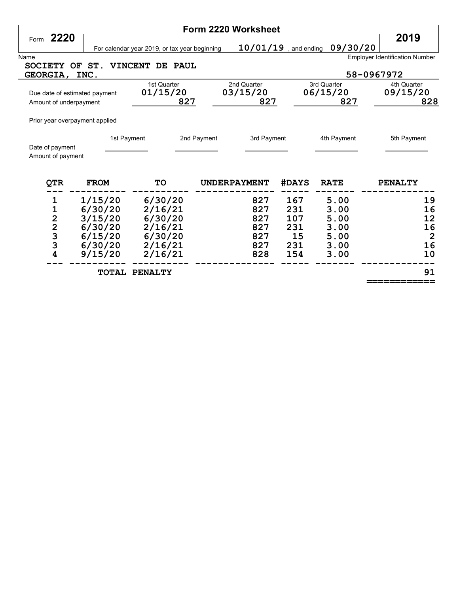|      |                                            |             |                                               | Form 2220 Worksheet        |                         |             |                                       |
|------|--------------------------------------------|-------------|-----------------------------------------------|----------------------------|-------------------------|-------------|---------------------------------------|
| Form | 2220                                       |             |                                               |                            |                         |             | 2019                                  |
|      |                                            |             | For calendar year 2019, or tax year beginning |                            | $10/01/19$ , and ending | 09/30/20    |                                       |
| Name |                                            |             |                                               |                            |                         |             | <b>Employer Identification Number</b> |
|      | <b>SOCIETY</b><br>OF                       | ST.         | <b>VINCENT</b><br>DE.<br><b>PAUL</b>          |                            |                         |             |                                       |
|      | <b>GEORGIA,</b>                            | INC.        |                                               |                            |                         |             | 58-0967972                            |
|      |                                            |             | 1st Quarter                                   | 2nd Quarter                |                         | 3rd Quarter | 4th Quarter                           |
|      | Due date of estimated payment              |             | 01/15/20                                      | 03/15/20                   |                         | 06/15/20    | 09/15/20                              |
|      | Amount of underpayment                     |             | 827                                           | 827                        |                         | 827         | 828                                   |
|      |                                            |             |                                               |                            |                         |             |                                       |
|      | Prior year overpayment applied             |             |                                               |                            |                         |             |                                       |
|      |                                            |             |                                               |                            |                         |             |                                       |
|      |                                            | 1st Payment |                                               | 2nd Payment<br>3rd Payment |                         | 4th Payment | 5th Payment                           |
|      | Date of payment<br>Amount of payment       |             |                                               |                            |                         |             |                                       |
|      |                                            |             |                                               |                            |                         |             |                                       |
|      | QTR                                        | <b>FROM</b> | <b>TO</b>                                     | <b>UNDERPAYMENT</b>        | <b>#DAYS</b>            | <b>RATE</b> | <b>PENALTY</b>                        |
|      | 1                                          | 1/15/20     | 6/30/20                                       | 827                        | 167                     | 5.00        | 19                                    |
|      | 1                                          | 6/30/20     | 2/16/21                                       | 827                        | 231                     | 3.00        | 16                                    |
|      | $\overline{c}$                             | 3/15/20     | 6/30/20                                       | 827                        | 107                     | 5.00        | 12                                    |
|      |                                            | 6/30/20     | 2/16/21                                       | 827                        | 231                     | 3.00        | 16                                    |
|      | $\begin{array}{c} 2 \\ 3 \\ 3 \end{array}$ | 6/15/20     | 6/30/20                                       | 827                        | 15                      | 5.00        | $\overline{2}$                        |
|      |                                            | 6/30/20     | 2/16/21                                       | 827                        | 231                     | 3.00        | 16                                    |
|      | 4                                          | 9/15/20     | 2/16/21                                       | 828                        | 154                     | 3.00        | 10                                    |
|      |                                            |             |                                               |                            |                         |             |                                       |

 **TOTAL PENALTY** 91

 **============**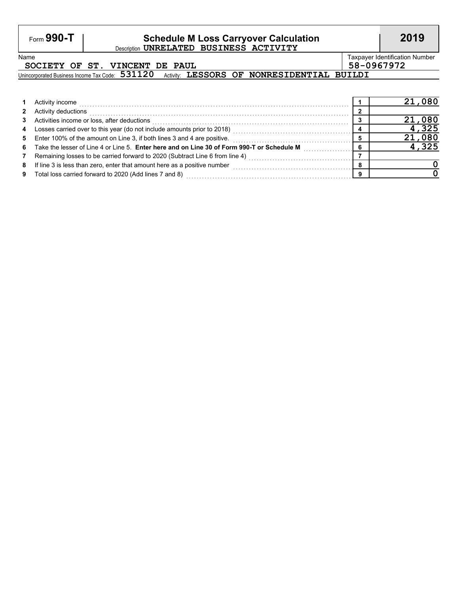## Form **990-T Schedule M Loss Carryover Calculation 2019** Description **UNRELATED BUSINESS ACTIVITY**

## **SOCIETY OF ST. VINCENT DE PAUL 58-0967972**

Name Taxpayer Identification Number

Unincorporated Business Income Tax Code: 531120 Activity: LESSORS OF NONRESIDENTIAL BUILDI

|                | Activity income                                                                            | 21,080 |
|----------------|--------------------------------------------------------------------------------------------|--------|
| $2^{\circ}$    | Activity deductions                                                                        |        |
|                | 3 Activities income or loss, after deductions                                              | 21,080 |
| $\overline{4}$ | Losses carried over to this year (do not include amounts prior to 2018)                    | 4,325  |
|                | 5 Enter 100% of the amount on Line 3, if both lines 3 and 4 are positive.                  | 21,080 |
| 6              | Take the lesser of Line 4 or Line 5. Enter here and on Line 30 of Form 990-T or Schedule M | 4,325  |
| 7              | Remaining losses to be carried forward to 2020 (Subtract Line 6 from line 4)               |        |
| 8              | If line 3 is less than zero, enter that amount here as a positive number                   |        |
| 9              | Total loss carried forward to 2020 (Add lines 7 and 8)                                     |        |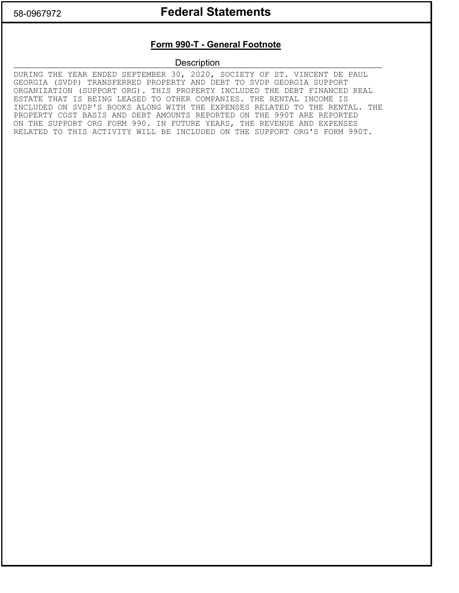# 58-0967972 **Federal Statements**

## **Form 990-T - General Footnote**

**Description** 

DURING THE YEAR ENDED SEPTEMBER 30, 2020, SOCIETY OF ST. VINCENT DE PAUL GEORGIA (SVDP) TRANSFERRED PROPERTY AND DEBT TO SVDP GEORGIA SUPPORT ORGANIZATION (SUPPORT ORG). THIS PROPERTY INCLUDED THE DEBT FINANCED REAL ESTATE THAT IS BEING LEASED TO OTHER COMPANIES. THE RENTAL INCOME IS INCLUDED ON SVDP'S BOOKS ALONG WITH THE EXPENSES RELATED TO THE RENTAL. THE PROPERTY COST BASIS AND DEBT AMOUNTS REPORTED ON THE 990T ARE REPORTED ON THE SUPPORT ORG FORM 990. IN FUTURE YEARS, THE REVENUE AND EXPENSES RELATED TO THIS ACTIVITY WILL BE INCLUDED ON THE SUPPORT ORG'S FORM 990T.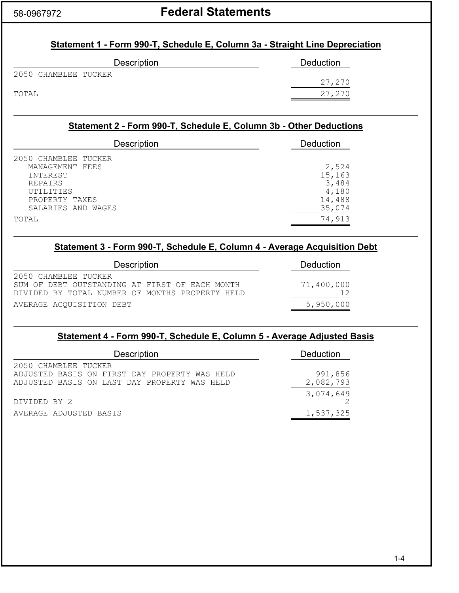# 58-0967972 **Federal Statements**

## **Statement 1 - Form 990-T, Schedule E, Column 3a - Straight Line Depreciation**

| <b>Description</b>   | Deduction |
|----------------------|-----------|
| 2050 CHAMBLEE TUCKER | 27,270    |
| TOTAL                | 27,270    |

## **Statement 2 - Form 990-T, Schedule E, Column 3b - Other Deductions**

| <b>Description</b>                                       | <b>Deduction</b>          |
|----------------------------------------------------------|---------------------------|
| 2050 CHAMBLEE TUCKER<br>MANAGEMENT FEES                  | 2,524                     |
| INTEREST<br><b>REPAIRS</b>                               | 15,163<br>3,484           |
| <b>UTILITIES</b><br>PROPERTY TAXES<br>SALARIES AND WAGES | 4,180<br>14,488<br>35,074 |
| TOTAL                                                    | 74,913                    |

## **Statement 3 - Form 990-T, Schedule E, Column 4 - Average Acquisition Debt**

| <b>Description</b>                                                                                                        | Deduction  |
|---------------------------------------------------------------------------------------------------------------------------|------------|
| 2050 CHAMBLEE TUCKER<br>SUM OF DEBT OUTSTANDING AT FIRST OF EACH MONTH<br>DIVIDED BY TOTAL NUMBER OF MONTHS PROPERTY HELD | 71,400,000 |
| AVERAGE ACOUISITION DEBT                                                                                                  | 5,950,000  |

## **Statement 4 - Form 990-T, Schedule E, Column 5 - Average Adjusted Basis**

| <b>Description</b>                                                                                                    | Deduction            |  |
|-----------------------------------------------------------------------------------------------------------------------|----------------------|--|
| 2050 CHAMBLEE TUCKER<br>ADJUSTED BASIS ON FIRST DAY PROPERTY WAS HELD<br>ADJUSTED BASIS ON LAST DAY PROPERTY WAS HELD | 991,856<br>2,082,793 |  |
| DIVIDED BY 2                                                                                                          | 3,074,649            |  |
| AVERAGE ADJUSTED BASIS                                                                                                | 1,537,325            |  |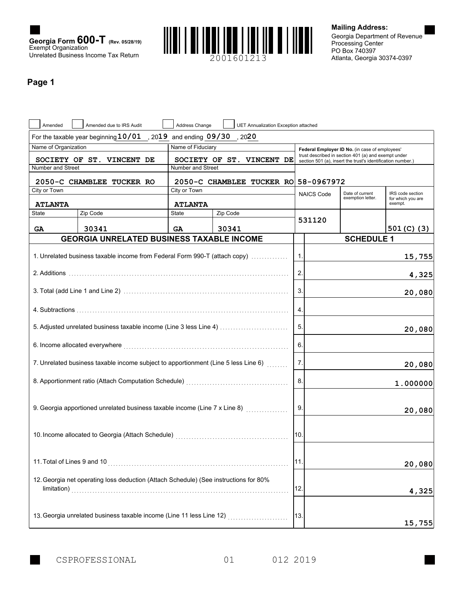



**Mailing Address:**

Atlanta, Georgia 30374-0397 PO Box 740397 Processing Center Georgia Department of Revenue

## **Page 1**

| Amended                                                                                                                  | Amended due to IRS Audit                                                             | Address Change    | UET Annualization Exception attached |               |                   |                                                                                                                    |                              |
|--------------------------------------------------------------------------------------------------------------------------|--------------------------------------------------------------------------------------|-------------------|--------------------------------------|---------------|-------------------|--------------------------------------------------------------------------------------------------------------------|------------------------------|
|                                                                                                                          | For the taxable year beginning $10/01$                                               |                   | , 2019 and ending $09/30$ , 2020     |               |                   |                                                                                                                    |                              |
| Name of Organization                                                                                                     |                                                                                      | Name of Fiduciary |                                      |               |                   | Federal Employer ID No. (in case of employees'                                                                     |                              |
|                                                                                                                          | SOCIETY OF ST. VINCENT DE                                                            |                   | SOCIETY OF ST. VINCENT DE            |               |                   | trust described in section 401 (a) and exempt under<br>section 501 (a), insert the trust's identification number.) |                              |
| Number and Street                                                                                                        |                                                                                      | Number and Street |                                      |               |                   |                                                                                                                    |                              |
|                                                                                                                          | 2050-C CHAMBLEE TUCKER RO                                                            |                   | 2050-C CHAMBLEE TUCKER RO 58-0967972 |               |                   |                                                                                                                    |                              |
| City or Town                                                                                                             |                                                                                      | City or Town      |                                      |               | <b>NAICS Code</b> | Date of current                                                                                                    | IRS code section             |
| <b>ATLANTA</b>                                                                                                           |                                                                                      | <b>ATLANTA</b>    |                                      |               |                   | exemption letter.                                                                                                  | for which you are<br>exempt. |
| State                                                                                                                    | Zip Code                                                                             | <b>State</b>      | Zip Code                             |               |                   |                                                                                                                    |                              |
| GA                                                                                                                       | 30341                                                                                | <b>GA</b>         | 30341                                |               | 531120            |                                                                                                                    | 501 (C) (3)                  |
|                                                                                                                          | <b>GEORGIA UNRELATED BUSINESS TAXABLE INCOME</b>                                     |                   |                                      |               |                   | <b>SCHEDULE 1</b>                                                                                                  |                              |
|                                                                                                                          |                                                                                      |                   |                                      |               |                   |                                                                                                                    |                              |
|                                                                                                                          | 1. Unrelated business taxable income from Federal Form 990-T (attach copy)           |                   |                                      | $\mathbf 1$ . |                   |                                                                                                                    | 15,755                       |
|                                                                                                                          |                                                                                      |                   |                                      | 2.            |                   |                                                                                                                    | 4,325                        |
|                                                                                                                          |                                                                                      |                   |                                      | 3.            |                   |                                                                                                                    | 20,080                       |
|                                                                                                                          |                                                                                      |                   |                                      |               |                   |                                                                                                                    |                              |
|                                                                                                                          |                                                                                      |                   |                                      | 4.            |                   |                                                                                                                    |                              |
|                                                                                                                          | 5. Adjusted unrelated business taxable income (Line 3 less Line 4)                   |                   |                                      | 5.            |                   |                                                                                                                    | 20,080                       |
| 6. Income allocated everywhere <b>construction and interesting and interesting and interesting and interesting and i</b> |                                                                                      |                   |                                      | 6.            |                   |                                                                                                                    |                              |
|                                                                                                                          | 7. Unrelated business taxable income subject to apportionment (Line 5 less Line 6)   |                   |                                      | 7.            |                   |                                                                                                                    | 20,080                       |
|                                                                                                                          |                                                                                      |                   |                                      | 8.            |                   |                                                                                                                    | 1.000000                     |
|                                                                                                                          |                                                                                      |                   |                                      |               |                   |                                                                                                                    |                              |
|                                                                                                                          | 9. Georgia apportioned unrelated business taxable income (Line 7 x Line 8)           |                   |                                      | 9.            |                   |                                                                                                                    | 20,080                       |
|                                                                                                                          |                                                                                      |                   |                                      |               |                   |                                                                                                                    |                              |
|                                                                                                                          |                                                                                      |                   |                                      | 10.           |                   |                                                                                                                    |                              |
| 11. Total of Lines 9 and 10                                                                                              |                                                                                      |                   |                                      | 11.           |                   |                                                                                                                    | 20,080                       |
|                                                                                                                          |                                                                                      |                   |                                      |               |                   |                                                                                                                    |                              |
|                                                                                                                          | 12. Georgia net operating loss deduction (Attach Schedule) (See instructions for 80% |                   |                                      |               |                   |                                                                                                                    |                              |
|                                                                                                                          |                                                                                      |                   |                                      | 12.           |                   |                                                                                                                    | 4,325                        |
|                                                                                                                          |                                                                                      |                   |                                      |               |                   |                                                                                                                    |                              |
|                                                                                                                          | 13. Georgia unrelated business taxable income (Line 11 less Line 12)                 |                   |                                      | 13.           |                   |                                                                                                                    |                              |
|                                                                                                                          |                                                                                      |                   |                                      |               |                   |                                                                                                                    | 15,755                       |